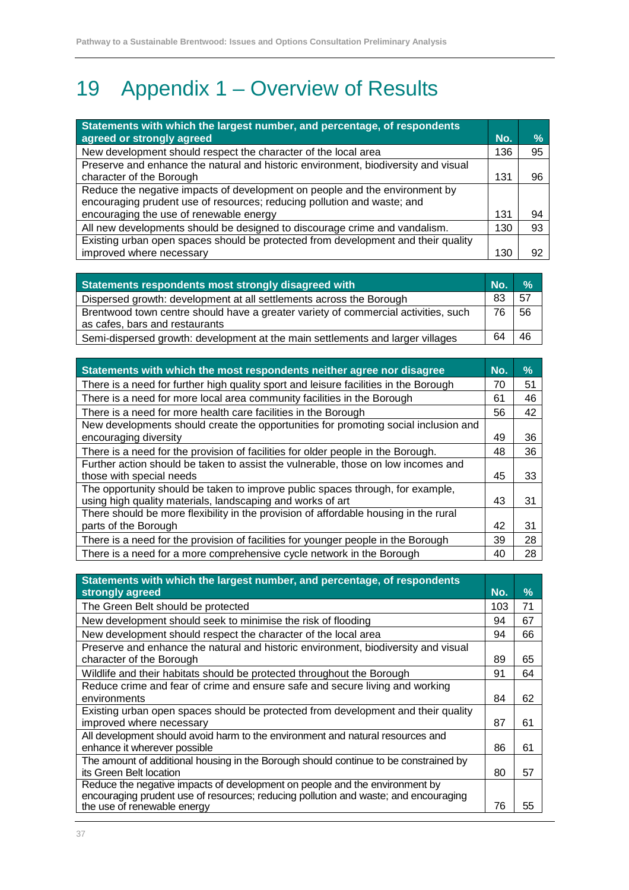# 19 Appendix 1 – Overview of Results

| Statements with which the largest number, and percentage, of respondents           |     |               |
|------------------------------------------------------------------------------------|-----|---------------|
| agreed or strongly agreed                                                          | No. | $\frac{9}{6}$ |
| New development should respect the character of the local area                     | 136 | 95            |
| Preserve and enhance the natural and historic environment, biodiversity and visual |     |               |
| character of the Borough                                                           | 131 | 96            |
| Reduce the negative impacts of development on people and the environment by        |     |               |
| encouraging prudent use of resources; reducing pollution and waste; and            |     |               |
| encouraging the use of renewable energy                                            | 131 | 94            |
| All new developments should be designed to discourage crime and vandalism.         | 130 | 93            |
| Existing urban open spaces should be protected from development and their quality  |     |               |
| improved where necessary                                                           | 130 | 92            |

| Statements respondents most strongly disagreed with                                                                  | L No. | $\frac{9}{6}$ |
|----------------------------------------------------------------------------------------------------------------------|-------|---------------|
| Dispersed growth: development at all settlements across the Borough                                                  | 83    | 57            |
| Brentwood town centre should have a greater variety of commercial activities, such<br>as cafes, bars and restaurants | 76    | 56            |
| Semi-dispersed growth: development at the main settlements and larger villages                                       | 64    | 46            |

| Statements with which the most respondents neither agree nor disagree                | No. | %  |
|--------------------------------------------------------------------------------------|-----|----|
| There is a need for further high quality sport and leisure facilities in the Borough | 70  | 51 |
| There is a need for more local area community facilities in the Borough              | 61  | 46 |
| There is a need for more health care facilities in the Borough                       | 56  | 42 |
| New developments should create the opportunities for promoting social inclusion and  |     |    |
| encouraging diversity                                                                | 49  | 36 |
| There is a need for the provision of facilities for older people in the Borough.     | 48  | 36 |
| Further action should be taken to assist the vulnerable, those on low incomes and    |     |    |
| those with special needs                                                             | 45  | 33 |
| The opportunity should be taken to improve public spaces through, for example,       |     |    |
| using high quality materials, landscaping and works of art                           | 43  | 31 |
| There should be more flexibility in the provision of affordable housing in the rural |     |    |
| parts of the Borough                                                                 | 42  | 31 |
| There is a need for the provision of facilities for younger people in the Borough    | 39  | 28 |
| There is a need for a more comprehensive cycle network in the Borough                | 40  | 28 |

| Statements with which the largest number, and percentage, of respondents<br>strongly agreed | No. | $\%$ |
|---------------------------------------------------------------------------------------------|-----|------|
| The Green Belt should be protected                                                          | 103 | 71   |
| New development should seek to minimise the risk of flooding                                | 94  | 67   |
| New development should respect the character of the local area                              | 94  | 66   |
| Preserve and enhance the natural and historic environment, biodiversity and visual          |     |      |
| character of the Borough                                                                    | 89  | 65   |
| Wildlife and their habitats should be protected throughout the Borough                      | 91  | 64   |
| Reduce crime and fear of crime and ensure safe and secure living and working                |     |      |
| environments                                                                                | 84  | 62   |
| Existing urban open spaces should be protected from development and their quality           |     |      |
| improved where necessary                                                                    | 87  | 61   |
| All development should avoid harm to the environment and natural resources and              |     |      |
| enhance it wherever possible                                                                | 86  | 61   |
| The amount of additional housing in the Borough should continue to be constrained by        |     |      |
| its Green Belt location                                                                     | 80  | 57   |
| Reduce the negative impacts of development on people and the environment by                 |     |      |
| encouraging prudent use of resources; reducing pollution and waste; and encouraging         |     |      |
| the use of renewable energy                                                                 | 76  | 55   |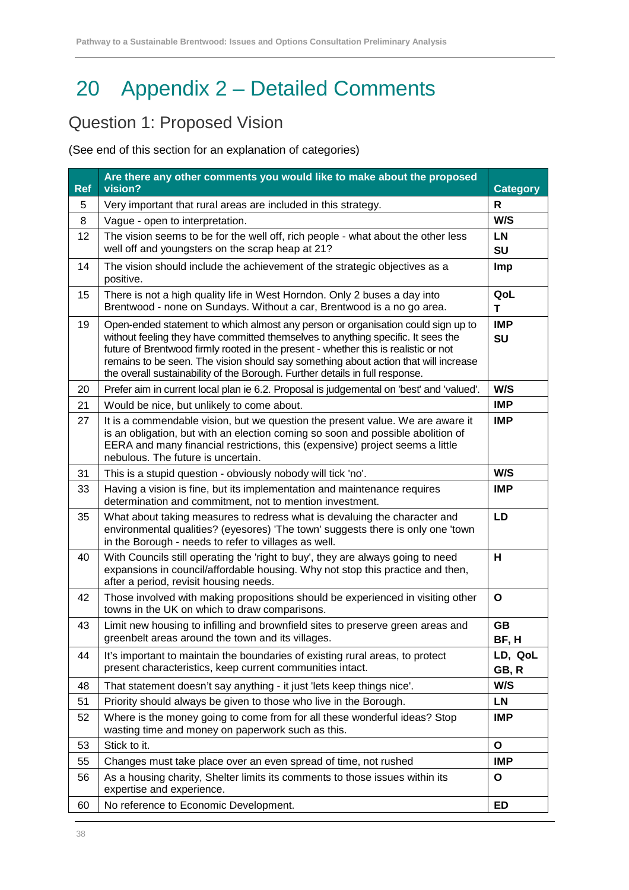# 20 Appendix 2 – Detailed Comments

#### Question 1: Proposed Vision

| <b>Ref</b> | Are there any other comments you would like to make about the proposed<br>vision?                                                                                                                                                                                                                                                                                                                                                  | <b>Category</b>    |
|------------|------------------------------------------------------------------------------------------------------------------------------------------------------------------------------------------------------------------------------------------------------------------------------------------------------------------------------------------------------------------------------------------------------------------------------------|--------------------|
| 5          | Very important that rural areas are included in this strategy.                                                                                                                                                                                                                                                                                                                                                                     | $\mathsf{R}$       |
| 8          | Vague - open to interpretation.                                                                                                                                                                                                                                                                                                                                                                                                    | W/S                |
| 12         | The vision seems to be for the well off, rich people - what about the other less<br>well off and youngsters on the scrap heap at 21?                                                                                                                                                                                                                                                                                               | <b>LN</b><br>SU    |
| 14         | The vision should include the achievement of the strategic objectives as a<br>positive.                                                                                                                                                                                                                                                                                                                                            | Imp                |
| 15         | There is not a high quality life in West Horndon. Only 2 buses a day into<br>Brentwood - none on Sundays. Without a car, Brentwood is a no go area.                                                                                                                                                                                                                                                                                | QoL<br>Т           |
| 19         | Open-ended statement to which almost any person or organisation could sign up to<br>without feeling they have committed themselves to anything specific. It sees the<br>future of Brentwood firmly rooted in the present - whether this is realistic or not<br>remains to be seen. The vision should say something about action that will increase<br>the overall sustainability of the Borough. Further details in full response. | <b>IMP</b><br>SU   |
| 20         | Prefer aim in current local plan ie 6.2. Proposal is judgemental on 'best' and 'valued'.                                                                                                                                                                                                                                                                                                                                           | W/S                |
| 21         | Would be nice, but unlikely to come about.                                                                                                                                                                                                                                                                                                                                                                                         | <b>IMP</b>         |
| 27         | It is a commendable vision, but we question the present value. We are aware it<br>is an obligation, but with an election coming so soon and possible abolition of<br>EERA and many financial restrictions, this (expensive) project seems a little<br>nebulous. The future is uncertain.                                                                                                                                           | <b>IMP</b>         |
| 31         | This is a stupid question - obviously nobody will tick 'no'.                                                                                                                                                                                                                                                                                                                                                                       | W/S                |
| 33         | Having a vision is fine, but its implementation and maintenance requires<br>determination and commitment, not to mention investment.                                                                                                                                                                                                                                                                                               | <b>IMP</b>         |
| 35         | What about taking measures to redress what is devaluing the character and<br>environmental qualities? (eyesores) 'The town' suggests there is only one 'town<br>in the Borough - needs to refer to villages as well.                                                                                                                                                                                                               | LD                 |
| 40         | With Councils still operating the 'right to buy', they are always going to need<br>expansions in council/affordable housing. Why not stop this practice and then,<br>after a period, revisit housing needs.                                                                                                                                                                                                                        | н                  |
| 42         | Those involved with making propositions should be experienced in visiting other<br>towns in the UK on which to draw comparisons.                                                                                                                                                                                                                                                                                                   | $\mathbf{o}$       |
| 43         | Limit new housing to infilling and brownfield sites to preserve green areas and<br>greenbelt areas around the town and its villages.                                                                                                                                                                                                                                                                                               | <b>GB</b><br>BF, H |
| 44         | It's important to maintain the boundaries of existing rural areas, to protect<br>present characteristics, keep current communities intact.                                                                                                                                                                                                                                                                                         | LD, QoL<br>GB, R   |
| 48         | That statement doesn't say anything - it just 'lets keep things nice'.                                                                                                                                                                                                                                                                                                                                                             | W/S                |
| 51         | Priority should always be given to those who live in the Borough.                                                                                                                                                                                                                                                                                                                                                                  | <b>LN</b>          |
| 52         | Where is the money going to come from for all these wonderful ideas? Stop<br>wasting time and money on paperwork such as this.                                                                                                                                                                                                                                                                                                     | <b>IMP</b>         |
| 53         | Stick to it.                                                                                                                                                                                                                                                                                                                                                                                                                       | $\mathbf{o}$       |
| 55         | Changes must take place over an even spread of time, not rushed                                                                                                                                                                                                                                                                                                                                                                    | <b>IMP</b>         |
| 56         | As a housing charity, Shelter limits its comments to those issues within its<br>expertise and experience.                                                                                                                                                                                                                                                                                                                          | $\mathbf{o}$       |
| 60         | No reference to Economic Development.                                                                                                                                                                                                                                                                                                                                                                                              | ED                 |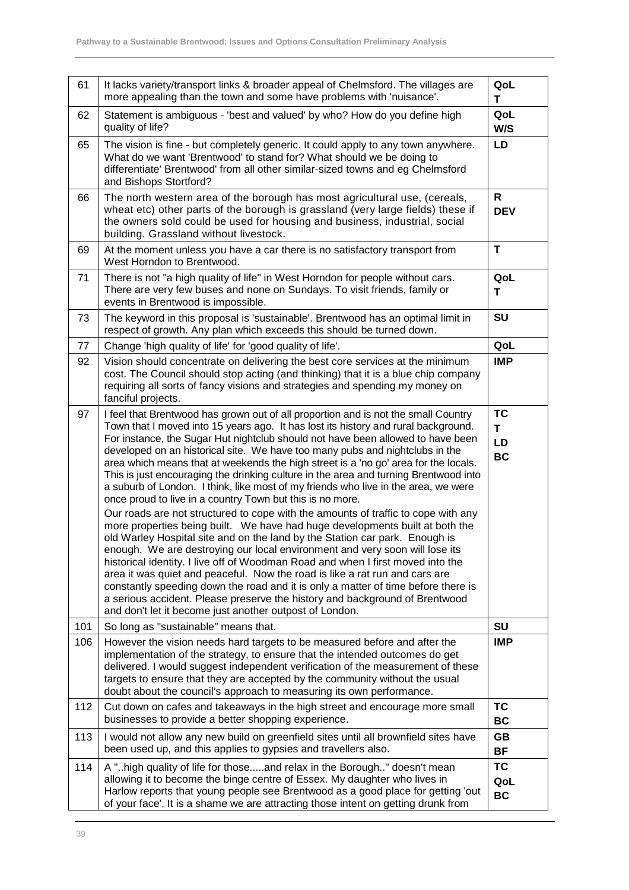| 61  | It lacks variety/transport links & broader appeal of Chelmsford. The villages are<br>more appealing than the town and some have problems with 'nuisance'.                                                                                                                                                                                                                                                                                                                                                                                                                                                                                                                                                                                                                                                                                                                                                                                                                                                                                                                                                                                                                                                                                                                                                                                                                                                         | QoL<br>т                                 |
|-----|-------------------------------------------------------------------------------------------------------------------------------------------------------------------------------------------------------------------------------------------------------------------------------------------------------------------------------------------------------------------------------------------------------------------------------------------------------------------------------------------------------------------------------------------------------------------------------------------------------------------------------------------------------------------------------------------------------------------------------------------------------------------------------------------------------------------------------------------------------------------------------------------------------------------------------------------------------------------------------------------------------------------------------------------------------------------------------------------------------------------------------------------------------------------------------------------------------------------------------------------------------------------------------------------------------------------------------------------------------------------------------------------------------------------|------------------------------------------|
| 62  | Statement is ambiguous - 'best and valued' by who? How do you define high<br>quality of life?                                                                                                                                                                                                                                                                                                                                                                                                                                                                                                                                                                                                                                                                                                                                                                                                                                                                                                                                                                                                                                                                                                                                                                                                                                                                                                                     | QoL<br>W/S                               |
| 65  | The vision is fine - but completely generic. It could apply to any town anywhere.<br>What do we want 'Brentwood' to stand for? What should we be doing to<br>differentiate' Brentwood' from all other similar-sized towns and eg Chelmsford<br>and Bishops Stortford?                                                                                                                                                                                                                                                                                                                                                                                                                                                                                                                                                                                                                                                                                                                                                                                                                                                                                                                                                                                                                                                                                                                                             | LD                                       |
| 66  | The north western area of the borough has most agricultural use, (cereals,<br>wheat etc) other parts of the borough is grassland (very large fields) these if<br>the owners sold could be used for housing and business, industrial, social<br>building. Grassland without livestock.                                                                                                                                                                                                                                                                                                                                                                                                                                                                                                                                                                                                                                                                                                                                                                                                                                                                                                                                                                                                                                                                                                                             | R<br><b>DEV</b>                          |
| 69  | At the moment unless you have a car there is no satisfactory transport from<br>West Horndon to Brentwood.                                                                                                                                                                                                                                                                                                                                                                                                                                                                                                                                                                                                                                                                                                                                                                                                                                                                                                                                                                                                                                                                                                                                                                                                                                                                                                         | T                                        |
| 71  | There is not "a high quality of life" in West Horndon for people without cars.<br>There are very few buses and none on Sundays. To visit friends, family or<br>events in Brentwood is impossible.                                                                                                                                                                                                                                                                                                                                                                                                                                                                                                                                                                                                                                                                                                                                                                                                                                                                                                                                                                                                                                                                                                                                                                                                                 | QoL<br>T                                 |
| 73  | The keyword in this proposal is 'sustainable'. Brentwood has an optimal limit in<br>respect of growth. Any plan which exceeds this should be turned down.                                                                                                                                                                                                                                                                                                                                                                                                                                                                                                                                                                                                                                                                                                                                                                                                                                                                                                                                                                                                                                                                                                                                                                                                                                                         | SU                                       |
| 77  | Change 'high quality of life' for 'good quality of life'.                                                                                                                                                                                                                                                                                                                                                                                                                                                                                                                                                                                                                                                                                                                                                                                                                                                                                                                                                                                                                                                                                                                                                                                                                                                                                                                                                         | QoL                                      |
| 92  | Vision should concentrate on delivering the best core services at the minimum<br>cost. The Council should stop acting (and thinking) that it is a blue chip company<br>requiring all sorts of fancy visions and strategies and spending my money on<br>fanciful projects.                                                                                                                                                                                                                                                                                                                                                                                                                                                                                                                                                                                                                                                                                                                                                                                                                                                                                                                                                                                                                                                                                                                                         | <b>IMP</b>                               |
| 97  | I feel that Brentwood has grown out of all proportion and is not the small Country<br>Town that I moved into 15 years ago. It has lost its history and rural background.<br>For instance, the Sugar Hut nightclub should not have been allowed to have been<br>developed on an historical site. We have too many pubs and nightclubs in the<br>area which means that at weekends the high street is a 'no go' area for the locals.<br>This is just encouraging the drinking culture in the area and turning Brentwood into<br>a suburb of London. I think, like most of my friends who live in the area, we were<br>once proud to live in a country Town but this is no more.<br>Our roads are not structured to cope with the amounts of traffic to cope with any<br>more properties being built. We have had huge developments built at both the<br>old Warley Hospital site and on the land by the Station car park. Enough is<br>enough. We are destroying our local environment and very soon will lose its<br>historical identity. I live off of Woodman Road and when I first moved into the<br>area it was quiet and peaceful. Now the road is like a rat run and cars are<br>constantly speeding down the road and it is only a matter of time before there is<br>a serious accident. Please preserve the history and background of Brentwood<br>and don't let it become just another outpost of London. | <b>TC</b><br>T<br><b>LD</b><br><b>BC</b> |
| 101 | So long as "sustainable" means that.                                                                                                                                                                                                                                                                                                                                                                                                                                                                                                                                                                                                                                                                                                                                                                                                                                                                                                                                                                                                                                                                                                                                                                                                                                                                                                                                                                              | <b>SU</b>                                |
| 106 | However the vision needs hard targets to be measured before and after the<br>implementation of the strategy, to ensure that the intended outcomes do get<br>delivered. I would suggest independent verification of the measurement of these<br>targets to ensure that they are accepted by the community without the usual<br>doubt about the council's approach to measuring its own performance.                                                                                                                                                                                                                                                                                                                                                                                                                                                                                                                                                                                                                                                                                                                                                                                                                                                                                                                                                                                                                | <b>IMP</b>                               |
| 112 | Cut down on cafes and takeaways in the high street and encourage more small<br>businesses to provide a better shopping experience.                                                                                                                                                                                                                                                                                                                                                                                                                                                                                                                                                                                                                                                                                                                                                                                                                                                                                                                                                                                                                                                                                                                                                                                                                                                                                | <b>TC</b><br>BC                          |
| 113 | I would not allow any new build on greenfield sites until all brownfield sites have<br>been used up, and this applies to gypsies and travellers also.                                                                                                                                                                                                                                                                                                                                                                                                                                                                                                                                                                                                                                                                                                                                                                                                                                                                                                                                                                                                                                                                                                                                                                                                                                                             | GB<br><b>BF</b>                          |
| 114 | A "high quality of life for thoseand relax in the Borough" doesn't mean<br>allowing it to become the binge centre of Essex. My daughter who lives in<br>Harlow reports that young people see Brentwood as a good place for getting 'out<br>of your face'. It is a shame we are attracting those intent on getting drunk from                                                                                                                                                                                                                                                                                                                                                                                                                                                                                                                                                                                                                                                                                                                                                                                                                                                                                                                                                                                                                                                                                      | <b>TC</b><br>QoL<br><b>BC</b>            |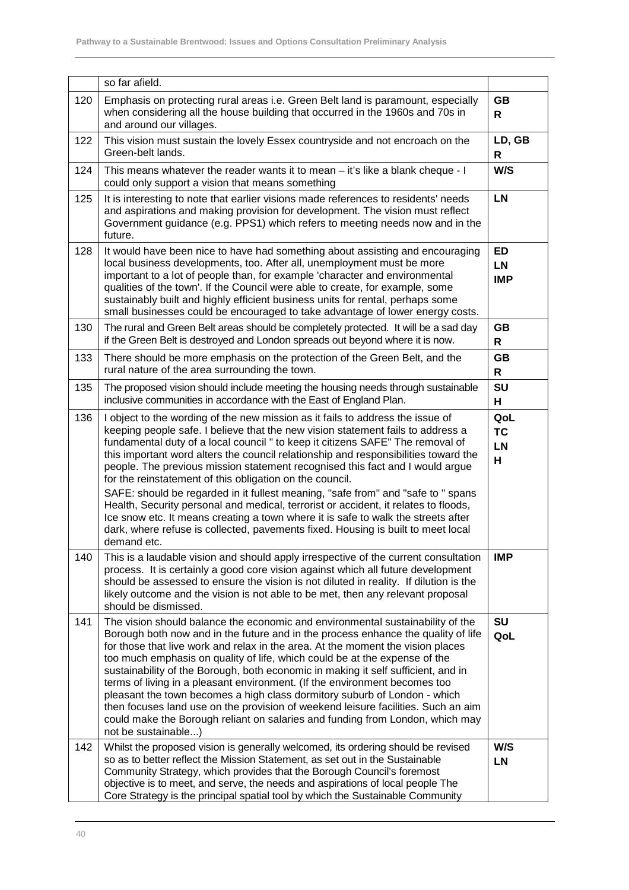|     | so far afield.                                                                                                                                                                                                                                                                                                                                                                                                                                                                                                                                                                                                                                                                                                                                                                    |                                    |
|-----|-----------------------------------------------------------------------------------------------------------------------------------------------------------------------------------------------------------------------------------------------------------------------------------------------------------------------------------------------------------------------------------------------------------------------------------------------------------------------------------------------------------------------------------------------------------------------------------------------------------------------------------------------------------------------------------------------------------------------------------------------------------------------------------|------------------------------------|
| 120 | Emphasis on protecting rural areas i.e. Green Belt land is paramount, especially<br>when considering all the house building that occurred in the 1960s and 70s in<br>and around our villages.                                                                                                                                                                                                                                                                                                                                                                                                                                                                                                                                                                                     | <b>GB</b><br>R                     |
| 122 | This vision must sustain the lovely Essex countryside and not encroach on the<br>Green-belt lands.                                                                                                                                                                                                                                                                                                                                                                                                                                                                                                                                                                                                                                                                                | LD, GB<br>R                        |
| 124 | This means whatever the reader wants it to mean – it's like a blank cheque - I<br>could only support a vision that means something                                                                                                                                                                                                                                                                                                                                                                                                                                                                                                                                                                                                                                                | W/S                                |
| 125 | It is interesting to note that earlier visions made references to residents' needs<br>and aspirations and making provision for development. The vision must reflect<br>Government guidance (e.g. PPS1) which refers to meeting needs now and in the<br>future.                                                                                                                                                                                                                                                                                                                                                                                                                                                                                                                    | <b>LN</b>                          |
| 128 | It would have been nice to have had something about assisting and encouraging<br>local business developments, too. After all, unemployment must be more<br>important to a lot of people than, for example 'character and environmental<br>qualities of the town'. If the Council were able to create, for example, some<br>sustainably built and highly efficient business units for rental, perhaps some<br>small businesses could be encouraged to take advantage of lower energy costs.                                                                                                                                                                                                                                                                                        | ED<br><b>LN</b><br><b>IMP</b>      |
| 130 | The rural and Green Belt areas should be completely protected. It will be a sad day<br>if the Green Belt is destroyed and London spreads out beyond where it is now.                                                                                                                                                                                                                                                                                                                                                                                                                                                                                                                                                                                                              | <b>GB</b><br>R                     |
| 133 | There should be more emphasis on the protection of the Green Belt, and the<br>rural nature of the area surrounding the town.                                                                                                                                                                                                                                                                                                                                                                                                                                                                                                                                                                                                                                                      | <b>GB</b><br>R                     |
| 135 | The proposed vision should include meeting the housing needs through sustainable<br>inclusive communities in accordance with the East of England Plan.                                                                                                                                                                                                                                                                                                                                                                                                                                                                                                                                                                                                                            | SU<br>н                            |
| 136 | I object to the wording of the new mission as it fails to address the issue of<br>keeping people safe. I believe that the new vision statement fails to address a<br>fundamental duty of a local council " to keep it citizens SAFE" The removal of<br>this important word alters the council relationship and responsibilities toward the<br>people. The previous mission statement recognised this fact and I would argue<br>for the reinstatement of this obligation on the council.                                                                                                                                                                                                                                                                                           | QoL<br><b>TC</b><br><b>LN</b><br>н |
|     | SAFE: should be regarded in it fullest meaning, "safe from" and "safe to " spans<br>Health, Security personal and medical, terrorist or accident, it relates to floods,<br>Ice snow etc. It means creating a town where it is safe to walk the streets after<br>dark, where refuse is collected, pavements fixed. Housing is built to meet local<br>demand etc.                                                                                                                                                                                                                                                                                                                                                                                                                   |                                    |
| 140 | This is a laudable vision and should apply irrespective of the current consultation<br>process. It is certainly a good core vision against which all future development<br>should be assessed to ensure the vision is not diluted in reality. If dilution is the<br>likely outcome and the vision is not able to be met, then any relevant proposal<br>should be dismissed.                                                                                                                                                                                                                                                                                                                                                                                                       | <b>IMP</b>                         |
| 141 | The vision should balance the economic and environmental sustainability of the<br>Borough both now and in the future and in the process enhance the quality of life<br>for those that live work and relax in the area. At the moment the vision places<br>too much emphasis on quality of life, which could be at the expense of the<br>sustainability of the Borough, both economic in making it self sufficient, and in<br>terms of living in a pleasant environment. (If the environment becomes too<br>pleasant the town becomes a high class dormitory suburb of London - which<br>then focuses land use on the provision of weekend leisure facilities. Such an aim<br>could make the Borough reliant on salaries and funding from London, which may<br>not be sustainable) | <b>SU</b><br>QoL                   |
| 142 | Whilst the proposed vision is generally welcomed, its ordering should be revised<br>so as to better reflect the Mission Statement, as set out in the Sustainable<br>Community Strategy, which provides that the Borough Council's foremost<br>objective is to meet, and serve, the needs and aspirations of local people The<br>Core Strategy is the principal spatial tool by which the Sustainable Community                                                                                                                                                                                                                                                                                                                                                                    | W/S<br>LN                          |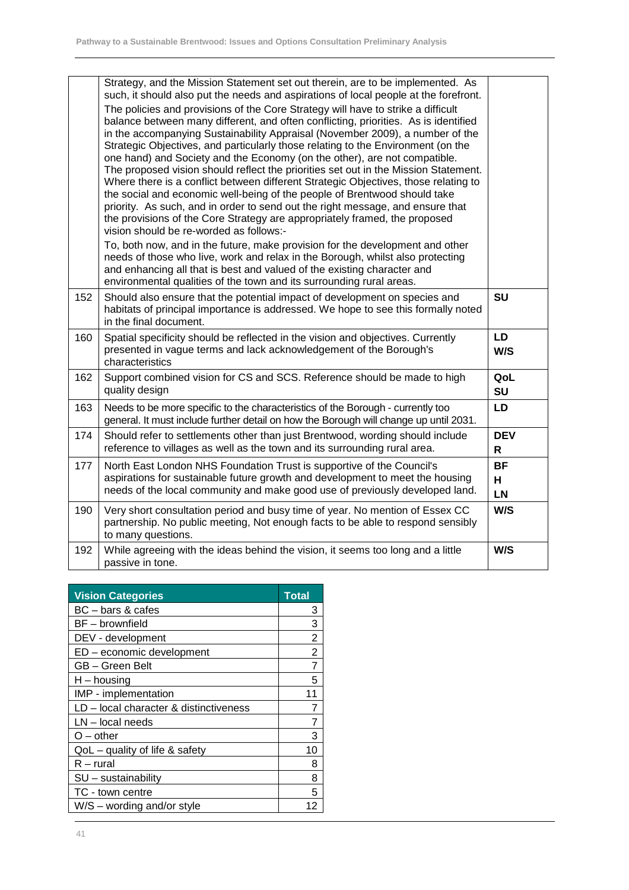|     | Strategy, and the Mission Statement set out therein, are to be implemented. As<br>such, it should also put the needs and aspirations of local people at the forefront.<br>The policies and provisions of the Core Strategy will have to strike a difficult<br>balance between many different, and often conflicting, priorities. As is identified<br>in the accompanying Sustainability Appraisal (November 2009), a number of the<br>Strategic Objectives, and particularly those relating to the Environment (on the<br>one hand) and Society and the Economy (on the other), are not compatible.<br>The proposed vision should reflect the priorities set out in the Mission Statement.<br>Where there is a conflict between different Strategic Objectives, those relating to<br>the social and economic well-being of the people of Brentwood should take<br>priority. As such, and in order to send out the right message, and ensure that<br>the provisions of the Core Strategy are appropriately framed, the proposed<br>vision should be re-worded as follows:-<br>To, both now, and in the future, make provision for the development and other<br>needs of those who live, work and relax in the Borough, whilst also protecting<br>and enhancing all that is best and valued of the existing character and<br>environmental qualities of the town and its surrounding rural areas. |                             |
|-----|-------------------------------------------------------------------------------------------------------------------------------------------------------------------------------------------------------------------------------------------------------------------------------------------------------------------------------------------------------------------------------------------------------------------------------------------------------------------------------------------------------------------------------------------------------------------------------------------------------------------------------------------------------------------------------------------------------------------------------------------------------------------------------------------------------------------------------------------------------------------------------------------------------------------------------------------------------------------------------------------------------------------------------------------------------------------------------------------------------------------------------------------------------------------------------------------------------------------------------------------------------------------------------------------------------------------------------------------------------------------------------------------------|-----------------------------|
| 152 | Should also ensure that the potential impact of development on species and<br>habitats of principal importance is addressed. We hope to see this formally noted<br>in the final document.                                                                                                                                                                                                                                                                                                                                                                                                                                                                                                                                                                                                                                                                                                                                                                                                                                                                                                                                                                                                                                                                                                                                                                                                       | <b>SU</b>                   |
| 160 | Spatial specificity should be reflected in the vision and objectives. Currently<br>presented in vague terms and lack acknowledgement of the Borough's<br>characteristics                                                                                                                                                                                                                                                                                                                                                                                                                                                                                                                                                                                                                                                                                                                                                                                                                                                                                                                                                                                                                                                                                                                                                                                                                        | <b>LD</b><br>W/S            |
| 162 | Support combined vision for CS and SCS. Reference should be made to high<br>quality design                                                                                                                                                                                                                                                                                                                                                                                                                                                                                                                                                                                                                                                                                                                                                                                                                                                                                                                                                                                                                                                                                                                                                                                                                                                                                                      | QoL<br>SU                   |
| 163 | Needs to be more specific to the characteristics of the Borough - currently too<br>general. It must include further detail on how the Borough will change up until 2031.                                                                                                                                                                                                                                                                                                                                                                                                                                                                                                                                                                                                                                                                                                                                                                                                                                                                                                                                                                                                                                                                                                                                                                                                                        | <b>LD</b>                   |
| 174 | Should refer to settlements other than just Brentwood, wording should include<br>reference to villages as well as the town and its surrounding rural area.                                                                                                                                                                                                                                                                                                                                                                                                                                                                                                                                                                                                                                                                                                                                                                                                                                                                                                                                                                                                                                                                                                                                                                                                                                      | <b>DEV</b><br>$\mathsf{R}$  |
| 177 | North East London NHS Foundation Trust is supportive of the Council's<br>aspirations for sustainable future growth and development to meet the housing<br>needs of the local community and make good use of previously developed land.                                                                                                                                                                                                                                                                                                                                                                                                                                                                                                                                                                                                                                                                                                                                                                                                                                                                                                                                                                                                                                                                                                                                                          | <b>BF</b><br>H<br><b>LN</b> |
| 190 | Very short consultation period and busy time of year. No mention of Essex CC<br>partnership. No public meeting, Not enough facts to be able to respond sensibly<br>to many questions.                                                                                                                                                                                                                                                                                                                                                                                                                                                                                                                                                                                                                                                                                                                                                                                                                                                                                                                                                                                                                                                                                                                                                                                                           | W/S                         |
| 192 | While agreeing with the ideas behind the vision, it seems too long and a little<br>passive in tone.                                                                                                                                                                                                                                                                                                                                                                                                                                                                                                                                                                                                                                                                                                                                                                                                                                                                                                                                                                                                                                                                                                                                                                                                                                                                                             | W/S                         |

| <b>Vision Categories</b>               | Total          |
|----------------------------------------|----------------|
| BC – bars & cafes                      | 3              |
| BF - brownfield                        | 3              |
| DEV - development                      | 2              |
| ED - economic development              | $\overline{2}$ |
| GB - Green Belt                        | $\overline{7}$ |
| $H -$ housing                          | 5.             |
| IMP - implementation                   | 11             |
| LD - local character & distinctiveness |                |
| $LN - local needs$                     |                |
| $O$ – other                            | 3              |
| $QoL -$ quality of life & safety       | 10             |
| $R$ – rural                            | 8              |
| $SU -$ sustainability                  | 8              |
| TC - town centre                       | 5              |
| $W/S$ – wording and/or style           | 12             |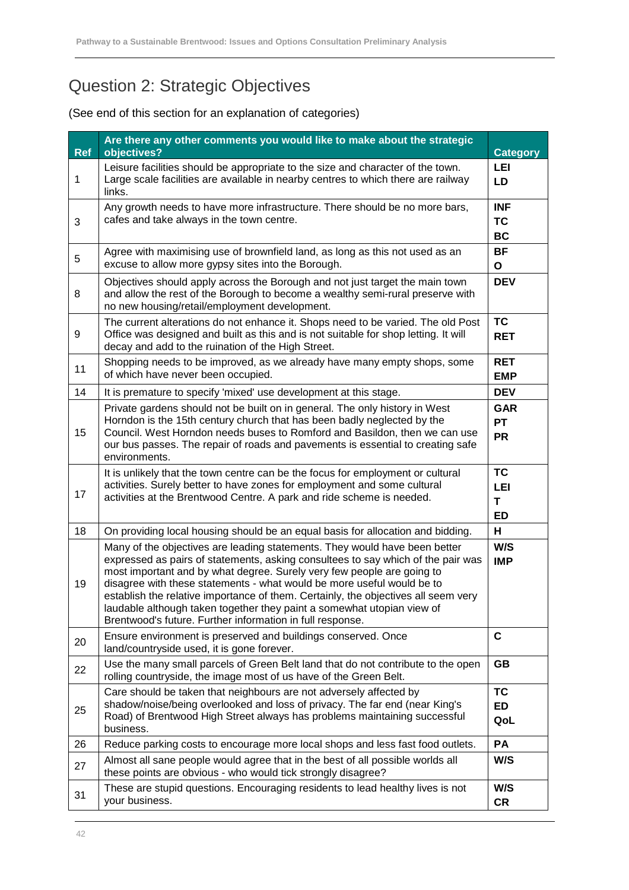## Question 2: Strategic Objectives

| <b>Ref</b>  | Are there any other comments you would like to make about the strategic<br>objectives?                                                                                                                                                                                                                                                                                                                                                                                                                                                          | <b>Category</b>                      |
|-------------|-------------------------------------------------------------------------------------------------------------------------------------------------------------------------------------------------------------------------------------------------------------------------------------------------------------------------------------------------------------------------------------------------------------------------------------------------------------------------------------------------------------------------------------------------|--------------------------------------|
| $\mathbf 1$ | Leisure facilities should be appropriate to the size and character of the town.<br>Large scale facilities are available in nearby centres to which there are railway<br>links.                                                                                                                                                                                                                                                                                                                                                                  | LEI<br>LD                            |
| 3           | Any growth needs to have more infrastructure. There should be no more bars,<br>cafes and take always in the town centre.                                                                                                                                                                                                                                                                                                                                                                                                                        | <b>INF</b><br><b>TC</b><br>BC        |
| 5           | Agree with maximising use of brownfield land, as long as this not used as an<br>excuse to allow more gypsy sites into the Borough.                                                                                                                                                                                                                                                                                                                                                                                                              | <b>BF</b><br>O                       |
| 8           | Objectives should apply across the Borough and not just target the main town<br>and allow the rest of the Borough to become a wealthy semi-rural preserve with<br>no new housing/retail/employment development.                                                                                                                                                                                                                                                                                                                                 | <b>DEV</b>                           |
| 9           | The current alterations do not enhance it. Shops need to be varied. The old Post<br>Office was designed and built as this and is not suitable for shop letting. It will<br>decay and add to the ruination of the High Street.                                                                                                                                                                                                                                                                                                                   | <b>TC</b><br><b>RET</b>              |
| 11          | Shopping needs to be improved, as we already have many empty shops, some<br>of which have never been occupied.                                                                                                                                                                                                                                                                                                                                                                                                                                  | <b>RET</b><br><b>EMP</b>             |
| 14          | It is premature to specify 'mixed' use development at this stage.                                                                                                                                                                                                                                                                                                                                                                                                                                                                               | <b>DEV</b>                           |
| 15          | Private gardens should not be built on in general. The only history in West<br>Horndon is the 15th century church that has been badly neglected by the<br>Council. West Horndon needs buses to Romford and Basildon, then we can use<br>our bus passes. The repair of roads and pavements is essential to creating safe<br>environments.                                                                                                                                                                                                        | <b>GAR</b><br><b>PT</b><br><b>PR</b> |
| 17          | It is unlikely that the town centre can be the focus for employment or cultural<br>activities. Surely better to have zones for employment and some cultural<br>activities at the Brentwood Centre. A park and ride scheme is needed.                                                                                                                                                                                                                                                                                                            | <b>TC</b><br>LEI<br>T<br><b>ED</b>   |
| 18          | On providing local housing should be an equal basis for allocation and bidding.                                                                                                                                                                                                                                                                                                                                                                                                                                                                 | H                                    |
| 19          | Many of the objectives are leading statements. They would have been better<br>expressed as pairs of statements, asking consultees to say which of the pair was<br>most important and by what degree. Surely very few people are going to<br>disagree with these statements - what would be more useful would be to<br>establish the relative importance of them. Certainly, the objectives all seem very<br>laudable although taken together they paint a somewhat utopian view of<br>Brentwood's future. Further information in full response. | W/S<br><b>IMP</b>                    |
| 20          | Ensure environment is preserved and buildings conserved. Once<br>land/countryside used, it is gone forever.                                                                                                                                                                                                                                                                                                                                                                                                                                     | $\mathbf{C}$                         |
| 22          | Use the many small parcels of Green Belt land that do not contribute to the open<br>rolling countryside, the image most of us have of the Green Belt.                                                                                                                                                                                                                                                                                                                                                                                           | <b>GB</b>                            |
| 25          | Care should be taken that neighbours are not adversely affected by<br>shadow/noise/being overlooked and loss of privacy. The far end (near King's<br>Road) of Brentwood High Street always has problems maintaining successful<br>business.                                                                                                                                                                                                                                                                                                     | <b>TC</b><br><b>ED</b><br>QoL        |
| 26          | Reduce parking costs to encourage more local shops and less fast food outlets.                                                                                                                                                                                                                                                                                                                                                                                                                                                                  | PA                                   |
| 27          | Almost all sane people would agree that in the best of all possible worlds all<br>these points are obvious - who would tick strongly disagree?                                                                                                                                                                                                                                                                                                                                                                                                  | W/S                                  |
| 31          | These are stupid questions. Encouraging residents to lead healthy lives is not<br>your business.                                                                                                                                                                                                                                                                                                                                                                                                                                                | W/S<br><b>CR</b>                     |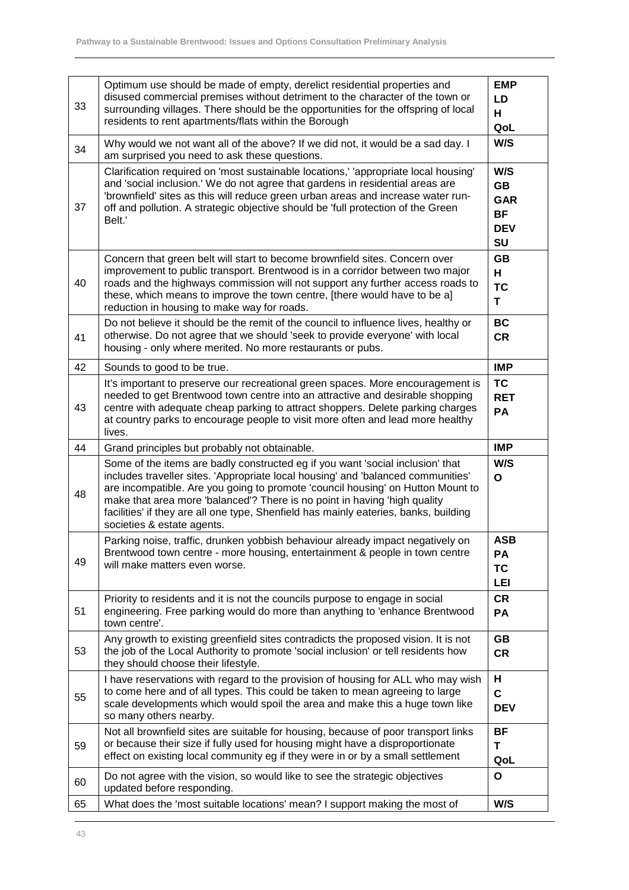| 33 | Optimum use should be made of empty, derelict residential properties and<br>disused commercial premises without detriment to the character of the town or<br>surrounding villages. There should be the opportunities for the offspring of local<br>residents to rent apartments/flats within the Borough                                                                                                                                                 | <b>EMP</b><br>LD<br>H<br>QoL                                    |
|----|----------------------------------------------------------------------------------------------------------------------------------------------------------------------------------------------------------------------------------------------------------------------------------------------------------------------------------------------------------------------------------------------------------------------------------------------------------|-----------------------------------------------------------------|
| 34 | Why would we not want all of the above? If we did not, it would be a sad day. I<br>am surprised you need to ask these questions.                                                                                                                                                                                                                                                                                                                         | W/S                                                             |
| 37 | Clarification required on 'most sustainable locations,' 'appropriate local housing'<br>and 'social inclusion.' We do not agree that gardens in residential areas are<br>'brownfield' sites as this will reduce green urban areas and increase water run-<br>off and pollution. A strategic objective should be 'full protection of the Green<br>Belt.'                                                                                                   | W/S<br><b>GB</b><br><b>GAR</b><br><b>BF</b><br><b>DEV</b><br>SU |
| 40 | Concern that green belt will start to become brownfield sites. Concern over<br>improvement to public transport. Brentwood is in a corridor between two major<br>roads and the highways commission will not support any further access roads to<br>these, which means to improve the town centre, [there would have to be a]<br>reduction in housing to make way for roads.                                                                               | <b>GB</b><br>H<br><b>TC</b><br>T                                |
| 41 | Do not believe it should be the remit of the council to influence lives, healthy or<br>otherwise. Do not agree that we should 'seek to provide everyone' with local<br>housing - only where merited. No more restaurants or pubs.                                                                                                                                                                                                                        | <b>BC</b><br><b>CR</b>                                          |
| 42 | Sounds to good to be true.                                                                                                                                                                                                                                                                                                                                                                                                                               | <b>IMP</b>                                                      |
| 43 | It's important to preserve our recreational green spaces. More encouragement is<br>needed to get Brentwood town centre into an attractive and desirable shopping<br>centre with adequate cheap parking to attract shoppers. Delete parking charges<br>at country parks to encourage people to visit more often and lead more healthy<br>lives.                                                                                                           | <b>TC</b><br><b>RET</b><br>PA                                   |
| 44 | Grand principles but probably not obtainable.                                                                                                                                                                                                                                                                                                                                                                                                            | <b>IMP</b>                                                      |
| 48 | Some of the items are badly constructed eg if you want 'social inclusion' that<br>includes traveller sites. 'Appropriate local housing' and 'balanced communities'<br>are incompatible. Are you going to promote 'council housing' on Hutton Mount to<br>make that area more 'balanced'? There is no point in having 'high quality<br>facilities' if they are all one type, Shenfield has mainly eateries, banks, building<br>societies & estate agents. | W/S<br>$\mathbf{o}$                                             |
| 49 | Parking noise, traffic, drunken yobbish behaviour already impact negatively on<br>Brentwood town centre - more housing, entertainment & people in town centre                                                                                                                                                                                                                                                                                            | <b>ASB</b>                                                      |
|    | will make matters even worse.                                                                                                                                                                                                                                                                                                                                                                                                                            | PA<br><b>TC</b><br><b>LEI</b>                                   |
| 51 | Priority to residents and it is not the councils purpose to engage in social<br>engineering. Free parking would do more than anything to 'enhance Brentwood<br>town centre'.                                                                                                                                                                                                                                                                             | <b>CR</b><br>PA                                                 |
| 53 | Any growth to existing greenfield sites contradicts the proposed vision. It is not<br>the job of the Local Authority to promote 'social inclusion' or tell residents how<br>they should choose their lifestyle.                                                                                                                                                                                                                                          | GB<br><b>CR</b>                                                 |
| 55 | I have reservations with regard to the provision of housing for ALL who may wish<br>to come here and of all types. This could be taken to mean agreeing to large<br>scale developments which would spoil the area and make this a huge town like<br>so many others nearby.                                                                                                                                                                               | н<br>$\mathbf c$<br><b>DEV</b>                                  |
| 59 | Not all brownfield sites are suitable for housing, because of poor transport links<br>or because their size if fully used for housing might have a disproportionate<br>effect on existing local community eg if they were in or by a small settlement                                                                                                                                                                                                    | <b>BF</b><br>Т<br>QoL                                           |
| 60 | Do not agree with the vision, so would like to see the strategic objectives<br>updated before responding.                                                                                                                                                                                                                                                                                                                                                | O<br>W/S                                                        |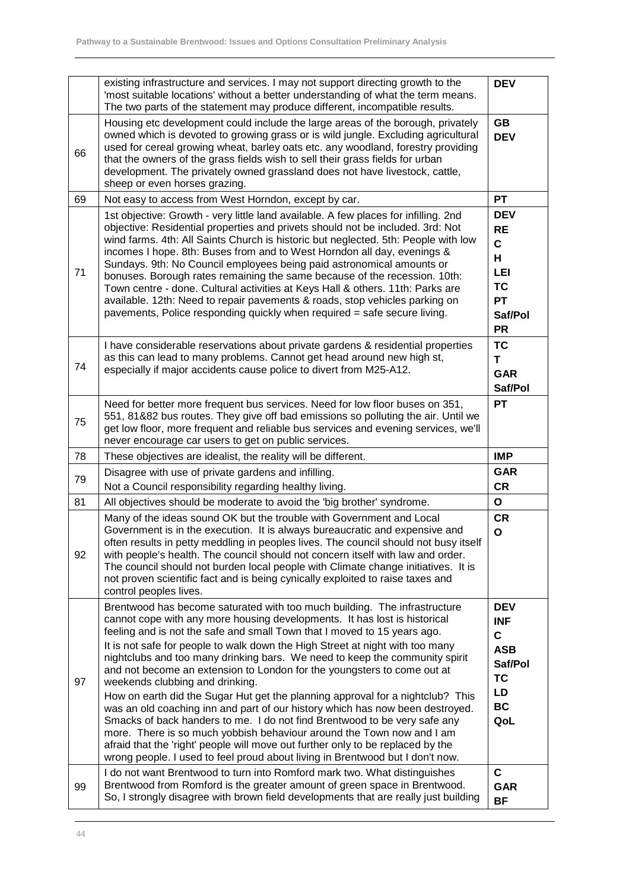|    | existing infrastructure and services. I may not support directing growth to the<br>'most suitable locations' without a better understanding of what the term means.<br>The two parts of the statement may produce different, incompatible results.                                                                                                                                                                                                                                                                                                                                                                                                                                                                                                                                                                                                                                                                                                                                                            | <b>DEV</b>                                                                                        |
|----|---------------------------------------------------------------------------------------------------------------------------------------------------------------------------------------------------------------------------------------------------------------------------------------------------------------------------------------------------------------------------------------------------------------------------------------------------------------------------------------------------------------------------------------------------------------------------------------------------------------------------------------------------------------------------------------------------------------------------------------------------------------------------------------------------------------------------------------------------------------------------------------------------------------------------------------------------------------------------------------------------------------|---------------------------------------------------------------------------------------------------|
| 66 | Housing etc development could include the large areas of the borough, privately<br>owned which is devoted to growing grass or is wild jungle. Excluding agricultural<br>used for cereal growing wheat, barley oats etc. any woodland, forestry providing<br>that the owners of the grass fields wish to sell their grass fields for urban<br>development. The privately owned grassland does not have livestock, cattle,<br>sheep or even horses grazing.                                                                                                                                                                                                                                                                                                                                                                                                                                                                                                                                                     | GB<br><b>DEV</b>                                                                                  |
| 69 | Not easy to access from West Horndon, except by car.                                                                                                                                                                                                                                                                                                                                                                                                                                                                                                                                                                                                                                                                                                                                                                                                                                                                                                                                                          | <b>PT</b>                                                                                         |
| 71 | 1st objective: Growth - very little land available. A few places for infilling. 2nd<br>objective: Residential properties and privets should not be included. 3rd: Not<br>wind farms. 4th: All Saints Church is historic but neglected. 5th: People with low<br>incomes I hope. 8th: Buses from and to West Horndon all day, evenings &<br>Sundays. 9th: No Council employees being paid astronomical amounts or<br>bonuses. Borough rates remaining the same because of the recession. 10th:<br>Town centre - done. Cultural activities at Keys Hall & others. 11th: Parks are<br>available. 12th: Need to repair pavements & roads, stop vehicles parking on<br>pavements, Police responding quickly when required = safe secure living.                                                                                                                                                                                                                                                                     | <b>DEV</b><br><b>RE</b><br>C<br>н<br><b>LEI</b><br><b>TC</b><br><b>PT</b><br>Saf/Pol<br><b>PR</b> |
| 74 | I have considerable reservations about private gardens & residential properties<br>as this can lead to many problems. Cannot get head around new high st,<br>especially if major accidents cause police to divert from M25-A12.                                                                                                                                                                                                                                                                                                                                                                                                                                                                                                                                                                                                                                                                                                                                                                               | <b>TC</b><br>т<br><b>GAR</b><br>Saf/Pol                                                           |
| 75 | Need for better more frequent bus services. Need for low floor buses on 351,<br>551, 81&82 bus routes. They give off bad emissions so polluting the air. Until we<br>get low floor, more frequent and reliable bus services and evening services, we'll<br>never encourage car users to get on public services.                                                                                                                                                                                                                                                                                                                                                                                                                                                                                                                                                                                                                                                                                               | <b>PT</b>                                                                                         |
| 78 | These objectives are idealist, the reality will be different.                                                                                                                                                                                                                                                                                                                                                                                                                                                                                                                                                                                                                                                                                                                                                                                                                                                                                                                                                 | <b>IMP</b>                                                                                        |
| 79 | Disagree with use of private gardens and infilling.                                                                                                                                                                                                                                                                                                                                                                                                                                                                                                                                                                                                                                                                                                                                                                                                                                                                                                                                                           | <b>GAR</b>                                                                                        |
|    | Not a Council responsibility regarding healthy living.                                                                                                                                                                                                                                                                                                                                                                                                                                                                                                                                                                                                                                                                                                                                                                                                                                                                                                                                                        | <b>CR</b>                                                                                         |
| 81 | All objectives should be moderate to avoid the 'big brother' syndrome.                                                                                                                                                                                                                                                                                                                                                                                                                                                                                                                                                                                                                                                                                                                                                                                                                                                                                                                                        | $\mathbf{o}$                                                                                      |
| 92 | Many of the ideas sound OK but the trouble with Government and Local<br>Government is in the execution. It is always bureaucratic and expensive and<br>often results in petty meddling in peoples lives. The council should not busy itself<br>with people's health. The council should not concern itself with law and order.<br>The council should not burden local people with Climate change initiatives. It is<br>not proven scientific fact and is being cynically exploited to raise taxes and<br>control peoples lives.                                                                                                                                                                                                                                                                                                                                                                                                                                                                               | <b>CR</b><br>$\mathbf{o}$                                                                         |
| 97 | Brentwood has become saturated with too much building. The infrastructure<br>cannot cope with any more housing developments. It has lost is historical<br>feeling and is not the safe and small Town that I moved to 15 years ago.<br>It is not safe for people to walk down the High Street at night with too many<br>nightclubs and too many drinking bars. We need to keep the community spirit<br>and not become an extension to London for the youngsters to come out at<br>weekends clubbing and drinking.<br>How on earth did the Sugar Hut get the planning approval for a nightclub? This<br>was an old coaching inn and part of our history which has now been destroyed.<br>Smacks of back handers to me. I do not find Brentwood to be very safe any<br>more. There is so much yobbish behaviour around the Town now and I am<br>afraid that the 'right' people will move out further only to be replaced by the<br>wrong people. I used to feel proud about living in Brentwood but I don't now. | <b>DEV</b><br><b>INF</b><br>C<br><b>ASB</b><br>Saf/Pol<br><b>TC</b><br>LD<br>BC<br>QoL            |
| 99 | I do not want Brentwood to turn into Romford mark two. What distinguishes<br>Brentwood from Romford is the greater amount of green space in Brentwood.<br>So, I strongly disagree with brown field developments that are really just building                                                                                                                                                                                                                                                                                                                                                                                                                                                                                                                                                                                                                                                                                                                                                                 | $\mathbf c$<br><b>GAR</b><br><b>BF</b>                                                            |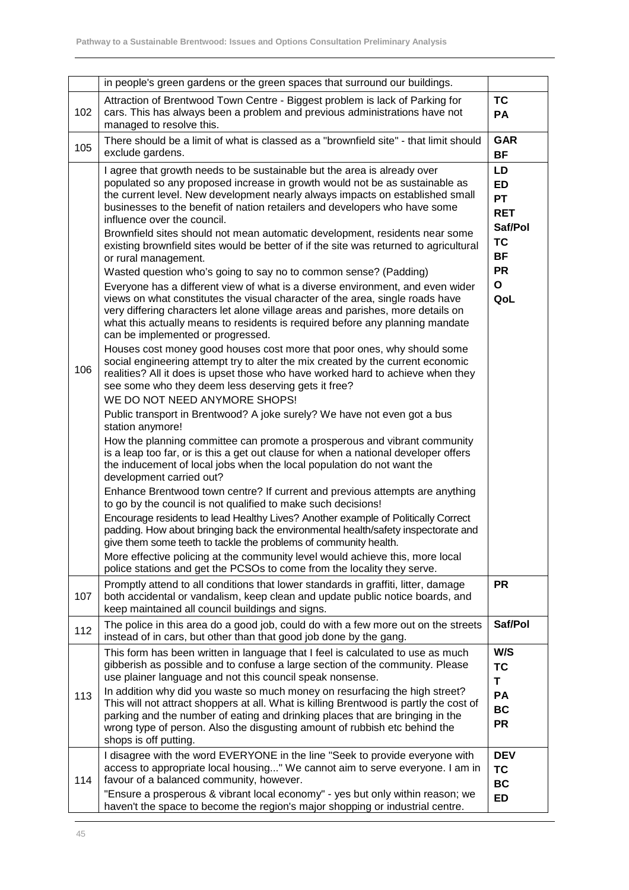|     | in people's green gardens or the green spaces that surround our buildings.                                                                                                                                                                                                                                                                                                                                                                                                                                                                                                                                                                                                                                                                                                                                                                                                                                                                                                                                                                                                                                                                                                                                                                                                                                                                                                                                                                                                                                                                                                                                                                                                                                                                                                                                                                                                                                                                                                                                                                                                                                                                                                                                                                                                          |                                                                                                                     |
|-----|-------------------------------------------------------------------------------------------------------------------------------------------------------------------------------------------------------------------------------------------------------------------------------------------------------------------------------------------------------------------------------------------------------------------------------------------------------------------------------------------------------------------------------------------------------------------------------------------------------------------------------------------------------------------------------------------------------------------------------------------------------------------------------------------------------------------------------------------------------------------------------------------------------------------------------------------------------------------------------------------------------------------------------------------------------------------------------------------------------------------------------------------------------------------------------------------------------------------------------------------------------------------------------------------------------------------------------------------------------------------------------------------------------------------------------------------------------------------------------------------------------------------------------------------------------------------------------------------------------------------------------------------------------------------------------------------------------------------------------------------------------------------------------------------------------------------------------------------------------------------------------------------------------------------------------------------------------------------------------------------------------------------------------------------------------------------------------------------------------------------------------------------------------------------------------------------------------------------------------------------------------------------------------------|---------------------------------------------------------------------------------------------------------------------|
| 102 | Attraction of Brentwood Town Centre - Biggest problem is lack of Parking for<br>cars. This has always been a problem and previous administrations have not<br>managed to resolve this.                                                                                                                                                                                                                                                                                                                                                                                                                                                                                                                                                                                                                                                                                                                                                                                                                                                                                                                                                                                                                                                                                                                                                                                                                                                                                                                                                                                                                                                                                                                                                                                                                                                                                                                                                                                                                                                                                                                                                                                                                                                                                              | TC<br>PA                                                                                                            |
| 105 | There should be a limit of what is classed as a "brownfield site" - that limit should<br>exclude gardens.                                                                                                                                                                                                                                                                                                                                                                                                                                                                                                                                                                                                                                                                                                                                                                                                                                                                                                                                                                                                                                                                                                                                                                                                                                                                                                                                                                                                                                                                                                                                                                                                                                                                                                                                                                                                                                                                                                                                                                                                                                                                                                                                                                           | <b>GAR</b><br><b>BF</b>                                                                                             |
| 106 | I agree that growth needs to be sustainable but the area is already over<br>populated so any proposed increase in growth would not be as sustainable as<br>the current level. New development nearly always impacts on established small<br>businesses to the benefit of nation retailers and developers who have some<br>influence over the council.<br>Brownfield sites should not mean automatic development, residents near some<br>existing brownfield sites would be better of if the site was returned to agricultural<br>or rural management.<br>Wasted question who's going to say no to common sense? (Padding)<br>Everyone has a different view of what is a diverse environment, and even wider<br>views on what constitutes the visual character of the area, single roads have<br>very differing characters let alone village areas and parishes, more details on<br>what this actually means to residents is required before any planning mandate<br>can be implemented or progressed.<br>Houses cost money good houses cost more that poor ones, why should some<br>social engineering attempt try to alter the mix created by the current economic<br>realities? All it does is upset those who have worked hard to achieve when they<br>see some who they deem less deserving gets it free?<br>WE DO NOT NEED ANYMORE SHOPS!<br>Public transport in Brentwood? A joke surely? We have not even got a bus<br>station anymore!<br>How the planning committee can promote a prosperous and vibrant community<br>is a leap too far, or is this a get out clause for when a national developer offers<br>the inducement of local jobs when the local population do not want the<br>development carried out?<br>Enhance Brentwood town centre? If current and previous attempts are anything<br>to go by the council is not qualified to make such decisions!<br>Encourage residents to lead Healthy Lives? Another example of Politically Correct<br>padding. How about bringing back the environmental health/safety inspectorate and<br>give them some teeth to tackle the problems of community health.<br>More effective policing at the community level would achieve this, more local<br>police stations and get the PCSOs to come from the locality they serve. | LD<br><b>ED</b><br><b>PT</b><br><b>RET</b><br>Saf/Pol<br><b>TC</b><br><b>BF</b><br><b>PR</b><br>$\mathbf{o}$<br>QoL |
| 107 | Promptly attend to all conditions that lower standards in graffiti, litter, damage<br>both accidental or vandalism, keep clean and update public notice boards, and<br>keep maintained all council buildings and signs.                                                                                                                                                                                                                                                                                                                                                                                                                                                                                                                                                                                                                                                                                                                                                                                                                                                                                                                                                                                                                                                                                                                                                                                                                                                                                                                                                                                                                                                                                                                                                                                                                                                                                                                                                                                                                                                                                                                                                                                                                                                             | <b>PR</b>                                                                                                           |
| 112 | The police in this area do a good job, could do with a few more out on the streets<br>instead of in cars, but other than that good job done by the gang.                                                                                                                                                                                                                                                                                                                                                                                                                                                                                                                                                                                                                                                                                                                                                                                                                                                                                                                                                                                                                                                                                                                                                                                                                                                                                                                                                                                                                                                                                                                                                                                                                                                                                                                                                                                                                                                                                                                                                                                                                                                                                                                            | Saf/Pol                                                                                                             |
| 113 | This form has been written in language that I feel is calculated to use as much<br>gibberish as possible and to confuse a large section of the community. Please<br>use plainer language and not this council speak nonsense.<br>In addition why did you waste so much money on resurfacing the high street?<br>This will not attract shoppers at all. What is killing Brentwood is partly the cost of<br>parking and the number of eating and drinking places that are bringing in the<br>wrong type of person. Also the disgusting amount of rubbish etc behind the<br>shops is off putting.                                                                                                                                                                                                                                                                                                                                                                                                                                                                                                                                                                                                                                                                                                                                                                                                                                                                                                                                                                                                                                                                                                                                                                                                                                                                                                                                                                                                                                                                                                                                                                                                                                                                                      | W/S<br><b>TC</b><br>T<br>PA<br><b>BC</b><br><b>PR</b>                                                               |
| 114 | I disagree with the word EVERYONE in the line "Seek to provide everyone with<br>access to appropriate local housing" We cannot aim to serve everyone. I am in<br>favour of a balanced community, however.<br>"Ensure a prosperous & vibrant local economy" - yes but only within reason; we<br>haven't the space to become the region's major shopping or industrial centre.                                                                                                                                                                                                                                                                                                                                                                                                                                                                                                                                                                                                                                                                                                                                                                                                                                                                                                                                                                                                                                                                                                                                                                                                                                                                                                                                                                                                                                                                                                                                                                                                                                                                                                                                                                                                                                                                                                        | <b>DEV</b><br><b>TC</b><br><b>BC</b><br><b>ED</b>                                                                   |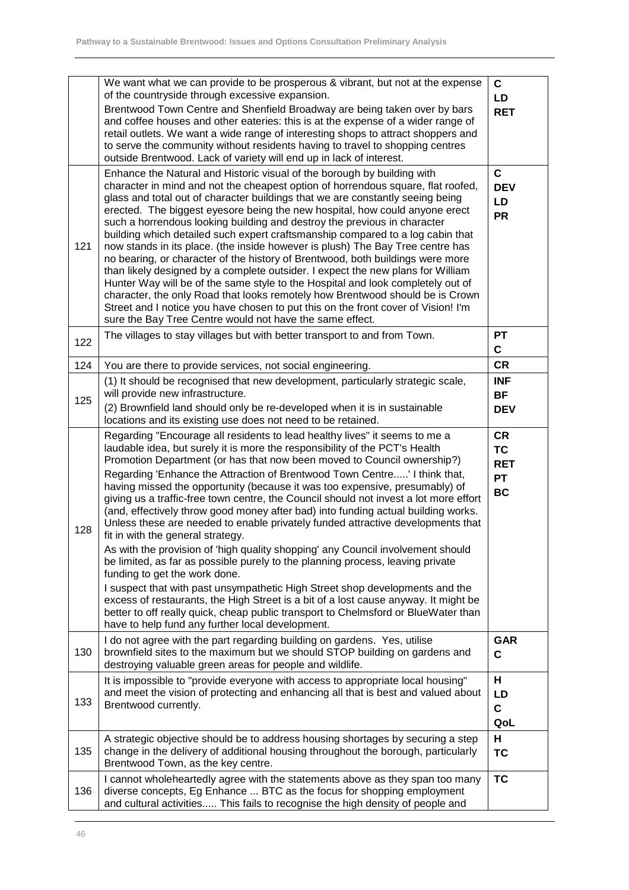|     | We want what we can provide to be prosperous & vibrant, but not at the expense<br>of the countryside through excessive expansion.<br>Brentwood Town Centre and Shenfield Broadway are being taken over by bars<br>and coffee houses and other eateries: this is at the expense of a wider range of<br>retail outlets. We want a wide range of interesting shops to attract shoppers and<br>to serve the community without residents having to travel to shopping centres<br>outside Brentwood. Lack of variety will end up in lack of interest.                                                                                                                                                                                                                                                                                                                                                                                                                                                                                                                                                                                                                                                                               | $\mathbf{C}$<br>LD<br><b>RET</b>                               |
|-----|-------------------------------------------------------------------------------------------------------------------------------------------------------------------------------------------------------------------------------------------------------------------------------------------------------------------------------------------------------------------------------------------------------------------------------------------------------------------------------------------------------------------------------------------------------------------------------------------------------------------------------------------------------------------------------------------------------------------------------------------------------------------------------------------------------------------------------------------------------------------------------------------------------------------------------------------------------------------------------------------------------------------------------------------------------------------------------------------------------------------------------------------------------------------------------------------------------------------------------|----------------------------------------------------------------|
| 121 | Enhance the Natural and Historic visual of the borough by building with<br>character in mind and not the cheapest option of horrendous square, flat roofed,<br>glass and total out of character buildings that we are constantly seeing being<br>erected. The biggest eyesore being the new hospital, how could anyone erect<br>such a horrendous looking building and destroy the previous in character<br>building which detailed such expert craftsmanship compared to a log cabin that<br>now stands in its place. (the inside however is plush) The Bay Tree centre has<br>no bearing, or character of the history of Brentwood, both buildings were more<br>than likely designed by a complete outsider. I expect the new plans for William<br>Hunter Way will be of the same style to the Hospital and look completely out of<br>character, the only Road that looks remotely how Brentwood should be is Crown<br>Street and I notice you have chosen to put this on the front cover of Vision! I'm<br>sure the Bay Tree Centre would not have the same effect.                                                                                                                                                        | $\mathbf c$<br><b>DEV</b><br>LD<br><b>PR</b>                   |
| 122 | The villages to stay villages but with better transport to and from Town.                                                                                                                                                                                                                                                                                                                                                                                                                                                                                                                                                                                                                                                                                                                                                                                                                                                                                                                                                                                                                                                                                                                                                     | <b>PT</b><br>C                                                 |
| 124 | You are there to provide services, not social engineering.                                                                                                                                                                                                                                                                                                                                                                                                                                                                                                                                                                                                                                                                                                                                                                                                                                                                                                                                                                                                                                                                                                                                                                    | <b>CR</b>                                                      |
|     | (1) It should be recognised that new development, particularly strategic scale,                                                                                                                                                                                                                                                                                                                                                                                                                                                                                                                                                                                                                                                                                                                                                                                                                                                                                                                                                                                                                                                                                                                                               | <b>INF</b>                                                     |
| 125 | will provide new infrastructure.                                                                                                                                                                                                                                                                                                                                                                                                                                                                                                                                                                                                                                                                                                                                                                                                                                                                                                                                                                                                                                                                                                                                                                                              | <b>BF</b>                                                      |
|     | (2) Brownfield land should only be re-developed when it is in sustainable<br>locations and its existing use does not need to be retained.                                                                                                                                                                                                                                                                                                                                                                                                                                                                                                                                                                                                                                                                                                                                                                                                                                                                                                                                                                                                                                                                                     | <b>DEV</b>                                                     |
| 128 | Regarding "Encourage all residents to lead healthy lives" it seems to me a<br>laudable idea, but surely it is more the responsibility of the PCT's Health<br>Promotion Department (or has that now been moved to Council ownership?)<br>Regarding 'Enhance the Attraction of Brentwood Town Centre' I think that,<br>having missed the opportunity (because it was too expensive, presumably) of<br>giving us a traffic-free town centre, the Council should not invest a lot more effort<br>(and, effectively throw good money after bad) into funding actual building works.<br>Unless these are needed to enable privately funded attractive developments that<br>fit in with the general strategy.<br>As with the provision of 'high quality shopping' any Council involvement should<br>be limited, as far as possible purely to the planning process, leaving private<br>funding to get the work done.<br>I suspect that with past unsympathetic High Street shop developments and the<br>excess of restaurants, the High Street is a bit of a lost cause anyway. It might be<br>better to off really quick, cheap public transport to Chelmsford or BlueWater than<br>have to help fund any further local development. | <b>CR</b><br><b>TC</b><br><b>RET</b><br><b>PT</b><br><b>BC</b> |
| 130 | I do not agree with the part regarding building on gardens. Yes, utilise<br>brownfield sites to the maximum but we should STOP building on gardens and<br>destroying valuable green areas for people and wildlife.                                                                                                                                                                                                                                                                                                                                                                                                                                                                                                                                                                                                                                                                                                                                                                                                                                                                                                                                                                                                            | <b>GAR</b><br>$\mathbf c$                                      |
| 133 | It is impossible to "provide everyone with access to appropriate local housing"<br>and meet the vision of protecting and enhancing all that is best and valued about<br>Brentwood currently.                                                                                                                                                                                                                                                                                                                                                                                                                                                                                                                                                                                                                                                                                                                                                                                                                                                                                                                                                                                                                                  | н<br>LD<br>$\mathbf c$<br>QoL                                  |
| 135 | A strategic objective should be to address housing shortages by securing a step<br>change in the delivery of additional housing throughout the borough, particularly<br>Brentwood Town, as the key centre.                                                                                                                                                                                                                                                                                                                                                                                                                                                                                                                                                                                                                                                                                                                                                                                                                                                                                                                                                                                                                    | н<br><b>TC</b>                                                 |
| 136 | I cannot wholeheartedly agree with the statements above as they span too many<br>diverse concepts, Eg Enhance  BTC as the focus for shopping employment<br>and cultural activities This fails to recognise the high density of people and                                                                                                                                                                                                                                                                                                                                                                                                                                                                                                                                                                                                                                                                                                                                                                                                                                                                                                                                                                                     | <b>TC</b>                                                      |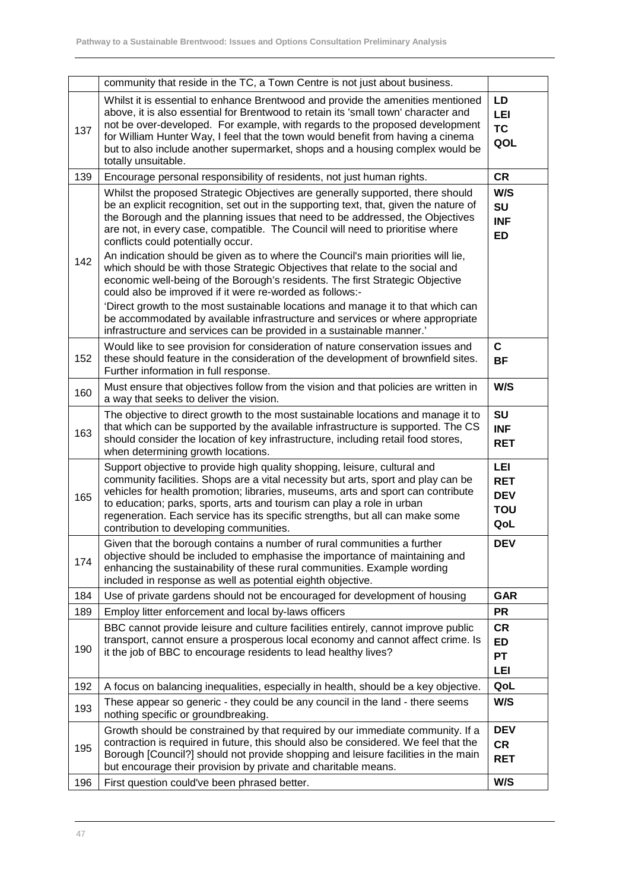|     | community that reside in the TC, a Town Centre is not just about business.                                                                                                                                                                                                                                                                                                                                                                                                                                                                                                                                                                                                                         |                                                             |
|-----|----------------------------------------------------------------------------------------------------------------------------------------------------------------------------------------------------------------------------------------------------------------------------------------------------------------------------------------------------------------------------------------------------------------------------------------------------------------------------------------------------------------------------------------------------------------------------------------------------------------------------------------------------------------------------------------------------|-------------------------------------------------------------|
| 137 | Whilst it is essential to enhance Brentwood and provide the amenities mentioned<br>above, it is also essential for Brentwood to retain its 'small town' character and<br>not be over-developed. For example, with regards to the proposed development<br>for William Hunter Way, I feel that the town would benefit from having a cinema<br>but to also include another supermarket, shops and a housing complex would be<br>totally unsuitable.                                                                                                                                                                                                                                                   | LD<br>LEI<br><b>TC</b><br>QOL                               |
| 139 | Encourage personal responsibility of residents, not just human rights.                                                                                                                                                                                                                                                                                                                                                                                                                                                                                                                                                                                                                             | <b>CR</b>                                                   |
| 142 | Whilst the proposed Strategic Objectives are generally supported, there should<br>be an explicit recognition, set out in the supporting text, that, given the nature of<br>the Borough and the planning issues that need to be addressed, the Objectives<br>are not, in every case, compatible. The Council will need to prioritise where<br>conflicts could potentially occur.<br>An indication should be given as to where the Council's main priorities will lie,<br>which should be with those Strategic Objectives that relate to the social and<br>economic well-being of the Borough's residents. The first Strategic Objective<br>could also be improved if it were re-worded as follows:- | W/S<br>SU<br><b>INF</b><br>ED                               |
|     | Direct growth to the most sustainable locations and manage it to that which can<br>be accommodated by available infrastructure and services or where appropriate<br>infrastructure and services can be provided in a sustainable manner.'                                                                                                                                                                                                                                                                                                                                                                                                                                                          |                                                             |
| 152 | Would like to see provision for consideration of nature conservation issues and<br>these should feature in the consideration of the development of brownfield sites.<br>Further information in full response.                                                                                                                                                                                                                                                                                                                                                                                                                                                                                      | C<br><b>BF</b>                                              |
| 160 | Must ensure that objectives follow from the vision and that policies are written in<br>a way that seeks to deliver the vision.                                                                                                                                                                                                                                                                                                                                                                                                                                                                                                                                                                     | W/S                                                         |
| 163 | The objective to direct growth to the most sustainable locations and manage it to<br>that which can be supported by the available infrastructure is supported. The CS<br>should consider the location of key infrastructure, including retail food stores,<br>when determining growth locations.                                                                                                                                                                                                                                                                                                                                                                                                   | <b>SU</b><br><b>INF</b><br><b>RET</b>                       |
| 165 | Support objective to provide high quality shopping, leisure, cultural and<br>community facilities. Shops are a vital necessity but arts, sport and play can be<br>vehicles for health promotion; libraries, museums, arts and sport can contribute<br>to education; parks, sports, arts and tourism can play a role in urban<br>regeneration. Each service has its specific strengths, but all can make some<br>contribution to developing communities.                                                                                                                                                                                                                                            | <b>LEI</b><br><b>RET</b><br><b>DEV</b><br><b>TOU</b><br>QoL |
| 174 | Given that the borough contains a number of rural communities a further<br>objective should be included to emphasise the importance of maintaining and<br>enhancing the sustainability of these rural communities. Example wording<br>included in response as well as potential eighth objective.                                                                                                                                                                                                                                                                                                                                                                                                  | <b>DEV</b>                                                  |
| 184 | Use of private gardens should not be encouraged for development of housing                                                                                                                                                                                                                                                                                                                                                                                                                                                                                                                                                                                                                         | <b>GAR</b>                                                  |
| 189 | Employ litter enforcement and local by-laws officers                                                                                                                                                                                                                                                                                                                                                                                                                                                                                                                                                                                                                                               | <b>PR</b>                                                   |
| 190 | BBC cannot provide leisure and culture facilities entirely, cannot improve public<br>transport, cannot ensure a prosperous local economy and cannot affect crime. Is<br>it the job of BBC to encourage residents to lead healthy lives?                                                                                                                                                                                                                                                                                                                                                                                                                                                            | <b>CR</b><br>ED<br><b>PT</b><br><b>LEI</b>                  |
| 192 | A focus on balancing inequalities, especially in health, should be a key objective.                                                                                                                                                                                                                                                                                                                                                                                                                                                                                                                                                                                                                | QoL                                                         |
| 193 | These appear so generic - they could be any council in the land - there seems<br>nothing specific or groundbreaking.                                                                                                                                                                                                                                                                                                                                                                                                                                                                                                                                                                               | W/S                                                         |
| 195 | Growth should be constrained by that required by our immediate community. If a<br>contraction is required in future, this should also be considered. We feel that the<br>Borough [Council?] should not provide shopping and leisure facilities in the main<br>but encourage their provision by private and charitable means.                                                                                                                                                                                                                                                                                                                                                                       | <b>DEV</b><br><b>CR</b><br><b>RET</b>                       |
| 196 | First question could've been phrased better.                                                                                                                                                                                                                                                                                                                                                                                                                                                                                                                                                                                                                                                       | W/S                                                         |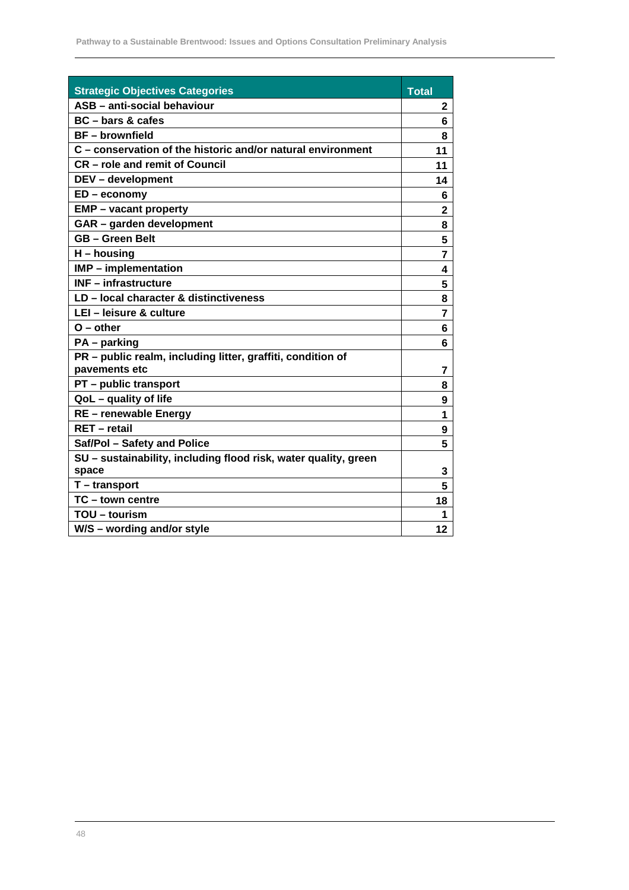| <b>Strategic Objectives Categories</b>                                       | <b>Total</b>   |
|------------------------------------------------------------------------------|----------------|
| ASB - anti-social behaviour                                                  | 2              |
| BC - bars & cafes                                                            | 6              |
| <b>BF</b> – brownfield                                                       | 8              |
| C – conservation of the historic and/or natural environment                  | 11             |
| <b>CR</b> - role and remit of Council                                        | 11             |
| DEV - development                                                            | 14             |
| $ED$ – economy                                                               | 6              |
| <b>EMP</b> – vacant property                                                 | $\mathbf{2}$   |
| GAR - garden development                                                     | 8              |
| <b>GB-Green Belt</b>                                                         | 5              |
| H – housing                                                                  | 7              |
| IMP - implementation                                                         | 4              |
| <b>INF</b> - infrastructure                                                  | 5              |
| LD - local character & distinctiveness                                       | 8              |
| LEI - leisure & culture                                                      | $\overline{7}$ |
| $O$ – other                                                                  | 6              |
| PA - parking                                                                 | 6              |
| PR - public realm, including litter, graffiti, condition of<br>pavements etc | 7              |
| <b>PT</b> – public transport                                                 | 8              |
| QoL - quality of life                                                        | 9              |
| RE - renewable Energy                                                        | 1              |
| <b>RET</b> - retail                                                          | 9              |
| Saf/Pol - Safety and Police                                                  | 5              |
| SU - sustainability, including flood risk, water quality, green              |                |
| space                                                                        | 3              |
| T - transport                                                                | 5              |
| TC - town centre                                                             | 18             |
| TOU - tourism                                                                | 1              |
| W/S - wording and/or style                                                   | 12             |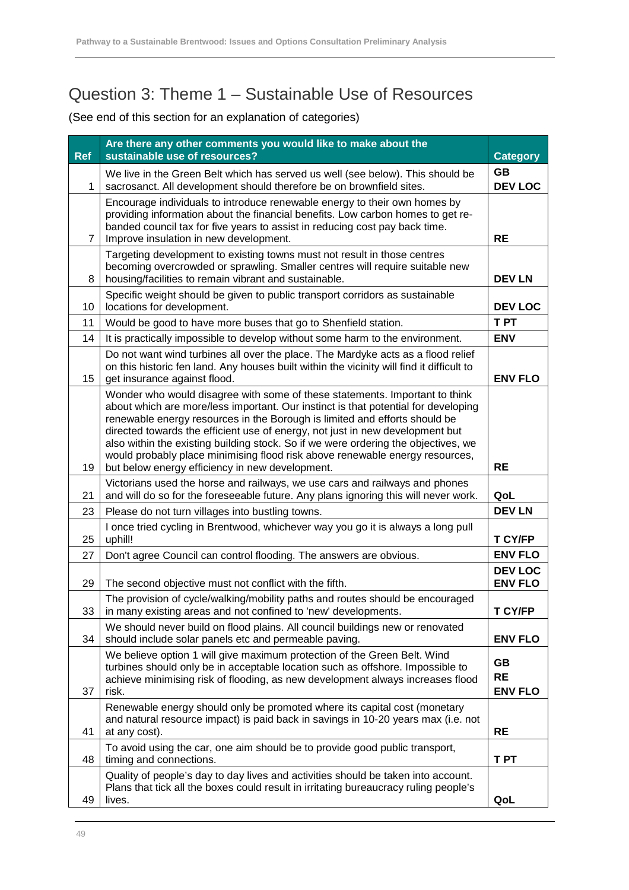## Question 3: Theme 1 – Sustainable Use of Resources

|            | Are there any other comments you would like to make about the                                                                                                                                                                                                                                                                                                                                                                                                                                                                                             | <b>Category</b>                          |
|------------|-----------------------------------------------------------------------------------------------------------------------------------------------------------------------------------------------------------------------------------------------------------------------------------------------------------------------------------------------------------------------------------------------------------------------------------------------------------------------------------------------------------------------------------------------------------|------------------------------------------|
| <b>Ref</b> | sustainable use of resources?                                                                                                                                                                                                                                                                                                                                                                                                                                                                                                                             |                                          |
| 1          | We live in the Green Belt which has served us well (see below). This should be<br>sacrosanct. All development should therefore be on brownfield sites.                                                                                                                                                                                                                                                                                                                                                                                                    |                                          |
| 7          | Encourage individuals to introduce renewable energy to their own homes by<br>providing information about the financial benefits. Low carbon homes to get re-<br>banded council tax for five years to assist in reducing cost pay back time.<br><b>RE</b><br>Improve insulation in new development.                                                                                                                                                                                                                                                        |                                          |
| 8          | Targeting development to existing towns must not result in those centres<br>becoming overcrowded or sprawling. Smaller centres will require suitable new<br>housing/facilities to remain vibrant and sustainable.                                                                                                                                                                                                                                                                                                                                         | <b>DEV LN</b>                            |
| 10         | Specific weight should be given to public transport corridors as sustainable<br>locations for development.                                                                                                                                                                                                                                                                                                                                                                                                                                                | <b>DEV LOC</b>                           |
| 11         | Would be good to have more buses that go to Shenfield station.                                                                                                                                                                                                                                                                                                                                                                                                                                                                                            | <b>TPT</b>                               |
| 14         | It is practically impossible to develop without some harm to the environment.                                                                                                                                                                                                                                                                                                                                                                                                                                                                             | <b>ENV</b>                               |
| 15         | Do not want wind turbines all over the place. The Mardyke acts as a flood relief<br>on this historic fen land. Any houses built within the vicinity will find it difficult to<br>get insurance against flood.                                                                                                                                                                                                                                                                                                                                             | <b>ENV FLO</b>                           |
| 19         | Wonder who would disagree with some of these statements. Important to think<br>about which are more/less important. Our instinct is that potential for developing<br>renewable energy resources in the Borough is limited and efforts should be<br>directed towards the efficient use of energy, not just in new development but<br>also within the existing building stock. So if we were ordering the objectives, we<br>would probably place minimising flood risk above renewable energy resources,<br>but below energy efficiency in new development. | <b>RE</b>                                |
| 21         | Victorians used the horse and railways, we use cars and railways and phones<br>and will do so for the foreseeable future. Any plans ignoring this will never work.                                                                                                                                                                                                                                                                                                                                                                                        | QoL                                      |
| 23         | Please do not turn villages into bustling towns.                                                                                                                                                                                                                                                                                                                                                                                                                                                                                                          | <b>DEV LN</b>                            |
| 25         | I once tried cycling in Brentwood, whichever way you go it is always a long pull<br>uphill!                                                                                                                                                                                                                                                                                                                                                                                                                                                               | T CY/FP                                  |
| 27         | Don't agree Council can control flooding. The answers are obvious.                                                                                                                                                                                                                                                                                                                                                                                                                                                                                        | <b>ENV FLO</b>                           |
| 29         | The second objective must not conflict with the fifth.                                                                                                                                                                                                                                                                                                                                                                                                                                                                                                    | <b>DEV LOC</b><br><b>ENV FLO</b>         |
| 33         | The provision of cycle/walking/mobility paths and routes should be encouraged<br>in many existing areas and not confined to 'new' developments.                                                                                                                                                                                                                                                                                                                                                                                                           | <b>T CY/FP</b>                           |
| 34         | We should never build on flood plains. All council buildings new or renovated<br>should include solar panels etc and permeable paving.                                                                                                                                                                                                                                                                                                                                                                                                                    | <b>ENV FLO</b>                           |
| 37         | We believe option 1 will give maximum protection of the Green Belt. Wind<br>turbines should only be in acceptable location such as offshore. Impossible to<br>achieve minimising risk of flooding, as new development always increases flood<br>risk.                                                                                                                                                                                                                                                                                                     | <b>GB</b><br><b>RE</b><br><b>ENV FLO</b> |
| 41         | Renewable energy should only be promoted where its capital cost (monetary<br>and natural resource impact) is paid back in savings in 10-20 years max (i.e. not<br>at any cost).                                                                                                                                                                                                                                                                                                                                                                           | <b>RE</b>                                |
| 48         | To avoid using the car, one aim should be to provide good public transport,<br>timing and connections.                                                                                                                                                                                                                                                                                                                                                                                                                                                    | T PT                                     |
| 49         | Quality of people's day to day lives and activities should be taken into account.<br>Plans that tick all the boxes could result in irritating bureaucracy ruling people's<br>lives.                                                                                                                                                                                                                                                                                                                                                                       | QoL                                      |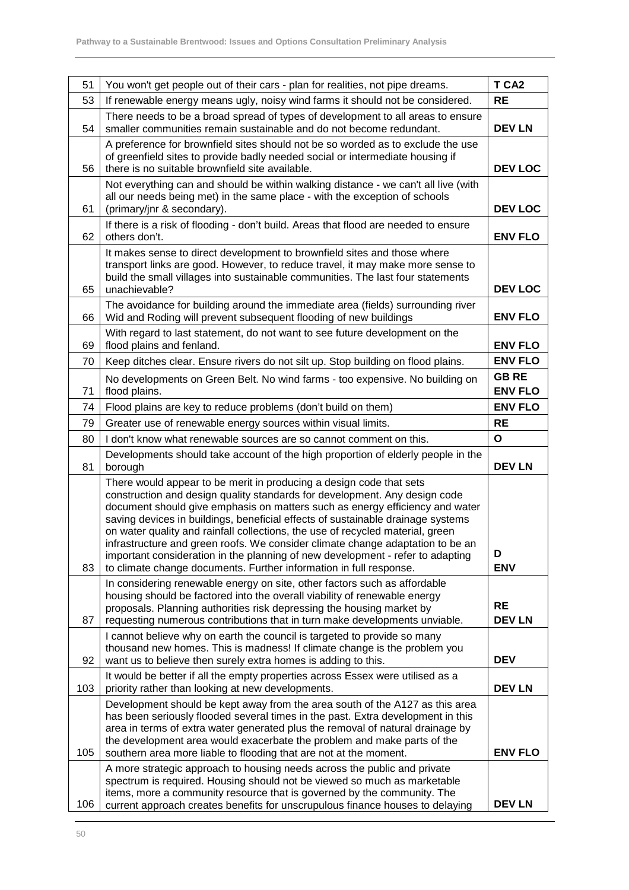|     |                                                                                                                                                                                                                                                                                                                                                                                                                                                                                                                                                                                                                                                  | T CA <sub>2</sub>              |
|-----|--------------------------------------------------------------------------------------------------------------------------------------------------------------------------------------------------------------------------------------------------------------------------------------------------------------------------------------------------------------------------------------------------------------------------------------------------------------------------------------------------------------------------------------------------------------------------------------------------------------------------------------------------|--------------------------------|
| 51  | You won't get people out of their cars - plan for realities, not pipe dreams.                                                                                                                                                                                                                                                                                                                                                                                                                                                                                                                                                                    |                                |
| 53  | If renewable energy means ugly, noisy wind farms it should not be considered.                                                                                                                                                                                                                                                                                                                                                                                                                                                                                                                                                                    |                                |
| 54  | There needs to be a broad spread of types of development to all areas to ensure<br>smaller communities remain sustainable and do not become redundant.                                                                                                                                                                                                                                                                                                                                                                                                                                                                                           |                                |
| 56  | A preference for brownfield sites should not be so worded as to exclude the use<br>of greenfield sites to provide badly needed social or intermediate housing if<br><b>DEV LOC</b><br>there is no suitable brownfield site available.                                                                                                                                                                                                                                                                                                                                                                                                            |                                |
| 61  | Not everything can and should be within walking distance - we can't all live (with<br>all our needs being met) in the same place - with the exception of schools<br>(primary/jnr & secondary).                                                                                                                                                                                                                                                                                                                                                                                                                                                   | <b>DEV LOC</b>                 |
| 62  | If there is a risk of flooding - don't build. Areas that flood are needed to ensure<br>others don't.                                                                                                                                                                                                                                                                                                                                                                                                                                                                                                                                             | <b>ENV FLO</b>                 |
| 65  | It makes sense to direct development to brownfield sites and those where<br>transport links are good. However, to reduce travel, it may make more sense to<br>build the small villages into sustainable communities. The last four statements<br>unachievable?                                                                                                                                                                                                                                                                                                                                                                                   |                                |
| 66  | The avoidance for building around the immediate area (fields) surrounding river<br>Wid and Roding will prevent subsequent flooding of new buildings                                                                                                                                                                                                                                                                                                                                                                                                                                                                                              | <b>ENV FLO</b>                 |
| 69  | With regard to last statement, do not want to see future development on the<br>flood plains and fenland.                                                                                                                                                                                                                                                                                                                                                                                                                                                                                                                                         | <b>ENV FLO</b>                 |
| 70  | Keep ditches clear. Ensure rivers do not silt up. Stop building on flood plains.                                                                                                                                                                                                                                                                                                                                                                                                                                                                                                                                                                 | <b>ENV FLO</b>                 |
| 71  | No developments on Green Belt. No wind farms - too expensive. No building on<br>flood plains.                                                                                                                                                                                                                                                                                                                                                                                                                                                                                                                                                    | <b>GB RE</b><br><b>ENV FLO</b> |
| 74  | Flood plains are key to reduce problems (don't build on them)                                                                                                                                                                                                                                                                                                                                                                                                                                                                                                                                                                                    | <b>ENV FLO</b>                 |
| 79  | Greater use of renewable energy sources within visual limits.                                                                                                                                                                                                                                                                                                                                                                                                                                                                                                                                                                                    | <b>RE</b>                      |
| 80  | don't know what renewable sources are so cannot comment on this.                                                                                                                                                                                                                                                                                                                                                                                                                                                                                                                                                                                 | $\mathbf{o}$                   |
| 81  | Developments should take account of the high proportion of elderly people in the<br>borough                                                                                                                                                                                                                                                                                                                                                                                                                                                                                                                                                      | <b>DEV LN</b>                  |
| 83  | There would appear to be merit in producing a design code that sets<br>construction and design quality standards for development. Any design code<br>document should give emphasis on matters such as energy efficiency and water<br>saving devices in buildings, beneficial effects of sustainable drainage systems<br>on water quality and rainfall collections, the use of recycled material, green<br>infrastructure and green roofs. We consider climate change adaptation to be an<br>important consideration in the planning of new development - refer to adapting<br>to climate change documents. Further information in full response. | D<br><b>ENV</b>                |
| 87  | In considering renewable energy on site, other factors such as affordable<br>housing should be factored into the overall viability of renewable energy<br>proposals. Planning authorities risk depressing the housing market by<br>requesting numerous contributions that in turn make developments unviable.                                                                                                                                                                                                                                                                                                                                    | <b>RE</b><br><b>DEV LN</b>     |
| 92  | I cannot believe why on earth the council is targeted to provide so many<br>thousand new homes. This is madness! If climate change is the problem you<br>want us to believe then surely extra homes is adding to this.                                                                                                                                                                                                                                                                                                                                                                                                                           | <b>DEV</b>                     |
| 103 | It would be better if all the empty properties across Essex were utilised as a<br>priority rather than looking at new developments.                                                                                                                                                                                                                                                                                                                                                                                                                                                                                                              | <b>DEV LN</b>                  |
| 105 | Development should be kept away from the area south of the A127 as this area<br>has been seriously flooded several times in the past. Extra development in this<br>area in terms of extra water generated plus the removal of natural drainage by<br>the development area would exacerbate the problem and make parts of the<br>southern area more liable to flooding that are not at the moment.                                                                                                                                                                                                                                                | <b>ENV FLO</b>                 |
| 106 | A more strategic approach to housing needs across the public and private<br>spectrum is required. Housing should not be viewed so much as marketable<br>items, more a community resource that is governed by the community. The<br>current approach creates benefits for unscrupulous finance houses to delaying                                                                                                                                                                                                                                                                                                                                 | <b>DEV LN</b>                  |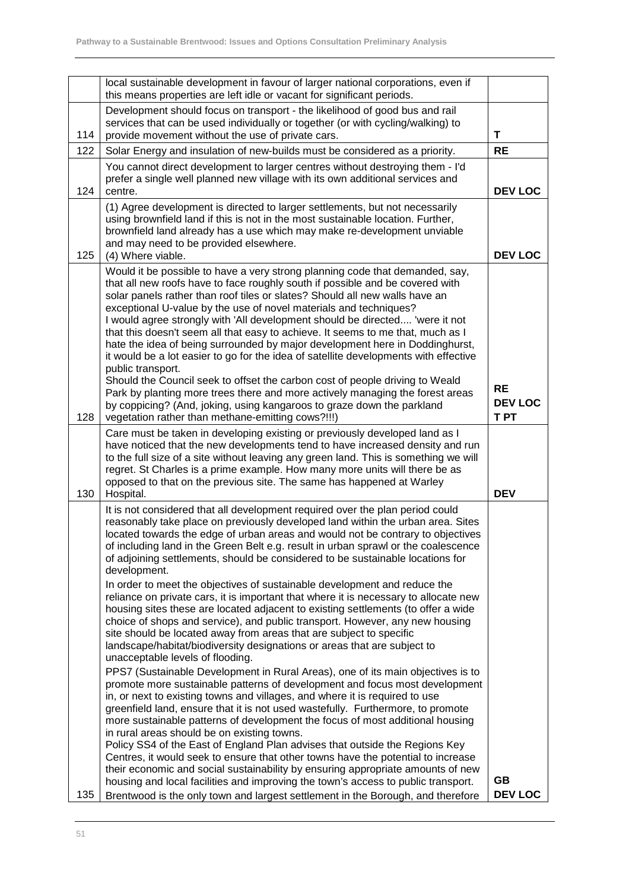|     | local sustainable development in favour of larger national corporations, even if<br>this means properties are left idle or vacant for significant periods.                                                                                                                                                                                                                                                                                                                                                                                                                                                                                                                                                                                                                                                                                                                                                                                                                                                                                                                                                                                                                                                                                                                                                                                                                                                                                       |                                     |
|-----|--------------------------------------------------------------------------------------------------------------------------------------------------------------------------------------------------------------------------------------------------------------------------------------------------------------------------------------------------------------------------------------------------------------------------------------------------------------------------------------------------------------------------------------------------------------------------------------------------------------------------------------------------------------------------------------------------------------------------------------------------------------------------------------------------------------------------------------------------------------------------------------------------------------------------------------------------------------------------------------------------------------------------------------------------------------------------------------------------------------------------------------------------------------------------------------------------------------------------------------------------------------------------------------------------------------------------------------------------------------------------------------------------------------------------------------------------|-------------------------------------|
| 114 | Development should focus on transport - the likelihood of good bus and rail<br>services that can be used individually or together (or with cycling/walking) to<br>provide movement without the use of private cars.                                                                                                                                                                                                                                                                                                                                                                                                                                                                                                                                                                                                                                                                                                                                                                                                                                                                                                                                                                                                                                                                                                                                                                                                                              | т                                   |
| 122 | Solar Energy and insulation of new-builds must be considered as a priority.                                                                                                                                                                                                                                                                                                                                                                                                                                                                                                                                                                                                                                                                                                                                                                                                                                                                                                                                                                                                                                                                                                                                                                                                                                                                                                                                                                      | <b>RE</b>                           |
| 124 | You cannot direct development to larger centres without destroying them - I'd<br>prefer a single well planned new village with its own additional services and<br>centre.                                                                                                                                                                                                                                                                                                                                                                                                                                                                                                                                                                                                                                                                                                                                                                                                                                                                                                                                                                                                                                                                                                                                                                                                                                                                        | <b>DEV LOC</b>                      |
| 125 | (1) Agree development is directed to larger settlements, but not necessarily<br>using brownfield land if this is not in the most sustainable location. Further,<br>brownfield land already has a use which may make re-development unviable<br>and may need to be provided elsewhere.<br>(4) Where viable.                                                                                                                                                                                                                                                                                                                                                                                                                                                                                                                                                                                                                                                                                                                                                                                                                                                                                                                                                                                                                                                                                                                                       | <b>DEV LOC</b>                      |
| 128 | Would it be possible to have a very strong planning code that demanded, say,<br>that all new roofs have to face roughly south if possible and be covered with<br>solar panels rather than roof tiles or slates? Should all new walls have an<br>exceptional U-value by the use of novel materials and techniques?<br>I would agree strongly with 'All development should be directed 'were it not<br>that this doesn't seem all that easy to achieve. It seems to me that, much as I<br>hate the idea of being surrounded by major development here in Doddinghurst,<br>it would be a lot easier to go for the idea of satellite developments with effective<br>public transport.<br>Should the Council seek to offset the carbon cost of people driving to Weald<br>Park by planting more trees there and more actively managing the forest areas<br>by coppicing? (And, joking, using kangaroos to graze down the parkland<br>vegetation rather than methane-emitting cows?!!!)                                                                                                                                                                                                                                                                                                                                                                                                                                                                | <b>RE</b><br><b>DEV LOC</b><br>T PT |
| 130 | Care must be taken in developing existing or previously developed land as I<br>have noticed that the new developments tend to have increased density and run<br>to the full size of a site without leaving any green land. This is something we will<br>regret. St Charles is a prime example. How many more units will there be as<br>opposed to that on the previous site. The same has happened at Warley<br>Hospital.                                                                                                                                                                                                                                                                                                                                                                                                                                                                                                                                                                                                                                                                                                                                                                                                                                                                                                                                                                                                                        | <b>DEV</b>                          |
|     | It is not considered that all development required over the plan period could<br>reasonably take place on previously developed land within the urban area. Sites<br>located towards the edge of urban areas and would not be contrary to objectives<br>of including land in the Green Belt e.g. result in urban sprawl or the coalescence<br>of adjoining settlements, should be considered to be sustainable locations for<br>development.<br>In order to meet the objectives of sustainable development and reduce the<br>reliance on private cars, it is important that where it is necessary to allocate new<br>housing sites these are located adjacent to existing settlements (to offer a wide<br>choice of shops and service), and public transport. However, any new housing<br>site should be located away from areas that are subject to specific<br>landscape/habitat/biodiversity designations or areas that are subject to<br>unacceptable levels of flooding.<br>PPS7 (Sustainable Development in Rural Areas), one of its main objectives is to<br>promote more sustainable patterns of development and focus most development<br>in, or next to existing towns and villages, and where it is required to use<br>greenfield land, ensure that it is not used wastefully. Furthermore, to promote<br>more sustainable patterns of development the focus of most additional housing<br>in rural areas should be on existing towns. |                                     |
| 135 | Policy SS4 of the East of England Plan advises that outside the Regions Key<br>Centres, it would seek to ensure that other towns have the potential to increase<br>their economic and social sustainability by ensuring appropriate amounts of new<br>housing and local facilities and improving the town's access to public transport.<br>Brentwood is the only town and largest settlement in the Borough, and therefore                                                                                                                                                                                                                                                                                                                                                                                                                                                                                                                                                                                                                                                                                                                                                                                                                                                                                                                                                                                                                       | <b>GB</b><br><b>DEV LOC</b>         |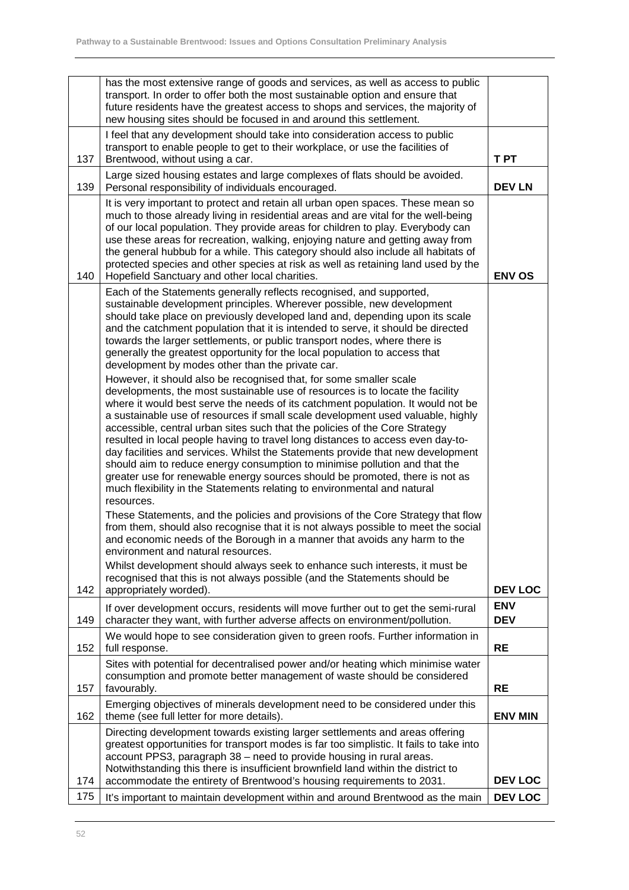|     | has the most extensive range of goods and services, as well as access to public<br>transport. In order to offer both the most sustainable option and ensure that<br>future residents have the greatest access to shops and services, the majority of<br>new housing sites should be focused in and around this settlement.                                                                                                                                                                                                                                                                                                                                                                                                                                                                                                                                                                                                                                                                                                                                                                                                                                                                                                                                                                                                                                                                                                                                                                                                                                                                                                                                                                                                                               |                          |
|-----|----------------------------------------------------------------------------------------------------------------------------------------------------------------------------------------------------------------------------------------------------------------------------------------------------------------------------------------------------------------------------------------------------------------------------------------------------------------------------------------------------------------------------------------------------------------------------------------------------------------------------------------------------------------------------------------------------------------------------------------------------------------------------------------------------------------------------------------------------------------------------------------------------------------------------------------------------------------------------------------------------------------------------------------------------------------------------------------------------------------------------------------------------------------------------------------------------------------------------------------------------------------------------------------------------------------------------------------------------------------------------------------------------------------------------------------------------------------------------------------------------------------------------------------------------------------------------------------------------------------------------------------------------------------------------------------------------------------------------------------------------------|--------------------------|
| 137 | I feel that any development should take into consideration access to public<br>transport to enable people to get to their workplace, or use the facilities of<br>Brentwood, without using a car.                                                                                                                                                                                                                                                                                                                                                                                                                                                                                                                                                                                                                                                                                                                                                                                                                                                                                                                                                                                                                                                                                                                                                                                                                                                                                                                                                                                                                                                                                                                                                         | <b>TPT</b>               |
| 139 | Large sized housing estates and large complexes of flats should be avoided.<br>Personal responsibility of individuals encouraged.                                                                                                                                                                                                                                                                                                                                                                                                                                                                                                                                                                                                                                                                                                                                                                                                                                                                                                                                                                                                                                                                                                                                                                                                                                                                                                                                                                                                                                                                                                                                                                                                                        | <b>DEV LN</b>            |
| 140 | It is very important to protect and retain all urban open spaces. These mean so<br>much to those already living in residential areas and are vital for the well-being<br>of our local population. They provide areas for children to play. Everybody can<br>use these areas for recreation, walking, enjoying nature and getting away from<br>the general hubbub for a while. This category should also include all habitats of<br>protected species and other species at risk as well as retaining land used by the<br>Hopefield Sanctuary and other local charities.                                                                                                                                                                                                                                                                                                                                                                                                                                                                                                                                                                                                                                                                                                                                                                                                                                                                                                                                                                                                                                                                                                                                                                                   | <b>ENV OS</b>            |
|     | Each of the Statements generally reflects recognised, and supported,<br>sustainable development principles. Wherever possible, new development<br>should take place on previously developed land and, depending upon its scale<br>and the catchment population that it is intended to serve, it should be directed<br>towards the larger settlements, or public transport nodes, where there is<br>generally the greatest opportunity for the local population to access that<br>development by modes other than the private car.<br>However, it should also be recognised that, for some smaller scale<br>developments, the most sustainable use of resources is to locate the facility<br>where it would best serve the needs of its catchment population. It would not be<br>a sustainable use of resources if small scale development used valuable, highly<br>accessible, central urban sites such that the policies of the Core Strategy<br>resulted in local people having to travel long distances to access even day-to-<br>day facilities and services. Whilst the Statements provide that new development<br>should aim to reduce energy consumption to minimise pollution and that the<br>greater use for renewable energy sources should be promoted, there is not as<br>much flexibility in the Statements relating to environmental and natural<br>resources.<br>These Statements, and the policies and provisions of the Core Strategy that flow<br>from them, should also recognise that it is not always possible to meet the social<br>and economic needs of the Borough in a manner that avoids any harm to the<br>environment and natural resources.<br>Whilst development should always seek to enhance such interests, it must be |                          |
| 142 | recognised that this is not always possible (and the Statements should be<br>appropriately worded).                                                                                                                                                                                                                                                                                                                                                                                                                                                                                                                                                                                                                                                                                                                                                                                                                                                                                                                                                                                                                                                                                                                                                                                                                                                                                                                                                                                                                                                                                                                                                                                                                                                      | <b>DEV LOC</b>           |
| 149 | If over development occurs, residents will move further out to get the semi-rural<br>character they want, with further adverse affects on environment/pollution.                                                                                                                                                                                                                                                                                                                                                                                                                                                                                                                                                                                                                                                                                                                                                                                                                                                                                                                                                                                                                                                                                                                                                                                                                                                                                                                                                                                                                                                                                                                                                                                         | <b>ENV</b><br><b>DEV</b> |
| 152 | We would hope to see consideration given to green roofs. Further information in<br>full response.                                                                                                                                                                                                                                                                                                                                                                                                                                                                                                                                                                                                                                                                                                                                                                                                                                                                                                                                                                                                                                                                                                                                                                                                                                                                                                                                                                                                                                                                                                                                                                                                                                                        | <b>RE</b>                |
| 157 | Sites with potential for decentralised power and/or heating which minimise water<br>consumption and promote better management of waste should be considered<br>favourably.                                                                                                                                                                                                                                                                                                                                                                                                                                                                                                                                                                                                                                                                                                                                                                                                                                                                                                                                                                                                                                                                                                                                                                                                                                                                                                                                                                                                                                                                                                                                                                               | <b>RE</b>                |
| 162 | Emerging objectives of minerals development need to be considered under this<br>theme (see full letter for more details).                                                                                                                                                                                                                                                                                                                                                                                                                                                                                                                                                                                                                                                                                                                                                                                                                                                                                                                                                                                                                                                                                                                                                                                                                                                                                                                                                                                                                                                                                                                                                                                                                                | <b>ENV MIN</b>           |
| 174 | Directing development towards existing larger settlements and areas offering<br>greatest opportunities for transport modes is far too simplistic. It fails to take into<br>account PPS3, paragraph 38 - need to provide housing in rural areas.<br>Notwithstanding this there is insufficient brownfield land within the district to<br>accommodate the entirety of Brentwood's housing requirements to 2031.                                                                                                                                                                                                                                                                                                                                                                                                                                                                                                                                                                                                                                                                                                                                                                                                                                                                                                                                                                                                                                                                                                                                                                                                                                                                                                                                            | <b>DEV LOC</b>           |
| 175 | It's important to maintain development within and around Brentwood as the main                                                                                                                                                                                                                                                                                                                                                                                                                                                                                                                                                                                                                                                                                                                                                                                                                                                                                                                                                                                                                                                                                                                                                                                                                                                                                                                                                                                                                                                                                                                                                                                                                                                                           | <b>DEV LOC</b>           |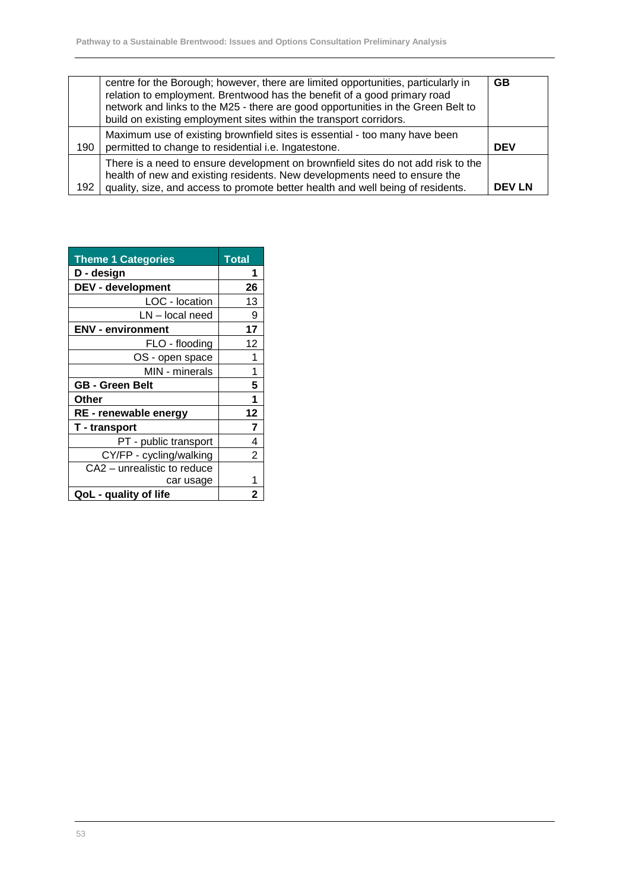|     | centre for the Borough; however, there are limited opportunities, particularly in<br>relation to employment. Brentwood has the benefit of a good primary road<br>network and links to the M25 - there are good opportunities in the Green Belt to<br>build on existing employment sites within the transport corridors. | <b>GB</b>     |
|-----|-------------------------------------------------------------------------------------------------------------------------------------------------------------------------------------------------------------------------------------------------------------------------------------------------------------------------|---------------|
| 190 | Maximum use of existing brownfield sites is essential - too many have been<br>permitted to change to residential i.e. Ingatestone.                                                                                                                                                                                      | <b>DEV</b>    |
| 192 | There is a need to ensure development on brownfield sites do not add risk to the<br>health of new and existing residents. New developments need to ensure the<br>quality, size, and access to promote better health and well being of residents.                                                                        | <b>DEV LN</b> |

| <b>Theme 1 Categories</b>   | Total |
|-----------------------------|-------|
| D - design                  | 1     |
| <b>DEV - development</b>    | 26    |
| LOC - location              | 13    |
| LN - local need             | 9     |
| <b>ENV - environment</b>    | 17    |
| FLO - flooding              | 12    |
| OS - open space             | 1     |
| MIN - minerals              | 1     |
| <b>GB - Green Belt</b>      | 5     |
| Other                       | 1     |
| RE - renewable energy       | 12    |
| <b>T</b> - transport        | 7     |
| PT - public transport       | 4     |
| CY/FP - cycling/walking     | 2     |
| CA2 - unrealistic to reduce |       |
| car usage                   |       |
| QoL - quality of life       | 2     |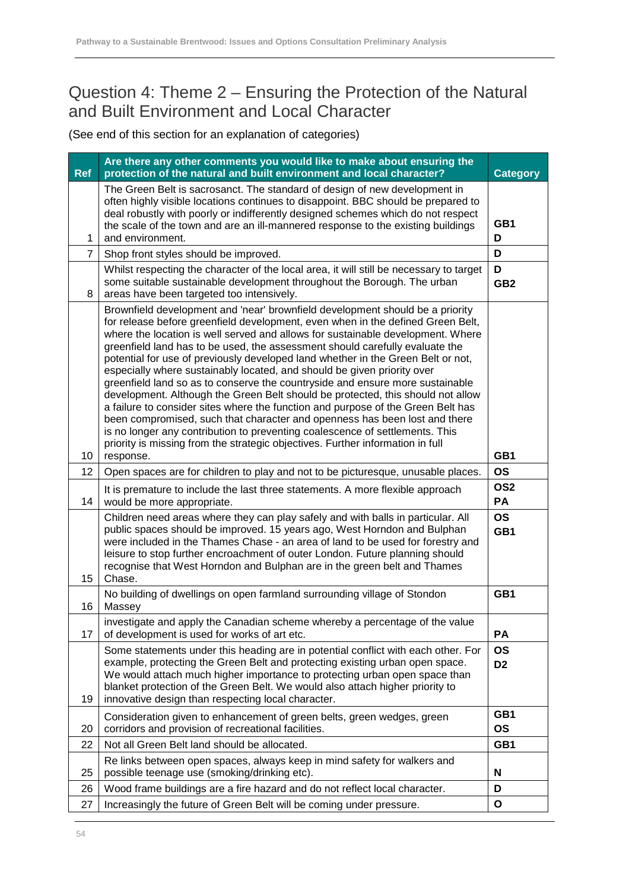#### Question 4: Theme 2 – Ensuring the Protection of the Natural and Built Environment and Local Character

| <b>Ref</b> | Are there any other comments you would like to make about ensuring the<br>protection of the natural and built environment and local character?                                                                                                                                                                                                                                                                                                                                                                                                                                                                                                                                                                                                                                                                                                                                                                                                                                                                          |                             |
|------------|-------------------------------------------------------------------------------------------------------------------------------------------------------------------------------------------------------------------------------------------------------------------------------------------------------------------------------------------------------------------------------------------------------------------------------------------------------------------------------------------------------------------------------------------------------------------------------------------------------------------------------------------------------------------------------------------------------------------------------------------------------------------------------------------------------------------------------------------------------------------------------------------------------------------------------------------------------------------------------------------------------------------------|-----------------------------|
| 1          | The Green Belt is sacrosanct. The standard of design of new development in<br>often highly visible locations continues to disappoint. BBC should be prepared to<br>deal robustly with poorly or indifferently designed schemes which do not respect<br>the scale of the town and are an ill-mannered response to the existing buildings<br>and environment.                                                                                                                                                                                                                                                                                                                                                                                                                                                                                                                                                                                                                                                             |                             |
| 7          | Shop front styles should be improved.                                                                                                                                                                                                                                                                                                                                                                                                                                                                                                                                                                                                                                                                                                                                                                                                                                                                                                                                                                                   | D                           |
| 8          | Whilst respecting the character of the local area, it will still be necessary to target<br>some suitable sustainable development throughout the Borough. The urban<br>areas have been targeted too intensively.                                                                                                                                                                                                                                                                                                                                                                                                                                                                                                                                                                                                                                                                                                                                                                                                         | D<br>GB <sub>2</sub>        |
| 10         | Brownfield development and 'near' brownfield development should be a priority<br>for release before greenfield development, even when in the defined Green Belt,<br>where the location is well served and allows for sustainable development. Where<br>greenfield land has to be used, the assessment should carefully evaluate the<br>potential for use of previously developed land whether in the Green Belt or not,<br>especially where sustainably located, and should be given priority over<br>greenfield land so as to conserve the countryside and ensure more sustainable<br>development. Although the Green Belt should be protected, this should not allow<br>a failure to consider sites where the function and purpose of the Green Belt has<br>been compromised, such that character and openness has been lost and there<br>is no longer any contribution to preventing coalescence of settlements. This<br>priority is missing from the strategic objectives. Further information in full<br>response. |                             |
| 12         | Open spaces are for children to play and not to be picturesque, unusable places.                                                                                                                                                                                                                                                                                                                                                                                                                                                                                                                                                                                                                                                                                                                                                                                                                                                                                                                                        |                             |
| 14         | It is premature to include the last three statements. A more flexible approach<br>would be more appropriate.                                                                                                                                                                                                                                                                                                                                                                                                                                                                                                                                                                                                                                                                                                                                                                                                                                                                                                            |                             |
| 15         | Children need areas where they can play safely and with balls in particular. All<br>public spaces should be improved. 15 years ago, West Horndon and Bulphan<br>were included in the Thames Chase - an area of land to be used for forestry and<br>leisure to stop further encroachment of outer London. Future planning should<br>recognise that West Horndon and Bulphan are in the green belt and Thames<br>Chase.                                                                                                                                                                                                                                                                                                                                                                                                                                                                                                                                                                                                   |                             |
| 16         | No building of dwellings on open farmland surrounding village of Stondon<br>Massey                                                                                                                                                                                                                                                                                                                                                                                                                                                                                                                                                                                                                                                                                                                                                                                                                                                                                                                                      | GB1                         |
| 17         | investigate and apply the Canadian scheme whereby a percentage of the value<br>of development is used for works of art etc.                                                                                                                                                                                                                                                                                                                                                                                                                                                                                                                                                                                                                                                                                                                                                                                                                                                                                             | <b>PA</b>                   |
| 19         | Some statements under this heading are in potential conflict with each other. For<br>example, protecting the Green Belt and protecting existing urban open space.<br>We would attach much higher importance to protecting urban open space than<br>blanket protection of the Green Belt. We would also attach higher priority to<br>innovative design than respecting local character.                                                                                                                                                                                                                                                                                                                                                                                                                                                                                                                                                                                                                                  | <b>OS</b><br>D <sub>2</sub> |
| 20         | Consideration given to enhancement of green belts, green wedges, green<br>corridors and provision of recreational facilities.                                                                                                                                                                                                                                                                                                                                                                                                                                                                                                                                                                                                                                                                                                                                                                                                                                                                                           | GB1<br><b>OS</b>            |
| 22         | Not all Green Belt land should be allocated.                                                                                                                                                                                                                                                                                                                                                                                                                                                                                                                                                                                                                                                                                                                                                                                                                                                                                                                                                                            |                             |
| 25         | Re links between open spaces, always keep in mind safety for walkers and<br>possible teenage use (smoking/drinking etc).                                                                                                                                                                                                                                                                                                                                                                                                                                                                                                                                                                                                                                                                                                                                                                                                                                                                                                | N                           |
| 26         | Wood frame buildings are a fire hazard and do not reflect local character.                                                                                                                                                                                                                                                                                                                                                                                                                                                                                                                                                                                                                                                                                                                                                                                                                                                                                                                                              |                             |
| 27         | Increasingly the future of Green Belt will be coming under pressure.                                                                                                                                                                                                                                                                                                                                                                                                                                                                                                                                                                                                                                                                                                                                                                                                                                                                                                                                                    |                             |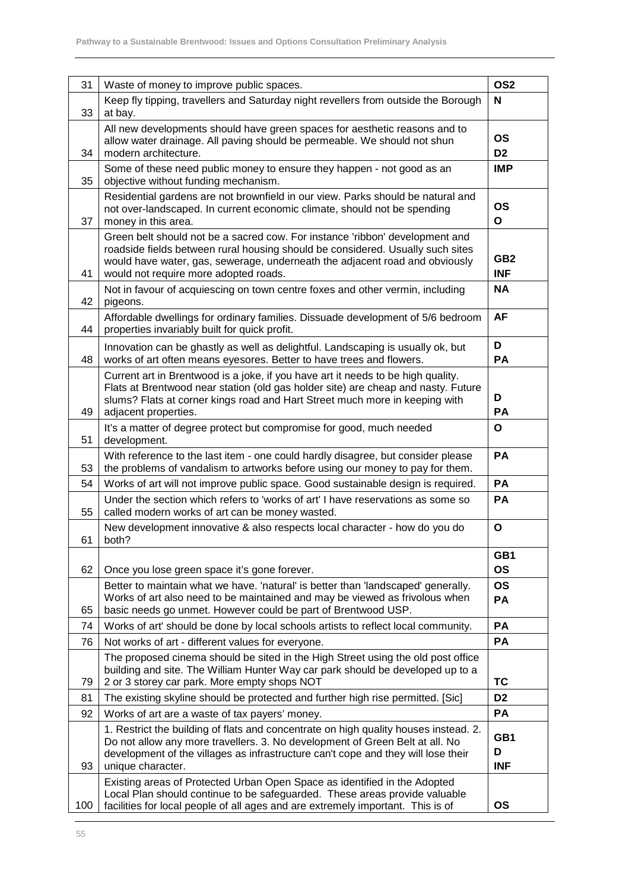| 31  | Waste of money to improve public spaces.                                                                                                                                                                                                                                               | OS <sub>2</sub>               |
|-----|----------------------------------------------------------------------------------------------------------------------------------------------------------------------------------------------------------------------------------------------------------------------------------------|-------------------------------|
| 33  | Keep fly tipping, travellers and Saturday night revellers from outside the Borough<br>at bay.                                                                                                                                                                                          |                               |
| 34  | All new developments should have green spaces for aesthetic reasons and to<br>allow water drainage. All paving should be permeable. We should not shun<br>modern architecture.                                                                                                         |                               |
| 35  | Some of these need public money to ensure they happen - not good as an<br>objective without funding mechanism.                                                                                                                                                                         | <b>IMP</b>                    |
| 37  | Residential gardens are not brownfield in our view. Parks should be natural and<br>not over-landscaped. In current economic climate, should not be spending<br>money in this area.                                                                                                     | OS<br>$\mathbf{o}$            |
| 41  | Green belt should not be a sacred cow. For instance 'ribbon' development and<br>roadside fields between rural housing should be considered. Usually such sites<br>would have water, gas, sewerage, underneath the adjacent road and obviously<br>would not require more adopted roads. | GB <sub>2</sub><br><b>INF</b> |
| 42  | Not in favour of acquiescing on town centre foxes and other vermin, including<br>pigeons.                                                                                                                                                                                              | <b>NA</b>                     |
| 44  | Affordable dwellings for ordinary families. Dissuade development of 5/6 bedroom<br>properties invariably built for quick profit.                                                                                                                                                       | <b>AF</b>                     |
| 48  | Innovation can be ghastly as well as delightful. Landscaping is usually ok, but<br>works of art often means eyesores. Better to have trees and flowers.                                                                                                                                | D<br><b>PA</b>                |
| 49  | Current art in Brentwood is a joke, if you have art it needs to be high quality.<br>Flats at Brentwood near station (old gas holder site) are cheap and nasty. Future<br>slums? Flats at corner kings road and Hart Street much more in keeping with<br>adjacent properties.           | D<br>PA                       |
| 51  | It's a matter of degree protect but compromise for good, much needed<br>development.                                                                                                                                                                                                   | O                             |
| 53  | With reference to the last item - one could hardly disagree, but consider please<br>the problems of vandalism to artworks before using our money to pay for them.                                                                                                                      | PA                            |
| 54  | Works of art will not improve public space. Good sustainable design is required.                                                                                                                                                                                                       | PA                            |
| 55  | Under the section which refers to 'works of art' I have reservations as some so<br>called modern works of art can be money wasted.                                                                                                                                                     | PA                            |
| 61  | New development innovative & also respects local character - how do you do<br>both?                                                                                                                                                                                                    | $\mathbf{o}$                  |
| 62  | Once you lose green space it's gone forever.                                                                                                                                                                                                                                           | GB1<br><b>OS</b>              |
| 65  | Better to maintain what we have. 'natural' is better than 'landscaped' generally.<br>Works of art also need to be maintained and may be viewed as frivolous when<br>basic needs go unmet. However could be part of Brentwood USP.                                                      | <b>OS</b><br>PA               |
| 74  | Works of art' should be done by local schools artists to reflect local community.                                                                                                                                                                                                      | PA                            |
| 76  | Not works of art - different values for everyone.                                                                                                                                                                                                                                      | PA                            |
| 79  | The proposed cinema should be sited in the High Street using the old post office<br>building and site. The William Hunter Way car park should be developed up to a<br>2 or 3 storey car park. More empty shops NOT                                                                     |                               |
| 81  | The existing skyline should be protected and further high rise permitted. [Sic]                                                                                                                                                                                                        | D <sub>2</sub>                |
| 92  | Works of art are a waste of tax payers' money.                                                                                                                                                                                                                                         | PA                            |
| 93  | 1. Restrict the building of flats and concentrate on high quality houses instead. 2.<br>Do not allow any more travellers. 3. No development of Green Belt at all. No<br>development of the villages as infrastructure can't cope and they will lose their<br>unique character.         | GB1<br>D<br><b>INF</b>        |
| 100 | Existing areas of Protected Urban Open Space as identified in the Adopted<br>Local Plan should continue to be safeguarded. These areas provide valuable<br>facilities for local people of all ages and are extremely important. This is of                                             | <b>OS</b>                     |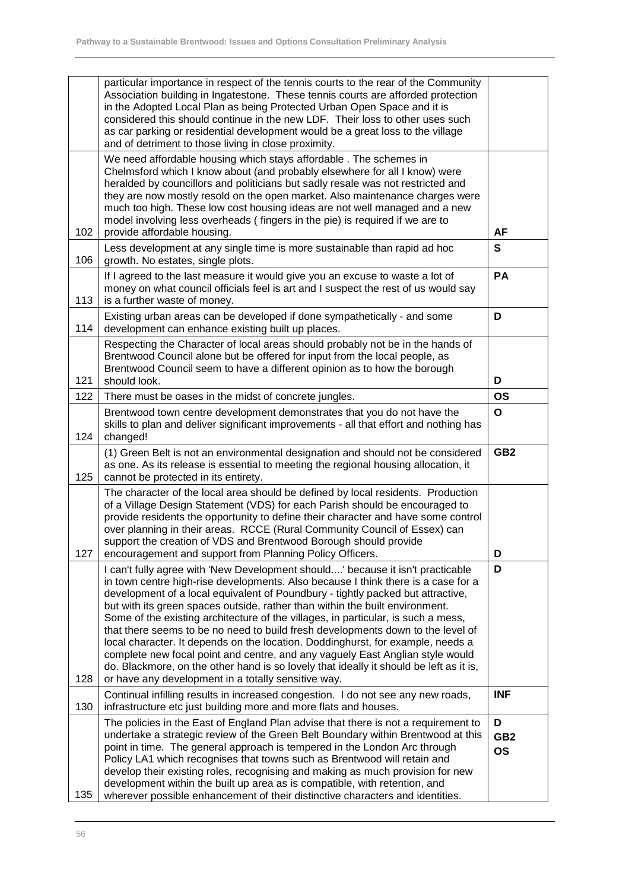|     | particular importance in respect of the tennis courts to the rear of the Community<br>Association building in Ingatestone. These tennis courts are afforded protection<br>in the Adopted Local Plan as being Protected Urban Open Space and it is<br>considered this should continue in the new LDF. Their loss to other uses such<br>as car parking or residential development would be a great loss to the village<br>and of detriment to those living in close proximity.                                                                                                                                                                                                                                                                                                                                                        |                                   |
|-----|-------------------------------------------------------------------------------------------------------------------------------------------------------------------------------------------------------------------------------------------------------------------------------------------------------------------------------------------------------------------------------------------------------------------------------------------------------------------------------------------------------------------------------------------------------------------------------------------------------------------------------------------------------------------------------------------------------------------------------------------------------------------------------------------------------------------------------------|-----------------------------------|
| 102 | We need affordable housing which stays affordable. The schemes in<br>Chelmsford which I know about (and probably elsewhere for all I know) were<br>heralded by councillors and politicians but sadly resale was not restricted and<br>they are now mostly resold on the open market. Also maintenance charges were<br>much too high. These low cost housing ideas are not well managed and a new<br>model involving less overheads (fingers in the pie) is required if we are to<br>provide affordable housing.                                                                                                                                                                                                                                                                                                                     | AF                                |
| 106 | Less development at any single time is more sustainable than rapid ad hoc<br>growth. No estates, single plots.                                                                                                                                                                                                                                                                                                                                                                                                                                                                                                                                                                                                                                                                                                                      | S                                 |
| 113 | If I agreed to the last measure it would give you an excuse to waste a lot of<br>money on what council officials feel is art and I suspect the rest of us would say<br>is a further waste of money.                                                                                                                                                                                                                                                                                                                                                                                                                                                                                                                                                                                                                                 | PA                                |
| 114 | Existing urban areas can be developed if done sympathetically - and some<br>development can enhance existing built up places.                                                                                                                                                                                                                                                                                                                                                                                                                                                                                                                                                                                                                                                                                                       | D                                 |
| 121 | Respecting the Character of local areas should probably not be in the hands of<br>Brentwood Council alone but be offered for input from the local people, as<br>Brentwood Council seem to have a different opinion as to how the borough<br>should look.                                                                                                                                                                                                                                                                                                                                                                                                                                                                                                                                                                            | D                                 |
| 122 | There must be oases in the midst of concrete jungles.                                                                                                                                                                                                                                                                                                                                                                                                                                                                                                                                                                                                                                                                                                                                                                               | <b>OS</b>                         |
| 124 | Brentwood town centre development demonstrates that you do not have the<br>skills to plan and deliver significant improvements - all that effort and nothing has<br>changed!                                                                                                                                                                                                                                                                                                                                                                                                                                                                                                                                                                                                                                                        | $\mathbf{o}$                      |
| 125 | (1) Green Belt is not an environmental designation and should not be considered<br>as one. As its release is essential to meeting the regional housing allocation, it<br>cannot be protected in its entirety.                                                                                                                                                                                                                                                                                                                                                                                                                                                                                                                                                                                                                       | GB <sub>2</sub>                   |
| 127 | The character of the local area should be defined by local residents. Production<br>of a Village Design Statement (VDS) for each Parish should be encouraged to<br>provide residents the opportunity to define their character and have some control<br>over planning in their areas. RCCE (Rural Community Council of Essex) can<br>support the creation of VDS and Brentwood Borough should provide<br>encouragement and support from Planning Policy Officers.                                                                                                                                                                                                                                                                                                                                                                   | D                                 |
| 128 | I can't fully agree with 'New Development should' because it isn't practicable<br>in town centre high-rise developments. Also because I think there is a case for a<br>development of a local equivalent of Poundbury - tightly packed but attractive,<br>but with its green spaces outside, rather than within the built environment.<br>Some of the existing architecture of the villages, in particular, is such a mess,<br>that there seems to be no need to build fresh developments down to the level of<br>local character. It depends on the location. Doddinghurst, for example, needs a<br>complete new focal point and centre, and any vaguely East Anglian style would<br>do. Blackmore, on the other hand is so lovely that ideally it should be left as it is,<br>or have any development in a totally sensitive way. | D                                 |
| 130 | Continual infilling results in increased congestion. I do not see any new roads,<br>infrastructure etc just building more and more flats and houses.                                                                                                                                                                                                                                                                                                                                                                                                                                                                                                                                                                                                                                                                                | <b>INF</b>                        |
| 135 | The policies in the East of England Plan advise that there is not a requirement to<br>undertake a strategic review of the Green Belt Boundary within Brentwood at this<br>point in time. The general approach is tempered in the London Arc through<br>Policy LA1 which recognises that towns such as Brentwood will retain and<br>develop their existing roles, recognising and making as much provision for new<br>development within the built up area as is compatible, with retention, and<br>wherever possible enhancement of their distinctive characters and identities.                                                                                                                                                                                                                                                    | D<br>GB <sub>2</sub><br><b>OS</b> |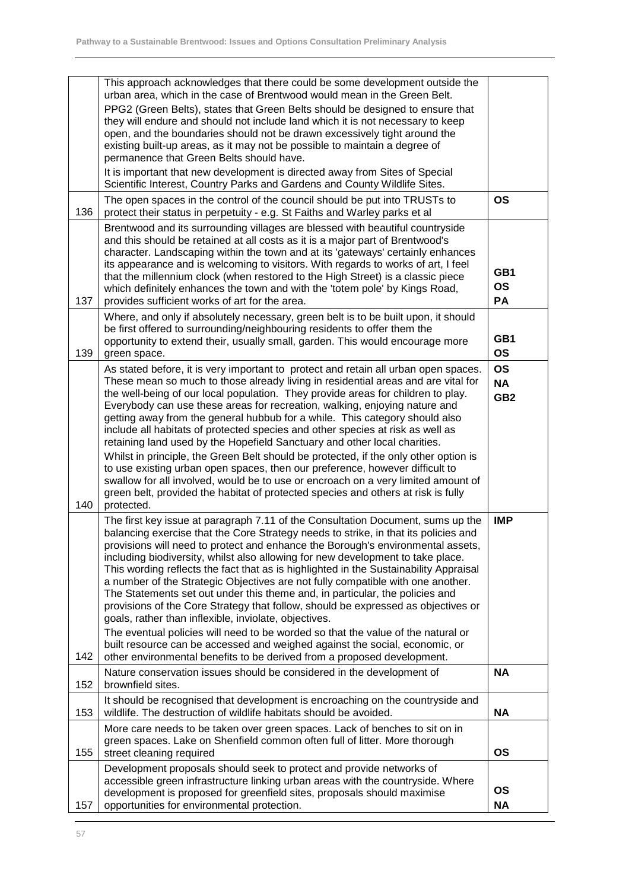|     | This approach acknowledges that there could be some development outside the<br>urban area, which in the case of Brentwood would mean in the Green Belt.<br>PPG2 (Green Belts), states that Green Belts should be designed to ensure that<br>they will endure and should not include land which it is not necessary to keep<br>open, and the boundaries should not be drawn excessively tight around the<br>existing built-up areas, as it may not be possible to maintain a degree of<br>permanence that Green Belts should have.<br>It is important that new development is directed away from Sites of Special<br>Scientific Interest, Country Parks and Gardens and County Wildlife Sites.                                                                                                                                                                                                                                                                                                        |                                           |
|-----|------------------------------------------------------------------------------------------------------------------------------------------------------------------------------------------------------------------------------------------------------------------------------------------------------------------------------------------------------------------------------------------------------------------------------------------------------------------------------------------------------------------------------------------------------------------------------------------------------------------------------------------------------------------------------------------------------------------------------------------------------------------------------------------------------------------------------------------------------------------------------------------------------------------------------------------------------------------------------------------------------|-------------------------------------------|
| 136 | The open spaces in the control of the council should be put into TRUSTs to<br>protect their status in perpetuity - e.g. St Faiths and Warley parks et al                                                                                                                                                                                                                                                                                                                                                                                                                                                                                                                                                                                                                                                                                                                                                                                                                                             | <b>OS</b>                                 |
| 137 | Brentwood and its surrounding villages are blessed with beautiful countryside<br>and this should be retained at all costs as it is a major part of Brentwood's<br>character. Landscaping within the town and at its 'gateways' certainly enhances<br>its appearance and is welcoming to visitors. With regards to works of art, I feel<br>that the millennium clock (when restored to the High Street) is a classic piece<br>which definitely enhances the town and with the 'totem pole' by Kings Road,<br>provides sufficient works of art for the area.                                                                                                                                                                                                                                                                                                                                                                                                                                           | GB1<br><b>OS</b><br>PA                    |
| 139 | Where, and only if absolutely necessary, green belt is to be built upon, it should<br>be first offered to surrounding/neighbouring residents to offer them the<br>opportunity to extend their, usually small, garden. This would encourage more<br>green space.                                                                                                                                                                                                                                                                                                                                                                                                                                                                                                                                                                                                                                                                                                                                      | GB1<br>OS                                 |
| 140 | As stated before, it is very important to protect and retain all urban open spaces.<br>These mean so much to those already living in residential areas and are vital for<br>the well-being of our local population. They provide areas for children to play.<br>Everybody can use these areas for recreation, walking, enjoying nature and<br>getting away from the general hubbub for a while. This category should also<br>include all habitats of protected species and other species at risk as well as<br>retaining land used by the Hopefield Sanctuary and other local charities.<br>Whilst in principle, the Green Belt should be protected, if the only other option is<br>to use existing urban open spaces, then our preference, however difficult to<br>swallow for all involved, would be to use or encroach on a very limited amount of<br>green belt, provided the habitat of protected species and others at risk is fully<br>protected.                                             | <b>OS</b><br><b>NA</b><br>GB <sub>2</sub> |
| 142 | The first key issue at paragraph 7.11 of the Consultation Document, sums up the<br>balancing exercise that the Core Strategy needs to strike, in that its policies and<br>provisions will need to protect and enhance the Borough's environmental assets,<br>including biodiversity, whilst also allowing for new development to take place.<br>This wording reflects the fact that as is highlighted in the Sustainability Appraisal<br>a number of the Strategic Objectives are not fully compatible with one another.<br>The Statements set out under this theme and, in particular, the policies and<br>provisions of the Core Strategy that follow, should be expressed as objectives or<br>goals, rather than inflexible, inviolate, objectives.<br>The eventual policies will need to be worded so that the value of the natural or<br>built resource can be accessed and weighed against the social, economic, or<br>other environmental benefits to be derived from a proposed development. | <b>IMP</b>                                |
| 152 | Nature conservation issues should be considered in the development of<br>brownfield sites.                                                                                                                                                                                                                                                                                                                                                                                                                                                                                                                                                                                                                                                                                                                                                                                                                                                                                                           | <b>NA</b>                                 |
| 153 | It should be recognised that development is encroaching on the countryside and<br>wildlife. The destruction of wildlife habitats should be avoided.                                                                                                                                                                                                                                                                                                                                                                                                                                                                                                                                                                                                                                                                                                                                                                                                                                                  | <b>NA</b>                                 |
| 155 | More care needs to be taken over green spaces. Lack of benches to sit on in<br>green spaces. Lake on Shenfield common often full of litter. More thorough<br>street cleaning required                                                                                                                                                                                                                                                                                                                                                                                                                                                                                                                                                                                                                                                                                                                                                                                                                | <b>OS</b>                                 |
| 157 | Development proposals should seek to protect and provide networks of<br>accessible green infrastructure linking urban areas with the countryside. Where<br>development is proposed for greenfield sites, proposals should maximise<br>opportunities for environmental protection.                                                                                                                                                                                                                                                                                                                                                                                                                                                                                                                                                                                                                                                                                                                    | <b>OS</b><br><b>NA</b>                    |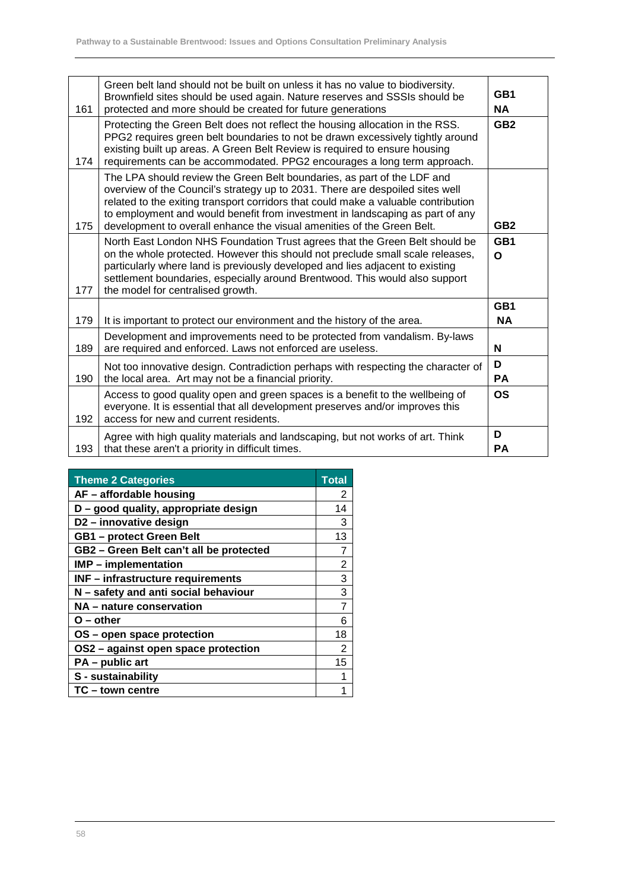| 161 | Green belt land should not be built on unless it has no value to biodiversity.<br>Brownfield sites should be used again. Nature reserves and SSSIs should be<br>protected and more should be created for future generations                                                                                                                                                                               | GB1<br><b>NA</b> |
|-----|-----------------------------------------------------------------------------------------------------------------------------------------------------------------------------------------------------------------------------------------------------------------------------------------------------------------------------------------------------------------------------------------------------------|------------------|
| 174 | Protecting the Green Belt does not reflect the housing allocation in the RSS.<br>PPG2 requires green belt boundaries to not be drawn excessively tightly around<br>existing built up areas. A Green Belt Review is required to ensure housing<br>requirements can be accommodated. PPG2 encourages a long term approach.                                                                                  | GB <sub>2</sub>  |
| 175 | The LPA should review the Green Belt boundaries, as part of the LDF and<br>overview of the Council's strategy up to 2031. There are despoiled sites well<br>related to the exiting transport corridors that could make a valuable contribution<br>to employment and would benefit from investment in landscaping as part of any<br>development to overall enhance the visual amenities of the Green Belt. | GB <sub>2</sub>  |
| 177 | North East London NHS Foundation Trust agrees that the Green Belt should be<br>on the whole protected. However this should not preclude small scale releases,<br>particularly where land is previously developed and lies adjacent to existing<br>settlement boundaries, especially around Brentwood. This would also support<br>the model for centralised growth.                                        | GB1<br>$\Omega$  |
| 179 | It is important to protect our environment and the history of the area.                                                                                                                                                                                                                                                                                                                                   | GB1<br><b>NA</b> |
| 189 | Development and improvements need to be protected from vandalism. By-laws<br>are required and enforced. Laws not enforced are useless.                                                                                                                                                                                                                                                                    | N                |
| 190 | Not too innovative design. Contradiction perhaps with respecting the character of<br>the local area. Art may not be a financial priority.                                                                                                                                                                                                                                                                 | D<br><b>PA</b>   |
| 192 | Access to good quality open and green spaces is a benefit to the wellbeing of<br>everyone. It is essential that all development preserves and/or improves this<br>access for new and current residents.                                                                                                                                                                                                   | <b>OS</b>        |
| 193 | Agree with high quality materials and landscaping, but not works of art. Think<br>that these aren't a priority in difficult times.                                                                                                                                                                                                                                                                        | D<br><b>PA</b>   |

| <b>Theme 2 Categories</b>                | <b>Total</b>   |
|------------------------------------------|----------------|
| AF - affordable housing                  | 2              |
| D - good quality, appropriate design     | 14             |
| D2 - innovative design                   | 3              |
| <b>GB1</b> - protect Green Belt          | 13             |
| GB2 - Green Belt can't all be protected  |                |
| <b>IMP</b> – implementation              | 2              |
| <b>INF</b> - infrastructure requirements | 3              |
| N - safety and anti social behaviour     | 3              |
| NA - nature conservation                 | $\overline{7}$ |
| O – other                                | 6              |
| OS - open space protection               | 18             |
| OS2 - against open space protection      | 2              |
| PA - public art                          | 15             |
| S - sustainability                       |                |
| TC-town centre                           |                |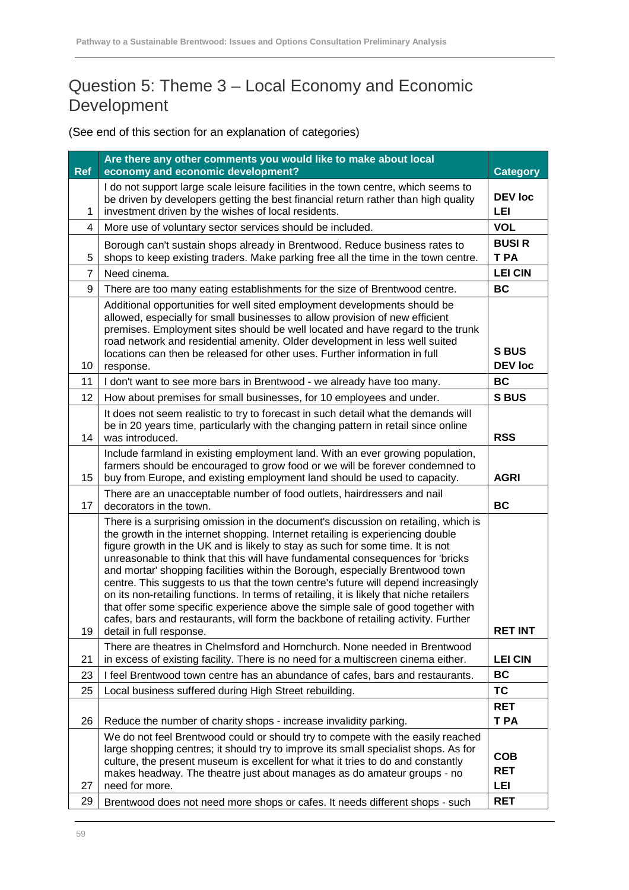#### Question 5: Theme 3 – Local Economy and Economic Development

| <b>Ref</b>     | Are there any other comments you would like to make about local<br>economy and economic development?                                                                                                                                                                                                                                                                                                                                                                                                                                                                                                                                                                                                                                                                                                             | <b>Category</b>                        |
|----------------|------------------------------------------------------------------------------------------------------------------------------------------------------------------------------------------------------------------------------------------------------------------------------------------------------------------------------------------------------------------------------------------------------------------------------------------------------------------------------------------------------------------------------------------------------------------------------------------------------------------------------------------------------------------------------------------------------------------------------------------------------------------------------------------------------------------|----------------------------------------|
| 1              | I do not support large scale leisure facilities in the town centre, which seems to<br>be driven by developers getting the best financial return rather than high quality<br>investment driven by the wishes of local residents.                                                                                                                                                                                                                                                                                                                                                                                                                                                                                                                                                                                  | <b>DEV</b> loc<br>LEI                  |
| 4              | More use of voluntary sector services should be included.                                                                                                                                                                                                                                                                                                                                                                                                                                                                                                                                                                                                                                                                                                                                                        | <b>VOL</b>                             |
| 5              | Borough can't sustain shops already in Brentwood. Reduce business rates to<br>shops to keep existing traders. Make parking free all the time in the town centre.                                                                                                                                                                                                                                                                                                                                                                                                                                                                                                                                                                                                                                                 | <b>BUSIR</b><br>T PA                   |
| $\overline{7}$ | Need cinema.                                                                                                                                                                                                                                                                                                                                                                                                                                                                                                                                                                                                                                                                                                                                                                                                     | <b>LEI CIN</b>                         |
| 9              | There are too many eating establishments for the size of Brentwood centre.                                                                                                                                                                                                                                                                                                                                                                                                                                                                                                                                                                                                                                                                                                                                       | <b>BC</b>                              |
| 10             | Additional opportunities for well sited employment developments should be<br>allowed, especially for small businesses to allow provision of new efficient<br>premises. Employment sites should be well located and have regard to the trunk<br>road network and residential amenity. Older development in less well suited<br>locations can then be released for other uses. Further information in full<br>response.                                                                                                                                                                                                                                                                                                                                                                                            | <b>S BUS</b><br><b>DEV loc</b>         |
| 11             | I don't want to see more bars in Brentwood - we already have too many.                                                                                                                                                                                                                                                                                                                                                                                                                                                                                                                                                                                                                                                                                                                                           | BC                                     |
| 12             | How about premises for small businesses, for 10 employees and under.                                                                                                                                                                                                                                                                                                                                                                                                                                                                                                                                                                                                                                                                                                                                             | <b>SBUS</b>                            |
| 14             | It does not seem realistic to try to forecast in such detail what the demands will<br>be in 20 years time, particularly with the changing pattern in retail since online<br>was introduced.                                                                                                                                                                                                                                                                                                                                                                                                                                                                                                                                                                                                                      | <b>RSS</b>                             |
| 15             | Include farmland in existing employment land. With an ever growing population,<br>farmers should be encouraged to grow food or we will be forever condemned to<br>buy from Europe, and existing employment land should be used to capacity.                                                                                                                                                                                                                                                                                                                                                                                                                                                                                                                                                                      | <b>AGRI</b>                            |
| 17             | There are an unacceptable number of food outlets, hairdressers and nail<br>decorators in the town.                                                                                                                                                                                                                                                                                                                                                                                                                                                                                                                                                                                                                                                                                                               | <b>BC</b>                              |
| 19             | There is a surprising omission in the document's discussion on retailing, which is<br>the growth in the internet shopping. Internet retailing is experiencing double<br>figure growth in the UK and is likely to stay as such for some time. It is not<br>unreasonable to think that this will have fundamental consequences for 'bricks<br>and mortar' shopping facilities within the Borough, especially Brentwood town<br>centre. This suggests to us that the town centre's future will depend increasingly<br>on its non-retailing functions. In terms of retailing, it is likely that niche retailers<br>that offer some specific experience above the simple sale of good together with<br>cafes, bars and restaurants, will form the backbone of retailing activity. Further<br>detail in full response. | <b>RET INT</b>                         |
| 21             | There are theatres in Chelmsford and Hornchurch. None needed in Brentwood<br>in excess of existing facility. There is no need for a multiscreen cinema either.                                                                                                                                                                                                                                                                                                                                                                                                                                                                                                                                                                                                                                                   | <b>LEI CIN</b>                         |
| 23             | I feel Brentwood town centre has an abundance of cafes, bars and restaurants.                                                                                                                                                                                                                                                                                                                                                                                                                                                                                                                                                                                                                                                                                                                                    | <b>BC</b>                              |
| 25             | Local business suffered during High Street rebuilding.                                                                                                                                                                                                                                                                                                                                                                                                                                                                                                                                                                                                                                                                                                                                                           | <b>TC</b>                              |
|                |                                                                                                                                                                                                                                                                                                                                                                                                                                                                                                                                                                                                                                                                                                                                                                                                                  | <b>RET</b>                             |
| 26             | Reduce the number of charity shops - increase invalidity parking.                                                                                                                                                                                                                                                                                                                                                                                                                                                                                                                                                                                                                                                                                                                                                | T PA                                   |
| 27             | We do not feel Brentwood could or should try to compete with the easily reached<br>large shopping centres; it should try to improve its small specialist shops. As for<br>culture, the present museum is excellent for what it tries to do and constantly<br>makes headway. The theatre just about manages as do amateur groups - no<br>need for more.                                                                                                                                                                                                                                                                                                                                                                                                                                                           | <b>COB</b><br><b>RET</b><br><b>LEI</b> |
| 29             | Brentwood does not need more shops or cafes. It needs different shops - such                                                                                                                                                                                                                                                                                                                                                                                                                                                                                                                                                                                                                                                                                                                                     | <b>RET</b>                             |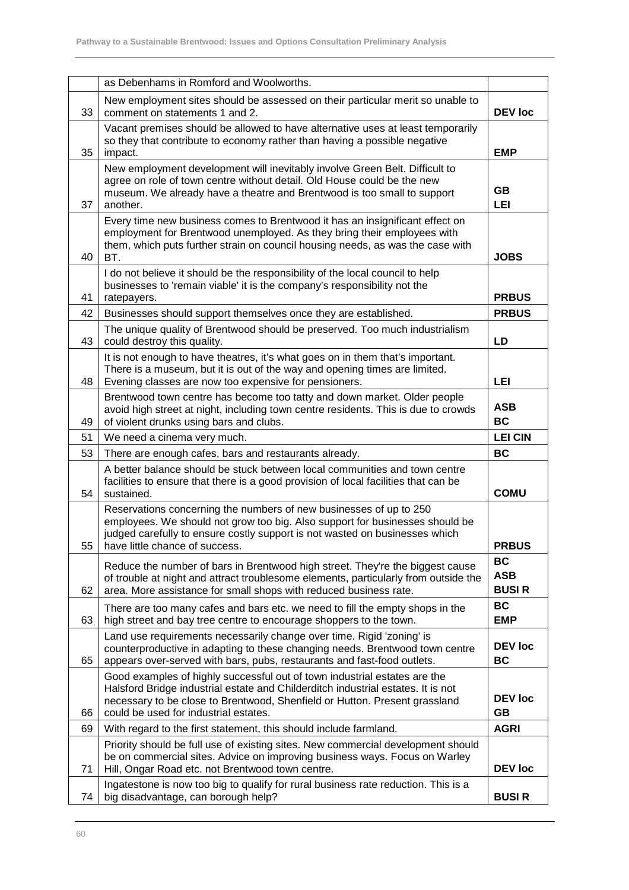|    | as Debenhams in Romford and Woolworths.                                                                                                                                                                                                                                              |                                         |
|----|--------------------------------------------------------------------------------------------------------------------------------------------------------------------------------------------------------------------------------------------------------------------------------------|-----------------------------------------|
| 33 | New employment sites should be assessed on their particular merit so unable to<br>comment on statements 1 and 2.                                                                                                                                                                     | <b>DEV</b> loc                          |
| 35 | Vacant premises should be allowed to have alternative uses at least temporarily<br>so they that contribute to economy rather than having a possible negative<br>impact.                                                                                                              | <b>EMP</b>                              |
| 37 | New employment development will inevitably involve Green Belt. Difficult to<br>agree on role of town centre without detail. Old House could be the new<br>museum. We already have a theatre and Brentwood is too small to support<br>another.                                        | GB<br>LEI                               |
| 40 | Every time new business comes to Brentwood it has an insignificant effect on<br>employment for Brentwood unemployed. As they bring their employees with<br>them, which puts further strain on council housing needs, as was the case with<br>BT.                                     | <b>JOBS</b>                             |
| 41 | I do not believe it should be the responsibility of the local council to help<br>businesses to 'remain viable' it is the company's responsibility not the<br>ratepayers.                                                                                                             | <b>PRBUS</b>                            |
| 42 | Businesses should support themselves once they are established.                                                                                                                                                                                                                      | <b>PRBUS</b>                            |
| 43 | The unique quality of Brentwood should be preserved. Too much industrialism<br>could destroy this quality.                                                                                                                                                                           | LD                                      |
| 48 | It is not enough to have theatres, it's what goes on in them that's important.<br>There is a museum, but it is out of the way and opening times are limited.<br>Evening classes are now too expensive for pensioners.                                                                | LEI                                     |
| 49 | Brentwood town centre has become too tatty and down market. Older people<br>avoid high street at night, including town centre residents. This is due to crowds<br>of violent drunks using bars and clubs.                                                                            | <b>ASB</b><br><b>BC</b>                 |
| 51 | We need a cinema very much.                                                                                                                                                                                                                                                          | <b>LEI CIN</b>                          |
| 53 | There are enough cafes, bars and restaurants already.                                                                                                                                                                                                                                | <b>BC</b>                               |
| 54 | A better balance should be stuck between local communities and town centre<br>facilities to ensure that there is a good provision of local facilities that can be<br>sustained.                                                                                                      | <b>COMU</b>                             |
| 55 | Reservations concerning the numbers of new businesses of up to 250<br>employees. We should not grow too big. Also support for businesses should be<br>judged carefully to ensure costly support is not wasted on businesses which<br>have little chance of success.                  | <b>PRBUS</b>                            |
| 62 | Reduce the number of bars in Brentwood high street. They're the biggest cause<br>of trouble at night and attract troublesome elements, particularly from outside the<br>area. More assistance for small shops with reduced business rate.                                            | <b>BC</b><br><b>ASB</b><br><b>BUSIR</b> |
| 63 | There are too many cafes and bars etc. we need to fill the empty shops in the<br>high street and bay tree centre to encourage shoppers to the town.                                                                                                                                  | <b>BC</b><br><b>EMP</b>                 |
| 65 | Land use requirements necessarily change over time. Rigid 'zoning' is<br>counterproductive in adapting to these changing needs. Brentwood town centre<br>appears over-served with bars, pubs, restaurants and fast-food outlets.                                                     | <b>DEV</b> loc<br><b>BC</b>             |
| 66 | Good examples of highly successful out of town industrial estates are the<br>Halsford Bridge industrial estate and Childerditch industrial estates. It is not<br>necessary to be close to Brentwood, Shenfield or Hutton. Present grassland<br>could be used for industrial estates. | <b>DEV</b> loc<br><b>GB</b>             |
| 69 | With regard to the first statement, this should include farmland.                                                                                                                                                                                                                    | <b>AGRI</b>                             |
| 71 | Priority should be full use of existing sites. New commercial development should<br>be on commercial sites. Advice on improving business ways. Focus on Warley<br>Hill, Ongar Road etc. not Brentwood town centre.                                                                   | <b>DEV loc</b>                          |
| 74 | Ingatestone is now too big to qualify for rural business rate reduction. This is a<br>big disadvantage, can borough help?                                                                                                                                                            | <b>BUSIR</b>                            |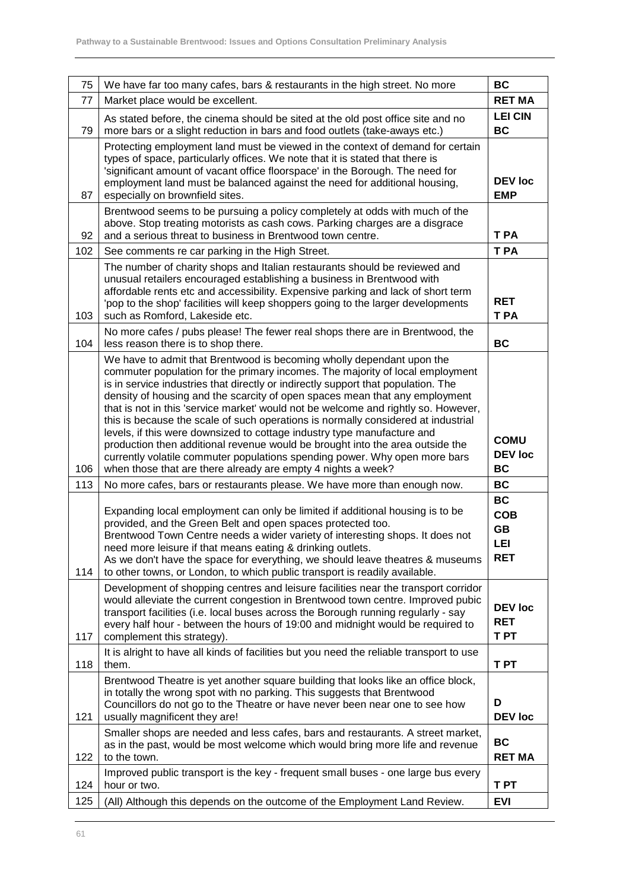| 75  | We have far too many cafes, bars & restaurants in the high street. No more                                                                                                                                                                                                                                                                                                                                                                                                                                                                                                                                                                                                                                                                                                                                      | <b>BC</b>                                                 |
|-----|-----------------------------------------------------------------------------------------------------------------------------------------------------------------------------------------------------------------------------------------------------------------------------------------------------------------------------------------------------------------------------------------------------------------------------------------------------------------------------------------------------------------------------------------------------------------------------------------------------------------------------------------------------------------------------------------------------------------------------------------------------------------------------------------------------------------|-----------------------------------------------------------|
| 77  | Market place would be excellent.                                                                                                                                                                                                                                                                                                                                                                                                                                                                                                                                                                                                                                                                                                                                                                                | <b>RET MA</b>                                             |
| 79  | As stated before, the cinema should be sited at the old post office site and no<br>more bars or a slight reduction in bars and food outlets (take-aways etc.)                                                                                                                                                                                                                                                                                                                                                                                                                                                                                                                                                                                                                                                   | <b>LEI CIN</b><br><b>BC</b>                               |
| 87  | Protecting employment land must be viewed in the context of demand for certain<br>types of space, particularly offices. We note that it is stated that there is<br>'significant amount of vacant office floorspace' in the Borough. The need for<br>employment land must be balanced against the need for additional housing,<br>especially on brownfield sites.                                                                                                                                                                                                                                                                                                                                                                                                                                                | <b>DEV</b> loc<br><b>EMP</b>                              |
| 92  | Brentwood seems to be pursuing a policy completely at odds with much of the<br>above. Stop treating motorists as cash cows. Parking charges are a disgrace<br>and a serious threat to business in Brentwood town centre.                                                                                                                                                                                                                                                                                                                                                                                                                                                                                                                                                                                        | T PA                                                      |
| 102 | See comments re car parking in the High Street.                                                                                                                                                                                                                                                                                                                                                                                                                                                                                                                                                                                                                                                                                                                                                                 | T PA                                                      |
| 103 | The number of charity shops and Italian restaurants should be reviewed and<br>unusual retailers encouraged establishing a business in Brentwood with<br>affordable rents etc and accessibility. Expensive parking and lack of short term<br>'pop to the shop' facilities will keep shoppers going to the larger developments<br>such as Romford, Lakeside etc.                                                                                                                                                                                                                                                                                                                                                                                                                                                  | <b>RET</b><br>T PA                                        |
| 104 | No more cafes / pubs please! The fewer real shops there are in Brentwood, the<br>less reason there is to shop there.                                                                                                                                                                                                                                                                                                                                                                                                                                                                                                                                                                                                                                                                                            | <b>BC</b>                                                 |
| 106 | We have to admit that Brentwood is becoming wholly dependant upon the<br>commuter population for the primary incomes. The majority of local employment<br>is in service industries that directly or indirectly support that population. The<br>density of housing and the scarcity of open spaces mean that any employment<br>that is not in this 'service market' would not be welcome and rightly so. However,<br>this is because the scale of such operations is normally considered at industrial<br>levels, if this were downsized to cottage industry type manufacture and<br>production then additional revenue would be brought into the area outside the<br>currently volatile commuter populations spending power. Why open more bars<br>when those that are there already are empty 4 nights a week? | <b>COMU</b><br><b>DEV loc</b><br><b>BC</b>                |
| 113 | No more cafes, bars or restaurants please. We have more than enough now.                                                                                                                                                                                                                                                                                                                                                                                                                                                                                                                                                                                                                                                                                                                                        | <b>BC</b>                                                 |
| 114 | Expanding local employment can only be limited if additional housing is to be<br>provided, and the Green Belt and open spaces protected too.<br>Brentwood Town Centre needs a wider variety of interesting shops. It does not<br>need more leisure if that means eating & drinking outlets.<br>As we don't have the space for everything, we should leave theatres & museums<br>to other towns, or London, to which public transport is readily available.                                                                                                                                                                                                                                                                                                                                                      | <b>BC</b><br><b>COB</b><br><b>GB</b><br>LEI<br><b>RET</b> |
| 117 | Development of shopping centres and leisure facilities near the transport corridor<br>would alleviate the current congestion in Brentwood town centre. Improved pubic<br>transport facilities (i.e. local buses across the Borough running regularly - say<br>every half hour - between the hours of 19:00 and midnight would be required to<br>complement this strategy).                                                                                                                                                                                                                                                                                                                                                                                                                                      | <b>DEV loc</b><br><b>RET</b><br>T PT                      |
| 118 | It is alright to have all kinds of facilities but you need the reliable transport to use<br>them.                                                                                                                                                                                                                                                                                                                                                                                                                                                                                                                                                                                                                                                                                                               | T PT                                                      |
| 121 | Brentwood Theatre is yet another square building that looks like an office block,<br>in totally the wrong spot with no parking. This suggests that Brentwood<br>Councillors do not go to the Theatre or have never been near one to see how<br>usually magnificent they are!                                                                                                                                                                                                                                                                                                                                                                                                                                                                                                                                    | D<br><b>DEV loc</b>                                       |
| 122 | Smaller shops are needed and less cafes, bars and restaurants. A street market,<br>as in the past, would be most welcome which would bring more life and revenue<br>to the town.                                                                                                                                                                                                                                                                                                                                                                                                                                                                                                                                                                                                                                | <b>BC</b><br><b>RET MA</b>                                |
| 124 | Improved public transport is the key - frequent small buses - one large bus every<br>hour or two.                                                                                                                                                                                                                                                                                                                                                                                                                                                                                                                                                                                                                                                                                                               | T PT                                                      |
| 125 | (All) Although this depends on the outcome of the Employment Land Review.                                                                                                                                                                                                                                                                                                                                                                                                                                                                                                                                                                                                                                                                                                                                       | <b>EVI</b>                                                |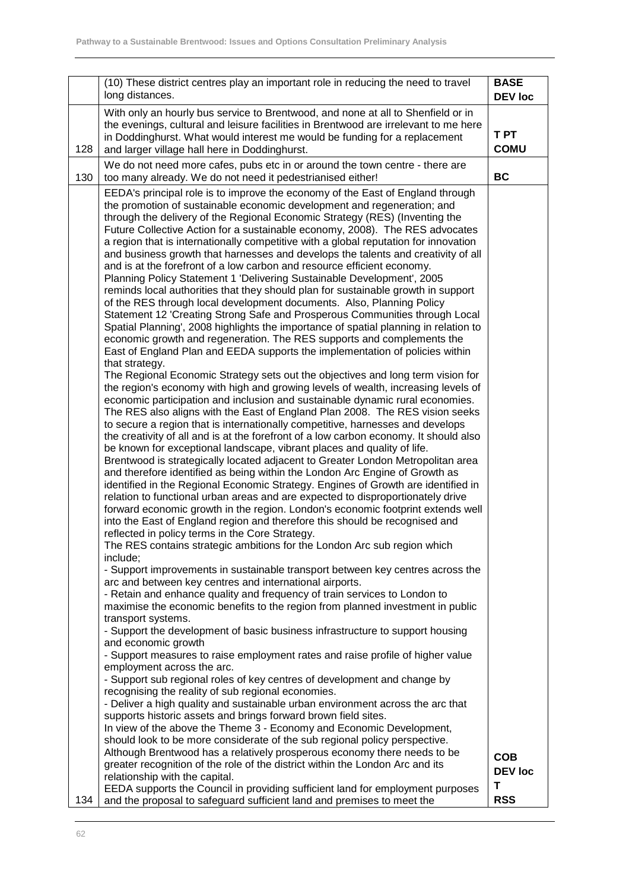|     | (10) These district centres play an important role in reducing the need to travel<br>long distances.                                                                                                                                                                                                                                                                                                                                                                                                                                                                                                                                                                                                                                                                                                                                                                                                                                                                                                                                                                                                                                                                                                                                                                                                                                                                                                                                                                                                                                                                                                                                                                                                                                                                                                                                                                                                                                                                                                                                                                                                                                                                                                                                                                                                                                      | <b>BASE</b><br><b>DEV</b> loc |
|-----|-------------------------------------------------------------------------------------------------------------------------------------------------------------------------------------------------------------------------------------------------------------------------------------------------------------------------------------------------------------------------------------------------------------------------------------------------------------------------------------------------------------------------------------------------------------------------------------------------------------------------------------------------------------------------------------------------------------------------------------------------------------------------------------------------------------------------------------------------------------------------------------------------------------------------------------------------------------------------------------------------------------------------------------------------------------------------------------------------------------------------------------------------------------------------------------------------------------------------------------------------------------------------------------------------------------------------------------------------------------------------------------------------------------------------------------------------------------------------------------------------------------------------------------------------------------------------------------------------------------------------------------------------------------------------------------------------------------------------------------------------------------------------------------------------------------------------------------------------------------------------------------------------------------------------------------------------------------------------------------------------------------------------------------------------------------------------------------------------------------------------------------------------------------------------------------------------------------------------------------------------------------------------------------------------------------------------------------------|-------------------------------|
| 128 | With only an hourly bus service to Brentwood, and none at all to Shenfield or in<br>the evenings, cultural and leisure facilities in Brentwood are irrelevant to me here<br>in Doddinghurst. What would interest me would be funding for a replacement<br>and larger village hall here in Doddinghurst.                                                                                                                                                                                                                                                                                                                                                                                                                                                                                                                                                                                                                                                                                                                                                                                                                                                                                                                                                                                                                                                                                                                                                                                                                                                                                                                                                                                                                                                                                                                                                                                                                                                                                                                                                                                                                                                                                                                                                                                                                                   | <b>TPT</b><br><b>COMU</b>     |
| 130 | We do not need more cafes, pubs etc in or around the town centre - there are<br>too many already. We do not need it pedestrianised either!                                                                                                                                                                                                                                                                                                                                                                                                                                                                                                                                                                                                                                                                                                                                                                                                                                                                                                                                                                                                                                                                                                                                                                                                                                                                                                                                                                                                                                                                                                                                                                                                                                                                                                                                                                                                                                                                                                                                                                                                                                                                                                                                                                                                | <b>BC</b>                     |
|     | EEDA's principal role is to improve the economy of the East of England through<br>the promotion of sustainable economic development and regeneration; and<br>through the delivery of the Regional Economic Strategy (RES) (Inventing the<br>Future Collective Action for a sustainable economy, 2008). The RES advocates<br>a region that is internationally competitive with a global reputation for innovation<br>and business growth that harnesses and develops the talents and creativity of all<br>and is at the forefront of a low carbon and resource efficient economy.<br>Planning Policy Statement 1 'Delivering Sustainable Development', 2005<br>reminds local authorities that they should plan for sustainable growth in support<br>of the RES through local development documents. Also, Planning Policy<br>Statement 12 'Creating Strong Safe and Prosperous Communities through Local<br>Spatial Planning', 2008 highlights the importance of spatial planning in relation to<br>economic growth and regeneration. The RES supports and complements the<br>East of England Plan and EEDA supports the implementation of policies within<br>that strategy.<br>The Regional Economic Strategy sets out the objectives and long term vision for<br>the region's economy with high and growing levels of wealth, increasing levels of<br>economic participation and inclusion and sustainable dynamic rural economies.<br>The RES also aligns with the East of England Plan 2008. The RES vision seeks<br>to secure a region that is internationally competitive, harnesses and develops<br>the creativity of all and is at the forefront of a low carbon economy. It should also<br>be known for exceptional landscape, vibrant places and quality of life.<br>Brentwood is strategically located adjacent to Greater London Metropolitan area<br>and therefore identified as being within the London Arc Engine of Growth as<br>identified in the Regional Economic Strategy. Engines of Growth are identified in<br>relation to functional urban areas and are expected to disproportionately drive<br>forward economic growth in the region. London's economic footprint extends well<br>into the East of England region and therefore this should be recognised and<br>reflected in policy terms in the Core Strategy. |                               |
|     | The RES contains strategic ambitions for the London Arc sub region which<br>include;<br>- Support improvements in sustainable transport between key centres across the<br>arc and between key centres and international airports.                                                                                                                                                                                                                                                                                                                                                                                                                                                                                                                                                                                                                                                                                                                                                                                                                                                                                                                                                                                                                                                                                                                                                                                                                                                                                                                                                                                                                                                                                                                                                                                                                                                                                                                                                                                                                                                                                                                                                                                                                                                                                                         |                               |
|     | - Retain and enhance quality and frequency of train services to London to<br>maximise the economic benefits to the region from planned investment in public<br>transport systems.<br>- Support the development of basic business infrastructure to support housing                                                                                                                                                                                                                                                                                                                                                                                                                                                                                                                                                                                                                                                                                                                                                                                                                                                                                                                                                                                                                                                                                                                                                                                                                                                                                                                                                                                                                                                                                                                                                                                                                                                                                                                                                                                                                                                                                                                                                                                                                                                                        |                               |
|     | and economic growth<br>- Support measures to raise employment rates and raise profile of higher value<br>employment across the arc.                                                                                                                                                                                                                                                                                                                                                                                                                                                                                                                                                                                                                                                                                                                                                                                                                                                                                                                                                                                                                                                                                                                                                                                                                                                                                                                                                                                                                                                                                                                                                                                                                                                                                                                                                                                                                                                                                                                                                                                                                                                                                                                                                                                                       |                               |
|     | - Support sub regional roles of key centres of development and change by<br>recognising the reality of sub regional economies.<br>- Deliver a high quality and sustainable urban environment across the arc that<br>supports historic assets and brings forward brown field sites.<br>In view of the above the Theme 3 - Economy and Economic Development,<br>should look to be more considerate of the sub regional policy perspective.                                                                                                                                                                                                                                                                                                                                                                                                                                                                                                                                                                                                                                                                                                                                                                                                                                                                                                                                                                                                                                                                                                                                                                                                                                                                                                                                                                                                                                                                                                                                                                                                                                                                                                                                                                                                                                                                                                  |                               |
|     | Although Brentwood has a relatively prosperous economy there needs to be<br>greater recognition of the role of the district within the London Arc and its<br>relationship with the capital.                                                                                                                                                                                                                                                                                                                                                                                                                                                                                                                                                                                                                                                                                                                                                                                                                                                                                                                                                                                                                                                                                                                                                                                                                                                                                                                                                                                                                                                                                                                                                                                                                                                                                                                                                                                                                                                                                                                                                                                                                                                                                                                                               | <b>COB</b><br><b>DEV loc</b>  |
| 134 | EEDA supports the Council in providing sufficient land for employment purposes<br>and the proposal to safeguard sufficient land and premises to meet the                                                                                                                                                                                                                                                                                                                                                                                                                                                                                                                                                                                                                                                                                                                                                                                                                                                                                                                                                                                                                                                                                                                                                                                                                                                                                                                                                                                                                                                                                                                                                                                                                                                                                                                                                                                                                                                                                                                                                                                                                                                                                                                                                                                  | Т<br><b>RSS</b>               |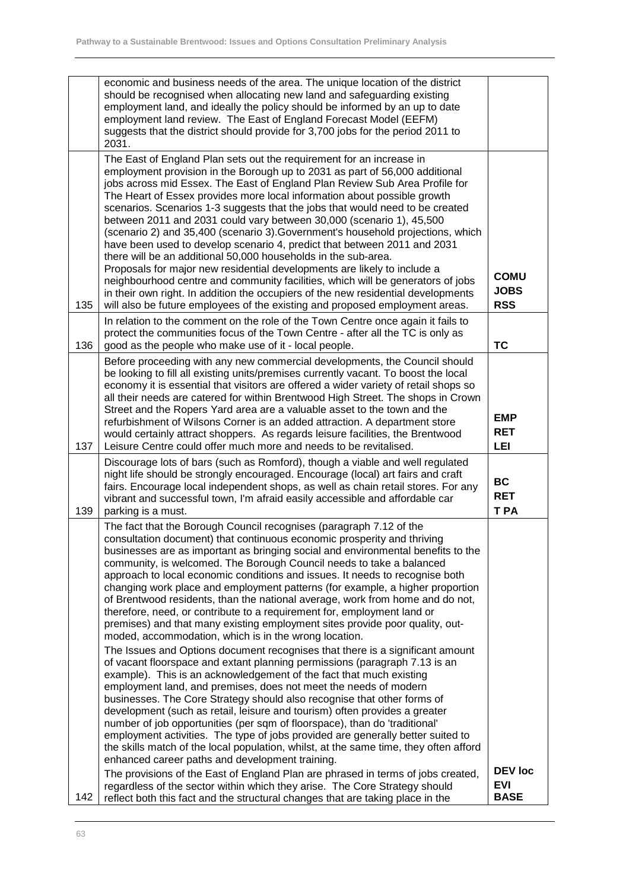|     | economic and business needs of the area. The unique location of the district<br>should be recognised when allocating new land and safeguarding existing<br>employment land, and ideally the policy should be informed by an up to date<br>employment land review. The East of England Forecast Model (EEFM)<br>suggests that the district should provide for 3,700 jobs for the period 2011 to<br>2031.                                                                                                                                                                                                                                                                                                                                                                                                                                                                                                                                                                                                                                                                                                                                                                                                                                                                                                                                                                                                                                                                                                                                                                                                                                                                                                                            |                                          |
|-----|------------------------------------------------------------------------------------------------------------------------------------------------------------------------------------------------------------------------------------------------------------------------------------------------------------------------------------------------------------------------------------------------------------------------------------------------------------------------------------------------------------------------------------------------------------------------------------------------------------------------------------------------------------------------------------------------------------------------------------------------------------------------------------------------------------------------------------------------------------------------------------------------------------------------------------------------------------------------------------------------------------------------------------------------------------------------------------------------------------------------------------------------------------------------------------------------------------------------------------------------------------------------------------------------------------------------------------------------------------------------------------------------------------------------------------------------------------------------------------------------------------------------------------------------------------------------------------------------------------------------------------------------------------------------------------------------------------------------------------|------------------------------------------|
| 135 | The East of England Plan sets out the requirement for an increase in<br>employment provision in the Borough up to 2031 as part of 56,000 additional<br>jobs across mid Essex. The East of England Plan Review Sub Area Profile for<br>The Heart of Essex provides more local information about possible growth<br>scenarios. Scenarios 1-3 suggests that the jobs that would need to be created<br>between 2011 and 2031 could vary between 30,000 (scenario 1), 45,500<br>(scenario 2) and 35,400 (scenario 3). Government's household projections, which<br>have been used to develop scenario 4, predict that between 2011 and 2031<br>there will be an additional 50,000 households in the sub-area.<br>Proposals for major new residential developments are likely to include a<br>neighbourhood centre and community facilities, which will be generators of jobs<br>in their own right. In addition the occupiers of the new residential developments<br>will also be future employees of the existing and proposed employment areas.                                                                                                                                                                                                                                                                                                                                                                                                                                                                                                                                                                                                                                                                                       | <b>COMU</b><br><b>JOBS</b><br><b>RSS</b> |
| 136 | In relation to the comment on the role of the Town Centre once again it fails to<br>protect the communities focus of the Town Centre - after all the TC is only as<br>good as the people who make use of it - local people.                                                                                                                                                                                                                                                                                                                                                                                                                                                                                                                                                                                                                                                                                                                                                                                                                                                                                                                                                                                                                                                                                                                                                                                                                                                                                                                                                                                                                                                                                                        | <b>TC</b>                                |
| 137 | Before proceeding with any new commercial developments, the Council should<br>be looking to fill all existing units/premises currently vacant. To boost the local<br>economy it is essential that visitors are offered a wider variety of retail shops so<br>all their needs are catered for within Brentwood High Street. The shops in Crown<br>Street and the Ropers Yard area are a valuable asset to the town and the<br>refurbishment of Wilsons Corner is an added attraction. A department store<br>would certainly attract shoppers. As regards leisure facilities, the Brentwood<br>Leisure Centre could offer much more and needs to be revitalised.                                                                                                                                                                                                                                                                                                                                                                                                                                                                                                                                                                                                                                                                                                                                                                                                                                                                                                                                                                                                                                                                     | <b>EMP</b><br>RET<br>LEI                 |
| 139 | Discourage lots of bars (such as Romford), though a viable and well regulated<br>night life should be strongly encouraged. Encourage (local) art fairs and craft<br>fairs. Encourage local independent shops, as well as chain retail stores. For any<br>vibrant and successful town, I'm afraid easily accessible and affordable car<br>parking is a must.                                                                                                                                                                                                                                                                                                                                                                                                                                                                                                                                                                                                                                                                                                                                                                                                                                                                                                                                                                                                                                                                                                                                                                                                                                                                                                                                                                        | <b>BC</b><br><b>RET</b><br>T PA          |
|     | The fact that the Borough Council recognises (paragraph 7.12 of the<br>consultation document) that continuous economic prosperity and thriving<br>businesses are as important as bringing social and environmental benefits to the<br>community, is welcomed. The Borough Council needs to take a balanced<br>approach to local economic conditions and issues. It needs to recognise both<br>changing work place and employment patterns (for example, a higher proportion<br>of Brentwood residents, than the national average, work from home and do not,<br>therefore, need, or contribute to a requirement for, employment land or<br>premises) and that many existing employment sites provide poor quality, out-<br>moded, accommodation, which is in the wrong location.<br>The Issues and Options document recognises that there is a significant amount<br>of vacant floorspace and extant planning permissions (paragraph 7.13 is an<br>example). This is an acknowledgement of the fact that much existing<br>employment land, and premises, does not meet the needs of modern<br>businesses. The Core Strategy should also recognise that other forms of<br>development (such as retail, leisure and tourism) often provides a greater<br>number of job opportunities (per sqm of floorspace), than do 'traditional'<br>employment activities. The type of jobs provided are generally better suited to<br>the skills match of the local population, whilst, at the same time, they often afford<br>enhanced career paths and development training.<br>The provisions of the East of England Plan are phrased in terms of jobs created,<br>regardless of the sector within which they arise. The Core Strategy should | <b>DEV loc</b><br><b>EVI</b>             |
| 142 | reflect both this fact and the structural changes that are taking place in the                                                                                                                                                                                                                                                                                                                                                                                                                                                                                                                                                                                                                                                                                                                                                                                                                                                                                                                                                                                                                                                                                                                                                                                                                                                                                                                                                                                                                                                                                                                                                                                                                                                     | <b>BASE</b>                              |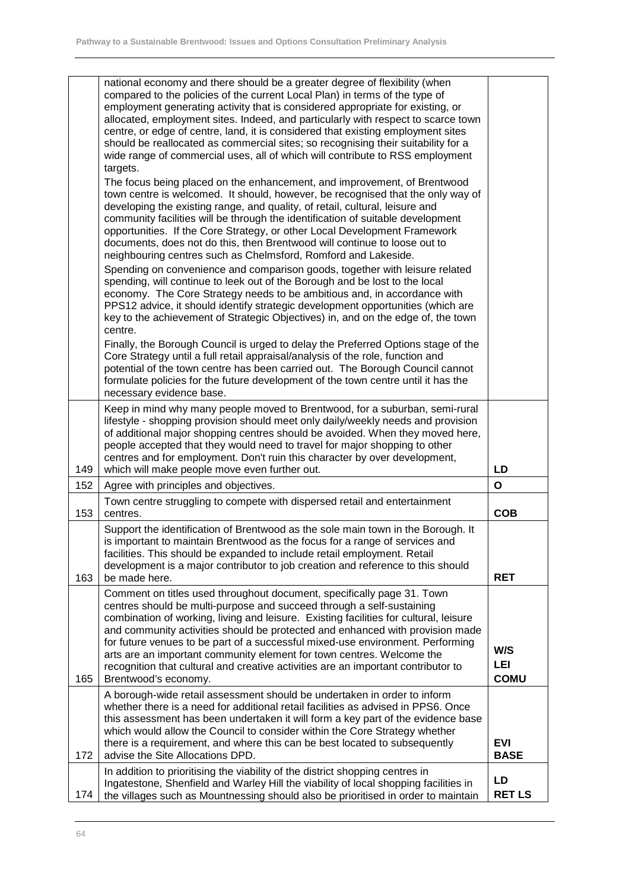|     | national economy and there should be a greater degree of flexibility (when<br>compared to the policies of the current Local Plan) in terms of the type of<br>employment generating activity that is considered appropriate for existing, or<br>allocated, employment sites. Indeed, and particularly with respect to scarce town<br>centre, or edge of centre, land, it is considered that existing employment sites<br>should be reallocated as commercial sites; so recognising their suitability for a<br>wide range of commercial uses, all of which will contribute to RSS employment<br>targets.<br>The focus being placed on the enhancement, and improvement, of Brentwood<br>town centre is welcomed. It should, however, be recognised that the only way of<br>developing the existing range, and quality, of retail, cultural, leisure and<br>community facilities will be through the identification of suitable development<br>opportunities. If the Core Strategy, or other Local Development Framework<br>documents, does not do this, then Brentwood will continue to loose out to<br>neighbouring centres such as Chelmsford, Romford and Lakeside.<br>Spending on convenience and comparison goods, together with leisure related<br>spending, will continue to leek out of the Borough and be lost to the local<br>economy. The Core Strategy needs to be ambitious and, in accordance with<br>PPS12 advice, it should identify strategic development opportunities (which are<br>key to the achievement of Strategic Objectives) in, and on the edge of, the town |                           |
|-----|---------------------------------------------------------------------------------------------------------------------------------------------------------------------------------------------------------------------------------------------------------------------------------------------------------------------------------------------------------------------------------------------------------------------------------------------------------------------------------------------------------------------------------------------------------------------------------------------------------------------------------------------------------------------------------------------------------------------------------------------------------------------------------------------------------------------------------------------------------------------------------------------------------------------------------------------------------------------------------------------------------------------------------------------------------------------------------------------------------------------------------------------------------------------------------------------------------------------------------------------------------------------------------------------------------------------------------------------------------------------------------------------------------------------------------------------------------------------------------------------------------------------------------------------------------------------------------------|---------------------------|
|     | centre.<br>Finally, the Borough Council is urged to delay the Preferred Options stage of the<br>Core Strategy until a full retail appraisal/analysis of the role, function and<br>potential of the town centre has been carried out. The Borough Council cannot<br>formulate policies for the future development of the town centre until it has the<br>necessary evidence base.                                                                                                                                                                                                                                                                                                                                                                                                                                                                                                                                                                                                                                                                                                                                                                                                                                                                                                                                                                                                                                                                                                                                                                                                      |                           |
| 149 | Keep in mind why many people moved to Brentwood, for a suburban, semi-rural<br>lifestyle - shopping provision should meet only daily/weekly needs and provision<br>of additional major shopping centres should be avoided. When they moved here,<br>people accepted that they would need to travel for major shopping to other<br>centres and for employment. Don't ruin this character by over development,<br>which will make people move even further out.                                                                                                                                                                                                                                                                                                                                                                                                                                                                                                                                                                                                                                                                                                                                                                                                                                                                                                                                                                                                                                                                                                                         | LD                        |
| 152 | Agree with principles and objectives.                                                                                                                                                                                                                                                                                                                                                                                                                                                                                                                                                                                                                                                                                                                                                                                                                                                                                                                                                                                                                                                                                                                                                                                                                                                                                                                                                                                                                                                                                                                                                 | $\mathbf{o}$              |
| 153 | Town centre struggling to compete with dispersed retail and entertainment<br>centres.                                                                                                                                                                                                                                                                                                                                                                                                                                                                                                                                                                                                                                                                                                                                                                                                                                                                                                                                                                                                                                                                                                                                                                                                                                                                                                                                                                                                                                                                                                 | <b>COB</b>                |
| 163 | Support the identification of Brentwood as the sole main town in the Borough. It<br>is important to maintain Brentwood as the focus for a range of services and<br>facilities. This should be expanded to include retail employment. Retail<br>development is a major contributor to job creation and reference to this should<br>be made here.                                                                                                                                                                                                                                                                                                                                                                                                                                                                                                                                                                                                                                                                                                                                                                                                                                                                                                                                                                                                                                                                                                                                                                                                                                       | <b>RET</b>                |
| 165 | Comment on titles used throughout document, specifically page 31. Town<br>centres should be multi-purpose and succeed through a self-sustaining<br>combination of working, living and leisure. Existing facilities for cultural, leisure<br>and community activities should be protected and enhanced with provision made<br>for future venues to be part of a successful mixed-use environment. Performing<br>arts are an important community element for town centres. Welcome the<br>recognition that cultural and creative activities are an important contributor to<br>Brentwood's economy.                                                                                                                                                                                                                                                                                                                                                                                                                                                                                                                                                                                                                                                                                                                                                                                                                                                                                                                                                                                     | W/S<br>LEI<br><b>COMU</b> |
| 172 | A borough-wide retail assessment should be undertaken in order to inform<br>whether there is a need for additional retail facilities as advised in PPS6. Once<br>this assessment has been undertaken it will form a key part of the evidence base<br>which would allow the Council to consider within the Core Strategy whether<br>there is a requirement, and where this can be best located to subsequently<br>advise the Site Allocations DPD.                                                                                                                                                                                                                                                                                                                                                                                                                                                                                                                                                                                                                                                                                                                                                                                                                                                                                                                                                                                                                                                                                                                                     | <b>EVI</b><br><b>BASE</b> |
| 174 | In addition to prioritising the viability of the district shopping centres in<br>Ingatestone, Shenfield and Warley Hill the viability of local shopping facilities in<br>the villages such as Mountnessing should also be prioritised in order to maintain                                                                                                                                                                                                                                                                                                                                                                                                                                                                                                                                                                                                                                                                                                                                                                                                                                                                                                                                                                                                                                                                                                                                                                                                                                                                                                                            | LD<br><b>RET LS</b>       |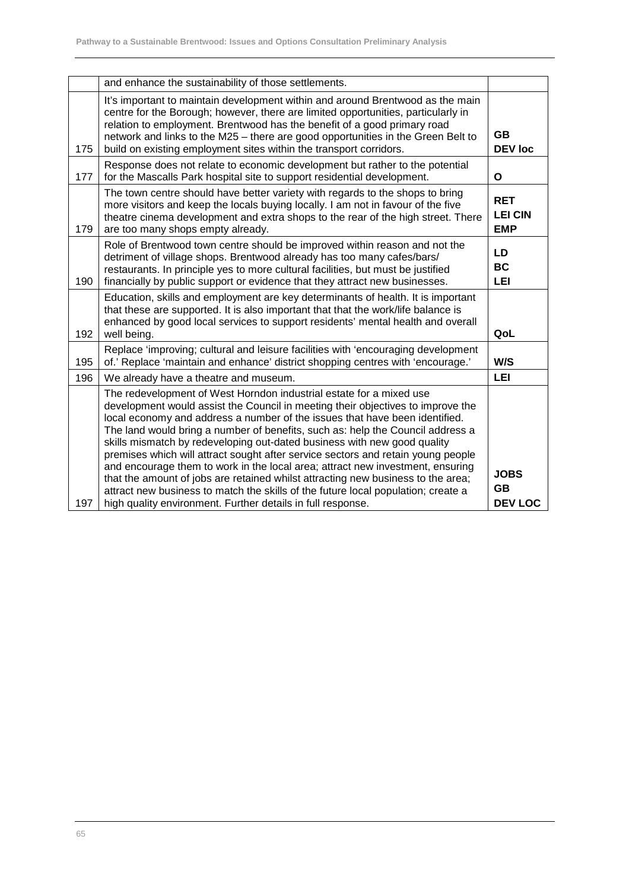|     | and enhance the sustainability of those settlements.                                                                                                                                                                                                                                                                                                                                                                                                                                                                                                                                                                                                                                                                                                                                                              |                                            |
|-----|-------------------------------------------------------------------------------------------------------------------------------------------------------------------------------------------------------------------------------------------------------------------------------------------------------------------------------------------------------------------------------------------------------------------------------------------------------------------------------------------------------------------------------------------------------------------------------------------------------------------------------------------------------------------------------------------------------------------------------------------------------------------------------------------------------------------|--------------------------------------------|
| 175 | It's important to maintain development within and around Brentwood as the main<br>centre for the Borough; however, there are limited opportunities, particularly in<br>relation to employment. Brentwood has the benefit of a good primary road<br>network and links to the M25 - there are good opportunities in the Green Belt to<br>build on existing employment sites within the transport corridors.                                                                                                                                                                                                                                                                                                                                                                                                         | <b>GB</b><br><b>DEV loc</b>                |
| 177 | Response does not relate to economic development but rather to the potential<br>for the Mascalls Park hospital site to support residential development.                                                                                                                                                                                                                                                                                                                                                                                                                                                                                                                                                                                                                                                           | $\mathbf{o}$                               |
| 179 | The town centre should have better variety with regards to the shops to bring<br>more visitors and keep the locals buying locally. I am not in favour of the five<br>theatre cinema development and extra shops to the rear of the high street. There<br>are too many shops empty already.                                                                                                                                                                                                                                                                                                                                                                                                                                                                                                                        | <b>RET</b><br><b>LEI CIN</b><br><b>EMP</b> |
| 190 | Role of Brentwood town centre should be improved within reason and not the<br>detriment of village shops. Brentwood already has too many cafes/bars/<br>restaurants. In principle yes to more cultural facilities, but must be justified<br>financially by public support or evidence that they attract new businesses.                                                                                                                                                                                                                                                                                                                                                                                                                                                                                           | LD<br><b>BC</b><br>LEI                     |
| 192 | Education, skills and employment are key determinants of health. It is important<br>that these are supported. It is also important that that the work/life balance is<br>enhanced by good local services to support residents' mental health and overall<br>well being.                                                                                                                                                                                                                                                                                                                                                                                                                                                                                                                                           | QoL                                        |
| 195 | Replace 'improving; cultural and leisure facilities with 'encouraging development<br>of.' Replace 'maintain and enhance' district shopping centres with 'encourage.'                                                                                                                                                                                                                                                                                                                                                                                                                                                                                                                                                                                                                                              | W/S                                        |
| 196 | We already have a theatre and museum.                                                                                                                                                                                                                                                                                                                                                                                                                                                                                                                                                                                                                                                                                                                                                                             | LEI                                        |
| 197 | The redevelopment of West Horndon industrial estate for a mixed use<br>development would assist the Council in meeting their objectives to improve the<br>local economy and address a number of the issues that have been identified.<br>The land would bring a number of benefits, such as: help the Council address a<br>skills mismatch by redeveloping out-dated business with new good quality<br>premises which will attract sought after service sectors and retain young people<br>and encourage them to work in the local area; attract new investment, ensuring<br>that the amount of jobs are retained whilst attracting new business to the area;<br>attract new business to match the skills of the future local population; create a<br>high quality environment. Further details in full response. | <b>JOBS</b><br><b>GB</b><br><b>DEV LOC</b> |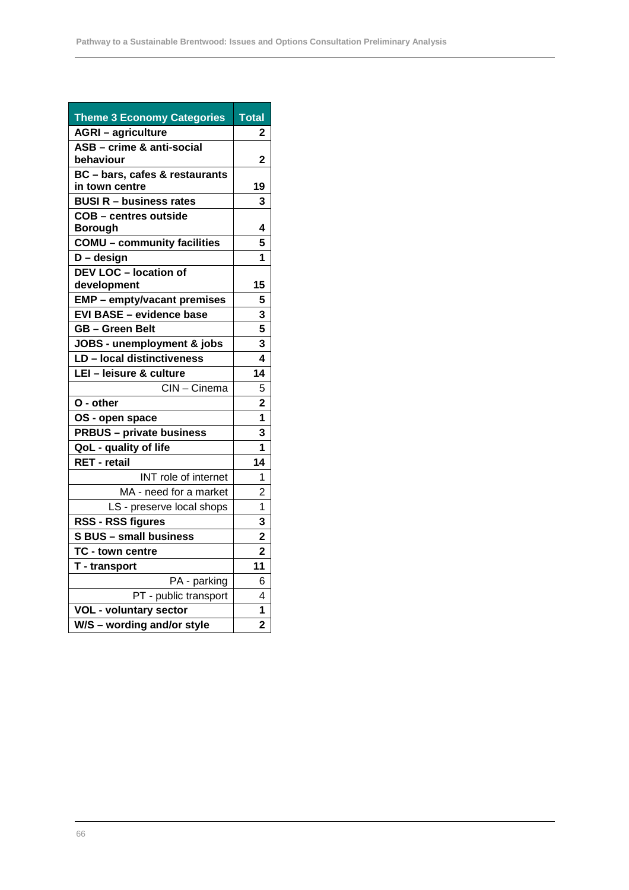| <b>Theme 3 Economy Categories</b>  | <b>Total</b>            |
|------------------------------------|-------------------------|
| <b>AGRI - agriculture</b>          | 2                       |
| ASB - crime & anti-social          |                         |
| behaviour                          | 2                       |
| BC - bars, cafes & restaurants     |                         |
| in town centre                     | 19                      |
| <b>BUSI R - business rates</b>     | 3                       |
| <b>COB - centres outside</b>       |                         |
| <b>Borough</b>                     | 4                       |
| <b>COMU - community facilities</b> | 5                       |
| $D - design$                       | 1                       |
| <b>DEV LOC - location of</b>       |                         |
| development                        | 15                      |
| EMP - empty/vacant premises        | 5                       |
| <b>EVI BASE - evidence base</b>    | 3                       |
| <b>GB-Green Belt</b>               | 5                       |
| JOBS - unemployment & jobs         | 3                       |
| LD - local distinctiveness         | 4                       |
| LEI - leisure & culture            | 14                      |
| CIN-Cinema                         | 5                       |
| O - other                          | $\overline{\mathbf{2}}$ |
| OS - open space                    | 1                       |
| <b>PRBUS - private business</b>    | 3                       |
| QoL - quality of life              | 1                       |
| <b>RET</b> - retail                | 14                      |
| INT role of internet               | 1                       |
| MA - need for a market             | $\overline{2}$          |
| LS - preserve local shops          | 1                       |
| <b>RSS - RSS figures</b>           | 3                       |
| <b>S BUS - small business</b>      | $\overline{2}$          |
| TC - town centre                   | $\overline{\mathbf{2}}$ |
| T - transport                      | 11                      |
| PA - parking                       | 6                       |
| PT - public transport              | 4                       |
| <b>VOL - voluntary sector</b>      | 1                       |
| W/S - wording and/or style         | $\overline{2}$          |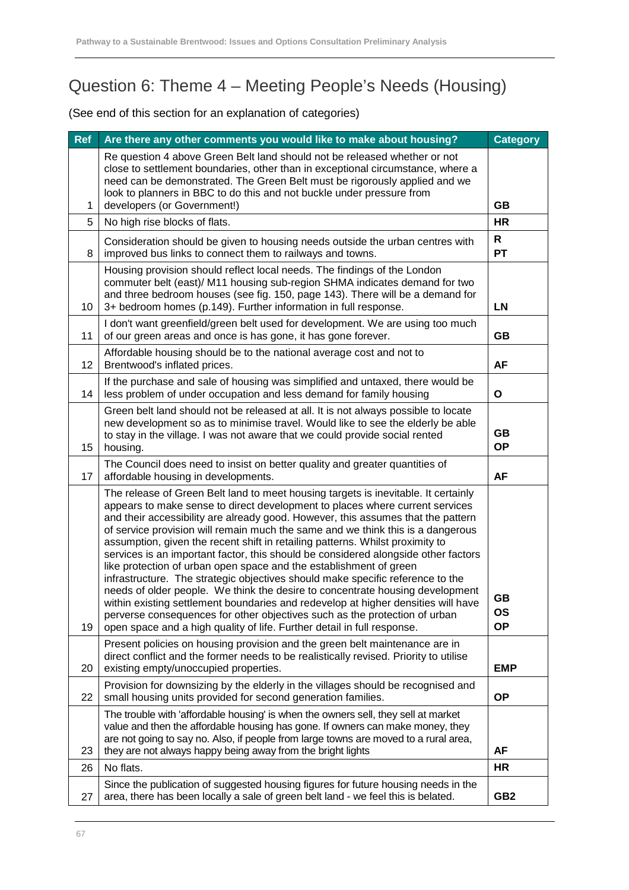### Question 6: Theme 4 – Meeting People's Needs (Housing)

| <b>Ref</b> | Are there any other comments you would like to make about housing?                                                                                                                                                                                                                                                                                                                                                                                                                                                                                                                                                                                                                                                                                                                                                                                                                                                                                                                                      | <b>Category</b>              |
|------------|---------------------------------------------------------------------------------------------------------------------------------------------------------------------------------------------------------------------------------------------------------------------------------------------------------------------------------------------------------------------------------------------------------------------------------------------------------------------------------------------------------------------------------------------------------------------------------------------------------------------------------------------------------------------------------------------------------------------------------------------------------------------------------------------------------------------------------------------------------------------------------------------------------------------------------------------------------------------------------------------------------|------------------------------|
|            | Re question 4 above Green Belt land should not be released whether or not<br>close to settlement boundaries, other than in exceptional circumstance, where a<br>need can be demonstrated. The Green Belt must be rigorously applied and we<br>look to planners in BBC to do this and not buckle under pressure from                                                                                                                                                                                                                                                                                                                                                                                                                                                                                                                                                                                                                                                                                     |                              |
| 1          | developers (or Government!)                                                                                                                                                                                                                                                                                                                                                                                                                                                                                                                                                                                                                                                                                                                                                                                                                                                                                                                                                                             | <b>GB</b>                    |
| 5          | No high rise blocks of flats.                                                                                                                                                                                                                                                                                                                                                                                                                                                                                                                                                                                                                                                                                                                                                                                                                                                                                                                                                                           | <b>HR</b>                    |
| 8          | Consideration should be given to housing needs outside the urban centres with<br>improved bus links to connect them to railways and towns.                                                                                                                                                                                                                                                                                                                                                                                                                                                                                                                                                                                                                                                                                                                                                                                                                                                              | R<br><b>PT</b>               |
| 10         | Housing provision should reflect local needs. The findings of the London<br>commuter belt (east)/ M11 housing sub-region SHMA indicates demand for two<br>and three bedroom houses (see fig. 150, page 143). There will be a demand for<br>3+ bedroom homes (p.149). Further information in full response.                                                                                                                                                                                                                                                                                                                                                                                                                                                                                                                                                                                                                                                                                              | <b>LN</b>                    |
| 11         | I don't want greenfield/green belt used for development. We are using too much<br>of our green areas and once is has gone, it has gone forever.                                                                                                                                                                                                                                                                                                                                                                                                                                                                                                                                                                                                                                                                                                                                                                                                                                                         | <b>GB</b>                    |
| 12         | Affordable housing should be to the national average cost and not to<br>Brentwood's inflated prices.                                                                                                                                                                                                                                                                                                                                                                                                                                                                                                                                                                                                                                                                                                                                                                                                                                                                                                    | AF                           |
| 14         | If the purchase and sale of housing was simplified and untaxed, there would be<br>less problem of under occupation and less demand for family housing                                                                                                                                                                                                                                                                                                                                                                                                                                                                                                                                                                                                                                                                                                                                                                                                                                                   | O                            |
| 15         | Green belt land should not be released at all. It is not always possible to locate<br>new development so as to minimise travel. Would like to see the elderly be able<br>to stay in the village. I was not aware that we could provide social rented<br>housing.                                                                                                                                                                                                                                                                                                                                                                                                                                                                                                                                                                                                                                                                                                                                        | <b>GB</b><br><b>OP</b>       |
| 17         | The Council does need to insist on better quality and greater quantities of<br>affordable housing in developments.                                                                                                                                                                                                                                                                                                                                                                                                                                                                                                                                                                                                                                                                                                                                                                                                                                                                                      | <b>AF</b>                    |
| 19         | The release of Green Belt land to meet housing targets is inevitable. It certainly<br>appears to make sense to direct development to places where current services<br>and their accessibility are already good. However, this assumes that the pattern<br>of service provision will remain much the same and we think this is a dangerous<br>assumption, given the recent shift in retailing patterns. Whilst proximity to<br>services is an important factor, this should be considered alongside other factors<br>like protection of urban open space and the establishment of green<br>infrastructure. The strategic objectives should make specific reference to the<br>needs of older people. We think the desire to concentrate housing development<br>within existing settlement boundaries and redevelop at higher densities will have<br>perverse consequences for other objectives such as the protection of urban<br>open space and a high quality of life. Further detail in full response. | GB<br><b>OS</b><br><b>OP</b> |
| 20         | Present policies on housing provision and the green belt maintenance are in<br>direct conflict and the former needs to be realistically revised. Priority to utilise<br>existing empty/unoccupied properties.                                                                                                                                                                                                                                                                                                                                                                                                                                                                                                                                                                                                                                                                                                                                                                                           | <b>EMP</b>                   |
| 22         | Provision for downsizing by the elderly in the villages should be recognised and<br>small housing units provided for second generation families.                                                                                                                                                                                                                                                                                                                                                                                                                                                                                                                                                                                                                                                                                                                                                                                                                                                        | <b>OP</b>                    |
| 23         | The trouble with 'affordable housing' is when the owners sell, they sell at market<br>value and then the affordable housing has gone. If owners can make money, they<br>are not going to say no. Also, if people from large towns are moved to a rural area,<br>they are not always happy being away from the bright lights                                                                                                                                                                                                                                                                                                                                                                                                                                                                                                                                                                                                                                                                             | AF                           |
| 26         | No flats.                                                                                                                                                                                                                                                                                                                                                                                                                                                                                                                                                                                                                                                                                                                                                                                                                                                                                                                                                                                               | <b>HR</b>                    |
| 27         | Since the publication of suggested housing figures for future housing needs in the<br>area, there has been locally a sale of green belt land - we feel this is belated.                                                                                                                                                                                                                                                                                                                                                                                                                                                                                                                                                                                                                                                                                                                                                                                                                                 | GB <sub>2</sub>              |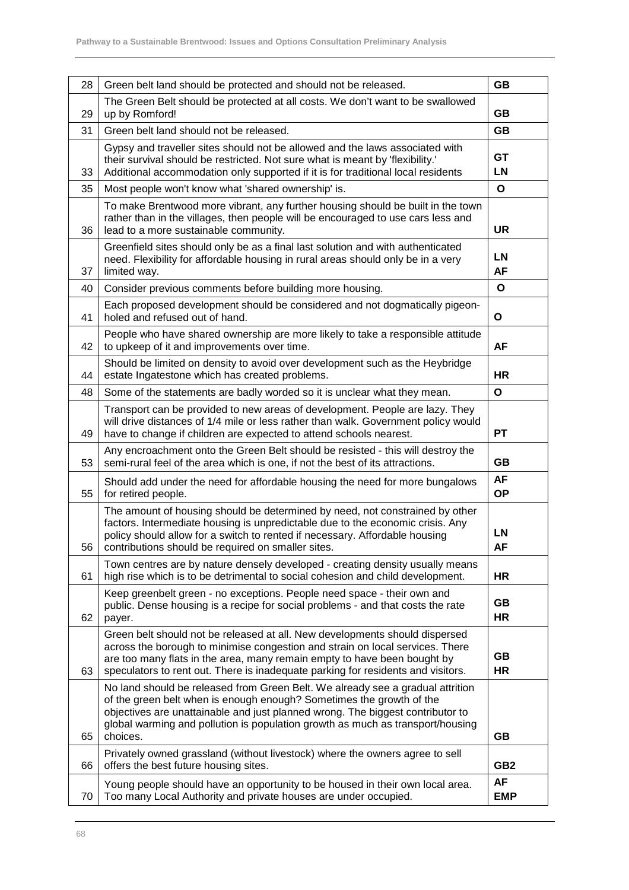| 28 | Green belt land should be protected and should not be released.                                                                                                                                                                                                                                                                        | <b>GB</b>               |
|----|----------------------------------------------------------------------------------------------------------------------------------------------------------------------------------------------------------------------------------------------------------------------------------------------------------------------------------------|-------------------------|
| 29 | The Green Belt should be protected at all costs. We don't want to be swallowed<br>up by Romford!                                                                                                                                                                                                                                       | GВ                      |
| 31 | Green belt land should not be released.                                                                                                                                                                                                                                                                                                | <b>GB</b>               |
| 33 | Gypsy and traveller sites should not be allowed and the laws associated with<br>their survival should be restricted. Not sure what is meant by 'flexibility.'<br>Additional accommodation only supported if it is for traditional local residents                                                                                      | GT<br>LN                |
| 35 | Most people won't know what 'shared ownership' is.                                                                                                                                                                                                                                                                                     | O                       |
| 36 | To make Brentwood more vibrant, any further housing should be built in the town<br>rather than in the villages, then people will be encouraged to use cars less and<br>lead to a more sustainable community.                                                                                                                           | <b>UR</b>               |
| 37 | Greenfield sites should only be as a final last solution and with authenticated<br>need. Flexibility for affordable housing in rural areas should only be in a very<br>limited way.                                                                                                                                                    | LN<br><b>AF</b>         |
| 40 | Consider previous comments before building more housing.                                                                                                                                                                                                                                                                               | O                       |
| 41 | Each proposed development should be considered and not dogmatically pigeon-<br>holed and refused out of hand.                                                                                                                                                                                                                          | O                       |
| 42 | People who have shared ownership are more likely to take a responsible attitude<br>to upkeep of it and improvements over time.                                                                                                                                                                                                         | AF                      |
| 44 | Should be limited on density to avoid over development such as the Heybridge<br>estate Ingatestone which has created problems.                                                                                                                                                                                                         | <b>HR</b>               |
| 48 | Some of the statements are badly worded so it is unclear what they mean.                                                                                                                                                                                                                                                               | O                       |
| 49 | Transport can be provided to new areas of development. People are lazy. They<br>will drive distances of 1/4 mile or less rather than walk. Government policy would<br>have to change if children are expected to attend schools nearest.                                                                                               | PТ                      |
| 53 | Any encroachment onto the Green Belt should be resisted - this will destroy the<br>semi-rural feel of the area which is one, if not the best of its attractions.                                                                                                                                                                       | GВ                      |
| 55 | Should add under the need for affordable housing the need for more bungalows<br>for retired people.                                                                                                                                                                                                                                    | AF<br><b>OP</b>         |
| 56 | The amount of housing should be determined by need, not constrained by other<br>factors. Intermediate housing is unpredictable due to the economic crisis. Any<br>policy should allow for a switch to rented if necessary. Affordable housing<br>contributions should be required on smaller sites.                                    | LN<br>AF                |
| 61 | Town centres are by nature densely developed - creating density usually means<br>high rise which is to be detrimental to social cohesion and child development.                                                                                                                                                                        | HR                      |
| 62 | Keep greenbelt green - no exceptions. People need space - their own and<br>public. Dense housing is a recipe for social problems - and that costs the rate<br>payer.                                                                                                                                                                   | <b>GB</b><br><b>HR</b>  |
| 63 | Green belt should not be released at all. New developments should dispersed<br>across the borough to minimise congestion and strain on local services. There<br>are too many flats in the area, many remain empty to have been bought by<br>speculators to rent out. There is inadequate parking for residents and visitors.           | GB<br><b>HR</b>         |
| 65 | No land should be released from Green Belt. We already see a gradual attrition<br>of the green belt when is enough enough? Sometimes the growth of the<br>objectives are unattainable and just planned wrong. The biggest contributor to<br>global warming and pollution is population growth as much as transport/housing<br>choices. | <b>GB</b>               |
| 66 | Privately owned grassland (without livestock) where the owners agree to sell<br>offers the best future housing sites.                                                                                                                                                                                                                  | GB <sub>2</sub>         |
| 70 | Young people should have an opportunity to be housed in their own local area.<br>Too many Local Authority and private houses are under occupied.                                                                                                                                                                                       | <b>AF</b><br><b>EMP</b> |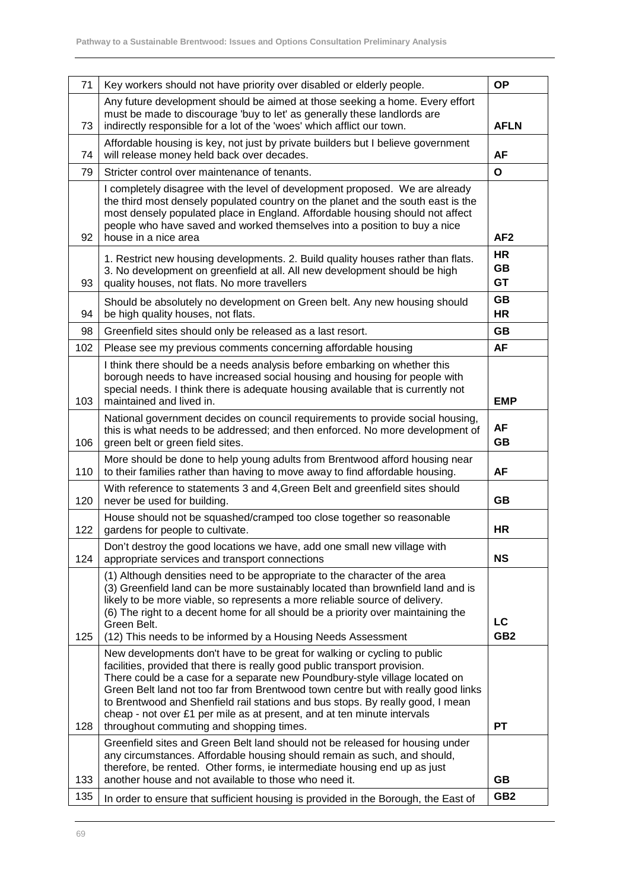| 71  | Key workers should not have priority over disabled or elderly people.                                                                                                                                                                                                                                                                                                                                                                                   | <b>OP</b>                    |
|-----|---------------------------------------------------------------------------------------------------------------------------------------------------------------------------------------------------------------------------------------------------------------------------------------------------------------------------------------------------------------------------------------------------------------------------------------------------------|------------------------------|
| 73  | Any future development should be aimed at those seeking a home. Every effort<br>must be made to discourage 'buy to let' as generally these landlords are<br>indirectly responsible for a lot of the 'woes' which afflict our town.                                                                                                                                                                                                                      | <b>AFLN</b>                  |
| 74  | Affordable housing is key, not just by private builders but I believe government<br>will release money held back over decades.                                                                                                                                                                                                                                                                                                                          | <b>AF</b>                    |
| 79  | Stricter control over maintenance of tenants.                                                                                                                                                                                                                                                                                                                                                                                                           | $\mathbf{o}$                 |
| 92  | I completely disagree with the level of development proposed. We are already<br>the third most densely populated country on the planet and the south east is the<br>most densely populated place in England. Affordable housing should not affect<br>people who have saved and worked themselves into a position to buy a nice<br>house in a nice area                                                                                                  | AF <sub>2</sub>              |
| 93  | 1. Restrict new housing developments. 2. Build quality houses rather than flats.<br>3. No development on greenfield at all. All new development should be high<br>quality houses, not flats. No more travellers                                                                                                                                                                                                                                         | <b>HR</b><br>GB<br><b>GT</b> |
| 94  | Should be absolutely no development on Green belt. Any new housing should<br>be high quality houses, not flats.                                                                                                                                                                                                                                                                                                                                         | <b>GB</b><br><b>HR</b>       |
| 98  | Greenfield sites should only be released as a last resort.                                                                                                                                                                                                                                                                                                                                                                                              | <b>GB</b>                    |
| 102 | Please see my previous comments concerning affordable housing                                                                                                                                                                                                                                                                                                                                                                                           | AF                           |
| 103 | I think there should be a needs analysis before embarking on whether this<br>borough needs to have increased social housing and housing for people with<br>special needs. I think there is adequate housing available that is currently not<br>maintained and lived in.                                                                                                                                                                                 | <b>EMP</b>                   |
| 106 | National government decides on council requirements to provide social housing,<br>this is what needs to be addressed; and then enforced. No more development of<br>green belt or green field sites.                                                                                                                                                                                                                                                     | <b>AF</b><br><b>GB</b>       |
| 110 | More should be done to help young adults from Brentwood afford housing near<br>to their families rather than having to move away to find affordable housing.                                                                                                                                                                                                                                                                                            | AF                           |
| 120 | With reference to statements 3 and 4, Green Belt and greenfield sites should<br>never be used for building.                                                                                                                                                                                                                                                                                                                                             | GB                           |
| 122 | House should not be squashed/cramped too close together so reasonable<br>gardens for people to cultivate.                                                                                                                                                                                                                                                                                                                                               | <b>HR</b>                    |
| 124 | Don't destroy the good locations we have, add one small new village with<br>appropriate services and transport connections                                                                                                                                                                                                                                                                                                                              | <b>NS</b>                    |
| 125 | (1) Although densities need to be appropriate to the character of the area<br>(3) Greenfield land can be more sustainably located than brownfield land and is<br>likely to be more viable, so represents a more reliable source of delivery.<br>(6) The right to a decent home for all should be a priority over maintaining the<br>Green Belt.<br>(12) This needs to be informed by a Housing Needs Assessment                                         | LC<br>GB <sub>2</sub>        |
|     | New developments don't have to be great for walking or cycling to public                                                                                                                                                                                                                                                                                                                                                                                |                              |
| 128 | facilities, provided that there is really good public transport provision.<br>There could be a case for a separate new Poundbury-style village located on<br>Green Belt land not too far from Brentwood town centre but with really good links<br>to Brentwood and Shenfield rail stations and bus stops. By really good, I mean<br>cheap - not over £1 per mile as at present, and at ten minute intervals<br>throughout commuting and shopping times. | <b>PT</b>                    |
| 133 | Greenfield sites and Green Belt land should not be released for housing under<br>any circumstances. Affordable housing should remain as such, and should,<br>therefore, be rented. Other forms, ie intermediate housing end up as just<br>another house and not available to those who need it.                                                                                                                                                         | <b>GB</b><br>GB <sub>2</sub> |
| 135 | In order to ensure that sufficient housing is provided in the Borough, the East of                                                                                                                                                                                                                                                                                                                                                                      |                              |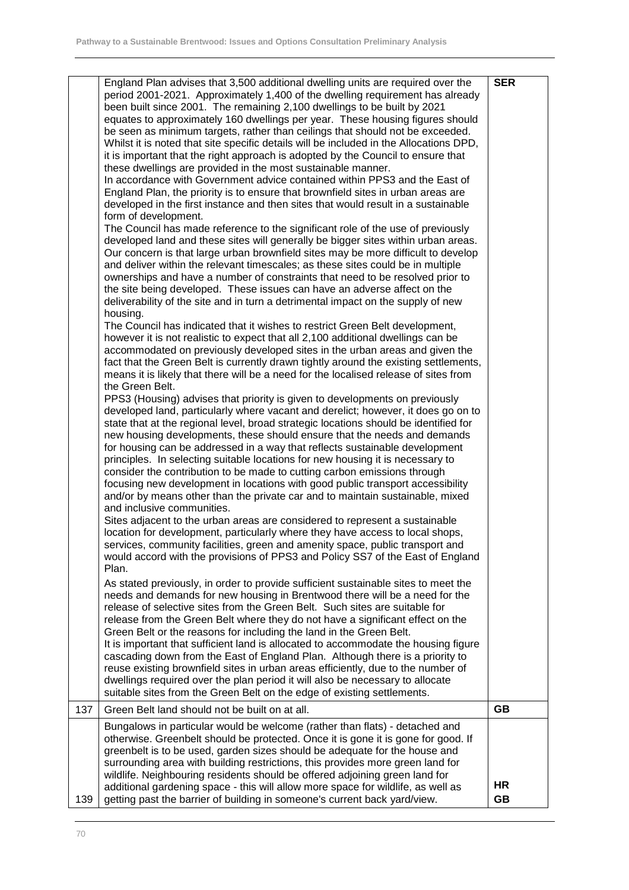|     | England Plan advises that 3,500 additional dwelling units are required over the<br>period 2001-2021. Approximately 1,400 of the dwelling requirement has already<br>been built since 2001. The remaining 2,100 dwellings to be built by 2021<br>equates to approximately 160 dwellings per year. These housing figures should<br>be seen as minimum targets, rather than ceilings that should not be exceeded.<br>Whilst it is noted that site specific details will be included in the Allocations DPD,<br>it is important that the right approach is adopted by the Council to ensure that<br>these dwellings are provided in the most sustainable manner.<br>In accordance with Government advice contained within PPS3 and the East of<br>England Plan, the priority is to ensure that brownfield sites in urban areas are<br>developed in the first instance and then sites that would result in a sustainable<br>form of development.<br>The Council has made reference to the significant role of the use of previously<br>developed land and these sites will generally be bigger sites within urban areas.<br>Our concern is that large urban brownfield sites may be more difficult to develop<br>and deliver within the relevant timescales; as these sites could be in multiple<br>ownerships and have a number of constraints that need to be resolved prior to<br>the site being developed. These issues can have an adverse affect on the<br>deliverability of the site and in turn a detrimental impact on the supply of new<br>housing.<br>The Council has indicated that it wishes to restrict Green Belt development,<br>however it is not realistic to expect that all 2,100 additional dwellings can be<br>accommodated on previously developed sites in the urban areas and given the<br>fact that the Green Belt is currently drawn tightly around the existing settlements,<br>means it is likely that there will be a need for the localised release of sites from<br>the Green Belt.<br>PPS3 (Housing) advises that priority is given to developments on previously<br>developed land, particularly where vacant and derelict; however, it does go on to<br>state that at the regional level, broad strategic locations should be identified for<br>new housing developments, these should ensure that the needs and demands<br>for housing can be addressed in a way that reflects sustainable development<br>principles. In selecting suitable locations for new housing it is necessary to<br>consider the contribution to be made to cutting carbon emissions through<br>focusing new development in locations with good public transport accessibility<br>and/or by means other than the private car and to maintain sustainable, mixed<br>and inclusive communities.<br>Sites adjacent to the urban areas are considered to represent a sustainable<br>location for development, particularly where they have access to local shops,<br>services, community facilities, green and amenity space, public transport and<br>would accord with the provisions of PPS3 and Policy SS7 of the East of England<br>Plan.<br>As stated previously, in order to provide sufficient sustainable sites to meet the<br>needs and demands for new housing in Brentwood there will be a need for the<br>release of selective sites from the Green Belt. Such sites are suitable for<br>release from the Green Belt where they do not have a significant effect on the<br>Green Belt or the reasons for including the land in the Green Belt.<br>It is important that sufficient land is allocated to accommodate the housing figure<br>cascading down from the East of England Plan. Although there is a priority to<br>reuse existing brownfield sites in urban areas efficiently, due to the number of<br>dwellings required over the plan period it will also be necessary to allocate | <b>SER</b> |
|-----|------------------------------------------------------------------------------------------------------------------------------------------------------------------------------------------------------------------------------------------------------------------------------------------------------------------------------------------------------------------------------------------------------------------------------------------------------------------------------------------------------------------------------------------------------------------------------------------------------------------------------------------------------------------------------------------------------------------------------------------------------------------------------------------------------------------------------------------------------------------------------------------------------------------------------------------------------------------------------------------------------------------------------------------------------------------------------------------------------------------------------------------------------------------------------------------------------------------------------------------------------------------------------------------------------------------------------------------------------------------------------------------------------------------------------------------------------------------------------------------------------------------------------------------------------------------------------------------------------------------------------------------------------------------------------------------------------------------------------------------------------------------------------------------------------------------------------------------------------------------------------------------------------------------------------------------------------------------------------------------------------------------------------------------------------------------------------------------------------------------------------------------------------------------------------------------------------------------------------------------------------------------------------------------------------------------------------------------------------------------------------------------------------------------------------------------------------------------------------------------------------------------------------------------------------------------------------------------------------------------------------------------------------------------------------------------------------------------------------------------------------------------------------------------------------------------------------------------------------------------------------------------------------------------------------------------------------------------------------------------------------------------------------------------------------------------------------------------------------------------------------------------------------------------------------------------------------------------------------------------------------------------------------------------------------------------------------------------------------------------------------------------------------------------------------------------------------------------------------------------------------------------------------------------------------------------------------------------------------------------------------------------------------------------------------------------------------------------------------------------------------------------------------------------------------------------------------------------------------------------------------------------------------------|------------|
|     | suitable sites from the Green Belt on the edge of existing settlements.                                                                                                                                                                                                                                                                                                                                                                                                                                                                                                                                                                                                                                                                                                                                                                                                                                                                                                                                                                                                                                                                                                                                                                                                                                                                                                                                                                                                                                                                                                                                                                                                                                                                                                                                                                                                                                                                                                                                                                                                                                                                                                                                                                                                                                                                                                                                                                                                                                                                                                                                                                                                                                                                                                                                                                                                                                                                                                                                                                                                                                                                                                                                                                                                                                                                                                                                                                                                                                                                                                                                                                                                                                                                                                                                                                                                                                    |            |
| 137 | Green Belt land should not be built on at all.                                                                                                                                                                                                                                                                                                                                                                                                                                                                                                                                                                                                                                                                                                                                                                                                                                                                                                                                                                                                                                                                                                                                                                                                                                                                                                                                                                                                                                                                                                                                                                                                                                                                                                                                                                                                                                                                                                                                                                                                                                                                                                                                                                                                                                                                                                                                                                                                                                                                                                                                                                                                                                                                                                                                                                                                                                                                                                                                                                                                                                                                                                                                                                                                                                                                                                                                                                                                                                                                                                                                                                                                                                                                                                                                                                                                                                                             | <b>GB</b>  |
|     | Bungalows in particular would be welcome (rather than flats) - detached and                                                                                                                                                                                                                                                                                                                                                                                                                                                                                                                                                                                                                                                                                                                                                                                                                                                                                                                                                                                                                                                                                                                                                                                                                                                                                                                                                                                                                                                                                                                                                                                                                                                                                                                                                                                                                                                                                                                                                                                                                                                                                                                                                                                                                                                                                                                                                                                                                                                                                                                                                                                                                                                                                                                                                                                                                                                                                                                                                                                                                                                                                                                                                                                                                                                                                                                                                                                                                                                                                                                                                                                                                                                                                                                                                                                                                                |            |
|     | otherwise. Greenbelt should be protected. Once it is gone it is gone for good. If<br>greenbelt is to be used, garden sizes should be adequate for the house and<br>surrounding area with building restrictions, this provides more green land for<br>wildlife. Neighbouring residents should be offered adjoining green land for<br>additional gardening space - this will allow more space for wildlife, as well as                                                                                                                                                                                                                                                                                                                                                                                                                                                                                                                                                                                                                                                                                                                                                                                                                                                                                                                                                                                                                                                                                                                                                                                                                                                                                                                                                                                                                                                                                                                                                                                                                                                                                                                                                                                                                                                                                                                                                                                                                                                                                                                                                                                                                                                                                                                                                                                                                                                                                                                                                                                                                                                                                                                                                                                                                                                                                                                                                                                                                                                                                                                                                                                                                                                                                                                                                                                                                                                                                       | HR         |
| 139 | getting past the barrier of building in someone's current back yard/view.                                                                                                                                                                                                                                                                                                                                                                                                                                                                                                                                                                                                                                                                                                                                                                                                                                                                                                                                                                                                                                                                                                                                                                                                                                                                                                                                                                                                                                                                                                                                                                                                                                                                                                                                                                                                                                                                                                                                                                                                                                                                                                                                                                                                                                                                                                                                                                                                                                                                                                                                                                                                                                                                                                                                                                                                                                                                                                                                                                                                                                                                                                                                                                                                                                                                                                                                                                                                                                                                                                                                                                                                                                                                                                                                                                                                                                  | <b>GB</b>  |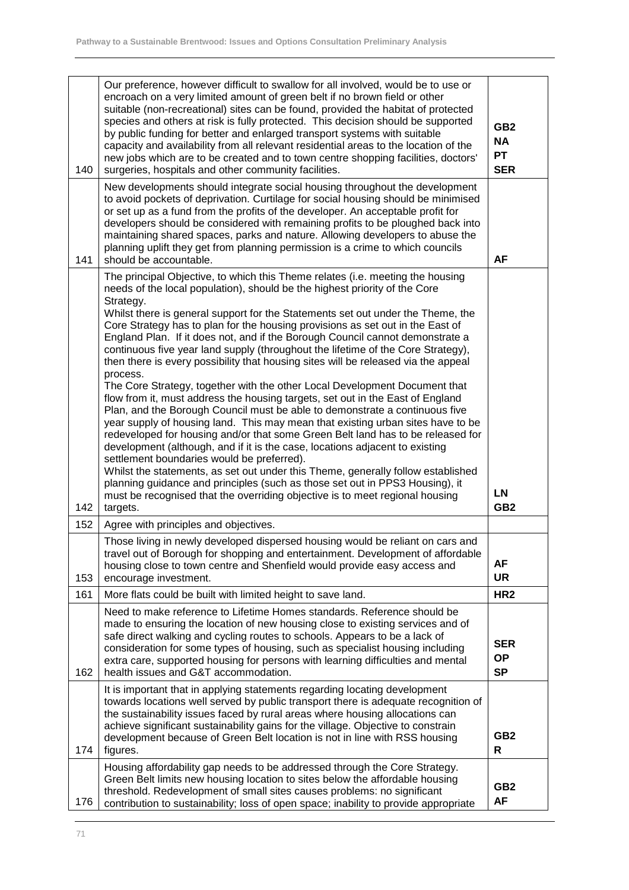| 140 | Our preference, however difficult to swallow for all involved, would be to use or<br>encroach on a very limited amount of green belt if no brown field or other<br>suitable (non-recreational) sites can be found, provided the habitat of protected<br>species and others at risk is fully protected. This decision should be supported<br>by public funding for better and enlarged transport systems with suitable<br>capacity and availability from all relevant residential areas to the location of the<br>new jobs which are to be created and to town centre shopping facilities, doctors'<br>surgeries, hospitals and other community facilities.                                                                                                                                                                                                                                                                                                                                                                                                                                                                                                                                                                                                                                                                                                                                                                               | GB <sub>2</sub><br><b>NA</b><br><b>PT</b><br><b>SER</b> |
|-----|------------------------------------------------------------------------------------------------------------------------------------------------------------------------------------------------------------------------------------------------------------------------------------------------------------------------------------------------------------------------------------------------------------------------------------------------------------------------------------------------------------------------------------------------------------------------------------------------------------------------------------------------------------------------------------------------------------------------------------------------------------------------------------------------------------------------------------------------------------------------------------------------------------------------------------------------------------------------------------------------------------------------------------------------------------------------------------------------------------------------------------------------------------------------------------------------------------------------------------------------------------------------------------------------------------------------------------------------------------------------------------------------------------------------------------------|---------------------------------------------------------|
| 141 | New developments should integrate social housing throughout the development<br>to avoid pockets of deprivation. Curtilage for social housing should be minimised<br>or set up as a fund from the profits of the developer. An acceptable profit for<br>developers should be considered with remaining profits to be ploughed back into<br>maintaining shared spaces, parks and nature. Allowing developers to abuse the<br>planning uplift they get from planning permission is a crime to which councils<br>should be accountable.                                                                                                                                                                                                                                                                                                                                                                                                                                                                                                                                                                                                                                                                                                                                                                                                                                                                                                      | AF                                                      |
| 142 | The principal Objective, to which this Theme relates (i.e. meeting the housing<br>needs of the local population), should be the highest priority of the Core<br>Strategy.<br>Whilst there is general support for the Statements set out under the Theme, the<br>Core Strategy has to plan for the housing provisions as set out in the East of<br>England Plan. If it does not, and if the Borough Council cannot demonstrate a<br>continuous five year land supply (throughout the lifetime of the Core Strategy),<br>then there is every possibility that housing sites will be released via the appeal<br>process.<br>The Core Strategy, together with the other Local Development Document that<br>flow from it, must address the housing targets, set out in the East of England<br>Plan, and the Borough Council must be able to demonstrate a continuous five<br>year supply of housing land. This may mean that existing urban sites have to be<br>redeveloped for housing and/or that some Green Belt land has to be released for<br>development (although, and if it is the case, locations adjacent to existing<br>settlement boundaries would be preferred).<br>Whilst the statements, as set out under this Theme, generally follow established<br>planning guidance and principles (such as those set out in PPS3 Housing), it<br>must be recognised that the overriding objective is to meet regional housing<br>targets. | <b>LN</b><br>GB <sub>2</sub>                            |
| 152 | Agree with principles and objectives.                                                                                                                                                                                                                                                                                                                                                                                                                                                                                                                                                                                                                                                                                                                                                                                                                                                                                                                                                                                                                                                                                                                                                                                                                                                                                                                                                                                                    |                                                         |
| 153 | Those living in newly developed dispersed housing would be reliant on cars and<br>travel out of Borough for shopping and entertainment. Development of affordable<br>housing close to town centre and Shenfield would provide easy access and<br>encourage investment.                                                                                                                                                                                                                                                                                                                                                                                                                                                                                                                                                                                                                                                                                                                                                                                                                                                                                                                                                                                                                                                                                                                                                                   | <b>AF</b><br><b>UR</b>                                  |
| 161 | More flats could be built with limited height to save land.                                                                                                                                                                                                                                                                                                                                                                                                                                                                                                                                                                                                                                                                                                                                                                                                                                                                                                                                                                                                                                                                                                                                                                                                                                                                                                                                                                              | HR <sub>2</sub>                                         |
| 162 | Need to make reference to Lifetime Homes standards. Reference should be<br>made to ensuring the location of new housing close to existing services and of<br>safe direct walking and cycling routes to schools. Appears to be a lack of<br>consideration for some types of housing, such as specialist housing including<br>extra care, supported housing for persons with learning difficulties and mental<br>health issues and G&T accommodation.                                                                                                                                                                                                                                                                                                                                                                                                                                                                                                                                                                                                                                                                                                                                                                                                                                                                                                                                                                                      | <b>SER</b><br><b>OP</b><br><b>SP</b>                    |
| 174 | It is important that in applying statements regarding locating development<br>towards locations well served by public transport there is adequate recognition of<br>the sustainability issues faced by rural areas where housing allocations can<br>achieve significant sustainability gains for the village. Objective to constrain<br>development because of Green Belt location is not in line with RSS housing<br>figures.                                                                                                                                                                                                                                                                                                                                                                                                                                                                                                                                                                                                                                                                                                                                                                                                                                                                                                                                                                                                           | GB <sub>2</sub><br>R                                    |
| 176 | Housing affordability gap needs to be addressed through the Core Strategy.<br>Green Belt limits new housing location to sites below the affordable housing<br>threshold. Redevelopment of small sites causes problems: no significant<br>contribution to sustainability; loss of open space; inability to provide appropriate                                                                                                                                                                                                                                                                                                                                                                                                                                                                                                                                                                                                                                                                                                                                                                                                                                                                                                                                                                                                                                                                                                            | GB <sub>2</sub><br><b>AF</b>                            |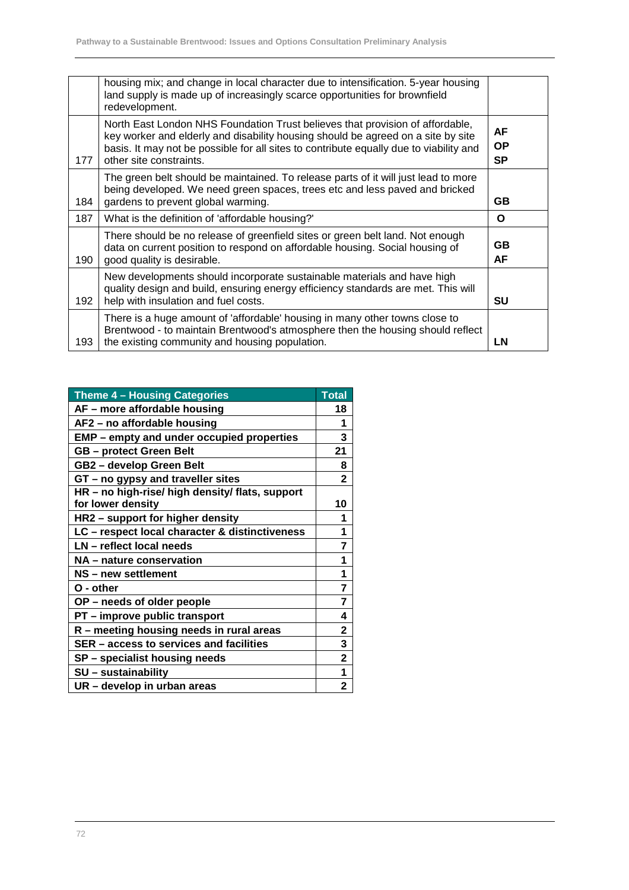|     | housing mix; and change in local character due to intensification. 5-year housing<br>land supply is made up of increasingly scarce opportunities for brownfield<br>redevelopment.                                                                                                      |                              |
|-----|----------------------------------------------------------------------------------------------------------------------------------------------------------------------------------------------------------------------------------------------------------------------------------------|------------------------------|
| 177 | North East London NHS Foundation Trust believes that provision of affordable,<br>key worker and elderly and disability housing should be agreed on a site by site<br>basis. It may not be possible for all sites to contribute equally due to viability and<br>other site constraints. | AF<br><b>OP</b><br><b>SP</b> |
| 184 | The green belt should be maintained. To release parts of it will just lead to more<br>being developed. We need green spaces, trees etc and less paved and bricked<br>gardens to prevent global warming.                                                                                | GB.                          |
| 187 | What is the definition of 'affordable housing?'                                                                                                                                                                                                                                        | Ο                            |
| 190 | There should be no release of greenfield sites or green belt land. Not enough<br>data on current position to respond on affordable housing. Social housing of<br>good quality is desirable.                                                                                            | GB.<br>AF                    |
| 192 | New developments should incorporate sustainable materials and have high<br>quality design and build, ensuring energy efficiency standards are met. This will<br>help with insulation and fuel costs.                                                                                   | SU                           |
| 193 | There is a huge amount of 'affordable' housing in many other towns close to<br>Brentwood - to maintain Brentwood's atmosphere then the housing should reflect<br>the existing community and housing population.                                                                        | LN                           |

| Theme 4 - Housing Categories                    | <b>Total</b>            |
|-------------------------------------------------|-------------------------|
| AF - more affordable housing                    | 18                      |
| AF2 - no affordable housing                     | 1                       |
| EMP - empty and under occupied properties       | 3                       |
| <b>GB</b> – protect Green Belt                  | 21                      |
| GB2 - develop Green Belt                        | 8                       |
| GT - no gypsy and traveller sites               | $\mathbf 2$             |
| HR - no high-rise/ high density/ flats, support |                         |
| for lower density                               | 10                      |
| HR2 – support for higher density                | 1                       |
| LC - respect local character & distinctiveness  | 1                       |
| LN - reflect local needs                        | 7                       |
| NA - nature conservation                        | 1                       |
| NS - new settlement                             | 1                       |
| O - other                                       | $\overline{7}$          |
| OP - needs of older people                      | 7                       |
| PT - improve public transport                   | 4                       |
| R - meeting housing needs in rural areas        | $\overline{\mathbf{2}}$ |
| SER – access to services and facilities         | 3                       |
| SP - specialist housing needs                   | 2                       |
| SU - sustainability                             | 1                       |
| UR - develop in urban areas                     | 2                       |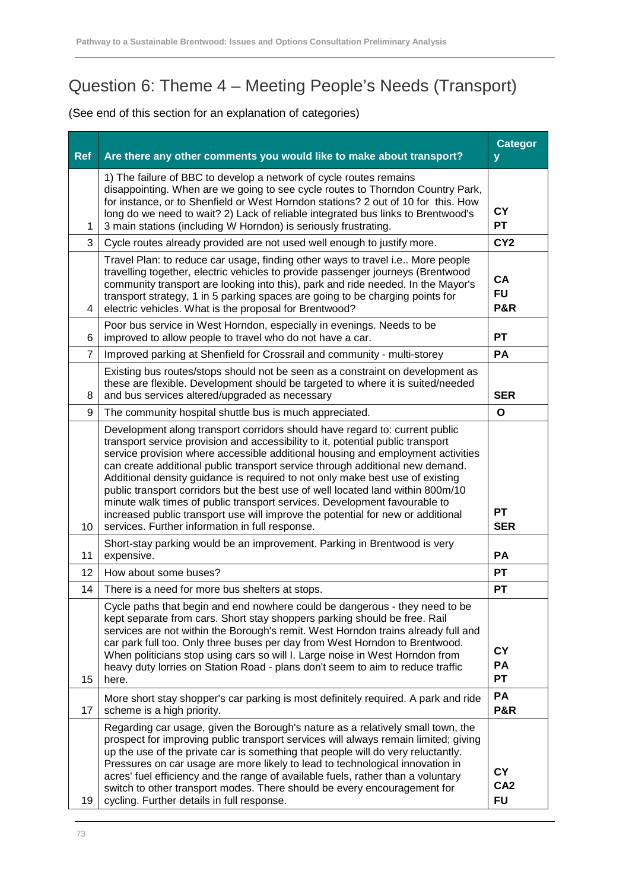## Question 6: Theme 4 – Meeting People's Needs (Transport)

| <b>Ref</b>     | Are there any other comments you would like to make about transport?                                                                                                                                                                                                                                                                                                                                                                                                                                                                                                                                                                                                                                                      | <b>Categor</b><br>y                       |
|----------------|---------------------------------------------------------------------------------------------------------------------------------------------------------------------------------------------------------------------------------------------------------------------------------------------------------------------------------------------------------------------------------------------------------------------------------------------------------------------------------------------------------------------------------------------------------------------------------------------------------------------------------------------------------------------------------------------------------------------------|-------------------------------------------|
| 1              | 1) The failure of BBC to develop a network of cycle routes remains<br>disappointing. When are we going to see cycle routes to Thorndon Country Park,<br>for instance, or to Shenfield or West Horndon stations? 2 out of 10 for this. How<br>long do we need to wait? 2) Lack of reliable integrated bus links to Brentwood's<br>3 main stations (including W Horndon) is seriously frustrating.                                                                                                                                                                                                                                                                                                                          | <b>CY</b><br><b>PT</b>                    |
| 3              | Cycle routes already provided are not used well enough to justify more.                                                                                                                                                                                                                                                                                                                                                                                                                                                                                                                                                                                                                                                   | CY <sub>2</sub>                           |
| 4              | Travel Plan: to reduce car usage, finding other ways to travel i.e More people<br>travelling together, electric vehicles to provide passenger journeys (Brentwood<br>community transport are looking into this), park and ride needed. In the Mayor's<br>transport strategy, 1 in 5 parking spaces are going to be charging points for<br>electric vehicles. What is the proposal for Brentwood?                                                                                                                                                                                                                                                                                                                          | <b>CA</b><br><b>FU</b><br><b>P&amp;R</b>  |
| 6              | Poor bus service in West Horndon, especially in evenings. Needs to be<br>improved to allow people to travel who do not have a car.                                                                                                                                                                                                                                                                                                                                                                                                                                                                                                                                                                                        | <b>PT</b>                                 |
| $\overline{7}$ | Improved parking at Shenfield for Crossrail and community - multi-storey                                                                                                                                                                                                                                                                                                                                                                                                                                                                                                                                                                                                                                                  | PA                                        |
| 8              | Existing bus routes/stops should not be seen as a constraint on development as<br>these are flexible. Development should be targeted to where it is suited/needed<br>and bus services altered/upgraded as necessary                                                                                                                                                                                                                                                                                                                                                                                                                                                                                                       | <b>SER</b>                                |
| 9              | The community hospital shuttle bus is much appreciated.                                                                                                                                                                                                                                                                                                                                                                                                                                                                                                                                                                                                                                                                   | O                                         |
| 10             | Development along transport corridors should have regard to: current public<br>transport service provision and accessibility to it, potential public transport<br>service provision where accessible additional housing and employment activities<br>can create additional public transport service through additional new demand.<br>Additional density guidance is required to not only make best use of existing<br>public transport corridors but the best use of well located land within 800m/10<br>minute walk times of public transport services. Development favourable to<br>increased public transport use will improve the potential for new or additional<br>services. Further information in full response. | <b>PT</b><br><b>SER</b>                   |
| 11             | Short-stay parking would be an improvement. Parking in Brentwood is very<br>expensive.                                                                                                                                                                                                                                                                                                                                                                                                                                                                                                                                                                                                                                    | <b>PA</b>                                 |
| 12             | How about some buses?                                                                                                                                                                                                                                                                                                                                                                                                                                                                                                                                                                                                                                                                                                     | <b>PT</b>                                 |
| 14             | There is a need for more bus shelters at stops.                                                                                                                                                                                                                                                                                                                                                                                                                                                                                                                                                                                                                                                                           | <b>PT</b>                                 |
| 15             | Cycle paths that begin and end nowhere could be dangerous - they need to be<br>kept separate from cars. Short stay shoppers parking should be free. Rail<br>services are not within the Borough's remit. West Horndon trains already full and<br>car park full too. Only three buses per day from West Horndon to Brentwood.<br>When politicians stop using cars so will I. Large noise in West Horndon from<br>heavy duty lorries on Station Road - plans don't seem to aim to reduce traffic<br>here.                                                                                                                                                                                                                   | <b>CY</b><br>PA<br><b>PT</b>              |
| 17             | More short stay shopper's car parking is most definitely required. A park and ride<br>scheme is a high priority.                                                                                                                                                                                                                                                                                                                                                                                                                                                                                                                                                                                                          | PA<br><b>P&amp;R</b>                      |
| 19             | Regarding car usage, given the Borough's nature as a relatively small town, the<br>prospect for improving public transport services will always remain limited; giving<br>up the use of the private car is something that people will do very reluctantly.<br>Pressures on car usage are more likely to lead to technological innovation in<br>acres' fuel efficiency and the range of available fuels, rather than a voluntary<br>switch to other transport modes. There should be every encouragement for<br>cycling. Further details in full response.                                                                                                                                                                 | <b>CY</b><br>CA <sub>2</sub><br><b>FU</b> |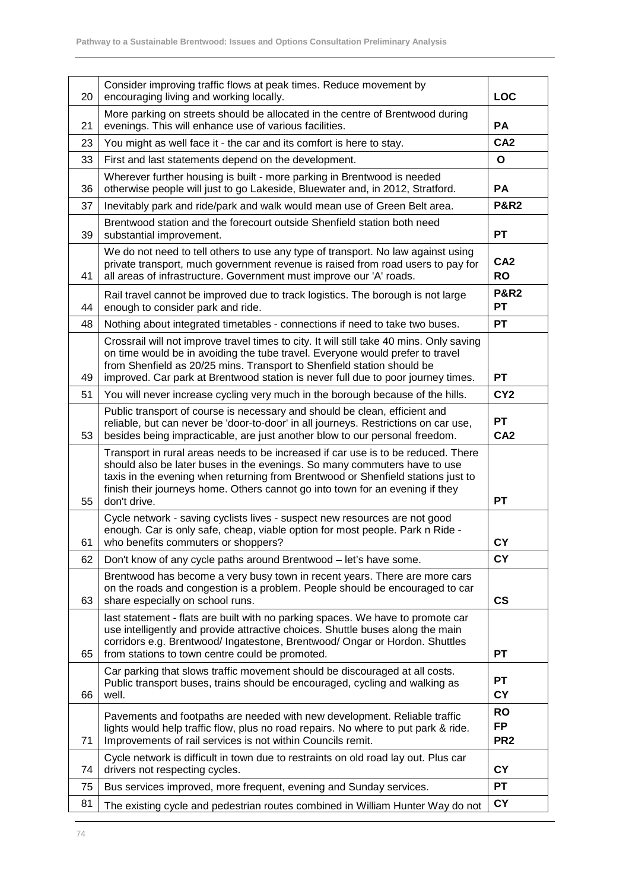| 20 | Consider improving traffic flows at peak times. Reduce movement by<br>encouraging living and working locally.                                                                                                                                                                                                                                       | <b>LOC</b>                                |
|----|-----------------------------------------------------------------------------------------------------------------------------------------------------------------------------------------------------------------------------------------------------------------------------------------------------------------------------------------------------|-------------------------------------------|
| 21 | More parking on streets should be allocated in the centre of Brentwood during<br>evenings. This will enhance use of various facilities.                                                                                                                                                                                                             | PA                                        |
| 23 | You might as well face it - the car and its comfort is here to stay.                                                                                                                                                                                                                                                                                | CA <sub>2</sub>                           |
| 33 | First and last statements depend on the development.                                                                                                                                                                                                                                                                                                | O                                         |
| 36 | Wherever further housing is built - more parking in Brentwood is needed<br>otherwise people will just to go Lakeside, Bluewater and, in 2012, Stratford.                                                                                                                                                                                            | PA                                        |
| 37 | Inevitably park and ride/park and walk would mean use of Green Belt area.                                                                                                                                                                                                                                                                           | <b>P&amp;R2</b>                           |
| 39 | Brentwood station and the forecourt outside Shenfield station both need<br>substantial improvement.                                                                                                                                                                                                                                                 | <b>PT</b>                                 |
| 41 | We do not need to tell others to use any type of transport. No law against using<br>private transport, much government revenue is raised from road users to pay for<br>all areas of infrastructure. Government must improve our 'A' roads.                                                                                                          | CA <sub>2</sub><br><b>RO</b>              |
| 44 | Rail travel cannot be improved due to track logistics. The borough is not large<br>enough to consider park and ride.                                                                                                                                                                                                                                | <b>P&amp;R2</b><br><b>PT</b>              |
| 48 | Nothing about integrated timetables - connections if need to take two buses.                                                                                                                                                                                                                                                                        | <b>PT</b>                                 |
| 49 | Crossrail will not improve travel times to city. It will still take 40 mins. Only saving<br>on time would be in avoiding the tube travel. Everyone would prefer to travel<br>from Shenfield as 20/25 mins. Transport to Shenfield station should be<br>improved. Car park at Brentwood station is never full due to poor journey times.             | PT                                        |
| 51 | You will never increase cycling very much in the borough because of the hills.                                                                                                                                                                                                                                                                      | CY <sub>2</sub>                           |
| 53 | Public transport of course is necessary and should be clean, efficient and<br>reliable, but can never be 'door-to-door' in all journeys. Restrictions on car use,<br>besides being impracticable, are just another blow to our personal freedom.                                                                                                    | PT<br>CA <sub>2</sub>                     |
| 55 | Transport in rural areas needs to be increased if car use is to be reduced. There<br>should also be later buses in the evenings. So many commuters have to use<br>taxis in the evening when returning from Brentwood or Shenfield stations just to<br>finish their journeys home. Others cannot go into town for an evening if they<br>don't drive. | <b>PT</b>                                 |
| 61 | Cycle network - saving cyclists lives - suspect new resources are not good<br>enough. Car is only safe, cheap, viable option for most people. Park n Ride -<br>who benefits commuters or shoppers?                                                                                                                                                  | <b>CY</b>                                 |
| 62 | Don't know of any cycle paths around Brentwood - let's have some.                                                                                                                                                                                                                                                                                   | <b>CY</b>                                 |
| 63 | Brentwood has become a very busy town in recent years. There are more cars<br>on the roads and congestion is a problem. People should be encouraged to car<br>share especially on school runs.                                                                                                                                                      | $\mathsf{CS}\phantom{0}$                  |
| 65 | last statement - flats are built with no parking spaces. We have to promote car<br>use intelligently and provide attractive choices. Shuttle buses along the main<br>corridors e.g. Brentwood/ Ingatestone, Brentwood/ Ongar or Hordon. Shuttles<br>from stations to town centre could be promoted.                                                 | PT                                        |
| 66 | Car parking that slows traffic movement should be discouraged at all costs.<br>Public transport buses, trains should be encouraged, cycling and walking as<br>well.                                                                                                                                                                                 | РT<br><b>CY</b>                           |
| 71 | Pavements and footpaths are needed with new development. Reliable traffic<br>lights would help traffic flow, plus no road repairs. No where to put park & ride.<br>Improvements of rail services is not within Councils remit.                                                                                                                      | <b>RO</b><br><b>FP</b><br>PR <sub>2</sub> |
| 74 | Cycle network is difficult in town due to restraints on old road lay out. Plus car<br>drivers not respecting cycles.                                                                                                                                                                                                                                | CY                                        |
| 75 | Bus services improved, more frequent, evening and Sunday services.                                                                                                                                                                                                                                                                                  | PT                                        |
| 81 | The existing cycle and pedestrian routes combined in William Hunter Way do not                                                                                                                                                                                                                                                                      | <b>CY</b>                                 |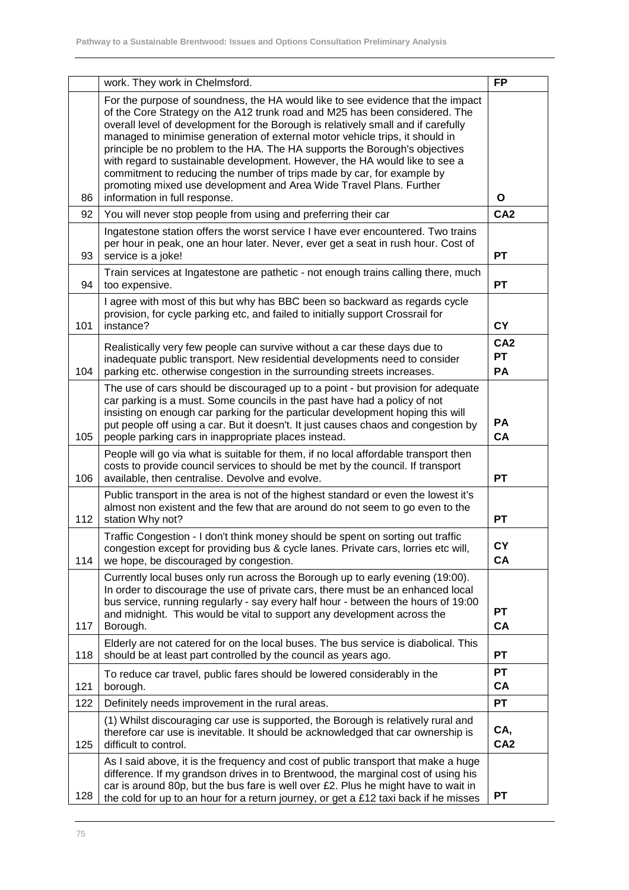|     | work. They work in Chelmsford.                                                                                                                                                                                                                                                                                                                                                                                                                                                                                                                                                                                                                                                      | <b>FP</b>                          |
|-----|-------------------------------------------------------------------------------------------------------------------------------------------------------------------------------------------------------------------------------------------------------------------------------------------------------------------------------------------------------------------------------------------------------------------------------------------------------------------------------------------------------------------------------------------------------------------------------------------------------------------------------------------------------------------------------------|------------------------------------|
| 86  | For the purpose of soundness, the HA would like to see evidence that the impact<br>of the Core Strategy on the A12 trunk road and M25 has been considered. The<br>overall level of development for the Borough is relatively small and if carefully<br>managed to minimise generation of external motor vehicle trips, it should in<br>principle be no problem to the HA. The HA supports the Borough's objectives<br>with regard to sustainable development. However, the HA would like to see a<br>commitment to reducing the number of trips made by car, for example by<br>promoting mixed use development and Area Wide Travel Plans. Further<br>information in full response. | Ο                                  |
| 92  | You will never stop people from using and preferring their car                                                                                                                                                                                                                                                                                                                                                                                                                                                                                                                                                                                                                      | CA <sub>2</sub>                    |
| 93  | Ingatestone station offers the worst service I have ever encountered. Two trains<br>per hour in peak, one an hour later. Never, ever get a seat in rush hour. Cost of<br>service is a joke!                                                                                                                                                                                                                                                                                                                                                                                                                                                                                         | <b>PT</b>                          |
| 94  | Train services at Ingatestone are pathetic - not enough trains calling there, much<br>too expensive.                                                                                                                                                                                                                                                                                                                                                                                                                                                                                                                                                                                | <b>PT</b>                          |
| 101 | I agree with most of this but why has BBC been so backward as regards cycle<br>provision, for cycle parking etc, and failed to initially support Crossrail for<br>instance?                                                                                                                                                                                                                                                                                                                                                                                                                                                                                                         | <b>CY</b>                          |
| 104 | Realistically very few people can survive without a car these days due to<br>inadequate public transport. New residential developments need to consider<br>parking etc. otherwise congestion in the surrounding streets increases.                                                                                                                                                                                                                                                                                                                                                                                                                                                  | CA <sub>2</sub><br><b>PT</b><br>PA |
| 105 | The use of cars should be discouraged up to a point - but provision for adequate<br>car parking is a must. Some councils in the past have had a policy of not<br>insisting on enough car parking for the particular development hoping this will<br>put people off using a car. But it doesn't. It just causes chaos and congestion by<br>people parking cars in inappropriate places instead.                                                                                                                                                                                                                                                                                      | <b>PA</b><br>CA                    |
| 106 | People will go via what is suitable for them, if no local affordable transport then<br>costs to provide council services to should be met by the council. If transport<br>available, then centralise. Devolve and evolve.                                                                                                                                                                                                                                                                                                                                                                                                                                                           | <b>PT</b>                          |
| 112 | Public transport in the area is not of the highest standard or even the lowest it's<br>almost non existent and the few that are around do not seem to go even to the<br>station Why not?                                                                                                                                                                                                                                                                                                                                                                                                                                                                                            | <b>PT</b>                          |
| 114 | Traffic Congestion - I don't think money should be spent on sorting out traffic<br>congestion except for providing bus & cycle lanes. Private cars, lorries etc will,<br>we hope, be discouraged by congestion.                                                                                                                                                                                                                                                                                                                                                                                                                                                                     | CΥ<br>CA                           |
| 117 | Currently local buses only run across the Borough up to early evening (19:00).<br>In order to discourage the use of private cars, there must be an enhanced local<br>bus service, running regularly - say every half hour - between the hours of 19:00<br>and midnight. This would be vital to support any development across the<br>Borough.                                                                                                                                                                                                                                                                                                                                       | <b>PT</b><br>CA                    |
| 118 | Elderly are not catered for on the local buses. The bus service is diabolical. This<br>should be at least part controlled by the council as years ago.                                                                                                                                                                                                                                                                                                                                                                                                                                                                                                                              | <b>PT</b>                          |
| 121 | To reduce car travel, public fares should be lowered considerably in the<br>borough.                                                                                                                                                                                                                                                                                                                                                                                                                                                                                                                                                                                                | <b>PT</b><br><b>CA</b>             |
| 122 | Definitely needs improvement in the rural areas.                                                                                                                                                                                                                                                                                                                                                                                                                                                                                                                                                                                                                                    | <b>PT</b>                          |
| 125 | (1) Whilst discouraging car use is supported, the Borough is relatively rural and<br>therefore car use is inevitable. It should be acknowledged that car ownership is<br>difficult to control.                                                                                                                                                                                                                                                                                                                                                                                                                                                                                      | CA,<br>CA <sub>2</sub>             |
| 128 | As I said above, it is the frequency and cost of public transport that make a huge<br>difference. If my grandson drives in to Brentwood, the marginal cost of using his<br>car is around 80p, but the bus fare is well over £2. Plus he might have to wait in<br>the cold for up to an hour for a return journey, or get a £12 taxi back if he misses                                                                                                                                                                                                                                                                                                                               | PT                                 |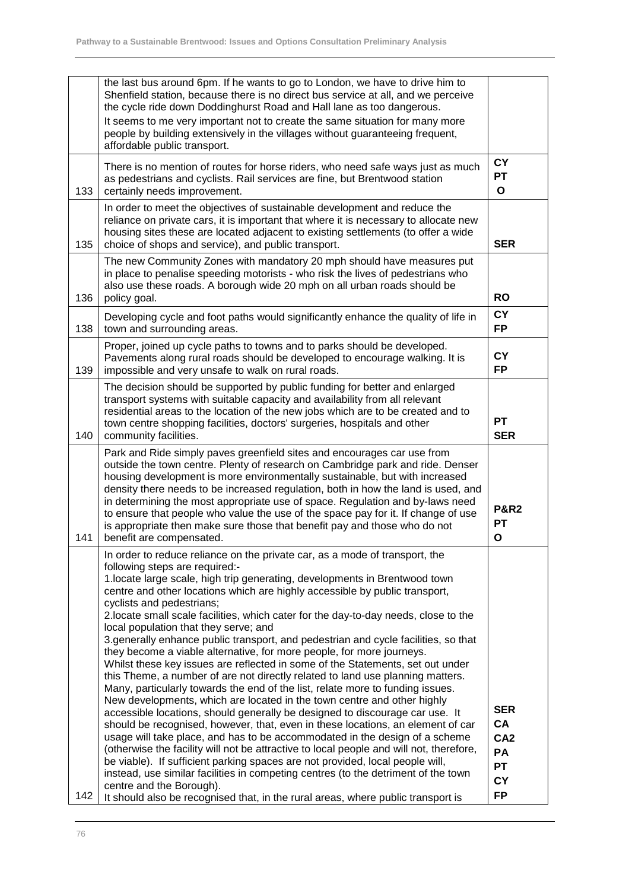|     | the last bus around 6pm. If he wants to go to London, we have to drive him to<br>Shenfield station, because there is no direct bus service at all, and we perceive<br>the cycle ride down Doddinghurst Road and Hall lane as too dangerous.<br>It seems to me very important not to create the same situation for many more<br>people by building extensively in the villages without guaranteeing frequent,<br>affordable public transport.                                                                                                                                                                                                                                                                                                                                                                                                                                                                                                                                                                                                                                                                                                                                                                                                                                                                                                                                                                                                                                                                                                                                 |                                                                                  |
|-----|------------------------------------------------------------------------------------------------------------------------------------------------------------------------------------------------------------------------------------------------------------------------------------------------------------------------------------------------------------------------------------------------------------------------------------------------------------------------------------------------------------------------------------------------------------------------------------------------------------------------------------------------------------------------------------------------------------------------------------------------------------------------------------------------------------------------------------------------------------------------------------------------------------------------------------------------------------------------------------------------------------------------------------------------------------------------------------------------------------------------------------------------------------------------------------------------------------------------------------------------------------------------------------------------------------------------------------------------------------------------------------------------------------------------------------------------------------------------------------------------------------------------------------------------------------------------------|----------------------------------------------------------------------------------|
| 133 | There is no mention of routes for horse riders, who need safe ways just as much<br>as pedestrians and cyclists. Rail services are fine, but Brentwood station<br>certainly needs improvement.                                                                                                                                                                                                                                                                                                                                                                                                                                                                                                                                                                                                                                                                                                                                                                                                                                                                                                                                                                                                                                                                                                                                                                                                                                                                                                                                                                                | <b>CY</b><br>PT<br>$\mathbf{o}$                                                  |
| 135 | In order to meet the objectives of sustainable development and reduce the<br>reliance on private cars, it is important that where it is necessary to allocate new<br>housing sites these are located adjacent to existing settlements (to offer a wide<br>choice of shops and service), and public transport.                                                                                                                                                                                                                                                                                                                                                                                                                                                                                                                                                                                                                                                                                                                                                                                                                                                                                                                                                                                                                                                                                                                                                                                                                                                                | <b>SER</b>                                                                       |
| 136 | The new Community Zones with mandatory 20 mph should have measures put<br>in place to penalise speeding motorists - who risk the lives of pedestrians who<br>also use these roads. A borough wide 20 mph on all urban roads should be<br>policy goal.                                                                                                                                                                                                                                                                                                                                                                                                                                                                                                                                                                                                                                                                                                                                                                                                                                                                                                                                                                                                                                                                                                                                                                                                                                                                                                                        | <b>RO</b>                                                                        |
| 138 | Developing cycle and foot paths would significantly enhance the quality of life in<br>town and surrounding areas.                                                                                                                                                                                                                                                                                                                                                                                                                                                                                                                                                                                                                                                                                                                                                                                                                                                                                                                                                                                                                                                                                                                                                                                                                                                                                                                                                                                                                                                            | <b>CY</b><br><b>FP</b>                                                           |
| 139 | Proper, joined up cycle paths to towns and to parks should be developed.<br>Pavements along rural roads should be developed to encourage walking. It is<br>impossible and very unsafe to walk on rural roads.                                                                                                                                                                                                                                                                                                                                                                                                                                                                                                                                                                                                                                                                                                                                                                                                                                                                                                                                                                                                                                                                                                                                                                                                                                                                                                                                                                | <b>CY</b><br><b>FP</b>                                                           |
| 140 | The decision should be supported by public funding for better and enlarged<br>transport systems with suitable capacity and availability from all relevant<br>residential areas to the location of the new jobs which are to be created and to<br>town centre shopping facilities, doctors' surgeries, hospitals and other<br>community facilities.                                                                                                                                                                                                                                                                                                                                                                                                                                                                                                                                                                                                                                                                                                                                                                                                                                                                                                                                                                                                                                                                                                                                                                                                                           | <b>PT</b><br><b>SER</b>                                                          |
| 141 | Park and Ride simply paves greenfield sites and encourages car use from<br>outside the town centre. Plenty of research on Cambridge park and ride. Denser<br>housing development is more environmentally sustainable, but with increased<br>density there needs to be increased regulation, both in how the land is used, and<br>in determining the most appropriate use of space. Regulation and by-laws need<br>to ensure that people who value the use of the space pay for it. If change of use<br>is appropriate then make sure those that benefit pay and those who do not<br>benefit are compensated.                                                                                                                                                                                                                                                                                                                                                                                                                                                                                                                                                                                                                                                                                                                                                                                                                                                                                                                                                                 | <b>P&amp;R2</b><br><b>PT</b><br>$\mathbf{o}$                                     |
| 142 | In order to reduce reliance on the private car, as a mode of transport, the<br>following steps are required:-<br>1.locate large scale, high trip generating, developments in Brentwood town<br>centre and other locations which are highly accessible by public transport,<br>cyclists and pedestrians;<br>2.locate small scale facilities, which cater for the day-to-day needs, close to the<br>local population that they serve; and<br>3. generally enhance public transport, and pedestrian and cycle facilities, so that<br>they become a viable alternative, for more people, for more journeys.<br>Whilst these key issues are reflected in some of the Statements, set out under<br>this Theme, a number of are not directly related to land use planning matters.<br>Many, particularly towards the end of the list, relate more to funding issues.<br>New developments, which are located in the town centre and other highly<br>accessible locations, should generally be designed to discourage car use. It<br>should be recognised, however, that, even in these locations, an element of car<br>usage will take place, and has to be accommodated in the design of a scheme<br>(otherwise the facility will not be attractive to local people and will not, therefore,<br>be viable). If sufficient parking spaces are not provided, local people will,<br>instead, use similar facilities in competing centres (to the detriment of the town<br>centre and the Borough).<br>It should also be recognised that, in the rural areas, where public transport is | <b>SER</b><br>CA<br>CA <sub>2</sub><br>PA<br><b>PT</b><br><b>CY</b><br><b>FP</b> |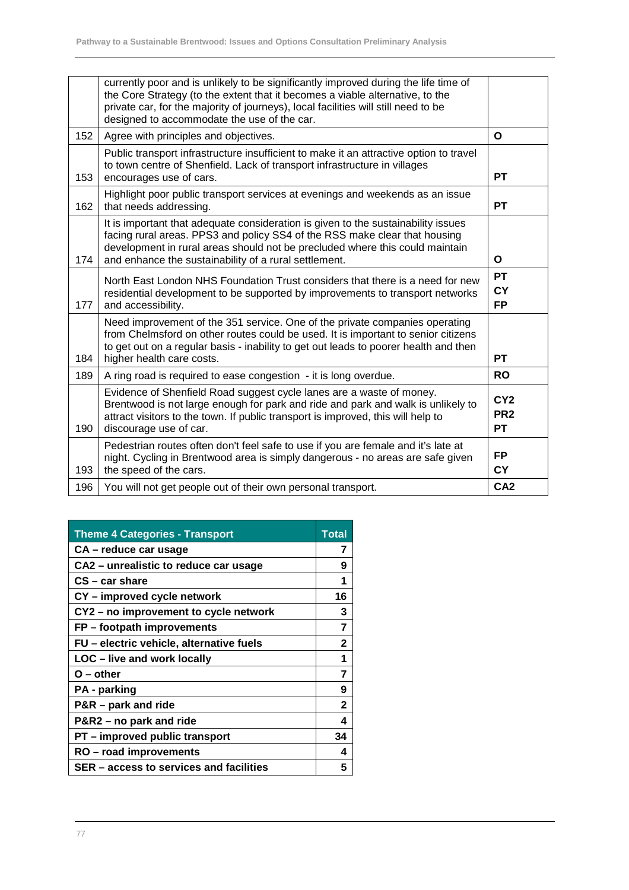|     | currently poor and is unlikely to be significantly improved during the life time of<br>the Core Strategy (to the extent that it becomes a viable alternative, to the<br>private car, for the majority of journeys), local facilities will still need to be<br>designed to accommodate the use of the car. |                                                 |
|-----|-----------------------------------------------------------------------------------------------------------------------------------------------------------------------------------------------------------------------------------------------------------------------------------------------------------|-------------------------------------------------|
| 152 | Agree with principles and objectives.                                                                                                                                                                                                                                                                     | $\Omega$                                        |
| 153 | Public transport infrastructure insufficient to make it an attractive option to travel<br>to town centre of Shenfield. Lack of transport infrastructure in villages<br>encourages use of cars.                                                                                                            | <b>PT</b>                                       |
| 162 | Highlight poor public transport services at evenings and weekends as an issue<br>that needs addressing.                                                                                                                                                                                                   | <b>PT</b>                                       |
| 174 | It is important that adequate consideration is given to the sustainability issues<br>facing rural areas. PPS3 and policy SS4 of the RSS make clear that housing<br>development in rural areas should not be precluded where this could maintain<br>and enhance the sustainability of a rural settlement.  | O                                               |
| 177 | North East London NHS Foundation Trust considers that there is a need for new<br>residential development to be supported by improvements to transport networks<br>and accessibility.                                                                                                                      | <b>PT</b><br><b>CY</b><br><b>FP</b>             |
| 184 | Need improvement of the 351 service. One of the private companies operating<br>from Chelmsford on other routes could be used. It is important to senior citizens<br>to get out on a regular basis - inability to get out leads to poorer health and then<br>higher health care costs.                     | <b>PT</b>                                       |
| 189 | A ring road is required to ease congestion - it is long overdue.                                                                                                                                                                                                                                          | <b>RO</b>                                       |
| 190 | Evidence of Shenfield Road suggest cycle lanes are a waste of money.<br>Brentwood is not large enough for park and ride and park and walk is unlikely to<br>attract visitors to the town. If public transport is improved, this will help to<br>discourage use of car.                                    | CY <sub>2</sub><br>PR <sub>2</sub><br><b>PT</b> |
| 193 | Pedestrian routes often don't feel safe to use if you are female and it's late at<br>night. Cycling in Brentwood area is simply dangerous - no areas are safe given<br>the speed of the cars.                                                                                                             | <b>FP</b><br><b>CY</b>                          |
| 196 | You will not get people out of their own personal transport.                                                                                                                                                                                                                                              | CA <sub>2</sub>                                 |

| <b>Theme 4 Categories - Transport</b>    | <b>Total</b>   |
|------------------------------------------|----------------|
| CA – reduce car usage                    | 7              |
| CA2 - unrealistic to reduce car usage    | 9              |
| $CS - car share$                         | 1              |
| CY - improved cycle network              | 16             |
| CY2 - no improvement to cycle network    | 3              |
| FP – footpath improvements               | $\overline{7}$ |
| FU – electric vehicle, alternative fuels | $\mathbf 2$    |
| LOC - live and work locally              | 1              |
| $O$ – other                              | $\overline{7}$ |
| <b>PA</b> - parking                      | 9              |
| P&R - park and ride                      | 2              |
| P&R2 – no park and ride                  | 4              |
| PT - improved public transport           | 34             |
| RO – road improvements                   | 4              |
| SER – access to services and facilities  | 5              |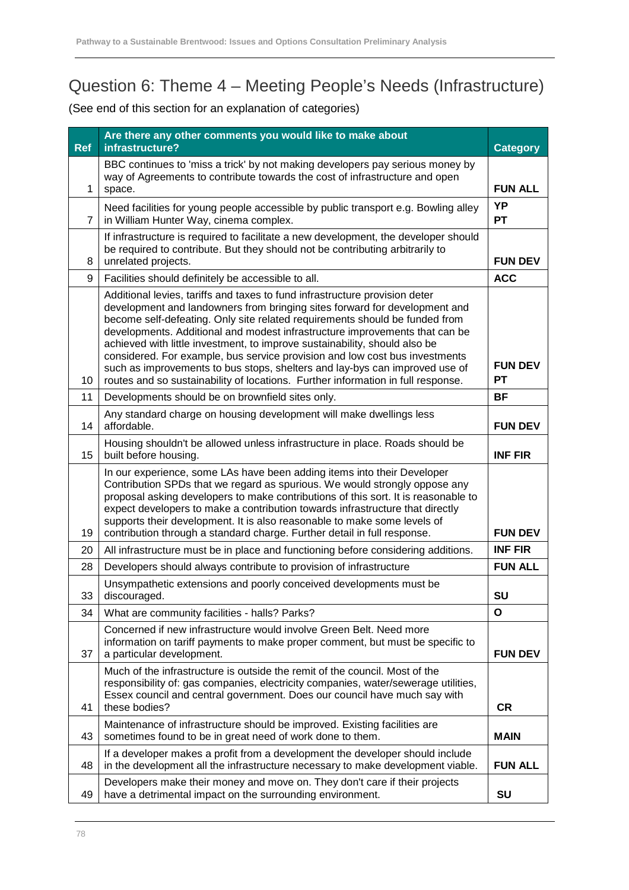# Question 6: Theme 4 – Meeting People's Needs (Infrastructure)

| <b>Ref</b>     | Are there any other comments you would like to make about<br>infrastructure?                                                                                                                                                                                                                                                                                                                                                                                                                                                                                                                                                                            | <b>Category</b>             |
|----------------|---------------------------------------------------------------------------------------------------------------------------------------------------------------------------------------------------------------------------------------------------------------------------------------------------------------------------------------------------------------------------------------------------------------------------------------------------------------------------------------------------------------------------------------------------------------------------------------------------------------------------------------------------------|-----------------------------|
| $\mathbf{1}$   | BBC continues to 'miss a trick' by not making developers pay serious money by<br>way of Agreements to contribute towards the cost of infrastructure and open<br>space.                                                                                                                                                                                                                                                                                                                                                                                                                                                                                  | <b>FUN ALL</b>              |
| $\overline{7}$ | Need facilities for young people accessible by public transport e.g. Bowling alley<br>in William Hunter Way, cinema complex.                                                                                                                                                                                                                                                                                                                                                                                                                                                                                                                            | YP<br><b>PT</b>             |
| 8              | If infrastructure is required to facilitate a new development, the developer should<br>be required to contribute. But they should not be contributing arbitrarily to<br>unrelated projects.                                                                                                                                                                                                                                                                                                                                                                                                                                                             | <b>FUN DEV</b>              |
| 9              | Facilities should definitely be accessible to all.                                                                                                                                                                                                                                                                                                                                                                                                                                                                                                                                                                                                      | <b>ACC</b>                  |
| 10             | Additional levies, tariffs and taxes to fund infrastructure provision deter<br>development and landowners from bringing sites forward for development and<br>become self-defeating. Only site related requirements should be funded from<br>developments. Additional and modest infrastructure improvements that can be<br>achieved with little investment, to improve sustainability, should also be<br>considered. For example, bus service provision and low cost bus investments<br>such as improvements to bus stops, shelters and lay-bys can improved use of<br>routes and so sustainability of locations. Further information in full response. | <b>FUN DEV</b><br><b>PT</b> |
| 11             | Developments should be on brownfield sites only.                                                                                                                                                                                                                                                                                                                                                                                                                                                                                                                                                                                                        | <b>BF</b>                   |
| 14             | Any standard charge on housing development will make dwellings less<br>affordable.                                                                                                                                                                                                                                                                                                                                                                                                                                                                                                                                                                      | <b>FUN DEV</b>              |
| 15             | Housing shouldn't be allowed unless infrastructure in place. Roads should be<br>built before housing.                                                                                                                                                                                                                                                                                                                                                                                                                                                                                                                                                   | <b>INF FIR</b>              |
| 19             | In our experience, some LAs have been adding items into their Developer<br>Contribution SPDs that we regard as spurious. We would strongly oppose any<br>proposal asking developers to make contributions of this sort. It is reasonable to<br>expect developers to make a contribution towards infrastructure that directly<br>supports their development. It is also reasonable to make some levels of<br>contribution through a standard charge. Further detail in full response.                                                                                                                                                                    | <b>FUN DEV</b>              |
| 20             | All infrastructure must be in place and functioning before considering additions.                                                                                                                                                                                                                                                                                                                                                                                                                                                                                                                                                                       | <b>INF FIR</b>              |
| 28             | Developers should always contribute to provision of infrastructure                                                                                                                                                                                                                                                                                                                                                                                                                                                                                                                                                                                      | <b>FUN ALL</b>              |
| 33             | Unsympathetic extensions and poorly conceived developments must be<br>discouraged.                                                                                                                                                                                                                                                                                                                                                                                                                                                                                                                                                                      | SU                          |
| 34             | What are community facilities - halls? Parks?                                                                                                                                                                                                                                                                                                                                                                                                                                                                                                                                                                                                           | O                           |
| 37             | Concerned if new infrastructure would involve Green Belt. Need more<br>information on tariff payments to make proper comment, but must be specific to<br>a particular development.                                                                                                                                                                                                                                                                                                                                                                                                                                                                      | <b>FUN DEV</b>              |
| 41             | Much of the infrastructure is outside the remit of the council. Most of the<br>responsibility of: gas companies, electricity companies, water/sewerage utilities,<br>Essex council and central government. Does our council have much say with<br>these bodies?                                                                                                                                                                                                                                                                                                                                                                                         | <b>CR</b>                   |
| 43             | Maintenance of infrastructure should be improved. Existing facilities are<br>sometimes found to be in great need of work done to them.                                                                                                                                                                                                                                                                                                                                                                                                                                                                                                                  | <b>MAIN</b>                 |
| 48             | If a developer makes a profit from a development the developer should include<br>in the development all the infrastructure necessary to make development viable.                                                                                                                                                                                                                                                                                                                                                                                                                                                                                        | <b>FUN ALL</b>              |
| 49             | Developers make their money and move on. They don't care if their projects<br>have a detrimental impact on the surrounding environment.                                                                                                                                                                                                                                                                                                                                                                                                                                                                                                                 | <b>SU</b>                   |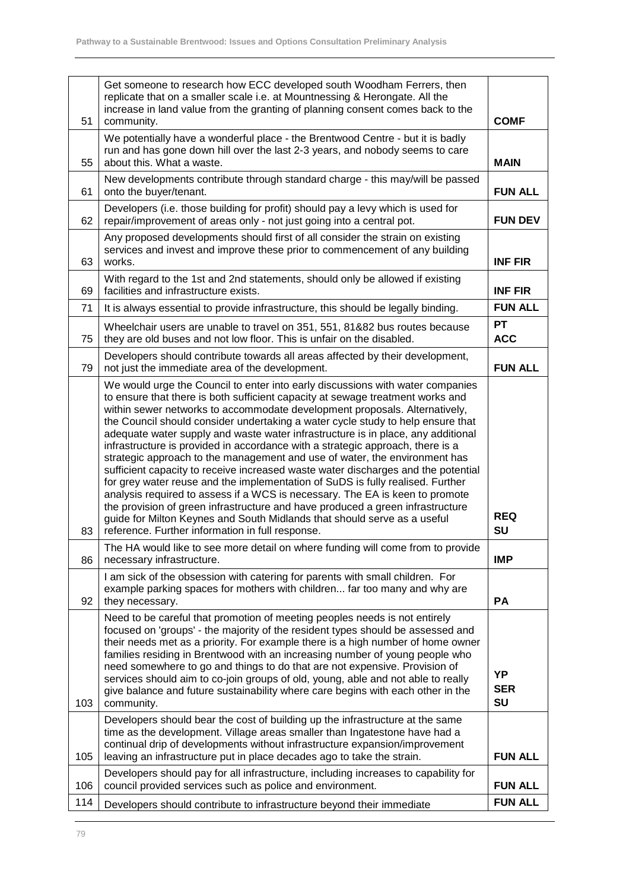| 51  | Get someone to research how ECC developed south Woodham Ferrers, then<br>replicate that on a smaller scale i.e. at Mountnessing & Herongate. All the<br>increase in land value from the granting of planning consent comes back to the<br>community.                                                                                                                                                                                                                                                                                                                                                                                                                                                                                                                                                                                                                                                                                                                                                                                                           | <b>COMF</b>                   |
|-----|----------------------------------------------------------------------------------------------------------------------------------------------------------------------------------------------------------------------------------------------------------------------------------------------------------------------------------------------------------------------------------------------------------------------------------------------------------------------------------------------------------------------------------------------------------------------------------------------------------------------------------------------------------------------------------------------------------------------------------------------------------------------------------------------------------------------------------------------------------------------------------------------------------------------------------------------------------------------------------------------------------------------------------------------------------------|-------------------------------|
|     | We potentially have a wonderful place - the Brentwood Centre - but it is badly                                                                                                                                                                                                                                                                                                                                                                                                                                                                                                                                                                                                                                                                                                                                                                                                                                                                                                                                                                                 |                               |
| 55  | run and has gone down hill over the last 2-3 years, and nobody seems to care<br>about this. What a waste.                                                                                                                                                                                                                                                                                                                                                                                                                                                                                                                                                                                                                                                                                                                                                                                                                                                                                                                                                      | <b>MAIN</b>                   |
| 61  | New developments contribute through standard charge - this may/will be passed<br>onto the buyer/tenant.                                                                                                                                                                                                                                                                                                                                                                                                                                                                                                                                                                                                                                                                                                                                                                                                                                                                                                                                                        | <b>FUN ALL</b>                |
| 62  | Developers (i.e. those building for profit) should pay a levy which is used for<br>repair/improvement of areas only - not just going into a central pot.                                                                                                                                                                                                                                                                                                                                                                                                                                                                                                                                                                                                                                                                                                                                                                                                                                                                                                       | <b>FUN DEV</b>                |
| 63  | Any proposed developments should first of all consider the strain on existing<br>services and invest and improve these prior to commencement of any building<br>works.                                                                                                                                                                                                                                                                                                                                                                                                                                                                                                                                                                                                                                                                                                                                                                                                                                                                                         | <b>INF FIR</b>                |
| 69  | With regard to the 1st and 2nd statements, should only be allowed if existing<br>facilities and infrastructure exists.                                                                                                                                                                                                                                                                                                                                                                                                                                                                                                                                                                                                                                                                                                                                                                                                                                                                                                                                         | <b>INF FIR</b>                |
| 71  | It is always essential to provide infrastructure, this should be legally binding.                                                                                                                                                                                                                                                                                                                                                                                                                                                                                                                                                                                                                                                                                                                                                                                                                                                                                                                                                                              | <b>FUN ALL</b>                |
| 75  | Wheelchair users are unable to travel on 351, 551, 81&82 bus routes because<br>they are old buses and not low floor. This is unfair on the disabled.                                                                                                                                                                                                                                                                                                                                                                                                                                                                                                                                                                                                                                                                                                                                                                                                                                                                                                           | <b>PT</b><br><b>ACC</b>       |
| 79  | Developers should contribute towards all areas affected by their development,<br>not just the immediate area of the development.                                                                                                                                                                                                                                                                                                                                                                                                                                                                                                                                                                                                                                                                                                                                                                                                                                                                                                                               | <b>FUN ALL</b>                |
| 83  | We would urge the Council to enter into early discussions with water companies<br>to ensure that there is both sufficient capacity at sewage treatment works and<br>within sewer networks to accommodate development proposals. Alternatively,<br>the Council should consider undertaking a water cycle study to help ensure that<br>adequate water supply and waste water infrastructure is in place, any additional<br>infrastructure is provided in accordance with a strategic approach, there is a<br>strategic approach to the management and use of water, the environment has<br>sufficient capacity to receive increased waste water discharges and the potential<br>for grey water reuse and the implementation of SuDS is fully realised. Further<br>analysis required to assess if a WCS is necessary. The EA is keen to promote<br>the provision of green infrastructure and have produced a green infrastructure<br>guide for Milton Keynes and South Midlands that should serve as a useful<br>reference. Further information in full response. | <b>REQ</b><br><b>SU</b>       |
| 86  | The HA would like to see more detail on where funding will come from to provide<br>necessary infrastructure.                                                                                                                                                                                                                                                                                                                                                                                                                                                                                                                                                                                                                                                                                                                                                                                                                                                                                                                                                   | <b>IMP</b>                    |
| 92  | I am sick of the obsession with catering for parents with small children. For<br>example parking spaces for mothers with children far too many and why are<br>they necessary.                                                                                                                                                                                                                                                                                                                                                                                                                                                                                                                                                                                                                                                                                                                                                                                                                                                                                  | <b>PA</b>                     |
| 103 | Need to be careful that promotion of meeting peoples needs is not entirely<br>focused on 'groups' - the majority of the resident types should be assessed and<br>their needs met as a priority. For example there is a high number of home owner<br>families residing in Brentwood with an increasing number of young people who<br>need somewhere to go and things to do that are not expensive. Provision of<br>services should aim to co-join groups of old, young, able and not able to really<br>give balance and future sustainability where care begins with each other in the<br>community.                                                                                                                                                                                                                                                                                                                                                                                                                                                            | ΥP<br><b>SER</b><br><b>SU</b> |
| 105 | Developers should bear the cost of building up the infrastructure at the same<br>time as the development. Village areas smaller than Ingatestone have had a<br>continual drip of developments without infrastructure expansion/improvement<br>leaving an infrastructure put in place decades ago to take the strain.                                                                                                                                                                                                                                                                                                                                                                                                                                                                                                                                                                                                                                                                                                                                           | <b>FUN ALL</b>                |
| 106 | Developers should pay for all infrastructure, including increases to capability for<br>council provided services such as police and environment.                                                                                                                                                                                                                                                                                                                                                                                                                                                                                                                                                                                                                                                                                                                                                                                                                                                                                                               | <b>FUN ALL</b>                |
| 114 | Developers should contribute to infrastructure beyond their immediate                                                                                                                                                                                                                                                                                                                                                                                                                                                                                                                                                                                                                                                                                                                                                                                                                                                                                                                                                                                          | <b>FUN ALL</b>                |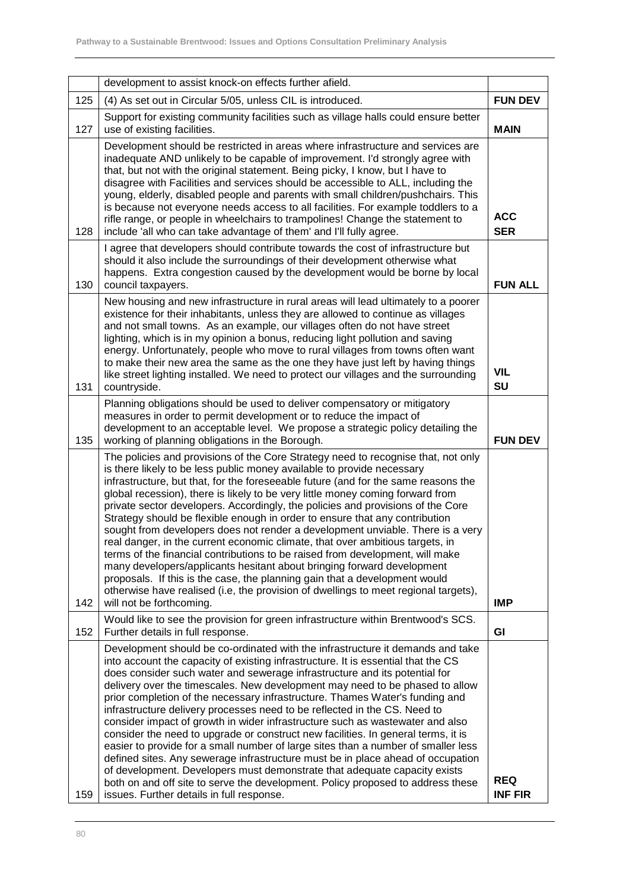|     | development to assist knock-on effects further afield.                                                                                                                                                                                                                                                                                                                                                                                                                                                                                                                                                                                                                                                                                                                                                                                                                                                                                                                                                                                                    |                              |
|-----|-----------------------------------------------------------------------------------------------------------------------------------------------------------------------------------------------------------------------------------------------------------------------------------------------------------------------------------------------------------------------------------------------------------------------------------------------------------------------------------------------------------------------------------------------------------------------------------------------------------------------------------------------------------------------------------------------------------------------------------------------------------------------------------------------------------------------------------------------------------------------------------------------------------------------------------------------------------------------------------------------------------------------------------------------------------|------------------------------|
| 125 | (4) As set out in Circular 5/05, unless CIL is introduced.                                                                                                                                                                                                                                                                                                                                                                                                                                                                                                                                                                                                                                                                                                                                                                                                                                                                                                                                                                                                | <b>FUN DEV</b>               |
| 127 | Support for existing community facilities such as village halls could ensure better<br>use of existing facilities.                                                                                                                                                                                                                                                                                                                                                                                                                                                                                                                                                                                                                                                                                                                                                                                                                                                                                                                                        | <b>MAIN</b>                  |
| 128 | Development should be restricted in areas where infrastructure and services are<br>inadequate AND unlikely to be capable of improvement. I'd strongly agree with<br>that, but not with the original statement. Being picky, I know, but I have to<br>disagree with Facilities and services should be accessible to ALL, including the<br>young, elderly, disabled people and parents with small children/pushchairs. This<br>is because not everyone needs access to all facilities. For example toddlers to a<br>rifle range, or people in wheelchairs to trampolines! Change the statement to<br>include 'all who can take advantage of them' and I'll fully agree.                                                                                                                                                                                                                                                                                                                                                                                     | <b>ACC</b><br><b>SER</b>     |
| 130 | I agree that developers should contribute towards the cost of infrastructure but<br>should it also include the surroundings of their development otherwise what<br>happens. Extra congestion caused by the development would be borne by local<br>council taxpayers.                                                                                                                                                                                                                                                                                                                                                                                                                                                                                                                                                                                                                                                                                                                                                                                      | <b>FUN ALL</b>               |
| 131 | New housing and new infrastructure in rural areas will lead ultimately to a poorer<br>existence for their inhabitants, unless they are allowed to continue as villages<br>and not small towns. As an example, our villages often do not have street<br>lighting, which is in my opinion a bonus, reducing light pollution and saving<br>energy. Unfortunately, people who move to rural villages from towns often want<br>to make their new area the same as the one they have just left by having things<br>like street lighting installed. We need to protect our villages and the surrounding<br>countryside.                                                                                                                                                                                                                                                                                                                                                                                                                                          | <b>VIL</b><br><b>SU</b>      |
| 135 | Planning obligations should be used to deliver compensatory or mitigatory<br>measures in order to permit development or to reduce the impact of<br>development to an acceptable level. We propose a strategic policy detailing the<br>working of planning obligations in the Borough.                                                                                                                                                                                                                                                                                                                                                                                                                                                                                                                                                                                                                                                                                                                                                                     | <b>FUN DEV</b>               |
| 142 | The policies and provisions of the Core Strategy need to recognise that, not only<br>is there likely to be less public money available to provide necessary<br>infrastructure, but that, for the foreseeable future (and for the same reasons the<br>global recession), there is likely to be very little money coming forward from<br>private sector developers. Accordingly, the policies and provisions of the Core<br>Strategy should be flexible enough in order to ensure that any contribution<br>sought from developers does not render a development unviable. There is a very<br>real danger, in the current economic climate, that over ambitious targets, in<br>terms of the financial contributions to be raised from development, will make<br>many developers/applicants hesitant about bringing forward development<br>proposals. If this is the case, the planning gain that a development would<br>otherwise have realised (i.e, the provision of dwellings to meet regional targets),<br>will not be forthcoming.                      | <b>IMP</b>                   |
| 152 | Would like to see the provision for green infrastructure within Brentwood's SCS.<br>Further details in full response.                                                                                                                                                                                                                                                                                                                                                                                                                                                                                                                                                                                                                                                                                                                                                                                                                                                                                                                                     | GI                           |
| 159 | Development should be co-ordinated with the infrastructure it demands and take<br>into account the capacity of existing infrastructure. It is essential that the CS<br>does consider such water and sewerage infrastructure and its potential for<br>delivery over the timescales. New development may need to be phased to allow<br>prior completion of the necessary infrastructure. Thames Water's funding and<br>infrastructure delivery processes need to be reflected in the CS. Need to<br>consider impact of growth in wider infrastructure such as wastewater and also<br>consider the need to upgrade or construct new facilities. In general terms, it is<br>easier to provide for a small number of large sites than a number of smaller less<br>defined sites. Any sewerage infrastructure must be in place ahead of occupation<br>of development. Developers must demonstrate that adequate capacity exists<br>both on and off site to serve the development. Policy proposed to address these<br>issues. Further details in full response. | <b>REQ</b><br><b>INF FIR</b> |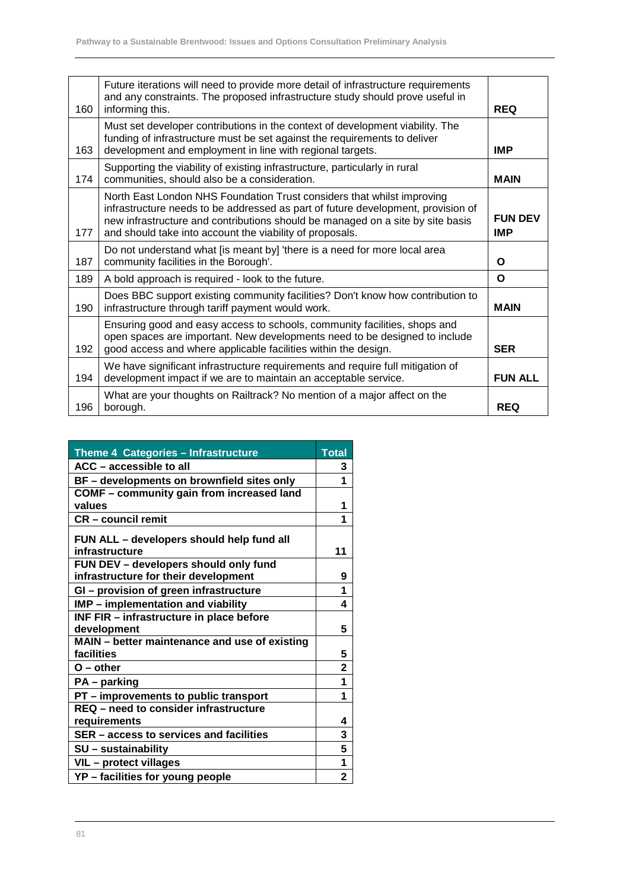| 160 | Future iterations will need to provide more detail of infrastructure requirements<br>and any constraints. The proposed infrastructure study should prove useful in<br>informing this.                                                                                                                    | <b>REQ</b>                   |
|-----|----------------------------------------------------------------------------------------------------------------------------------------------------------------------------------------------------------------------------------------------------------------------------------------------------------|------------------------------|
| 163 | Must set developer contributions in the context of development viability. The<br>funding of infrastructure must be set against the requirements to deliver<br>development and employment in line with regional targets.                                                                                  | <b>IMP</b>                   |
| 174 | Supporting the viability of existing infrastructure, particularly in rural<br>communities, should also be a consideration.                                                                                                                                                                               | <b>MAIN</b>                  |
| 177 | North East London NHS Foundation Trust considers that whilst improving<br>infrastructure needs to be addressed as part of future development, provision of<br>new infrastructure and contributions should be managed on a site by site basis<br>and should take into account the viability of proposals. | <b>FUN DEV</b><br><b>IMP</b> |
| 187 | Do not understand what [is meant by] 'there is a need for more local area<br>community facilities in the Borough'.                                                                                                                                                                                       | Ο                            |
| 189 | A bold approach is required - look to the future.                                                                                                                                                                                                                                                        | O                            |
| 190 | Does BBC support existing community facilities? Don't know how contribution to<br>infrastructure through tariff payment would work.                                                                                                                                                                      | <b>MAIN</b>                  |
| 192 | Ensuring good and easy access to schools, community facilities, shops and<br>open spaces are important. New developments need to be designed to include<br>good access and where applicable facilities within the design.                                                                                | <b>SER</b>                   |
| 194 | We have significant infrastructure requirements and require full mitigation of<br>development impact if we are to maintain an acceptable service.                                                                                                                                                        | <b>FUN ALL</b>               |
| 196 | What are your thoughts on Railtrack? No mention of a major affect on the<br>borough.                                                                                                                                                                                                                     | <b>REQ</b>                   |

| <b>Theme 4 Categories - Infrastructure</b>                  | <b>Total</b>            |
|-------------------------------------------------------------|-------------------------|
| ACC - accessible to all                                     | 3                       |
| BF - developments on brownfield sites only                  | 1                       |
| <b>COMF</b> - community gain from increased land            |                         |
| values                                                      | 1                       |
| <b>CR</b> - council remit                                   | 1                       |
| FUN ALL - developers should help fund all                   |                         |
| infrastructure                                              | 11                      |
| FUN DEV - developers should only fund                       |                         |
| infrastructure for their development                        | 9                       |
| GI - provision of green infrastructure                      | 1                       |
| IMP - implementation and viability                          | 4                       |
| INF FIR - infrastructure in place before                    |                         |
| development                                                 | 5                       |
| MAIN - better maintenance and use of existing<br>facilities | 5                       |
| $O$ – other                                                 | $\overline{\mathbf{2}}$ |
| PA - parking                                                | $\overline{\mathbf{1}}$ |
| PT - improvements to public transport                       | 1                       |
| <b>REQ</b> - need to consider infrastructure                |                         |
| requirements                                                | 4                       |
| SER - access to services and facilities                     | 3                       |
| SU - sustainability                                         | 5                       |
| VIL - protect villages                                      | 1                       |
| YP - facilities for young people                            | $\overline{\mathbf{2}}$ |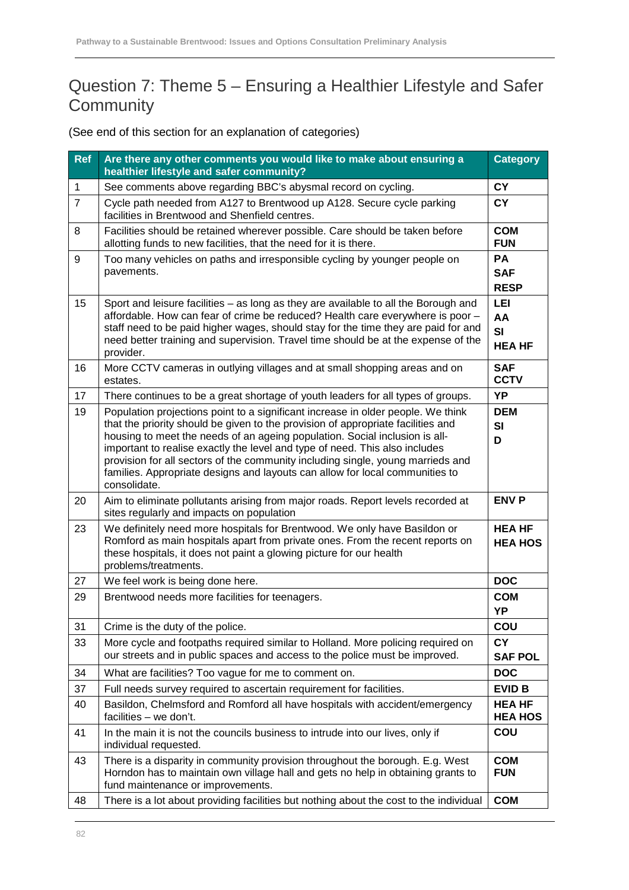#### Question 7: Theme 5 – Ensuring a Healthier Lifestyle and Safer **Community**

| <b>Ref</b>     | Are there any other comments you would like to make about ensuring a<br>healthier lifestyle and safer community?                                                                                                                                                                                                                                                                                                                                                                                                      | <b>Category</b>                        |
|----------------|-----------------------------------------------------------------------------------------------------------------------------------------------------------------------------------------------------------------------------------------------------------------------------------------------------------------------------------------------------------------------------------------------------------------------------------------------------------------------------------------------------------------------|----------------------------------------|
| $\mathbf{1}$   | See comments above regarding BBC's abysmal record on cycling.                                                                                                                                                                                                                                                                                                                                                                                                                                                         | <b>CY</b>                              |
| $\overline{7}$ | Cycle path needed from A127 to Brentwood up A128. Secure cycle parking<br>facilities in Brentwood and Shenfield centres.                                                                                                                                                                                                                                                                                                                                                                                              | <b>CY</b>                              |
| 8              | Facilities should be retained wherever possible. Care should be taken before<br>allotting funds to new facilities, that the need for it is there.                                                                                                                                                                                                                                                                                                                                                                     | <b>COM</b><br><b>FUN</b>               |
| 9              | Too many vehicles on paths and irresponsible cycling by younger people on<br>pavements.                                                                                                                                                                                                                                                                                                                                                                                                                               | <b>PA</b><br><b>SAF</b><br><b>RESP</b> |
| 15             | Sport and leisure facilities - as long as they are available to all the Borough and<br>affordable. How can fear of crime be reduced? Health care everywhere is poor -<br>staff need to be paid higher wages, should stay for the time they are paid for and<br>need better training and supervision. Travel time should be at the expense of the<br>provider.                                                                                                                                                         | LEI<br>AA<br>SI<br><b>HEA HF</b>       |
| 16             | More CCTV cameras in outlying villages and at small shopping areas and on<br>estates.                                                                                                                                                                                                                                                                                                                                                                                                                                 | <b>SAF</b><br><b>CCTV</b>              |
| 17             | There continues to be a great shortage of youth leaders for all types of groups.                                                                                                                                                                                                                                                                                                                                                                                                                                      | YP                                     |
| 19             | Population projections point to a significant increase in older people. We think<br>that the priority should be given to the provision of appropriate facilities and<br>housing to meet the needs of an ageing population. Social inclusion is all-<br>important to realise exactly the level and type of need. This also includes<br>provision for all sectors of the community including single, young marrieds and<br>families. Appropriate designs and layouts can allow for local communities to<br>consolidate. | <b>DEM</b><br>SI<br>D                  |
| 20             | Aim to eliminate pollutants arising from major roads. Report levels recorded at<br>sites regularly and impacts on population                                                                                                                                                                                                                                                                                                                                                                                          | <b>ENV P</b>                           |
| 23             | We definitely need more hospitals for Brentwood. We only have Basildon or<br>Romford as main hospitals apart from private ones. From the recent reports on<br>these hospitals, it does not paint a glowing picture for our health<br>problems/treatments.                                                                                                                                                                                                                                                             | <b>HEA HF</b><br><b>HEA HOS</b>        |
| 27             | We feel work is being done here.                                                                                                                                                                                                                                                                                                                                                                                                                                                                                      | <b>DOC</b>                             |
| 29             | Brentwood needs more facilities for teenagers.                                                                                                                                                                                                                                                                                                                                                                                                                                                                        | <b>COM</b><br>YP                       |
| 31             | Crime is the duty of the police.                                                                                                                                                                                                                                                                                                                                                                                                                                                                                      | <b>COU</b>                             |
| 33             | More cycle and footpaths required similar to Holland. More policing required on<br>our streets and in public spaces and access to the police must be improved.                                                                                                                                                                                                                                                                                                                                                        | <b>CY</b><br><b>SAF POL</b>            |
| 34             | What are facilities? Too vague for me to comment on.                                                                                                                                                                                                                                                                                                                                                                                                                                                                  | <b>DOC</b>                             |
| 37             | Full needs survey required to ascertain requirement for facilities.                                                                                                                                                                                                                                                                                                                                                                                                                                                   | <b>EVID B</b>                          |
| 40             | Basildon, Chelmsford and Romford all have hospitals with accident/emergency<br>facilities - we don't.                                                                                                                                                                                                                                                                                                                                                                                                                 | <b>HEA HF</b><br><b>HEA HOS</b>        |
| 41             | In the main it is not the councils business to intrude into our lives, only if<br>individual requested.                                                                                                                                                                                                                                                                                                                                                                                                               | COU                                    |
| 43             | There is a disparity in community provision throughout the borough. E.g. West<br>Horndon has to maintain own village hall and gets no help in obtaining grants to<br>fund maintenance or improvements.                                                                                                                                                                                                                                                                                                                | <b>COM</b><br><b>FUN</b>               |
| 48             | There is a lot about providing facilities but nothing about the cost to the individual                                                                                                                                                                                                                                                                                                                                                                                                                                | <b>COM</b>                             |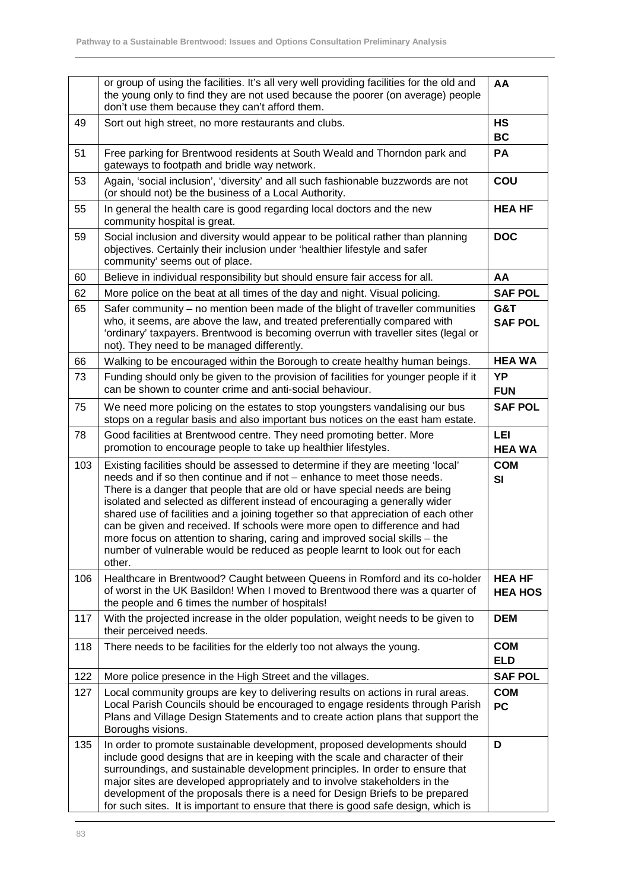|     | or group of using the facilities. It's all very well providing facilities for the old and<br>the young only to find they are not used because the poorer (on average) people<br>don't use them because they can't afford them.                                                                                                                                                                                                                                                                                                                                                                                                                                      | AA                              |
|-----|---------------------------------------------------------------------------------------------------------------------------------------------------------------------------------------------------------------------------------------------------------------------------------------------------------------------------------------------------------------------------------------------------------------------------------------------------------------------------------------------------------------------------------------------------------------------------------------------------------------------------------------------------------------------|---------------------------------|
| 49  | Sort out high street, no more restaurants and clubs.                                                                                                                                                                                                                                                                                                                                                                                                                                                                                                                                                                                                                | <b>HS</b><br><b>BC</b>          |
| 51  | Free parking for Brentwood residents at South Weald and Thorndon park and<br>gateways to footpath and bridle way network.                                                                                                                                                                                                                                                                                                                                                                                                                                                                                                                                           |                                 |
| 53  | Again, 'social inclusion', 'diversity' and all such fashionable buzzwords are not<br>(or should not) be the business of a Local Authority.                                                                                                                                                                                                                                                                                                                                                                                                                                                                                                                          | COU                             |
| 55  | In general the health care is good regarding local doctors and the new<br>community hospital is great.                                                                                                                                                                                                                                                                                                                                                                                                                                                                                                                                                              | <b>HEA HF</b>                   |
| 59  | Social inclusion and diversity would appear to be political rather than planning<br>objectives. Certainly their inclusion under 'healthier lifestyle and safer<br>community' seems out of place.                                                                                                                                                                                                                                                                                                                                                                                                                                                                    |                                 |
| 60  | Believe in individual responsibility but should ensure fair access for all.                                                                                                                                                                                                                                                                                                                                                                                                                                                                                                                                                                                         | AA                              |
| 62  | More police on the beat at all times of the day and night. Visual policing.                                                                                                                                                                                                                                                                                                                                                                                                                                                                                                                                                                                         | <b>SAF POL</b>                  |
| 65  | Safer community – no mention been made of the blight of traveller communities<br>who, it seems, are above the law, and treated preferentially compared with<br>'ordinary' taxpayers. Brentwood is becoming overrun with traveller sites (legal or<br>not). They need to be managed differently.                                                                                                                                                                                                                                                                                                                                                                     |                                 |
| 66  | Walking to be encouraged within the Borough to create healthy human beings.                                                                                                                                                                                                                                                                                                                                                                                                                                                                                                                                                                                         | <b>HEA WA</b>                   |
| 73  | Funding should only be given to the provision of facilities for younger people if it<br>can be shown to counter crime and anti-social behaviour.                                                                                                                                                                                                                                                                                                                                                                                                                                                                                                                    | YP<br><b>FUN</b>                |
| 75  | We need more policing on the estates to stop youngsters vandalising our bus<br>stops on a regular basis and also important bus notices on the east ham estate.                                                                                                                                                                                                                                                                                                                                                                                                                                                                                                      |                                 |
| 78  | Good facilities at Brentwood centre. They need promoting better. More<br>promotion to encourage people to take up healthier lifestyles.                                                                                                                                                                                                                                                                                                                                                                                                                                                                                                                             |                                 |
| 103 | Existing facilities should be assessed to determine if they are meeting 'local'<br>needs and if so then continue and if not - enhance to meet those needs.<br>There is a danger that people that are old or have special needs are being<br>isolated and selected as different instead of encouraging a generally wider<br>shared use of facilities and a joining together so that appreciation of each other<br>can be given and received. If schools were more open to difference and had<br>more focus on attention to sharing, caring and improved social skills - the<br>number of vulnerable would be reduced as people learnt to look out for each<br>other. | <b>COM</b><br><b>SI</b>         |
| 106 | Healthcare in Brentwood? Caught between Queens in Romford and its co-holder<br>of worst in the UK Basildon! When I moved to Brentwood there was a quarter of<br>the people and 6 times the number of hospitals!                                                                                                                                                                                                                                                                                                                                                                                                                                                     | <b>HEA HF</b><br><b>HEA HOS</b> |
| 117 | With the projected increase in the older population, weight needs to be given to<br>their perceived needs.                                                                                                                                                                                                                                                                                                                                                                                                                                                                                                                                                          | <b>DEM</b>                      |
| 118 | There needs to be facilities for the elderly too not always the young.                                                                                                                                                                                                                                                                                                                                                                                                                                                                                                                                                                                              | <b>COM</b><br><b>ELD</b>        |
| 122 | More police presence in the High Street and the villages.                                                                                                                                                                                                                                                                                                                                                                                                                                                                                                                                                                                                           | <b>SAF POL</b>                  |
| 127 | Local community groups are key to delivering results on actions in rural areas.<br>Local Parish Councils should be encouraged to engage residents through Parish<br>Plans and Village Design Statements and to create action plans that support the<br>Boroughs visions.                                                                                                                                                                                                                                                                                                                                                                                            | <b>COM</b><br><b>PC</b>         |
| 135 | In order to promote sustainable development, proposed developments should<br>include good designs that are in keeping with the scale and character of their<br>surroundings, and sustainable development principles. In order to ensure that<br>major sites are developed appropriately and to involve stakeholders in the<br>development of the proposals there is a need for Design Briefs to be prepared<br>for such sites. It is important to ensure that there is good safe design, which is                                                                                                                                                                   | D                               |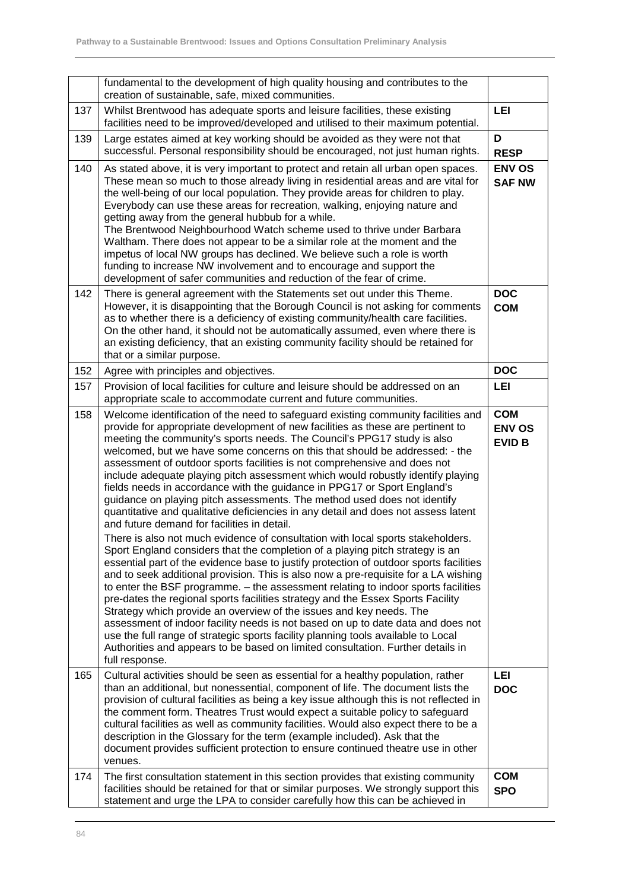|     | fundamental to the development of high quality housing and contributes to the<br>creation of sustainable, safe, mixed communities.                                                                                                                                                                                                                                                                                                                                                                                                                                                                                                                                                                                                                                                                                                                                                                                                                                                                                                                                                                                                                                                                                                                                                                                                                                                                                                                                                                                                                                                                                                                                            |                                              |
|-----|-------------------------------------------------------------------------------------------------------------------------------------------------------------------------------------------------------------------------------------------------------------------------------------------------------------------------------------------------------------------------------------------------------------------------------------------------------------------------------------------------------------------------------------------------------------------------------------------------------------------------------------------------------------------------------------------------------------------------------------------------------------------------------------------------------------------------------------------------------------------------------------------------------------------------------------------------------------------------------------------------------------------------------------------------------------------------------------------------------------------------------------------------------------------------------------------------------------------------------------------------------------------------------------------------------------------------------------------------------------------------------------------------------------------------------------------------------------------------------------------------------------------------------------------------------------------------------------------------------------------------------------------------------------------------------|----------------------------------------------|
| 137 | Whilst Brentwood has adequate sports and leisure facilities, these existing<br>facilities need to be improved/developed and utilised to their maximum potential.                                                                                                                                                                                                                                                                                                                                                                                                                                                                                                                                                                                                                                                                                                                                                                                                                                                                                                                                                                                                                                                                                                                                                                                                                                                                                                                                                                                                                                                                                                              | <b>LEI</b>                                   |
| 139 | Large estates aimed at key working should be avoided as they were not that<br>successful. Personal responsibility should be encouraged, not just human rights.                                                                                                                                                                                                                                                                                                                                                                                                                                                                                                                                                                                                                                                                                                                                                                                                                                                                                                                                                                                                                                                                                                                                                                                                                                                                                                                                                                                                                                                                                                                | D<br><b>RESP</b>                             |
| 140 | As stated above, it is very important to protect and retain all urban open spaces.<br>These mean so much to those already living in residential areas and are vital for<br>the well-being of our local population. They provide areas for children to play.<br>Everybody can use these areas for recreation, walking, enjoying nature and<br>getting away from the general hubbub for a while.<br>The Brentwood Neighbourhood Watch scheme used to thrive under Barbara<br>Waltham. There does not appear to be a similar role at the moment and the<br>impetus of local NW groups has declined. We believe such a role is worth<br>funding to increase NW involvement and to encourage and support the<br>development of safer communities and reduction of the fear of crime.                                                                                                                                                                                                                                                                                                                                                                                                                                                                                                                                                                                                                                                                                                                                                                                                                                                                                               | <b>ENV OS</b><br><b>SAF NW</b>               |
| 142 | There is general agreement with the Statements set out under this Theme.<br>However, it is disappointing that the Borough Council is not asking for comments<br>as to whether there is a deficiency of existing community/health care facilities.<br>On the other hand, it should not be automatically assumed, even where there is<br>an existing deficiency, that an existing community facility should be retained for<br>that or a similar purpose.                                                                                                                                                                                                                                                                                                                                                                                                                                                                                                                                                                                                                                                                                                                                                                                                                                                                                                                                                                                                                                                                                                                                                                                                                       | <b>DOC</b><br><b>COM</b>                     |
| 152 | Agree with principles and objectives.                                                                                                                                                                                                                                                                                                                                                                                                                                                                                                                                                                                                                                                                                                                                                                                                                                                                                                                                                                                                                                                                                                                                                                                                                                                                                                                                                                                                                                                                                                                                                                                                                                         | <b>DOC</b>                                   |
| 157 | Provision of local facilities for culture and leisure should be addressed on an<br>appropriate scale to accommodate current and future communities.                                                                                                                                                                                                                                                                                                                                                                                                                                                                                                                                                                                                                                                                                                                                                                                                                                                                                                                                                                                                                                                                                                                                                                                                                                                                                                                                                                                                                                                                                                                           | LEI                                          |
| 158 | Welcome identification of the need to safeguard existing community facilities and<br>provide for appropriate development of new facilities as these are pertinent to<br>meeting the community's sports needs. The Council's PPG17 study is also<br>welcomed, but we have some concerns on this that should be addressed: - the<br>assessment of outdoor sports facilities is not comprehensive and does not<br>include adequate playing pitch assessment which would robustly identify playing<br>fields needs in accordance with the guidance in PPG17 or Sport England's<br>guidance on playing pitch assessments. The method used does not identify<br>quantitative and qualitative deficiencies in any detail and does not assess latent<br>and future demand for facilities in detail.<br>There is also not much evidence of consultation with local sports stakeholders.<br>Sport England considers that the completion of a playing pitch strategy is an<br>essential part of the evidence base to justify protection of outdoor sports facilities<br>and to seek additional provision. This is also now a pre-requisite for a LA wishing<br>to enter the BSF programme. - the assessment relating to indoor sports facilities<br>pre-dates the regional sports facilities strategy and the Essex Sports Facility<br>Strategy which provide an overview of the issues and key needs. The<br>assessment of indoor facility needs is not based on up to date data and does not<br>use the full range of strategic sports facility planning tools available to Local<br>Authorities and appears to be based on limited consultation. Further details in<br>full response. | <b>COM</b><br><b>ENV OS</b><br><b>EVID B</b> |
| 165 | Cultural activities should be seen as essential for a healthy population, rather<br>than an additional, but nonessential, component of life. The document lists the<br>provision of cultural facilities as being a key issue although this is not reflected in<br>the comment form. Theatres Trust would expect a suitable policy to safeguard<br>cultural facilities as well as community facilities. Would also expect there to be a<br>description in the Glossary for the term (example included). Ask that the<br>document provides sufficient protection to ensure continued theatre use in other<br>venues.                                                                                                                                                                                                                                                                                                                                                                                                                                                                                                                                                                                                                                                                                                                                                                                                                                                                                                                                                                                                                                                            | LEI<br><b>DOC</b>                            |
| 174 | The first consultation statement in this section provides that existing community<br>facilities should be retained for that or similar purposes. We strongly support this<br>statement and urge the LPA to consider carefully how this can be achieved in                                                                                                                                                                                                                                                                                                                                                                                                                                                                                                                                                                                                                                                                                                                                                                                                                                                                                                                                                                                                                                                                                                                                                                                                                                                                                                                                                                                                                     | <b>COM</b><br><b>SPO</b>                     |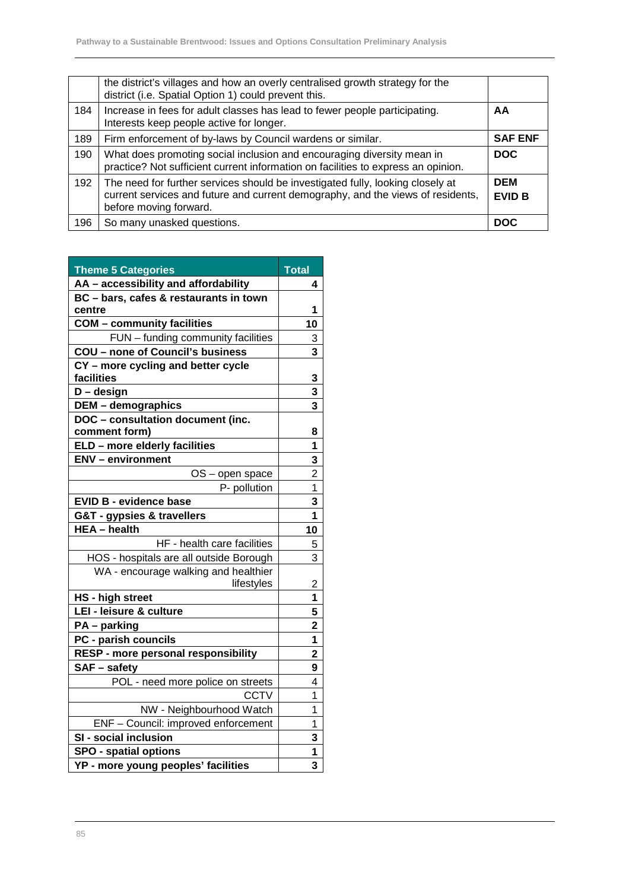|     | the district's villages and how an overly centralised growth strategy for the<br>district (i.e. Spatial Option 1) could prevent this.                                                       |                             |
|-----|---------------------------------------------------------------------------------------------------------------------------------------------------------------------------------------------|-----------------------------|
| 184 | Increase in fees for adult classes has lead to fewer people participating.<br>Interests keep people active for longer.                                                                      | AA                          |
| 189 | Firm enforcement of by-laws by Council wardens or similar.                                                                                                                                  | <b>SAF ENF</b>              |
| 190 | What does promoting social inclusion and encouraging diversity mean in<br>practice? Not sufficient current information on facilities to express an opinion.                                 | <b>DOC</b>                  |
| 192 | The need for further services should be investigated fully, looking closely at<br>current services and future and current demography, and the views of residents,<br>before moving forward. | <b>DEM</b><br><b>EVID B</b> |
| 196 | So many unasked questions.                                                                                                                                                                  | <b>DOC</b>                  |

| <b>Theme 5 Categories</b>                          | <b>Total</b>            |
|----------------------------------------------------|-------------------------|
| AA - accessibility and affordability               | 4                       |
| BC - bars, cafes & restaurants in town             |                         |
| centre                                             | 1                       |
| <b>COM</b> - community facilities                  | 10                      |
| FUN - funding community facilities                 | $\frac{3}{3}$           |
| <b>COU - none of Council's business</b>            |                         |
| CY - more cycling and better cycle<br>facilities   | 3                       |
| $D -$ design                                       | 3                       |
| <b>DEM</b> - demographics                          | 3                       |
| DOC - consultation document (inc.                  |                         |
| comment form)                                      | 8                       |
| ELD - more elderly facilities                      | 1                       |
| <b>ENV</b> - environment                           | $\overline{\mathbf{3}}$ |
| OS - open space                                    | $\overline{c}$          |
| P- pollution                                       | 1                       |
| <b>EVID B - evidence base</b>                      | 3                       |
| G&T - gypsies & travellers                         | 1                       |
| <b>HEA</b> - health                                | 10                      |
| HF - health care facilities                        | 5                       |
| HOS - hospitals are all outside Borough            | 3                       |
| WA - encourage walking and healthier<br>lifestyles | $\overline{c}$          |
| <b>HS</b> - high street                            | 1                       |
| LEI - leisure & culture                            | 5                       |
| PA - parking                                       | $\overline{\mathbf{c}}$ |
| PC - parish councils                               | 1                       |
| RESP - more personal responsibility                | $\overline{2}$          |
| SAF - safety                                       | 9                       |
| POL - need more police on streets                  | 4                       |
| <b>CCTV</b>                                        | 1                       |
| NW - Neighbourhood Watch                           | 1                       |
| ENF - Council: improved enforcement                | 1                       |
| SI - social inclusion                              | 3                       |
| <b>SPO - spatial options</b>                       | 1                       |
| YP - more young peoples' facilities                | 3                       |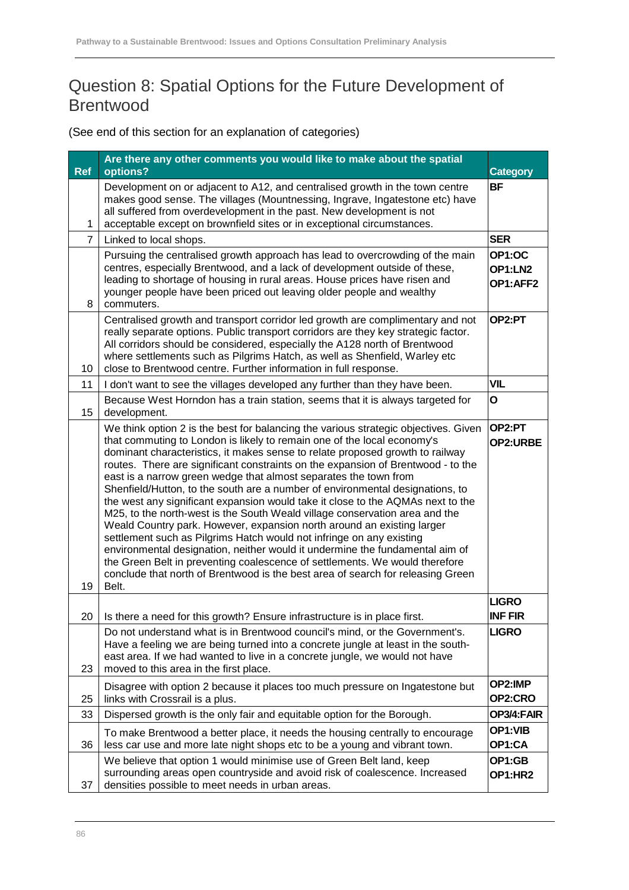#### Question 8: Spatial Options for the Future Development of Brentwood

| <b>Ref</b>     | Are there any other comments you would like to make about the spatial<br>options?                                                                                                                                                                                                                                                                                                                                                                                                                                                                                                                                                                                                                                                                                                                                                                                                                                                                                                                                                                                       | <b>Category</b>                |
|----------------|-------------------------------------------------------------------------------------------------------------------------------------------------------------------------------------------------------------------------------------------------------------------------------------------------------------------------------------------------------------------------------------------------------------------------------------------------------------------------------------------------------------------------------------------------------------------------------------------------------------------------------------------------------------------------------------------------------------------------------------------------------------------------------------------------------------------------------------------------------------------------------------------------------------------------------------------------------------------------------------------------------------------------------------------------------------------------|--------------------------------|
| 1              | Development on or adjacent to A12, and centralised growth in the town centre<br>makes good sense. The villages (Mountnessing, Ingrave, Ingatestone etc) have<br>all suffered from overdevelopment in the past. New development is not<br>acceptable except on brownfield sites or in exceptional circumstances.                                                                                                                                                                                                                                                                                                                                                                                                                                                                                                                                                                                                                                                                                                                                                         | <b>BF</b>                      |
| $\overline{7}$ | Linked to local shops.                                                                                                                                                                                                                                                                                                                                                                                                                                                                                                                                                                                                                                                                                                                                                                                                                                                                                                                                                                                                                                                  | <b>SER</b>                     |
| 8              | Pursuing the centralised growth approach has lead to overcrowding of the main<br>centres, especially Brentwood, and a lack of development outside of these,<br>leading to shortage of housing in rural areas. House prices have risen and<br>younger people have been priced out leaving older people and wealthy<br>commuters.                                                                                                                                                                                                                                                                                                                                                                                                                                                                                                                                                                                                                                                                                                                                         | OP1:OC<br>OP1:LN2<br>OP1:AFF2  |
| 10             | Centralised growth and transport corridor led growth are complimentary and not<br>really separate options. Public transport corridors are they key strategic factor.<br>All corridors should be considered, especially the A128 north of Brentwood<br>where settlements such as Pilgrims Hatch, as well as Shenfield, Warley etc<br>close to Brentwood centre. Further information in full response.                                                                                                                                                                                                                                                                                                                                                                                                                                                                                                                                                                                                                                                                    | OP2:PT                         |
| 11             | I don't want to see the villages developed any further than they have been.                                                                                                                                                                                                                                                                                                                                                                                                                                                                                                                                                                                                                                                                                                                                                                                                                                                                                                                                                                                             | <b>VIL</b>                     |
| 15             | Because West Horndon has a train station, seems that it is always targeted for<br>development.                                                                                                                                                                                                                                                                                                                                                                                                                                                                                                                                                                                                                                                                                                                                                                                                                                                                                                                                                                          | O                              |
| 19             | We think option 2 is the best for balancing the various strategic objectives. Given<br>that commuting to London is likely to remain one of the local economy's<br>dominant characteristics, it makes sense to relate proposed growth to railway<br>routes. There are significant constraints on the expansion of Brentwood - to the<br>east is a narrow green wedge that almost separates the town from<br>Shenfield/Hutton, to the south are a number of environmental designations, to<br>the west any significant expansion would take it close to the AQMAs next to the<br>M25, to the north-west is the South Weald village conservation area and the<br>Weald Country park. However, expansion north around an existing larger<br>settlement such as Pilgrims Hatch would not infringe on any existing<br>environmental designation, neither would it undermine the fundamental aim of<br>the Green Belt in preventing coalescence of settlements. We would therefore<br>conclude that north of Brentwood is the best area of search for releasing Green<br>Belt. | OP2:PT<br>OP2:URBE             |
| 20             | Is there a need for this growth? Ensure infrastructure is in place first.                                                                                                                                                                                                                                                                                                                                                                                                                                                                                                                                                                                                                                                                                                                                                                                                                                                                                                                                                                                               | <b>LIGRO</b><br><b>INF FIR</b> |
| 23             | Do not understand what is in Brentwood council's mind, or the Government's.<br>Have a feeling we are being turned into a concrete jungle at least in the south-<br>east area. If we had wanted to live in a concrete jungle, we would not have<br>moved to this area in the first place.                                                                                                                                                                                                                                                                                                                                                                                                                                                                                                                                                                                                                                                                                                                                                                                | <b>LIGRO</b>                   |
| 25             | Disagree with option 2 because it places too much pressure on Ingatestone but<br>links with Crossrail is a plus.                                                                                                                                                                                                                                                                                                                                                                                                                                                                                                                                                                                                                                                                                                                                                                                                                                                                                                                                                        | OP2:IMP<br>OP2:CRO             |
| 33             | Dispersed growth is the only fair and equitable option for the Borough.                                                                                                                                                                                                                                                                                                                                                                                                                                                                                                                                                                                                                                                                                                                                                                                                                                                                                                                                                                                                 | OP3/4:FAIR                     |
| 36             | To make Brentwood a better place, it needs the housing centrally to encourage<br>less car use and more late night shops etc to be a young and vibrant town.                                                                                                                                                                                                                                                                                                                                                                                                                                                                                                                                                                                                                                                                                                                                                                                                                                                                                                             | OP1:VIB<br>OP1:CA              |
| 37             | We believe that option 1 would minimise use of Green Belt land, keep<br>surrounding areas open countryside and avoid risk of coalescence. Increased<br>densities possible to meet needs in urban areas.                                                                                                                                                                                                                                                                                                                                                                                                                                                                                                                                                                                                                                                                                                                                                                                                                                                                 | OP1:GB<br>OP1:HR2              |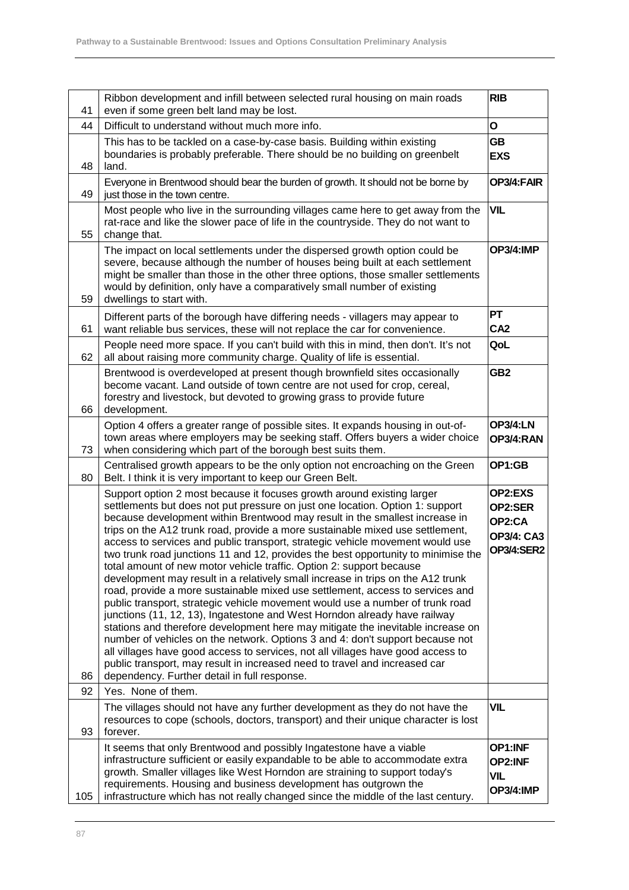| 41  | Ribbon development and infill between selected rural housing on main roads<br>even if some green belt land may be lost.                                                                                                                                                                                                                                                                                                                                                                                                                                                                                                                                                                                                                                                                                                                                                                                                                                                                                                                                                                                                                                                                                                                                                                      | <b>RIB</b>                                                                    |  |  |
|-----|----------------------------------------------------------------------------------------------------------------------------------------------------------------------------------------------------------------------------------------------------------------------------------------------------------------------------------------------------------------------------------------------------------------------------------------------------------------------------------------------------------------------------------------------------------------------------------------------------------------------------------------------------------------------------------------------------------------------------------------------------------------------------------------------------------------------------------------------------------------------------------------------------------------------------------------------------------------------------------------------------------------------------------------------------------------------------------------------------------------------------------------------------------------------------------------------------------------------------------------------------------------------------------------------|-------------------------------------------------------------------------------|--|--|
| 44  | Difficult to understand without much more info.                                                                                                                                                                                                                                                                                                                                                                                                                                                                                                                                                                                                                                                                                                                                                                                                                                                                                                                                                                                                                                                                                                                                                                                                                                              | O                                                                             |  |  |
|     | This has to be tackled on a case-by-case basis. Building within existing                                                                                                                                                                                                                                                                                                                                                                                                                                                                                                                                                                                                                                                                                                                                                                                                                                                                                                                                                                                                                                                                                                                                                                                                                     | GB                                                                            |  |  |
| 48  | boundaries is probably preferable. There should be no building on greenbelt<br>land.                                                                                                                                                                                                                                                                                                                                                                                                                                                                                                                                                                                                                                                                                                                                                                                                                                                                                                                                                                                                                                                                                                                                                                                                         | <b>EXS</b>                                                                    |  |  |
| 49  | Everyone in Brentwood should bear the burden of growth. It should not be borne by<br>OP3/4:FAIR<br>just those in the town centre.                                                                                                                                                                                                                                                                                                                                                                                                                                                                                                                                                                                                                                                                                                                                                                                                                                                                                                                                                                                                                                                                                                                                                            |                                                                               |  |  |
| 55  | <b>VIL</b><br>Most people who live in the surrounding villages came here to get away from the<br>rat-race and like the slower pace of life in the countryside. They do not want to<br>change that.                                                                                                                                                                                                                                                                                                                                                                                                                                                                                                                                                                                                                                                                                                                                                                                                                                                                                                                                                                                                                                                                                           |                                                                               |  |  |
| 59  | The impact on local settlements under the dispersed growth option could be<br>severe, because although the number of houses being built at each settlement<br>might be smaller than those in the other three options, those smaller settlements<br>would by definition, only have a comparatively small number of existing<br>dwellings to start with.                                                                                                                                                                                                                                                                                                                                                                                                                                                                                                                                                                                                                                                                                                                                                                                                                                                                                                                                       |                                                                               |  |  |
| 61  | Different parts of the borough have differing needs - villagers may appear to<br>want reliable bus services, these will not replace the car for convenience.                                                                                                                                                                                                                                                                                                                                                                                                                                                                                                                                                                                                                                                                                                                                                                                                                                                                                                                                                                                                                                                                                                                                 | PT<br>CA <sub>2</sub>                                                         |  |  |
| 62  | People need more space. If you can't build with this in mind, then don't. It's not<br>all about raising more community charge. Quality of life is essential.                                                                                                                                                                                                                                                                                                                                                                                                                                                                                                                                                                                                                                                                                                                                                                                                                                                                                                                                                                                                                                                                                                                                 | QoL                                                                           |  |  |
| 66  | Brentwood is overdeveloped at present though brownfield sites occasionally<br>become vacant. Land outside of town centre are not used for crop, cereal,<br>forestry and livestock, but devoted to growing grass to provide future<br>development.                                                                                                                                                                                                                                                                                                                                                                                                                                                                                                                                                                                                                                                                                                                                                                                                                                                                                                                                                                                                                                            |                                                                               |  |  |
| 73  | Option 4 offers a greater range of possible sites. It expands housing in out-of-<br>town areas where employers may be seeking staff. Offers buyers a wider choice<br>when considering which part of the borough best suits them.                                                                                                                                                                                                                                                                                                                                                                                                                                                                                                                                                                                                                                                                                                                                                                                                                                                                                                                                                                                                                                                             |                                                                               |  |  |
| 80  | Centralised growth appears to be the only option not encroaching on the Green<br>Belt. I think it is very important to keep our Green Belt.                                                                                                                                                                                                                                                                                                                                                                                                                                                                                                                                                                                                                                                                                                                                                                                                                                                                                                                                                                                                                                                                                                                                                  |                                                                               |  |  |
| 86  | Support option 2 most because it focuses growth around existing larger<br>settlements but does not put pressure on just one location. Option 1: support<br>because development within Brentwood may result in the smallest increase in<br>trips on the A12 trunk road, provide a more sustainable mixed use settlement,<br>access to services and public transport, strategic vehicle movement would use<br>two trunk road junctions 11 and 12, provides the best opportunity to minimise the<br>total amount of new motor vehicle traffic. Option 2: support because<br>development may result in a relatively small increase in trips on the A12 trunk<br>road, provide a more sustainable mixed use settlement, access to services and<br>public transport, strategic vehicle movement would use a number of trunk road<br>junctions (11, 12, 13), Ingatestone and West Horndon already have railway<br>stations and therefore development here may mitigate the inevitable increase on<br>number of vehicles on the network. Options 3 and 4: don't support because not<br>all villages have good access to services, not all villages have good access to<br>public transport, may result in increased need to travel and increased car<br>dependency. Further detail in full response. | <b>OP2:EXS</b><br>OP2:SER<br>OP2:CA<br><b>OP3/4: CA3</b><br><b>OP3/4:SER2</b> |  |  |
| 92  | Yes. None of them.                                                                                                                                                                                                                                                                                                                                                                                                                                                                                                                                                                                                                                                                                                                                                                                                                                                                                                                                                                                                                                                                                                                                                                                                                                                                           |                                                                               |  |  |
| 93  | The villages should not have any further development as they do not have the<br>resources to cope (schools, doctors, transport) and their unique character is lost<br>forever.                                                                                                                                                                                                                                                                                                                                                                                                                                                                                                                                                                                                                                                                                                                                                                                                                                                                                                                                                                                                                                                                                                               | <b>VIL</b>                                                                    |  |  |
| 105 | It seems that only Brentwood and possibly Ingatestone have a viable<br>infrastructure sufficient or easily expandable to be able to accommodate extra<br>growth. Smaller villages like West Horndon are straining to support today's<br>requirements. Housing and business development has outgrown the<br>infrastructure which has not really changed since the middle of the last century.                                                                                                                                                                                                                                                                                                                                                                                                                                                                                                                                                                                                                                                                                                                                                                                                                                                                                                 | OP1:INF<br>OP2:INF<br><b>VIL</b><br>OP3/4:IMP                                 |  |  |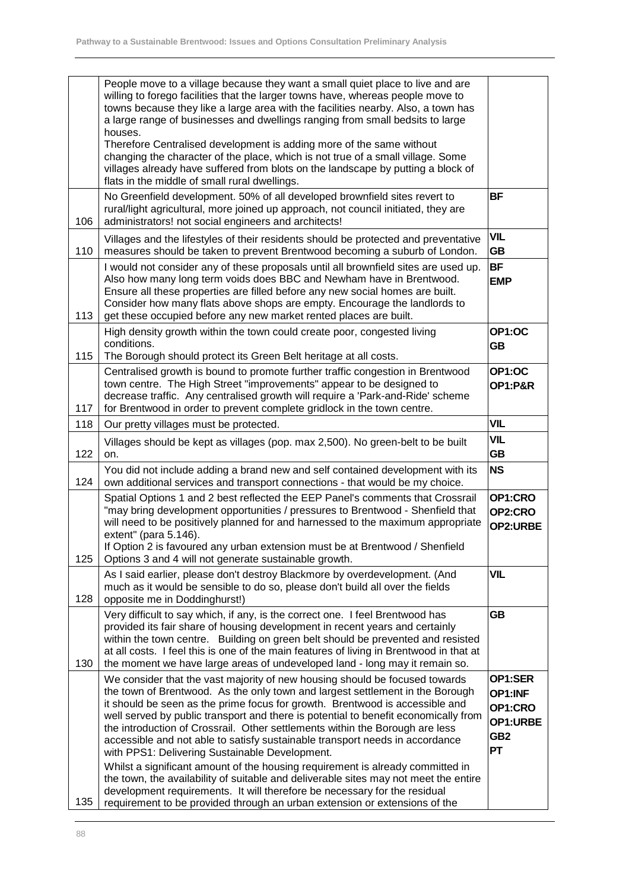|     | People move to a village because they want a small quiet place to live and are<br>willing to forego facilities that the larger towns have, whereas people move to<br>towns because they like a large area with the facilities nearby. Also, a town has<br>a large range of businesses and dwellings ranging from small bedsits to large<br>houses.<br>Therefore Centralised development is adding more of the same without<br>changing the character of the place, which is not true of a small village. Some<br>villages already have suffered from blots on the landscape by putting a block of                                                                                                                                                                                                                                                                                          |                                                                           |
|-----|--------------------------------------------------------------------------------------------------------------------------------------------------------------------------------------------------------------------------------------------------------------------------------------------------------------------------------------------------------------------------------------------------------------------------------------------------------------------------------------------------------------------------------------------------------------------------------------------------------------------------------------------------------------------------------------------------------------------------------------------------------------------------------------------------------------------------------------------------------------------------------------------|---------------------------------------------------------------------------|
|     | flats in the middle of small rural dwellings.                                                                                                                                                                                                                                                                                                                                                                                                                                                                                                                                                                                                                                                                                                                                                                                                                                              |                                                                           |
| 106 | No Greenfield development. 50% of all developed brownfield sites revert to<br>rural/light agricultural, more joined up approach, not council initiated, they are<br>administrators! not social engineers and architects!                                                                                                                                                                                                                                                                                                                                                                                                                                                                                                                                                                                                                                                                   | <b>BF</b>                                                                 |
| 110 | Villages and the lifestyles of their residents should be protected and preventative<br>measures should be taken to prevent Brentwood becoming a suburb of London.                                                                                                                                                                                                                                                                                                                                                                                                                                                                                                                                                                                                                                                                                                                          | <b>VIL</b><br><b>GB</b>                                                   |
| 113 | I would not consider any of these proposals until all brownfield sites are used up.<br>Also how many long term voids does BBC and Newham have in Brentwood.<br>Ensure all these properties are filled before any new social homes are built.<br>Consider how many flats above shops are empty. Encourage the landlords to<br>get these occupied before any new market rented places are built.                                                                                                                                                                                                                                                                                                                                                                                                                                                                                             | <b>BF</b><br><b>EMP</b>                                                   |
| 115 | High density growth within the town could create poor, congested living<br>conditions.<br>The Borough should protect its Green Belt heritage at all costs.                                                                                                                                                                                                                                                                                                                                                                                                                                                                                                                                                                                                                                                                                                                                 | OP1:OC<br><b>GB</b>                                                       |
| 117 | Centralised growth is bound to promote further traffic congestion in Brentwood<br>town centre. The High Street "improvements" appear to be designed to<br>decrease traffic. Any centralised growth will require a 'Park-and-Ride' scheme<br>for Brentwood in order to prevent complete gridlock in the town centre.                                                                                                                                                                                                                                                                                                                                                                                                                                                                                                                                                                        | OP1:OC<br><b>OP1:P&amp;R</b>                                              |
| 118 | Our pretty villages must be protected.                                                                                                                                                                                                                                                                                                                                                                                                                                                                                                                                                                                                                                                                                                                                                                                                                                                     |                                                                           |
| 122 | Villages should be kept as villages (pop. max 2,500). No green-belt to be built<br>on.                                                                                                                                                                                                                                                                                                                                                                                                                                                                                                                                                                                                                                                                                                                                                                                                     | <b>VIL</b><br><b>GB</b>                                                   |
| 124 | You did not include adding a brand new and self contained development with its<br>own additional services and transport connections - that would be my choice.                                                                                                                                                                                                                                                                                                                                                                                                                                                                                                                                                                                                                                                                                                                             | <b>NS</b>                                                                 |
| 125 | Spatial Options 1 and 2 best reflected the EEP Panel's comments that Crossrail<br>"may bring development opportunities / pressures to Brentwood - Shenfield that<br>will need to be positively planned for and harnessed to the maximum appropriate<br>extent" (para 5.146).<br>If Option 2 is favoured any urban extension must be at Brentwood / Shenfield<br>Options 3 and 4 will not generate sustainable growth.                                                                                                                                                                                                                                                                                                                                                                                                                                                                      | OP1:CRO<br>OP2:CRO<br>OP2:URBE                                            |
| 128 | As I said earlier, please don't destroy Blackmore by overdevelopment. (And<br>much as it would be sensible to do so, please don't build all over the fields<br>opposite me in Doddinghurst!)                                                                                                                                                                                                                                                                                                                                                                                                                                                                                                                                                                                                                                                                                               | <b>VIL</b>                                                                |
| 130 | Very difficult to say which, if any, is the correct one. I feel Brentwood has<br>provided its fair share of housing development in recent years and certainly<br>within the town centre. Building on green belt should be prevented and resisted<br>at all costs. I feel this is one of the main features of living in Brentwood in that at<br>the moment we have large areas of undeveloped land - long may it remain so.                                                                                                                                                                                                                                                                                                                                                                                                                                                                 | GB                                                                        |
| 135 | We consider that the vast majority of new housing should be focused towards<br>the town of Brentwood. As the only town and largest settlement in the Borough<br>it should be seen as the prime focus for growth. Brentwood is accessible and<br>well served by public transport and there is potential to benefit economically from<br>the introduction of Crossrail. Other settlements within the Borough are less<br>accessible and not able to satisfy sustainable transport needs in accordance<br>with PPS1: Delivering Sustainable Development.<br>Whilst a significant amount of the housing requirement is already committed in<br>the town, the availability of suitable and deliverable sites may not meet the entire<br>development requirements. It will therefore be necessary for the residual<br>requirement to be provided through an urban extension or extensions of the | OP1:SER<br>OP1:INF<br>OP1:CRO<br>OP1:URBE<br>GB <sub>2</sub><br><b>PT</b> |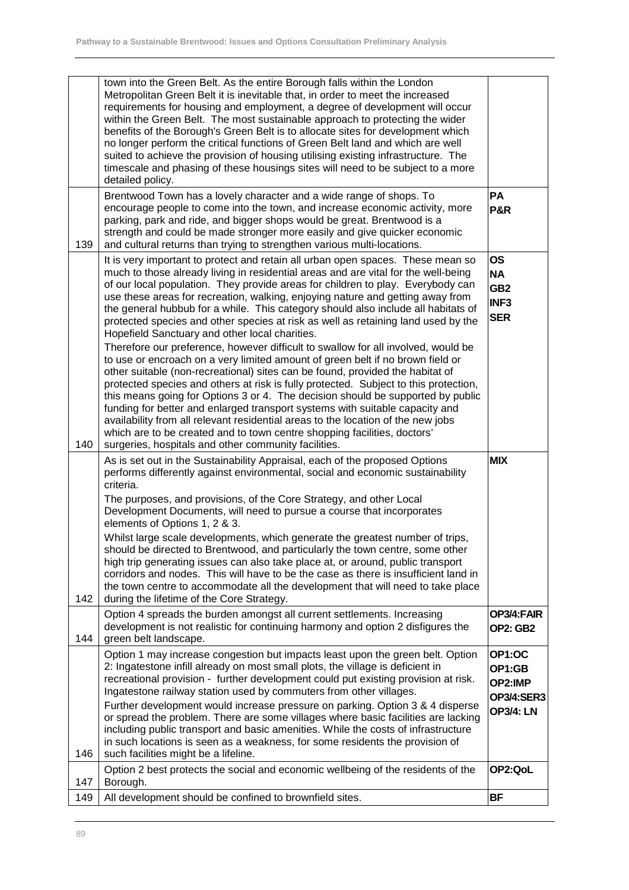|     | town into the Green Belt. As the entire Borough falls within the London<br>Metropolitan Green Belt it is inevitable that, in order to meet the increased<br>requirements for housing and employment, a degree of development will occur<br>within the Green Belt. The most sustainable approach to protecting the wider<br>benefits of the Borough's Green Belt is to allocate sites for development which<br>no longer perform the critical functions of Green Belt land and which are well<br>suited to achieve the provision of housing utilising existing infrastructure. The<br>timescale and phasing of these housings sites will need to be subject to a more<br>detailed policy. |                                                                             |
|-----|------------------------------------------------------------------------------------------------------------------------------------------------------------------------------------------------------------------------------------------------------------------------------------------------------------------------------------------------------------------------------------------------------------------------------------------------------------------------------------------------------------------------------------------------------------------------------------------------------------------------------------------------------------------------------------------|-----------------------------------------------------------------------------|
| 139 | Brentwood Town has a lovely character and a wide range of shops. To<br>encourage people to come into the town, and increase economic activity, more<br>parking, park and ride, and bigger shops would be great. Brentwood is a<br>strength and could be made stronger more easily and give quicker economic<br>and cultural returns than trying to strengthen various multi-locations.                                                                                                                                                                                                                                                                                                   | PA<br><b>P&amp;R</b>                                                        |
|     | It is very important to protect and retain all urban open spaces. These mean so<br>much to those already living in residential areas and are vital for the well-being<br>of our local population. They provide areas for children to play. Everybody can<br>use these areas for recreation, walking, enjoying nature and getting away from<br>the general hubbub for a while. This category should also include all habitats of<br>protected species and other species at risk as well as retaining land used by the<br>Hopefield Sanctuary and other local charities.<br>Therefore our preference, however difficult to swallow for all involved, would be                              | <b>OS</b><br><b>NA</b><br>GB <sub>2</sub><br>INF <sub>3</sub><br><b>SER</b> |
| 140 | to use or encroach on a very limited amount of green belt if no brown field or<br>other suitable (non-recreational) sites can be found, provided the habitat of<br>protected species and others at risk is fully protected. Subject to this protection,<br>this means going for Options 3 or 4. The decision should be supported by public<br>funding for better and enlarged transport systems with suitable capacity and<br>availability from all relevant residential areas to the location of the new jobs<br>which are to be created and to town centre shopping facilities, doctors'<br>surgeries, hospitals and other community facilities.                                       |                                                                             |
|     | As is set out in the Sustainability Appraisal, each of the proposed Options<br>performs differently against environmental, social and economic sustainability<br>criteria.<br>The purposes, and provisions, of the Core Strategy, and other Local                                                                                                                                                                                                                                                                                                                                                                                                                                        | <b>MIX</b>                                                                  |
|     | Development Documents, will need to pursue a course that incorporates<br>elements of Options 1, 2 & 3.<br>Whilst large scale developments, which generate the greatest number of trips,<br>should be directed to Brentwood, and particularly the town centre, some other<br>high trip generating issues can also take place at, or around, public transport                                                                                                                                                                                                                                                                                                                              |                                                                             |
| 142 | corridors and nodes. This will have to be the case as there is insufficient land in<br>the town centre to accommodate all the development that will need to take place<br>during the lifetime of the Core Strategy.                                                                                                                                                                                                                                                                                                                                                                                                                                                                      |                                                                             |
| 144 | Option 4 spreads the burden amongst all current settlements. Increasing<br>development is not realistic for continuing harmony and option 2 disfigures the<br>green belt landscape.                                                                                                                                                                                                                                                                                                                                                                                                                                                                                                      | OP3/4:FAIR<br><b>OP2: GB2</b>                                               |
|     | Option 1 may increase congestion but impacts least upon the green belt. Option<br>2: Ingatestone infill already on most small plots, the village is deficient in<br>recreational provision - further development could put existing provision at risk.<br>Ingatestone railway station used by commuters from other villages.<br>Further development would increase pressure on parking. Option 3 & 4 disperse<br>or spread the problem. There are some villages where basic facilities are lacking<br>including public transport and basic amenities. While the costs of infrastructure<br>in such locations is seen as a weakness, for some residents the provision of                  | OP1:OC<br>OP1:GB<br>OP2:IMP<br><b>OP3/4:SER3</b><br><b>OP3/4: LN</b>        |
| 146 | such facilities might be a lifeline.<br>Option 2 best protects the social and economic wellbeing of the residents of the                                                                                                                                                                                                                                                                                                                                                                                                                                                                                                                                                                 | OP2:QoL                                                                     |
| 147 | Borough.                                                                                                                                                                                                                                                                                                                                                                                                                                                                                                                                                                                                                                                                                 |                                                                             |
| 149 | All development should be confined to brownfield sites.                                                                                                                                                                                                                                                                                                                                                                                                                                                                                                                                                                                                                                  | <b>BF</b>                                                                   |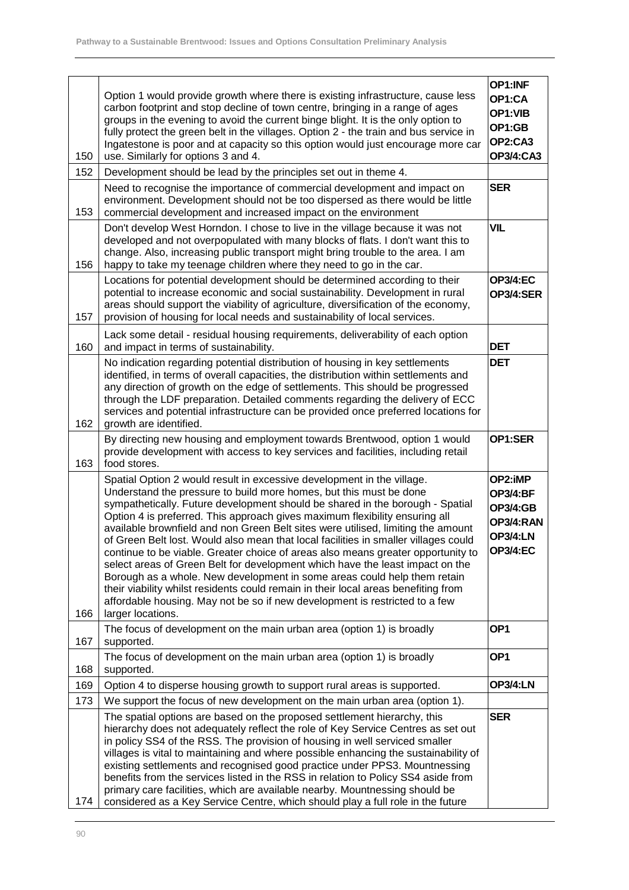|     |                                                                                                                                                                                                                                                                                                                                                                                                                                                                                                                                                                                                                                                                                                                                                                                                                                                                                                                                    | OP1:INF                                                                                          |
|-----|------------------------------------------------------------------------------------------------------------------------------------------------------------------------------------------------------------------------------------------------------------------------------------------------------------------------------------------------------------------------------------------------------------------------------------------------------------------------------------------------------------------------------------------------------------------------------------------------------------------------------------------------------------------------------------------------------------------------------------------------------------------------------------------------------------------------------------------------------------------------------------------------------------------------------------|--------------------------------------------------------------------------------------------------|
| 150 | Option 1 would provide growth where there is existing infrastructure, cause less<br>carbon footprint and stop decline of town centre, bringing in a range of ages<br>groups in the evening to avoid the current binge blight. It is the only option to<br>fully protect the green belt in the villages. Option 2 - the train and bus service in<br>Ingatestone is poor and at capacity so this option would just encourage more car<br>use. Similarly for options 3 and 4.                                                                                                                                                                                                                                                                                                                                                                                                                                                         | OP1:CA<br>OP1:VIB<br>OP1:GB<br>OP2:CA3<br><b>OP3/4:CA3</b>                                       |
| 152 | Development should be lead by the principles set out in theme 4.                                                                                                                                                                                                                                                                                                                                                                                                                                                                                                                                                                                                                                                                                                                                                                                                                                                                   |                                                                                                  |
| 153 | Need to recognise the importance of commercial development and impact on<br>environment. Development should not be too dispersed as there would be little<br>commercial development and increased impact on the environment                                                                                                                                                                                                                                                                                                                                                                                                                                                                                                                                                                                                                                                                                                        | <b>SER</b>                                                                                       |
| 156 | Don't develop West Horndon. I chose to live in the village because it was not<br>developed and not overpopulated with many blocks of flats. I don't want this to<br>change. Also, increasing public transport might bring trouble to the area. I am<br>happy to take my teenage children where they need to go in the car.                                                                                                                                                                                                                                                                                                                                                                                                                                                                                                                                                                                                         | <b>VIL</b>                                                                                       |
| 157 | Locations for potential development should be determined according to their<br>potential to increase economic and social sustainability. Development in rural<br>areas should support the viability of agriculture, diversification of the economy,<br>provision of housing for local needs and sustainability of local services.                                                                                                                                                                                                                                                                                                                                                                                                                                                                                                                                                                                                  | <b>OP3/4:EC</b><br>OP3/4:SER                                                                     |
| 160 | Lack some detail - residual housing requirements, deliverability of each option<br>and impact in terms of sustainability.                                                                                                                                                                                                                                                                                                                                                                                                                                                                                                                                                                                                                                                                                                                                                                                                          | <b>DET</b>                                                                                       |
| 162 | No indication regarding potential distribution of housing in key settlements<br>identified, in terms of overall capacities, the distribution within settlements and<br>any direction of growth on the edge of settlements. This should be progressed<br>through the LDF preparation. Detailed comments regarding the delivery of ECC<br>services and potential infrastructure can be provided once preferred locations for<br>growth are identified.                                                                                                                                                                                                                                                                                                                                                                                                                                                                               | <b>DET</b>                                                                                       |
| 163 | By directing new housing and employment towards Brentwood, option 1 would<br>provide development with access to key services and facilities, including retail<br>food stores.                                                                                                                                                                                                                                                                                                                                                                                                                                                                                                                                                                                                                                                                                                                                                      |                                                                                                  |
| 166 | Spatial Option 2 would result in excessive development in the village.<br>Understand the pressure to build more homes, but this must be done<br>sympathetically. Future development should be shared in the borough - Spatial<br>Option 4 is preferred. This approach gives maximum flexibility ensuring all<br>available brownfield and non Green Belt sites were utilised, limiting the amount<br>of Green Belt lost. Would also mean that local facilities in smaller villages could<br>continue to be viable. Greater choice of areas also means greater opportunity to<br>select areas of Green Belt for development which have the least impact on the<br>Borough as a whole. New development in some areas could help them retain<br>their viability whilst residents could remain in their local areas benefiting from<br>affordable housing. May not be so if new development is restricted to a few<br>larger locations. | OP2:iMP<br><b>OP3/4:BF</b><br><b>OP3/4:GB</b><br>OP3/4:RAN<br><b>OP3/4:LN</b><br><b>OP3/4:EC</b> |
| 167 | The focus of development on the main urban area (option 1) is broadly<br>supported.                                                                                                                                                                                                                                                                                                                                                                                                                                                                                                                                                                                                                                                                                                                                                                                                                                                | OP <sub>1</sub>                                                                                  |
| 168 | The focus of development on the main urban area (option 1) is broadly<br>supported.                                                                                                                                                                                                                                                                                                                                                                                                                                                                                                                                                                                                                                                                                                                                                                                                                                                | OP <sub>1</sub>                                                                                  |
| 169 | Option 4 to disperse housing growth to support rural areas is supported.                                                                                                                                                                                                                                                                                                                                                                                                                                                                                                                                                                                                                                                                                                                                                                                                                                                           | <b>OP3/4:LN</b>                                                                                  |
| 173 | We support the focus of new development on the main urban area (option 1).                                                                                                                                                                                                                                                                                                                                                                                                                                                                                                                                                                                                                                                                                                                                                                                                                                                         |                                                                                                  |
| 174 | The spatial options are based on the proposed settlement hierarchy, this<br>hierarchy does not adequately reflect the role of Key Service Centres as set out<br>in policy SS4 of the RSS. The provision of housing in well serviced smaller<br>villages is vital to maintaining and where possible enhancing the sustainability of<br>existing settlements and recognised good practice under PPS3. Mountnessing<br>benefits from the services listed in the RSS in relation to Policy SS4 aside from<br>primary care facilities, which are available nearby. Mountnessing should be<br>considered as a Key Service Centre, which should play a full role in the future                                                                                                                                                                                                                                                            | <b>SER</b>                                                                                       |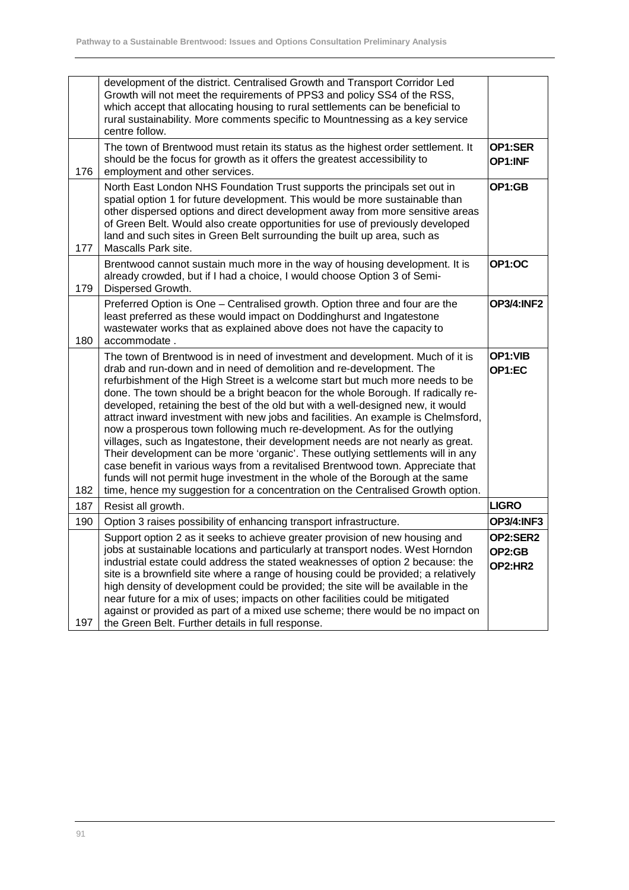|     | development of the district. Centralised Growth and Transport Corridor Led<br>Growth will not meet the requirements of PPS3 and policy SS4 of the RSS,<br>which accept that allocating housing to rural settlements can be beneficial to<br>rural sustainability. More comments specific to Mountnessing as a key service<br>centre follow.                                                                                                                                                                                                                                                                                                                                                                                                                                                                                                                                                                                                                                                                |                               |
|-----|------------------------------------------------------------------------------------------------------------------------------------------------------------------------------------------------------------------------------------------------------------------------------------------------------------------------------------------------------------------------------------------------------------------------------------------------------------------------------------------------------------------------------------------------------------------------------------------------------------------------------------------------------------------------------------------------------------------------------------------------------------------------------------------------------------------------------------------------------------------------------------------------------------------------------------------------------------------------------------------------------------|-------------------------------|
| 176 | The town of Brentwood must retain its status as the highest order settlement. It<br>should be the focus for growth as it offers the greatest accessibility to<br>employment and other services.                                                                                                                                                                                                                                                                                                                                                                                                                                                                                                                                                                                                                                                                                                                                                                                                            | OP1:SER<br>OP1:INF            |
| 177 | North East London NHS Foundation Trust supports the principals set out in<br>spatial option 1 for future development. This would be more sustainable than<br>other dispersed options and direct development away from more sensitive areas<br>of Green Belt. Would also create opportunities for use of previously developed<br>land and such sites in Green Belt surrounding the built up area, such as<br>Mascalls Park site.                                                                                                                                                                                                                                                                                                                                                                                                                                                                                                                                                                            | OP1:GB                        |
| 179 | Brentwood cannot sustain much more in the way of housing development. It is<br>already crowded, but if I had a choice, I would choose Option 3 of Semi-<br>Dispersed Growth.                                                                                                                                                                                                                                                                                                                                                                                                                                                                                                                                                                                                                                                                                                                                                                                                                               | OP1:OC                        |
| 180 | Preferred Option is One - Centralised growth. Option three and four are the<br>least preferred as these would impact on Doddinghurst and Ingatestone<br>wastewater works that as explained above does not have the capacity to<br>accommodate.                                                                                                                                                                                                                                                                                                                                                                                                                                                                                                                                                                                                                                                                                                                                                             | <b>OP3/4:INF2</b>             |
| 182 | The town of Brentwood is in need of investment and development. Much of it is<br>drab and run-down and in need of demolition and re-development. The<br>refurbishment of the High Street is a welcome start but much more needs to be<br>done. The town should be a bright beacon for the whole Borough. If radically re-<br>developed, retaining the best of the old but with a well-designed new, it would<br>attract inward investment with new jobs and facilities. An example is Chelmsford,<br>now a prosperous town following much re-development. As for the outlying<br>villages, such as Ingatestone, their development needs are not nearly as great.<br>Their development can be more 'organic'. These outlying settlements will in any<br>case benefit in various ways from a revitalised Brentwood town. Appreciate that<br>funds will not permit huge investment in the whole of the Borough at the same<br>time, hence my suggestion for a concentration on the Centralised Growth option. | OP1:VIB<br>OP1:EC             |
| 187 | Resist all growth.                                                                                                                                                                                                                                                                                                                                                                                                                                                                                                                                                                                                                                                                                                                                                                                                                                                                                                                                                                                         | <b>LIGRO</b>                  |
| 190 | Option 3 raises possibility of enhancing transport infrastructure.                                                                                                                                                                                                                                                                                                                                                                                                                                                                                                                                                                                                                                                                                                                                                                                                                                                                                                                                         | <b>OP3/4:INF3</b>             |
| 197 | Support option 2 as it seeks to achieve greater provision of new housing and<br>jobs at sustainable locations and particularly at transport nodes. West Horndon<br>industrial estate could address the stated weaknesses of option 2 because: the<br>site is a brownfield site where a range of housing could be provided; a relatively<br>high density of development could be provided; the site will be available in the<br>near future for a mix of uses; impacts on other facilities could be mitigated<br>against or provided as part of a mixed use scheme; there would be no impact on<br>the Green Belt. Further details in full response.                                                                                                                                                                                                                                                                                                                                                        | OP2:SER2<br>OP2:GB<br>OP2:HR2 |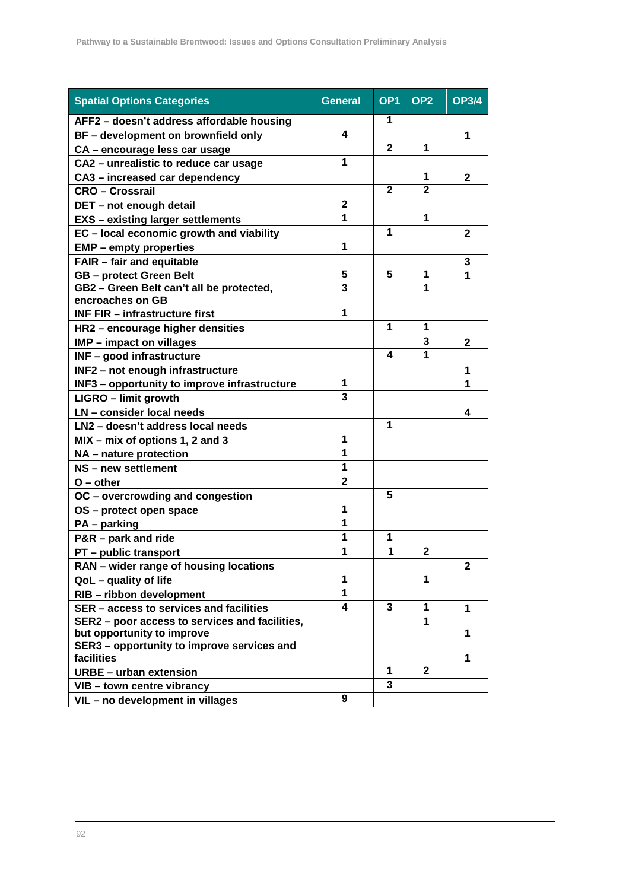| <b>Spatial Options Categories</b>              | <b>General</b>          | OP <sub>1</sub> | OP <sub>2</sub> | <b>OP3/4</b> |
|------------------------------------------------|-------------------------|-----------------|-----------------|--------------|
| AFF2 - doesn't address affordable housing      |                         | 1               |                 |              |
| BF - development on brownfield only            | 4                       |                 |                 | 1            |
| CA - encourage less car usage                  |                         | $\overline{2}$  | 1               |              |
| CA2 - unrealistic to reduce car usage          | 1                       |                 |                 |              |
| CA3 - increased car dependency                 |                         |                 | 1               | $\mathbf{2}$ |
| <b>CRO - Crossrail</b>                         |                         | $\mathbf{2}$    | $\overline{2}$  |              |
| DET - not enough detail                        | $\mathbf{2}$            |                 |                 |              |
| <b>EXS</b> - existing larger settlements       | 1                       |                 | 1               |              |
| EC - local economic growth and viability       |                         | 1               |                 | $\mathbf{2}$ |
| <b>EMP</b> – empty properties                  | 1                       |                 |                 |              |
| <b>FAIR - fair and equitable</b>               |                         |                 |                 | 3            |
| <b>GB</b> - protect Green Belt                 | 5                       | 5               | 1               | $\mathbf 1$  |
| GB2 - Green Belt can't all be protected,       | 3                       |                 | 1               |              |
| encroaches on GB                               |                         |                 |                 |              |
| <b>INF FIR - infrastructure first</b>          | 1                       |                 |                 |              |
| HR2 - encourage higher densities               |                         | 1               | 1               |              |
| <b>IMP</b> - impact on villages                |                         |                 | 3               | $\mathbf{2}$ |
| <b>INF-good infrastructure</b>                 |                         | 4               | 1               |              |
| INF2 - not enough infrastructure               |                         |                 |                 | 1            |
| INF3 - opportunity to improve infrastructure   | 1                       |                 |                 | 1            |
| LIGRO - limit growth                           | 3                       |                 |                 |              |
| LN - consider local needs                      |                         |                 |                 | 4            |
| LN2 - doesn't address local needs              |                         | 1               |                 |              |
| MIX - mix of options 1, 2 and 3                | $\mathbf{1}$            |                 |                 |              |
| NA - nature protection                         | 1                       |                 |                 |              |
| NS - new settlement                            | 1                       |                 |                 |              |
| $O$ – other                                    | $\overline{\mathbf{2}}$ |                 |                 |              |
| OC - overcrowding and congestion               |                         | 5               |                 |              |
| OS - protect open space                        | 1                       |                 |                 |              |
| $PA$ – parking                                 | 1                       |                 |                 |              |
| P&R - park and ride                            | 1                       | 1               |                 |              |
| PT - public transport                          | 1                       | 1               | $\mathbf{2}$    |              |
| RAN - wider range of housing locations         |                         |                 |                 | $\mathbf{2}$ |
| QoL - quality of life                          | 1                       |                 | 1               |              |
| RIB - ribbon development                       | 1                       |                 |                 |              |
| SER - access to services and facilities        | 4                       | 3               | $\mathbf 1$     | 1            |
| SER2 - poor access to services and facilities, |                         |                 | 1               |              |
| but opportunity to improve                     |                         |                 |                 | 1            |
| SER3 - opportunity to improve services and     |                         |                 |                 |              |
| facilities                                     |                         | 1               | $\mathbf{2}$    | 1            |
| <b>URBE</b> - urban extension                  |                         | 3               |                 |              |
| VIB - town centre vibrancy                     |                         |                 |                 |              |
| VIL - no development in villages               | 9                       |                 |                 |              |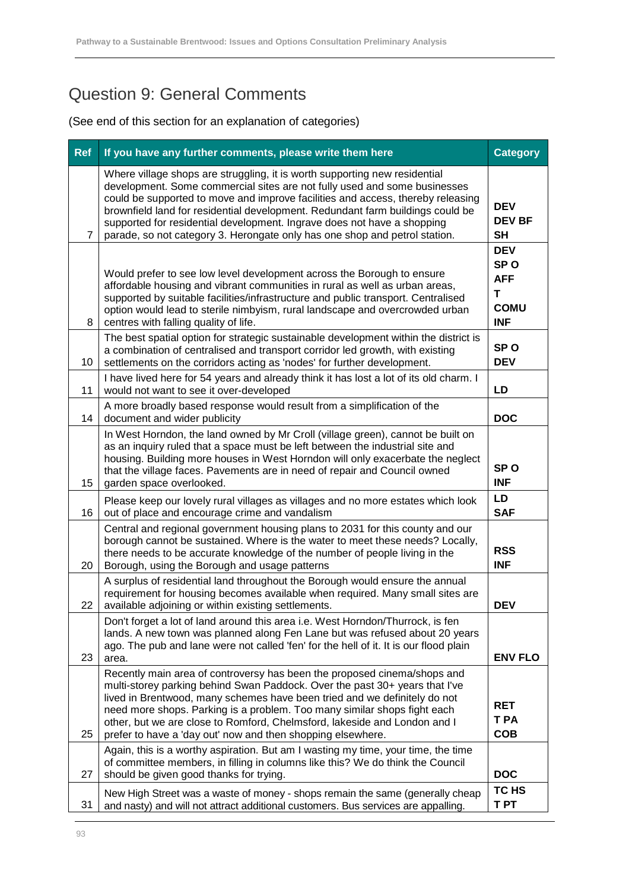## Question 9: General Comments

| <b>Ref</b>     | If you have any further comments, please write them here                                                                                                                                                                                                                                                                                                                                                                                                                              |                                                                               |  |  |
|----------------|---------------------------------------------------------------------------------------------------------------------------------------------------------------------------------------------------------------------------------------------------------------------------------------------------------------------------------------------------------------------------------------------------------------------------------------------------------------------------------------|-------------------------------------------------------------------------------|--|--|
| $\overline{7}$ | Where village shops are struggling, it is worth supporting new residential<br>development. Some commercial sites are not fully used and some businesses<br>could be supported to move and improve facilities and access, thereby releasing<br>brownfield land for residential development. Redundant farm buildings could be<br>supported for residential development. Ingrave does not have a shopping<br>parade, so not category 3. Herongate only has one shop and petrol station. | <b>DEV</b><br><b>DEV BF</b><br><b>SH</b>                                      |  |  |
| 8              | Would prefer to see low level development across the Borough to ensure<br>affordable housing and vibrant communities in rural as well as urban areas,<br>supported by suitable facilities/infrastructure and public transport. Centralised<br>option would lead to sterile nimbyism, rural landscape and overcrowded urban<br>centres with falling quality of life.                                                                                                                   | <b>DEV</b><br>SP <sub>O</sub><br><b>AFF</b><br>T<br><b>COMU</b><br><b>INF</b> |  |  |
| 10             | The best spatial option for strategic sustainable development within the district is<br>a combination of centralised and transport corridor led growth, with existing<br>settlements on the corridors acting as 'nodes' for further development.                                                                                                                                                                                                                                      | SP <sub>O</sub><br><b>DEV</b>                                                 |  |  |
| 11             | I have lived here for 54 years and already think it has lost a lot of its old charm. I<br>would not want to see it over-developed                                                                                                                                                                                                                                                                                                                                                     | LD                                                                            |  |  |
| 14             | A more broadly based response would result from a simplification of the<br>document and wider publicity                                                                                                                                                                                                                                                                                                                                                                               | <b>DOC</b>                                                                    |  |  |
| 15             | In West Horndon, the land owned by Mr Croll (village green), cannot be built on<br>as an inquiry ruled that a space must be left between the industrial site and<br>housing. Building more houses in West Horndon will only exacerbate the neglect<br>that the village faces. Pavements are in need of repair and Council owned<br>garden space overlooked.                                                                                                                           | SP <sub>O</sub><br><b>INF</b>                                                 |  |  |
| 16             | Please keep our lovely rural villages as villages and no more estates which look<br>out of place and encourage crime and vandalism                                                                                                                                                                                                                                                                                                                                                    |                                                                               |  |  |
| 20             | Central and regional government housing plans to 2031 for this county and our<br>borough cannot be sustained. Where is the water to meet these needs? Locally,<br>there needs to be accurate knowledge of the number of people living in the<br>Borough, using the Borough and usage patterns                                                                                                                                                                                         |                                                                               |  |  |
| 22             | A surplus of residential land throughout the Borough would ensure the annual<br>requirement for housing becomes available when required. Many small sites are<br>available adjoining or within existing settlements.                                                                                                                                                                                                                                                                  | <b>DEV</b>                                                                    |  |  |
| 23             | Don't forget a lot of land around this area i.e. West Horndon/Thurrock, is fen<br>lands. A new town was planned along Fen Lane but was refused about 20 years<br>ago. The pub and lane were not called 'fen' for the hell of it. It is our flood plain<br>area.                                                                                                                                                                                                                       | <b>ENV FLO</b>                                                                |  |  |
| 25             | Recently main area of controversy has been the proposed cinema/shops and<br>multi-storey parking behind Swan Paddock. Over the past 30+ years that I've<br>lived in Brentwood, many schemes have been tried and we definitely do not<br>need more shops. Parking is a problem. Too many similar shops fight each<br>other, but we are close to Romford, Chelmsford, lakeside and London and I<br>prefer to have a 'day out' now and then shopping elsewhere.                          | <b>RET</b><br>T PA<br><b>COB</b>                                              |  |  |
| 27             | Again, this is a worthy aspiration. But am I wasting my time, your time, the time<br>of committee members, in filling in columns like this? We do think the Council<br>should be given good thanks for trying.                                                                                                                                                                                                                                                                        |                                                                               |  |  |
| 31             | New High Street was a waste of money - shops remain the same (generally cheap<br>and nasty) and will not attract additional customers. Bus services are appalling.                                                                                                                                                                                                                                                                                                                    | TC HS<br>T PT                                                                 |  |  |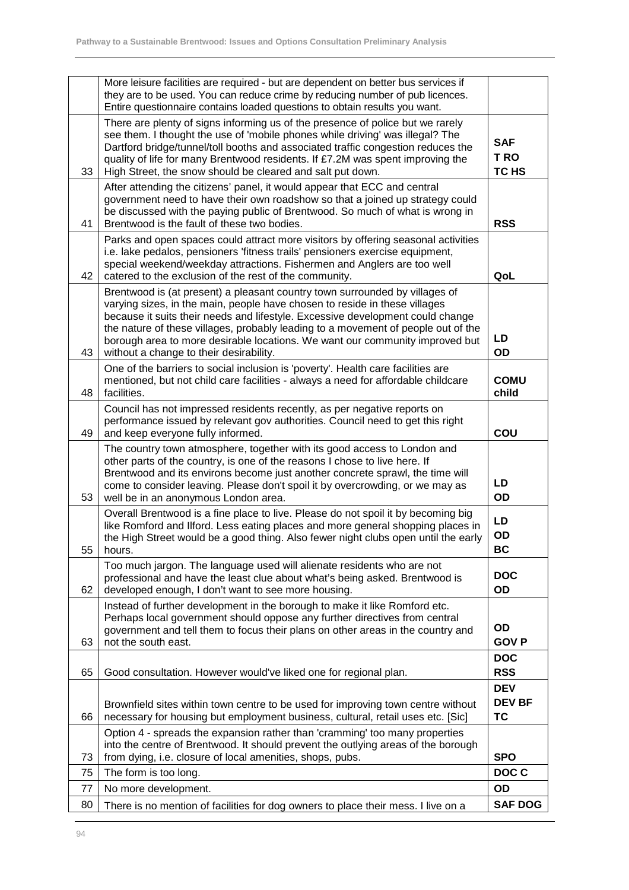|    | More leisure facilities are required - but are dependent on better bus services if<br>they are to be used. You can reduce crime by reducing number of pub licences.<br>Entire questionnaire contains loaded questions to obtain results you want.                                                                                                                                                                                                           |                                          |
|----|-------------------------------------------------------------------------------------------------------------------------------------------------------------------------------------------------------------------------------------------------------------------------------------------------------------------------------------------------------------------------------------------------------------------------------------------------------------|------------------------------------------|
| 33 | There are plenty of signs informing us of the presence of police but we rarely<br>see them. I thought the use of 'mobile phones while driving' was illegal? The<br>Dartford bridge/tunnel/toll booths and associated traffic congestion reduces the<br>quality of life for many Brentwood residents. If £7.2M was spent improving the<br>High Street, the snow should be cleared and salt put down.                                                         | <b>SAF</b><br>T RO<br>TC HS              |
| 41 | After attending the citizens' panel, it would appear that ECC and central<br>government need to have their own roadshow so that a joined up strategy could<br>be discussed with the paying public of Brentwood. So much of what is wrong in<br>Brentwood is the fault of these two bodies.                                                                                                                                                                  | <b>RSS</b>                               |
| 42 | Parks and open spaces could attract more visitors by offering seasonal activities<br>i.e. lake pedalos, pensioners 'fitness trails' pensioners exercise equipment,<br>special weekend/weekday attractions. Fishermen and Anglers are too well<br>catered to the exclusion of the rest of the community.                                                                                                                                                     | QoL                                      |
| 43 | Brentwood is (at present) a pleasant country town surrounded by villages of<br>varying sizes, in the main, people have chosen to reside in these villages<br>because it suits their needs and lifestyle. Excessive development could change<br>the nature of these villages, probably leading to a movement of people out of the<br>borough area to more desirable locations. We want our community improved but<br>without a change to their desirability. | LD<br>OD                                 |
| 48 | One of the barriers to social inclusion is 'poverty'. Health care facilities are<br>mentioned, but not child care facilities - always a need for affordable childcare<br>facilities.                                                                                                                                                                                                                                                                        | <b>COMU</b><br>child                     |
| 49 | Council has not impressed residents recently, as per negative reports on<br>performance issued by relevant gov authorities. Council need to get this right<br>and keep everyone fully informed.                                                                                                                                                                                                                                                             | COU                                      |
| 53 | The country town atmosphere, together with its good access to London and<br>other parts of the country, is one of the reasons I chose to live here. If<br>Brentwood and its environs become just another concrete sprawl, the time will<br>come to consider leaving. Please don't spoil it by overcrowding, or we may as<br>well be in an anonymous London area.                                                                                            | LD<br>OD                                 |
| 55 | Overall Brentwood is a fine place to live. Please do not spoil it by becoming big<br>like Romford and Ilford. Less eating places and more general shopping places in<br>the High Street would be a good thing. Also fewer night clubs open until the early<br>hours.                                                                                                                                                                                        | LD<br>OD<br><b>BC</b>                    |
| 62 | Too much jargon. The language used will alienate residents who are not<br>professional and have the least clue about what's being asked. Brentwood is<br>developed enough, I don't want to see more housing.                                                                                                                                                                                                                                                | <b>DOC</b><br>OD                         |
| 63 | Instead of further development in the borough to make it like Romford etc.<br>Perhaps local government should oppose any further directives from central<br>government and tell them to focus their plans on other areas in the country and<br>not the south east.                                                                                                                                                                                          | OD<br><b>GOVP</b>                        |
| 65 | Good consultation. However would've liked one for regional plan.                                                                                                                                                                                                                                                                                                                                                                                            | <b>DOC</b><br><b>RSS</b>                 |
| 66 | Brownfield sites within town centre to be used for improving town centre without<br>necessary for housing but employment business, cultural, retail uses etc. [Sic]                                                                                                                                                                                                                                                                                         | <b>DEV</b><br><b>DEV BF</b><br><b>TC</b> |
| 73 | Option 4 - spreads the expansion rather than 'cramming' too many properties<br>into the centre of Brentwood. It should prevent the outlying areas of the borough<br>from dying, i.e. closure of local amenities, shops, pubs.                                                                                                                                                                                                                               | <b>SPO</b>                               |
| 75 | The form is too long.                                                                                                                                                                                                                                                                                                                                                                                                                                       | DOC C                                    |
| 77 | No more development.                                                                                                                                                                                                                                                                                                                                                                                                                                        | OD                                       |
| 80 | There is no mention of facilities for dog owners to place their mess. I live on a                                                                                                                                                                                                                                                                                                                                                                           | <b>SAF DOG</b>                           |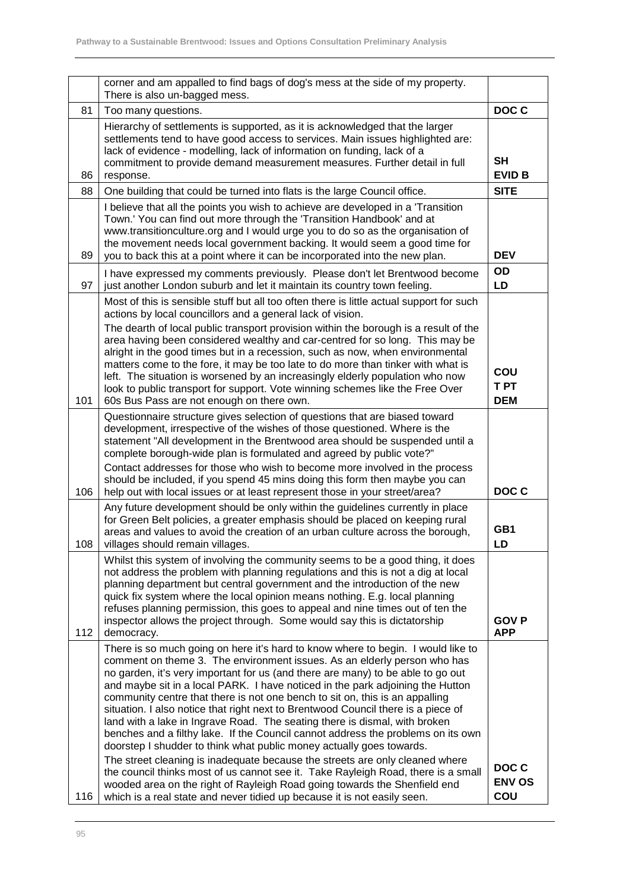|     | corner and am appalled to find bags of dog's mess at the side of my property.<br>There is also un-bagged mess.                                                                                                                                                                                                                                                                                                                                                                                                                                                                                                                                                                                                                                                                                                                                                                                                                                                                                                                                                                 |                               |
|-----|--------------------------------------------------------------------------------------------------------------------------------------------------------------------------------------------------------------------------------------------------------------------------------------------------------------------------------------------------------------------------------------------------------------------------------------------------------------------------------------------------------------------------------------------------------------------------------------------------------------------------------------------------------------------------------------------------------------------------------------------------------------------------------------------------------------------------------------------------------------------------------------------------------------------------------------------------------------------------------------------------------------------------------------------------------------------------------|-------------------------------|
| 81  | Too many questions.                                                                                                                                                                                                                                                                                                                                                                                                                                                                                                                                                                                                                                                                                                                                                                                                                                                                                                                                                                                                                                                            | DOC C                         |
| 86  | Hierarchy of settlements is supported, as it is acknowledged that the larger<br>settlements tend to have good access to services. Main issues highlighted are:<br>lack of evidence - modelling, lack of information on funding, lack of a<br>commitment to provide demand measurement measures. Further detail in full<br>response.                                                                                                                                                                                                                                                                                                                                                                                                                                                                                                                                                                                                                                                                                                                                            | SH<br><b>EVID B</b>           |
| 88  | One building that could be turned into flats is the large Council office.                                                                                                                                                                                                                                                                                                                                                                                                                                                                                                                                                                                                                                                                                                                                                                                                                                                                                                                                                                                                      | <b>SITE</b>                   |
| 89  | I believe that all the points you wish to achieve are developed in a 'Transition<br>Town.' You can find out more through the 'Transition Handbook' and at<br>www.transitionculture.org and I would urge you to do so as the organisation of<br>the movement needs local government backing. It would seem a good time for<br>you to back this at a point where it can be incorporated into the new plan.                                                                                                                                                                                                                                                                                                                                                                                                                                                                                                                                                                                                                                                                       | <b>DEV</b>                    |
| 97  | I have expressed my comments previously. Please don't let Brentwood become<br>just another London suburb and let it maintain its country town feeling.                                                                                                                                                                                                                                                                                                                                                                                                                                                                                                                                                                                                                                                                                                                                                                                                                                                                                                                         | OD<br>LD                      |
| 101 | Most of this is sensible stuff but all too often there is little actual support for such<br>actions by local councillors and a general lack of vision.<br>The dearth of local public transport provision within the borough is a result of the<br>area having been considered wealthy and car-centred for so long. This may be<br>alright in the good times but in a recession, such as now, when environmental<br>matters come to the fore, it may be too late to do more than tinker with what is<br>left. The situation is worsened by an increasingly elderly population who now<br>look to public transport for support. Vote winning schemes like the Free Over<br>60s Bus Pass are not enough on there own.                                                                                                                                                                                                                                                                                                                                                             | COU<br>T PT<br><b>DEM</b>     |
|     | Questionnaire structure gives selection of questions that are biased toward<br>development, irrespective of the wishes of those questioned. Where is the<br>statement "All development in the Brentwood area should be suspended until a<br>complete borough-wide plan is formulated and agreed by public vote?"<br>Contact addresses for those who wish to become more involved in the process                                                                                                                                                                                                                                                                                                                                                                                                                                                                                                                                                                                                                                                                                |                               |
| 106 | should be included, if you spend 45 mins doing this form then maybe you can<br>help out with local issues or at least represent those in your street/area?                                                                                                                                                                                                                                                                                                                                                                                                                                                                                                                                                                                                                                                                                                                                                                                                                                                                                                                     | DOC C                         |
| 108 | Any future development should be only within the guidelines currently in place<br>for Green Belt policies, a greater emphasis should be placed on keeping rural<br>areas and values to avoid the creation of an urban culture across the borough,<br>villages should remain villages.                                                                                                                                                                                                                                                                                                                                                                                                                                                                                                                                                                                                                                                                                                                                                                                          | GB1<br>LD.                    |
| 112 | Whilst this system of involving the community seems to be a good thing, it does<br>not address the problem with planning regulations and this is not a dig at local<br>planning department but central government and the introduction of the new<br>quick fix system where the local opinion means nothing. E.g. local planning<br>refuses planning permission, this goes to appeal and nine times out of ten the<br>inspector allows the project through. Some would say this is dictatorship<br>democracy.                                                                                                                                                                                                                                                                                                                                                                                                                                                                                                                                                                  | <b>GOVP</b><br><b>APP</b>     |
| 116 | There is so much going on here it's hard to know where to begin. I would like to<br>comment on theme 3. The environment issues. As an elderly person who has<br>no garden, it's very important for us (and there are many) to be able to go out<br>and maybe sit in a local PARK. I have noticed in the park adjoining the Hutton<br>community centre that there is not one bench to sit on, this is an appalling<br>situation. I also notice that right next to Brentwood Council there is a piece of<br>land with a lake in Ingrave Road. The seating there is dismal, with broken<br>benches and a filthy lake. If the Council cannot address the problems on its own<br>doorstep I shudder to think what public money actually goes towards.<br>The street cleaning is inadequate because the streets are only cleaned where<br>the council thinks most of us cannot see it. Take Rayleigh Road, there is a small<br>wooded area on the right of Rayleigh Road going towards the Shenfield end<br>which is a real state and never tidied up because it is not easily seen. | DOC C<br><b>ENV OS</b><br>COU |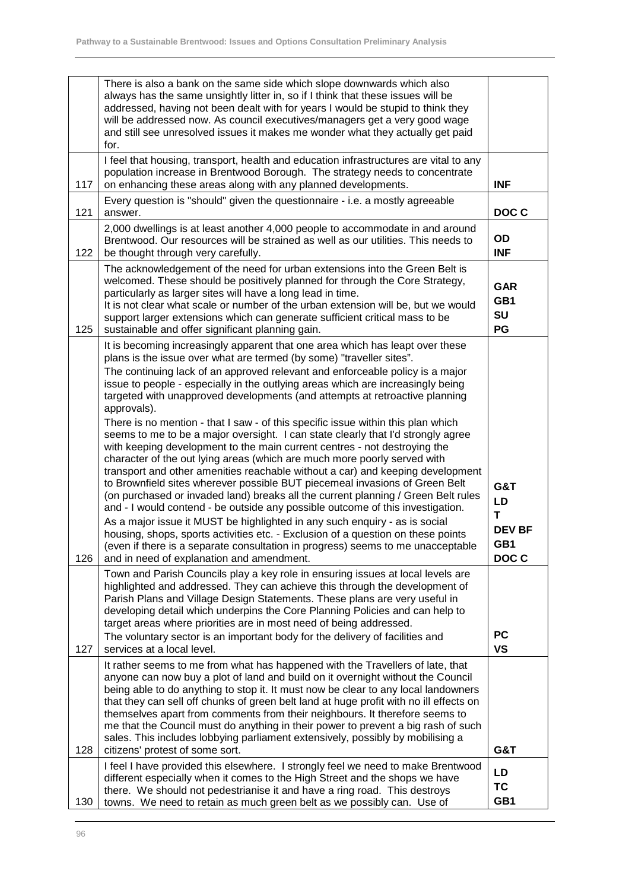|     | There is also a bank on the same side which slope downwards which also<br>always has the same unsightly litter in, so if I think that these issues will be<br>addressed, having not been dealt with for years I would be stupid to think they<br>will be addressed now. As council executives/managers get a very good wage<br>and still see unresolved issues it makes me wonder what they actually get paid<br>for.                                                                                                                                                                                                                                                                                                                                                                                                                                                                                                                                                                                                                                                                                                                                                                                                                                                                                                                                                                              |                                                 |
|-----|----------------------------------------------------------------------------------------------------------------------------------------------------------------------------------------------------------------------------------------------------------------------------------------------------------------------------------------------------------------------------------------------------------------------------------------------------------------------------------------------------------------------------------------------------------------------------------------------------------------------------------------------------------------------------------------------------------------------------------------------------------------------------------------------------------------------------------------------------------------------------------------------------------------------------------------------------------------------------------------------------------------------------------------------------------------------------------------------------------------------------------------------------------------------------------------------------------------------------------------------------------------------------------------------------------------------------------------------------------------------------------------------------|-------------------------------------------------|
| 117 | I feel that housing, transport, health and education infrastructures are vital to any<br>population increase in Brentwood Borough. The strategy needs to concentrate<br>on enhancing these areas along with any planned developments.                                                                                                                                                                                                                                                                                                                                                                                                                                                                                                                                                                                                                                                                                                                                                                                                                                                                                                                                                                                                                                                                                                                                                              | <b>INF</b>                                      |
| 121 | Every question is "should" given the questionnaire - i.e. a mostly agreeable<br>answer.                                                                                                                                                                                                                                                                                                                                                                                                                                                                                                                                                                                                                                                                                                                                                                                                                                                                                                                                                                                                                                                                                                                                                                                                                                                                                                            | DOC C                                           |
| 122 | 2,000 dwellings is at least another 4,000 people to accommodate in and around<br>Brentwood. Our resources will be strained as well as our utilities. This needs to<br>be thought through very carefully.                                                                                                                                                                                                                                                                                                                                                                                                                                                                                                                                                                                                                                                                                                                                                                                                                                                                                                                                                                                                                                                                                                                                                                                           | OD<br><b>INF</b>                                |
| 125 | The acknowledgement of the need for urban extensions into the Green Belt is<br>welcomed. These should be positively planned for through the Core Strategy,<br>particularly as larger sites will have a long lead in time.<br>It is not clear what scale or number of the urban extension will be, but we would<br>support larger extensions which can generate sufficient critical mass to be<br>sustainable and offer significant planning gain.                                                                                                                                                                                                                                                                                                                                                                                                                                                                                                                                                                                                                                                                                                                                                                                                                                                                                                                                                  | <b>GAR</b><br>GB1<br>SU<br>PG                   |
| 126 | It is becoming increasingly apparent that one area which has leapt over these<br>plans is the issue over what are termed (by some) "traveller sites".<br>The continuing lack of an approved relevant and enforceable policy is a major<br>issue to people - especially in the outlying areas which are increasingly being<br>targeted with unapproved developments (and attempts at retroactive planning<br>approvals).<br>There is no mention - that I saw - of this specific issue within this plan which<br>seems to me to be a major oversight. I can state clearly that I'd strongly agree<br>with keeping development to the main current centres - not destroying the<br>character of the out lying areas (which are much more poorly served with<br>transport and other amenities reachable without a car) and keeping development<br>to Brownfield sites wherever possible BUT piecemeal invasions of Green Belt<br>(on purchased or invaded land) breaks all the current planning / Green Belt rules<br>and - I would contend - be outside any possible outcome of this investigation.<br>As a major issue it MUST be highlighted in any such enquiry - as is social<br>housing, shops, sports activities etc. - Exclusion of a question on these points<br>(even if there is a separate consultation in progress) seems to me unacceptable<br>and in need of explanation and amendment. | G&T<br>LD<br>T<br><b>DEV BF</b><br>GB1<br>DOC C |
|     | Town and Parish Councils play a key role in ensuring issues at local levels are<br>highlighted and addressed. They can achieve this through the development of<br>Parish Plans and Village Design Statements. These plans are very useful in<br>developing detail which underpins the Core Planning Policies and can help to<br>target areas where priorities are in most need of being addressed.<br>The voluntary sector is an important body for the delivery of facilities and                                                                                                                                                                                                                                                                                                                                                                                                                                                                                                                                                                                                                                                                                                                                                                                                                                                                                                                 | <b>PC</b>                                       |
| 127 | services at a local level.<br>It rather seems to me from what has happened with the Travellers of late, that                                                                                                                                                                                                                                                                                                                                                                                                                                                                                                                                                                                                                                                                                                                                                                                                                                                                                                                                                                                                                                                                                                                                                                                                                                                                                       | <b>VS</b>                                       |
| 128 | anyone can now buy a plot of land and build on it overnight without the Council<br>being able to do anything to stop it. It must now be clear to any local landowners<br>that they can sell off chunks of green belt land at huge profit with no ill effects on<br>themselves apart from comments from their neighbours. It therefore seems to<br>me that the Council must do anything in their power to prevent a big rash of such<br>sales. This includes lobbying parliament extensively, possibly by mobilising a<br>citizens' protest of some sort.                                                                                                                                                                                                                                                                                                                                                                                                                                                                                                                                                                                                                                                                                                                                                                                                                                           | G&T                                             |
| 130 | I feel I have provided this elsewhere. I strongly feel we need to make Brentwood<br>different especially when it comes to the High Street and the shops we have<br>there. We should not pedestrianise it and have a ring road. This destroys<br>towns. We need to retain as much green belt as we possibly can. Use of                                                                                                                                                                                                                                                                                                                                                                                                                                                                                                                                                                                                                                                                                                                                                                                                                                                                                                                                                                                                                                                                             | LD<br>TC<br>GB1                                 |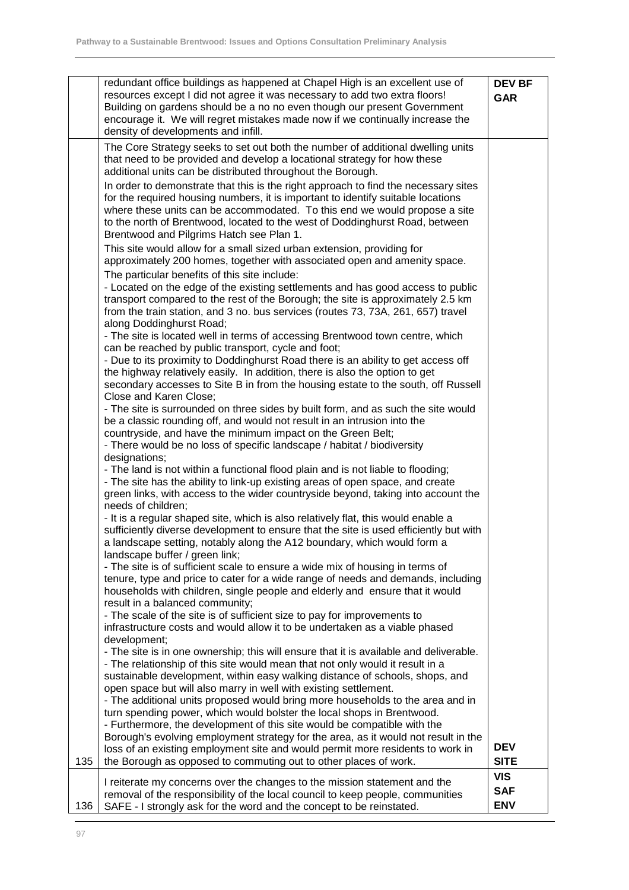|     | redundant office buildings as happened at Chapel High is an excellent use of<br>resources except I did not agree it was necessary to add two extra floors!<br>Building on gardens should be a no no even though our present Government<br>encourage it. We will regret mistakes made now if we continually increase the<br>density of developments and infill.                    | <b>DEV BF</b><br><b>GAR</b> |
|-----|-----------------------------------------------------------------------------------------------------------------------------------------------------------------------------------------------------------------------------------------------------------------------------------------------------------------------------------------------------------------------------------|-----------------------------|
|     | The Core Strategy seeks to set out both the number of additional dwelling units<br>that need to be provided and develop a locational strategy for how these<br>additional units can be distributed throughout the Borough.                                                                                                                                                        |                             |
|     | In order to demonstrate that this is the right approach to find the necessary sites<br>for the required housing numbers, it is important to identify suitable locations<br>where these units can be accommodated. To this end we would propose a site<br>to the north of Brentwood, located to the west of Doddinghurst Road, between<br>Brentwood and Pilgrims Hatch see Plan 1. |                             |
|     | This site would allow for a small sized urban extension, providing for<br>approximately 200 homes, together with associated open and amenity space.                                                                                                                                                                                                                               |                             |
|     | The particular benefits of this site include:<br>- Located on the edge of the existing settlements and has good access to public<br>transport compared to the rest of the Borough; the site is approximately 2.5 km<br>from the train station, and 3 no. bus services (routes 73, 73A, 261, 657) travel<br>along Doddinghurst Road;                                               |                             |
|     | - The site is located well in terms of accessing Brentwood town centre, which<br>can be reached by public transport, cycle and foot;                                                                                                                                                                                                                                              |                             |
|     | - Due to its proximity to Doddinghurst Road there is an ability to get access off<br>the highway relatively easily. In addition, there is also the option to get<br>secondary accesses to Site B in from the housing estate to the south, off Russell                                                                                                                             |                             |
|     | Close and Karen Close;<br>- The site is surrounded on three sides by built form, and as such the site would<br>be a classic rounding off, and would not result in an intrusion into the<br>countryside, and have the minimum impact on the Green Belt;                                                                                                                            |                             |
|     | - There would be no loss of specific landscape / habitat / biodiversity<br>designations;                                                                                                                                                                                                                                                                                          |                             |
|     | - The land is not within a functional flood plain and is not liable to flooding;<br>- The site has the ability to link-up existing areas of open space, and create<br>green links, with access to the wider countryside beyond, taking into account the<br>needs of children;                                                                                                     |                             |
|     | - It is a regular shaped site, which is also relatively flat, this would enable a<br>sufficiently diverse development to ensure that the site is used efficiently but with<br>a landscape setting, notably along the A12 boundary, which would form a                                                                                                                             |                             |
|     | landscape buffer / green link;<br>- The site is of sufficient scale to ensure a wide mix of housing in terms of<br>tenure, type and price to cater for a wide range of needs and demands, including<br>households with children, single people and elderly and ensure that it would                                                                                               |                             |
|     | result in a balanced community;<br>- The scale of the site is of sufficient size to pay for improvements to<br>infrastructure costs and would allow it to be undertaken as a viable phased                                                                                                                                                                                        |                             |
|     | development;<br>- The site is in one ownership; this will ensure that it is available and deliverable.<br>- The relationship of this site would mean that not only would it result in a                                                                                                                                                                                           |                             |
|     | sustainable development, within easy walking distance of schools, shops, and<br>open space but will also marry in well with existing settlement.                                                                                                                                                                                                                                  |                             |
|     | - The additional units proposed would bring more households to the area and in<br>turn spending power, which would bolster the local shops in Brentwood.<br>- Furthermore, the development of this site would be compatible with the                                                                                                                                              |                             |
| 135 | Borough's evolving employment strategy for the area, as it would not result in the<br>loss of an existing employment site and would permit more residents to work in<br>the Borough as opposed to commuting out to other places of work.                                                                                                                                          | <b>DEV</b><br><b>SITE</b>   |
|     | I reiterate my concerns over the changes to the mission statement and the                                                                                                                                                                                                                                                                                                         | <b>VIS</b>                  |
|     | removal of the responsibility of the local council to keep people, communities                                                                                                                                                                                                                                                                                                    | <b>SAF</b>                  |
| 136 | SAFE - I strongly ask for the word and the concept to be reinstated.                                                                                                                                                                                                                                                                                                              | <b>ENV</b>                  |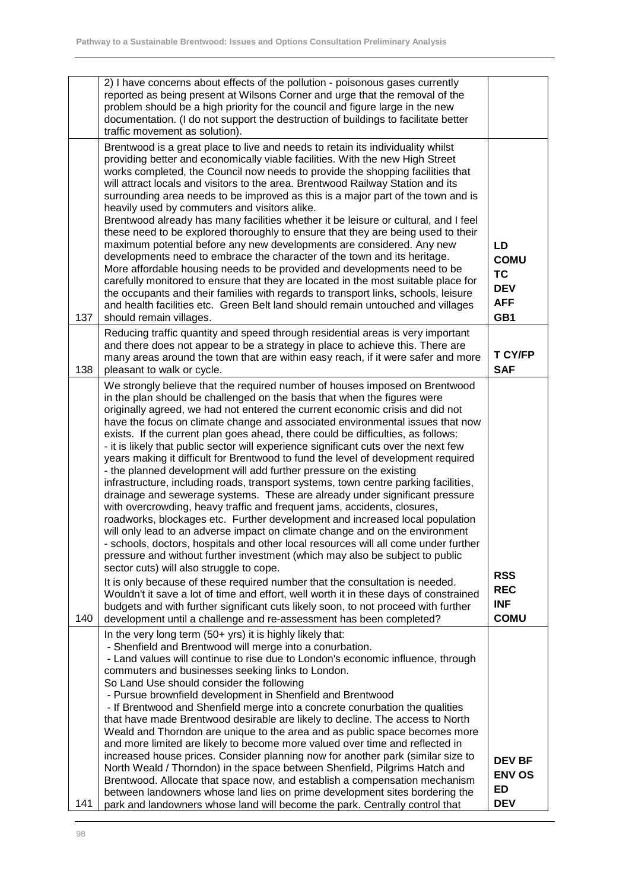|     | 2) I have concerns about effects of the pollution - poisonous gases currently<br>reported as being present at Wilsons Corner and urge that the removal of the                                                                                                                                                                                                                                                                                                                                                                                                                                                                                                                                                                                                                                                                                                                                                                                                                                                                                                                                                                                                                                                                                                                                                                                                                                                                                                                                                                                                         |                                                                   |
|-----|-----------------------------------------------------------------------------------------------------------------------------------------------------------------------------------------------------------------------------------------------------------------------------------------------------------------------------------------------------------------------------------------------------------------------------------------------------------------------------------------------------------------------------------------------------------------------------------------------------------------------------------------------------------------------------------------------------------------------------------------------------------------------------------------------------------------------------------------------------------------------------------------------------------------------------------------------------------------------------------------------------------------------------------------------------------------------------------------------------------------------------------------------------------------------------------------------------------------------------------------------------------------------------------------------------------------------------------------------------------------------------------------------------------------------------------------------------------------------------------------------------------------------------------------------------------------------|-------------------------------------------------------------------|
|     | problem should be a high priority for the council and figure large in the new<br>documentation. (I do not support the destruction of buildings to facilitate better<br>traffic movement as solution).                                                                                                                                                                                                                                                                                                                                                                                                                                                                                                                                                                                                                                                                                                                                                                                                                                                                                                                                                                                                                                                                                                                                                                                                                                                                                                                                                                 |                                                                   |
| 137 | Brentwood is a great place to live and needs to retain its individuality whilst<br>providing better and economically viable facilities. With the new High Street<br>works completed, the Council now needs to provide the shopping facilities that<br>will attract locals and visitors to the area. Brentwood Railway Station and its<br>surrounding area needs to be improved as this is a major part of the town and is<br>heavily used by commuters and visitors alike.<br>Brentwood already has many facilities whether it be leisure or cultural, and I feel<br>these need to be explored thoroughly to ensure that they are being used to their<br>maximum potential before any new developments are considered. Any new<br>developments need to embrace the character of the town and its heritage.<br>More affordable housing needs to be provided and developments need to be<br>carefully monitored to ensure that they are located in the most suitable place for<br>the occupants and their families with regards to transport links, schools, leisure<br>and health facilities etc. Green Belt land should remain untouched and villages<br>should remain villages.                                                                                                                                                                                                                                                                                                                                                                                      | LD<br><b>COMU</b><br><b>TC</b><br><b>DEV</b><br><b>AFF</b><br>GB1 |
| 138 | Reducing traffic quantity and speed through residential areas is very important<br>and there does not appear to be a strategy in place to achieve this. There are<br>many areas around the town that are within easy reach, if it were safer and more<br>pleasant to walk or cycle.                                                                                                                                                                                                                                                                                                                                                                                                                                                                                                                                                                                                                                                                                                                                                                                                                                                                                                                                                                                                                                                                                                                                                                                                                                                                                   | <b>T CY/FP</b><br><b>SAF</b>                                      |
| 140 | We strongly believe that the required number of houses imposed on Brentwood<br>in the plan should be challenged on the basis that when the figures were<br>originally agreed, we had not entered the current economic crisis and did not<br>have the focus on climate change and associated environmental issues that now<br>exists. If the current plan goes ahead, there could be difficulties, as follows:<br>- it is likely that public sector will experience significant cuts over the next few<br>years making it difficult for Brentwood to fund the level of development required<br>- the planned development will add further pressure on the existing<br>infrastructure, including roads, transport systems, town centre parking facilities,<br>drainage and sewerage systems. These are already under significant pressure<br>with overcrowding, heavy traffic and frequent jams, accidents, closures,<br>roadworks, blockages etc. Further development and increased local population<br>will only lead to an adverse impact on climate change and on the environment<br>- schools, doctors, hospitals and other local resources will all come under further<br>pressure and without further investment (which may also be subject to public<br>sector cuts) will also struggle to cope.<br>It is only because of these required number that the consultation is needed.<br>Wouldn't it save a lot of time and effort, well worth it in these days of constrained<br>budgets and with further significant cuts likely soon, to not proceed with further | <b>RSS</b><br><b>REC</b><br><b>INF</b><br><b>COMU</b>             |
|     | development until a challenge and re-assessment has been completed?<br>In the very long term (50+ yrs) it is highly likely that:<br>- Shenfield and Brentwood will merge into a conurbation.<br>- Land values will continue to rise due to London's economic influence, through<br>commuters and businesses seeking links to London.<br>So Land Use should consider the following<br>- Pursue brownfield development in Shenfield and Brentwood<br>- If Brentwood and Shenfield merge into a concrete conurbation the qualities<br>that have made Brentwood desirable are likely to decline. The access to North<br>Weald and Thorndon are unique to the area and as public space becomes more<br>and more limited are likely to become more valued over time and reflected in<br>increased house prices. Consider planning now for another park (similar size to                                                                                                                                                                                                                                                                                                                                                                                                                                                                                                                                                                                                                                                                                                     |                                                                   |
| 141 | North Weald / Thorndon) in the space between Shenfield, Pilgrims Hatch and<br>Brentwood. Allocate that space now, and establish a compensation mechanism<br>between landowners whose land lies on prime development sites bordering the<br>park and landowners whose land will become the park. Centrally control that                                                                                                                                                                                                                                                                                                                                                                                                                                                                                                                                                                                                                                                                                                                                                                                                                                                                                                                                                                                                                                                                                                                                                                                                                                                | <b>DEV BF</b><br><b>ENV OS</b><br>ED<br><b>DEV</b>                |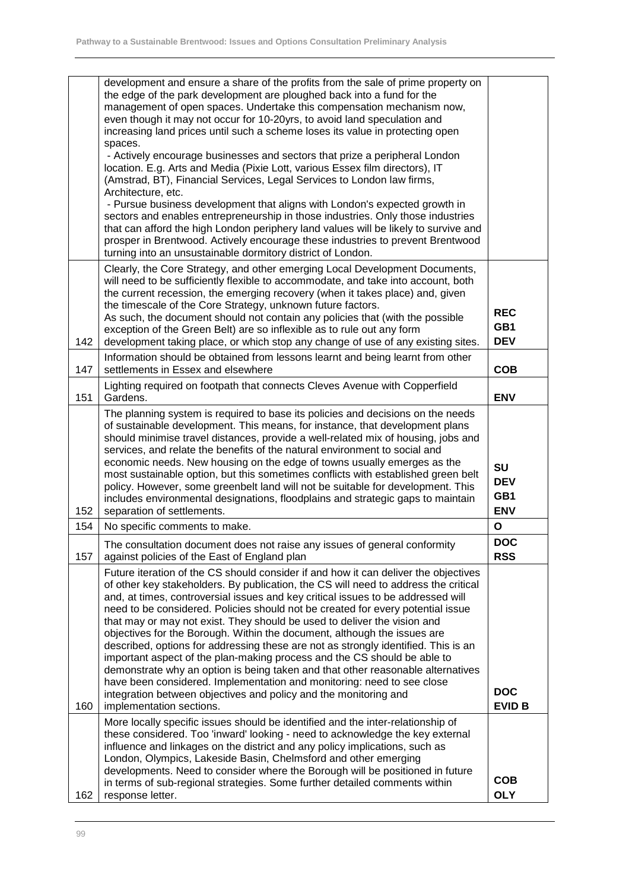|     | development and ensure a share of the profits from the sale of prime property on                                                                                        |                          |
|-----|-------------------------------------------------------------------------------------------------------------------------------------------------------------------------|--------------------------|
|     | the edge of the park development are ploughed back into a fund for the<br>management of open spaces. Undertake this compensation mechanism now,                         |                          |
|     | even though it may not occur for 10-20yrs, to avoid land speculation and                                                                                                |                          |
|     | increasing land prices until such a scheme loses its value in protecting open<br>spaces.                                                                                |                          |
|     | - Actively encourage businesses and sectors that prize a peripheral London                                                                                              |                          |
|     | location. E.g. Arts and Media (Pixie Lott, various Essex film directors), IT                                                                                            |                          |
|     | (Amstrad, BT), Financial Services, Legal Services to London law firms,<br>Architecture, etc.                                                                            |                          |
|     | - Pursue business development that aligns with London's expected growth in                                                                                              |                          |
|     | sectors and enables entrepreneurship in those industries. Only those industries<br>that can afford the high London periphery land values will be likely to survive and  |                          |
|     | prosper in Brentwood. Actively encourage these industries to prevent Brentwood                                                                                          |                          |
|     | turning into an unsustainable dormitory district of London.                                                                                                             |                          |
|     | Clearly, the Core Strategy, and other emerging Local Development Documents,<br>will need to be sufficiently flexible to accommodate, and take into account, both        |                          |
|     | the current recession, the emerging recovery (when it takes place) and, given                                                                                           |                          |
|     | the timescale of the Core Strategy, unknown future factors.                                                                                                             | <b>REC</b>               |
|     | As such, the document should not contain any policies that (with the possible<br>exception of the Green Belt) are so inflexible as to rule out any form                 | GB1                      |
| 142 | development taking place, or which stop any change of use of any existing sites.                                                                                        | <b>DEV</b>               |
| 147 | Information should be obtained from lessons learnt and being learnt from other<br>settlements in Essex and elsewhere                                                    | <b>COB</b>               |
|     | Lighting required on footpath that connects Cleves Avenue with Copperfield                                                                                              |                          |
| 151 | Gardens.<br>The planning system is required to base its policies and decisions on the needs                                                                             | <b>ENV</b>               |
|     | of sustainable development. This means, for instance, that development plans                                                                                            |                          |
|     | should minimise travel distances, provide a well-related mix of housing, jobs and                                                                                       |                          |
|     | services, and relate the benefits of the natural environment to social and<br>economic needs. New housing on the edge of towns usually emerges as the                   |                          |
|     | most sustainable option, but this sometimes conflicts with established green belt                                                                                       | <b>SU</b><br><b>DEV</b>  |
|     | policy. However, some greenbelt land will not be suitable for development. This<br>includes environmental designations, floodplains and strategic gaps to maintain      | GB1                      |
| 152 | separation of settlements.                                                                                                                                              | <b>ENV</b>               |
| 154 | No specific comments to make.                                                                                                                                           | O                        |
| 157 | The consultation document does not raise any issues of general conformity<br>against policies of the East of England plan                                               | <b>DOC</b><br><b>RSS</b> |
|     | Future iteration of the CS should consider if and how it can deliver the objectives                                                                                     |                          |
|     | of other key stakeholders. By publication, the CS will need to address the critical<br>and, at times, controversial issues and key critical issues to be addressed will |                          |
|     | need to be considered. Policies should not be created for every potential issue                                                                                         |                          |
|     | that may or may not exist. They should be used to deliver the vision and                                                                                                |                          |
|     | objectives for the Borough. Within the document, although the issues are<br>described, options for addressing these are not as strongly identified. This is an          |                          |
|     | important aspect of the plan-making process and the CS should be able to                                                                                                |                          |
|     | demonstrate why an option is being taken and that other reasonable alternatives<br>have been considered. Implementation and monitoring: need to see close               |                          |
|     | integration between objectives and policy and the monitoring and                                                                                                        | <b>DOC</b>               |
| 160 | implementation sections.                                                                                                                                                | <b>EVID B</b>            |
|     | More locally specific issues should be identified and the inter-relationship of<br>these considered. Too 'inward' looking - need to acknowledge the key external        |                          |
|     | influence and linkages on the district and any policy implications, such as                                                                                             |                          |
|     | London, Olympics, Lakeside Basin, Chelmsford and other emerging<br>developments. Need to consider where the Borough will be positioned in future                        |                          |
|     | in terms of sub-regional strategies. Some further detailed comments within                                                                                              | <b>COB</b>               |
| 162 | response letter.                                                                                                                                                        | <b>OLY</b>               |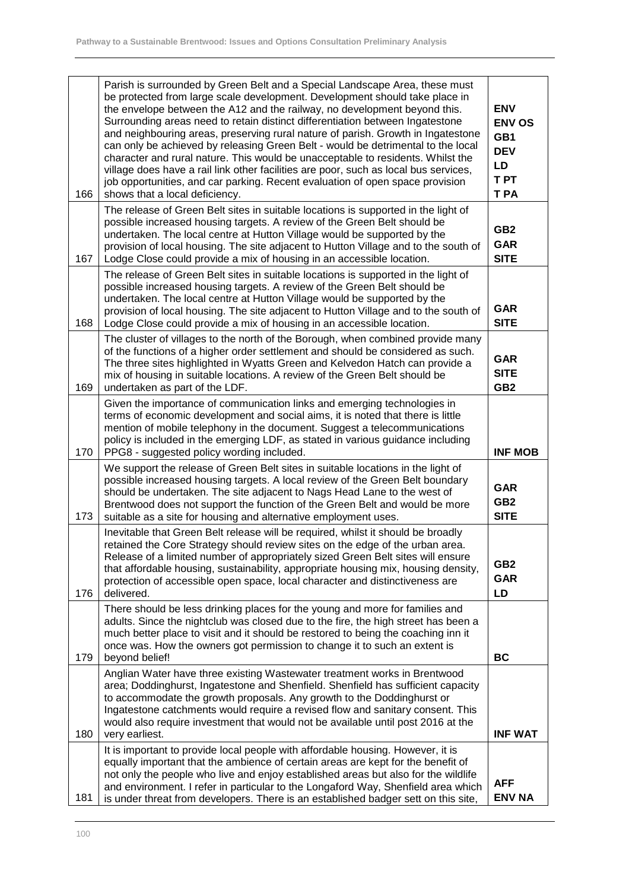| 166 | Parish is surrounded by Green Belt and a Special Landscape Area, these must<br>be protected from large scale development. Development should take place in<br>the envelope between the A12 and the railway, no development beyond this.<br>Surrounding areas need to retain distinct differentiation between Ingatestone<br>and neighbouring areas, preserving rural nature of parish. Growth in Ingatestone<br>can only be achieved by releasing Green Belt - would be detrimental to the local<br>character and rural nature. This would be unacceptable to residents. Whilst the<br>village does have a rail link other facilities are poor, such as local bus services,<br>job opportunities, and car parking. Recent evaluation of open space provision<br>shows that a local deficiency. | <b>ENV</b><br><b>ENV OS</b><br>GB1<br><b>DEV</b><br>LD<br>T PT<br>T PA |
|-----|------------------------------------------------------------------------------------------------------------------------------------------------------------------------------------------------------------------------------------------------------------------------------------------------------------------------------------------------------------------------------------------------------------------------------------------------------------------------------------------------------------------------------------------------------------------------------------------------------------------------------------------------------------------------------------------------------------------------------------------------------------------------------------------------|------------------------------------------------------------------------|
| 167 | The release of Green Belt sites in suitable locations is supported in the light of<br>possible increased housing targets. A review of the Green Belt should be<br>undertaken. The local centre at Hutton Village would be supported by the<br>provision of local housing. The site adjacent to Hutton Village and to the south of<br>Lodge Close could provide a mix of housing in an accessible location.                                                                                                                                                                                                                                                                                                                                                                                     | GB <sub>2</sub><br><b>GAR</b><br><b>SITE</b>                           |
| 168 | The release of Green Belt sites in suitable locations is supported in the light of<br>possible increased housing targets. A review of the Green Belt should be<br>undertaken. The local centre at Hutton Village would be supported by the<br>provision of local housing. The site adjacent to Hutton Village and to the south of<br>Lodge Close could provide a mix of housing in an accessible location.                                                                                                                                                                                                                                                                                                                                                                                     | <b>GAR</b><br><b>SITE</b>                                              |
| 169 | The cluster of villages to the north of the Borough, when combined provide many<br>of the functions of a higher order settlement and should be considered as such.<br>The three sites highlighted in Wyatts Green and Kelvedon Hatch can provide a<br>mix of housing in suitable locations. A review of the Green Belt should be<br>undertaken as part of the LDF.                                                                                                                                                                                                                                                                                                                                                                                                                             | <b>GAR</b><br><b>SITE</b><br>GB <sub>2</sub>                           |
| 170 | Given the importance of communication links and emerging technologies in<br>terms of economic development and social aims, it is noted that there is little<br>mention of mobile telephony in the document. Suggest a telecommunications<br>policy is included in the emerging LDF, as stated in various guidance including<br>PPG8 - suggested policy wording included.                                                                                                                                                                                                                                                                                                                                                                                                                       | <b>INF MOB</b>                                                         |
| 173 | We support the release of Green Belt sites in suitable locations in the light of<br>possible increased housing targets. A local review of the Green Belt boundary<br>should be undertaken. The site adjacent to Nags Head Lane to the west of<br>Brentwood does not support the function of the Green Belt and would be more<br>suitable as a site for housing and alternative employment uses.                                                                                                                                                                                                                                                                                                                                                                                                | <b>GAR</b><br>GB <sub>2</sub><br><b>SITE</b>                           |
| 176 | Inevitable that Green Belt release will be required, whilst it should be broadly<br>retained the Core Strategy should review sites on the edge of the urban area.<br>Release of a limited number of appropriately sized Green Belt sites will ensure<br>that affordable housing, sustainability, appropriate housing mix, housing density,<br>protection of accessible open space, local character and distinctiveness are<br>delivered.                                                                                                                                                                                                                                                                                                                                                       | GB <sub>2</sub><br><b>GAR</b><br>LD                                    |
| 179 | There should be less drinking places for the young and more for families and<br>adults. Since the nightclub was closed due to the fire, the high street has been a<br>much better place to visit and it should be restored to being the coaching inn it<br>once was. How the owners got permission to change it to such an extent is<br>beyond belief!                                                                                                                                                                                                                                                                                                                                                                                                                                         | <b>BC</b>                                                              |
| 180 | Anglian Water have three existing Wastewater treatment works in Brentwood<br>area; Doddinghurst, Ingatestone and Shenfield. Shenfield has sufficient capacity<br>to accommodate the growth proposals. Any growth to the Doddinghurst or<br>Ingatestone catchments would require a revised flow and sanitary consent. This<br>would also require investment that would not be available until post 2016 at the<br>very earliest.                                                                                                                                                                                                                                                                                                                                                                | <b>INF WAT</b>                                                         |
| 181 | It is important to provide local people with affordable housing. However, it is<br>equally important that the ambience of certain areas are kept for the benefit of<br>not only the people who live and enjoy established areas but also for the wildlife<br>and environment. I refer in particular to the Longaford Way, Shenfield area which<br>is under threat from developers. There is an established badger sett on this site,                                                                                                                                                                                                                                                                                                                                                           | <b>AFF</b><br><b>ENV NA</b>                                            |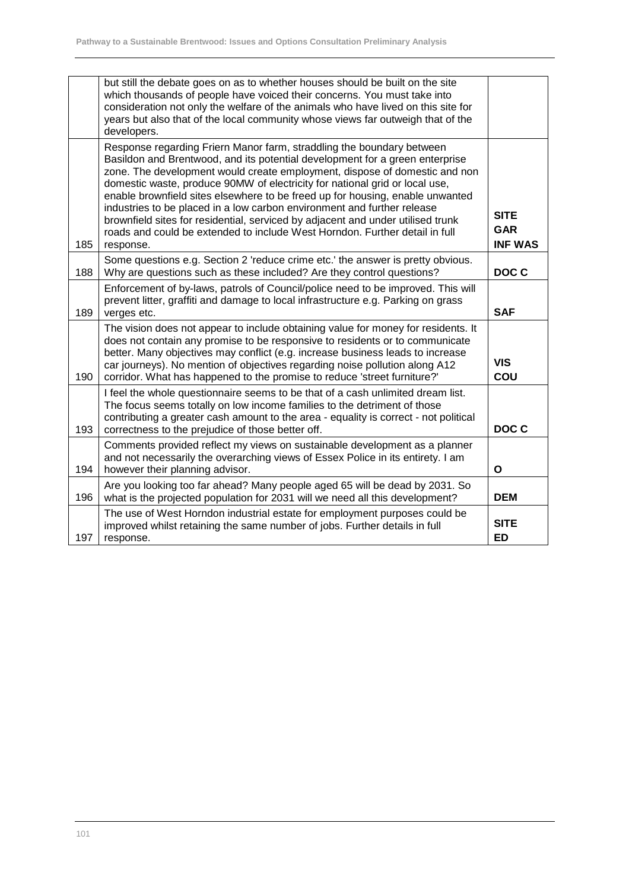|     | but still the debate goes on as to whether houses should be built on the site<br>which thousands of people have voiced their concerns. You must take into<br>consideration not only the welfare of the animals who have lived on this site for<br>years but also that of the local community whose views far outweigh that of the<br>developers.                                                                                                                                                                                                                                                                                                              |                                             |
|-----|---------------------------------------------------------------------------------------------------------------------------------------------------------------------------------------------------------------------------------------------------------------------------------------------------------------------------------------------------------------------------------------------------------------------------------------------------------------------------------------------------------------------------------------------------------------------------------------------------------------------------------------------------------------|---------------------------------------------|
| 185 | Response regarding Friern Manor farm, straddling the boundary between<br>Basildon and Brentwood, and its potential development for a green enterprise<br>zone. The development would create employment, dispose of domestic and non<br>domestic waste, produce 90MW of electricity for national grid or local use,<br>enable brownfield sites elsewhere to be freed up for housing, enable unwanted<br>industries to be placed in a low carbon environment and further release<br>brownfield sites for residential, serviced by adjacent and under utilised trunk<br>roads and could be extended to include West Horndon. Further detail in full<br>response. | <b>SITE</b><br><b>GAR</b><br><b>INF WAS</b> |
| 188 | Some questions e.g. Section 2 'reduce crime etc.' the answer is pretty obvious.<br>Why are questions such as these included? Are they control questions?                                                                                                                                                                                                                                                                                                                                                                                                                                                                                                      | DOC C                                       |
| 189 | Enforcement of by-laws, patrols of Council/police need to be improved. This will<br>prevent litter, graffiti and damage to local infrastructure e.g. Parking on grass<br>verges etc.                                                                                                                                                                                                                                                                                                                                                                                                                                                                          | <b>SAF</b>                                  |
| 190 | The vision does not appear to include obtaining value for money for residents. It<br>does not contain any promise to be responsive to residents or to communicate<br>better. Many objectives may conflict (e.g. increase business leads to increase<br>car journeys). No mention of objectives regarding noise pollution along A12<br>corridor. What has happened to the promise to reduce 'street furniture?'                                                                                                                                                                                                                                                | <b>VIS</b><br>COU                           |
| 193 | I feel the whole questionnaire seems to be that of a cash unlimited dream list.<br>The focus seems totally on low income families to the detriment of those<br>contributing a greater cash amount to the area - equality is correct - not political<br>correctness to the prejudice of those better off.                                                                                                                                                                                                                                                                                                                                                      | DOC C                                       |
| 194 | Comments provided reflect my views on sustainable development as a planner<br>and not necessarily the overarching views of Essex Police in its entirety. I am<br>however their planning advisor.                                                                                                                                                                                                                                                                                                                                                                                                                                                              | O                                           |
| 196 | Are you looking too far ahead? Many people aged 65 will be dead by 2031. So<br>what is the projected population for 2031 will we need all this development?                                                                                                                                                                                                                                                                                                                                                                                                                                                                                                   | <b>DEM</b>                                  |
| 197 | The use of West Horndon industrial estate for employment purposes could be<br>improved whilst retaining the same number of jobs. Further details in full<br>response.                                                                                                                                                                                                                                                                                                                                                                                                                                                                                         | <b>SITE</b><br><b>ED</b>                    |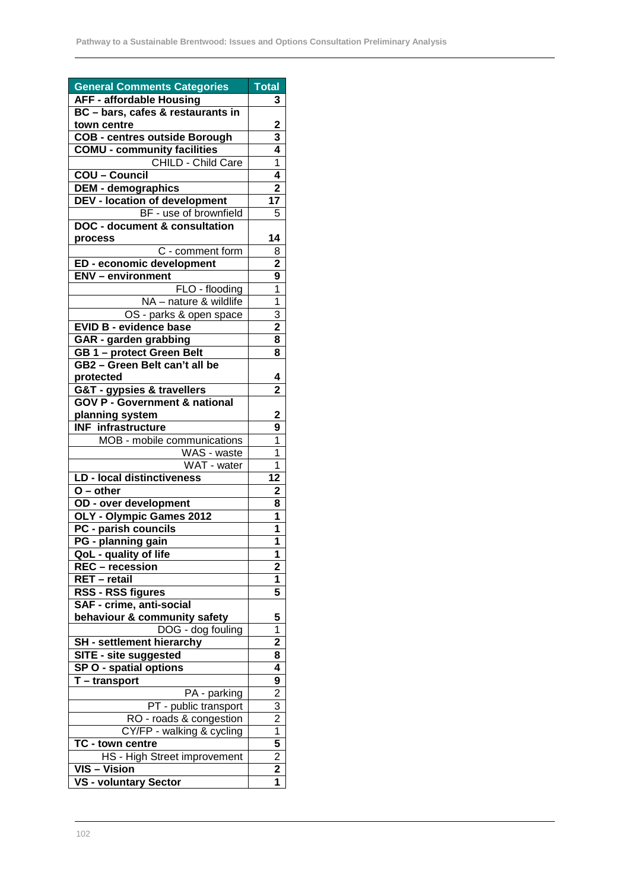| <b>General Comments Categories</b>                 | <b>Total</b>            |
|----------------------------------------------------|-------------------------|
| <b>AFF - affordable Housing</b>                    | 3                       |
| BC - bars, cafes & restaurants in                  |                         |
| town centre                                        | 2                       |
| <b>COB - centres outside Borough</b>               | 3                       |
| <b>COMU - community facilities</b>                 | 4                       |
| CHILD - Child Care                                 | 1                       |
| <b>COU - Council</b>                               | 4                       |
| <b>DEM - demographics</b>                          | $\overline{2}$          |
| <b>DEV - location of development</b>               | 17                      |
| BF - use of brownfield                             | 5                       |
| <b>DOC - document &amp; consultation</b>           |                         |
| process                                            | 14                      |
| C - comment form                                   | 8                       |
| ED - economic development                          | $\overline{2}$          |
| <b>ENV</b> - environment                           | 9                       |
| FLO - flooding                                     | $\overline{1}$          |
| NA - nature & wildlife                             | $\overline{1}$          |
| OS - parks & open space                            | 3                       |
| <b>EVID B - evidence base</b>                      | $\overline{\mathbf{2}}$ |
| GAR - garden grabbing                              | 8                       |
| GB 1 - protect Green Belt                          | 8                       |
| GB2 - Green Belt can't all be                      |                         |
| protected                                          | 4                       |
| G&T - gypsies & travellers                         | $\overline{2}$          |
| <b>GOV P - Government &amp; national</b>           |                         |
| planning system                                    | 2                       |
| <b>INF</b> infrastructure                          | 9                       |
| MOB - mobile communications                        | 1                       |
| WAS - waste                                        | 1                       |
| WAT - water                                        | 1                       |
| <b>LD - local distinctiveness</b>                  | $\overline{12}$         |
| $O$ – other                                        | $\overline{2}$          |
| OD - over development                              | 8                       |
| OLY - Olympic Games 2012                           | 1                       |
| PC - parish councils                               | 1                       |
| PG - planning gain                                 | 1                       |
| QoL - quality of life                              | 1                       |
| REC - recession                                    | $\overline{2}$          |
| RET - retail                                       | 1                       |
| RSS - RSS figures                                  | 5                       |
| SAF - crime, anti-social                           |                         |
| behaviour & community safety                       | 5                       |
| DOG - dog fouling                                  | 1                       |
| SH - settlement hierarchy                          | 2                       |
| SITE - site suggested                              | 8                       |
| SP O - spatial options                             | 4                       |
| T-transport                                        | 9                       |
| PA - parking                                       | 2                       |
| PT - public transport                              | 3                       |
| RO - roads & congestion                            | 2                       |
| CY/FP - walking & cycling                          | 1                       |
| TC - town centre                                   | 5                       |
| HS - High Street improvement                       | 2                       |
| $\overline{\text{VIS}} - \overline{\text{Vision}}$ | 2                       |
| VS - voluntary Sector                              | 1                       |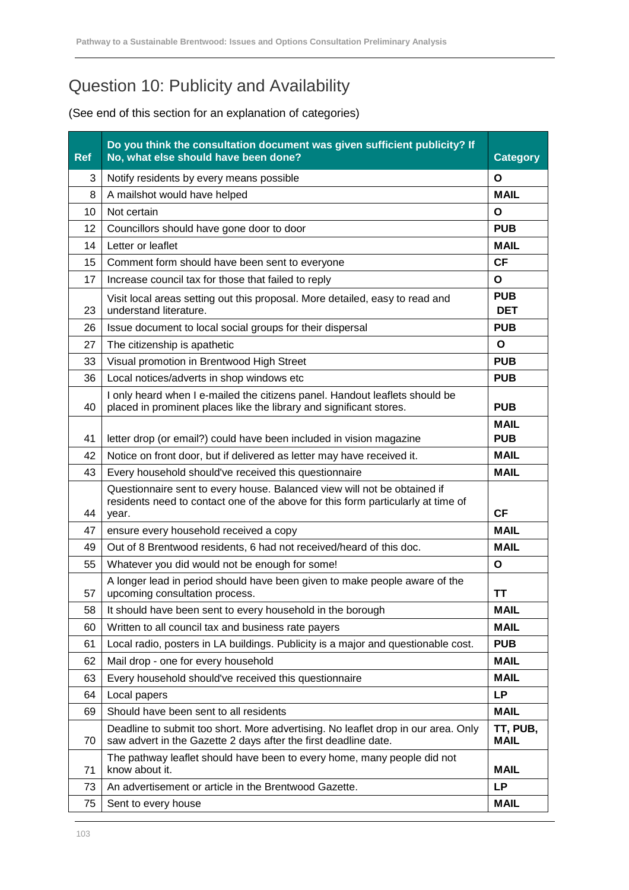## Question 10: Publicity and Availability

| <b>Ref</b> | Do you think the consultation document was given sufficient publicity? If<br>No, what else should have been done?                                                     | <b>Category</b>           |
|------------|-----------------------------------------------------------------------------------------------------------------------------------------------------------------------|---------------------------|
| 3          | Notify residents by every means possible                                                                                                                              | O                         |
| 8          | A mailshot would have helped                                                                                                                                          | <b>MAIL</b>               |
| 10         | Not certain                                                                                                                                                           | O                         |
| 12         | Councillors should have gone door to door                                                                                                                             | <b>PUB</b>                |
| 14         | Letter or leaflet                                                                                                                                                     | <b>MAIL</b>               |
| 15         | Comment form should have been sent to everyone                                                                                                                        | <b>CF</b>                 |
| 17         | Increase council tax for those that failed to reply                                                                                                                   | O                         |
| 23         | Visit local areas setting out this proposal. More detailed, easy to read and<br>understand literature.                                                                | <b>PUB</b><br><b>DET</b>  |
| 26         | Issue document to local social groups for their dispersal                                                                                                             | <b>PUB</b>                |
| 27         | The citizenship is apathetic                                                                                                                                          | O                         |
| 33         | Visual promotion in Brentwood High Street                                                                                                                             | <b>PUB</b>                |
| 36         | Local notices/adverts in shop windows etc                                                                                                                             | <b>PUB</b>                |
| 40         | I only heard when I e-mailed the citizens panel. Handout leaflets should be<br>placed in prominent places like the library and significant stores.                    | <b>PUB</b>                |
| 41         | letter drop (or email?) could have been included in vision magazine                                                                                                   | <b>MAIL</b><br><b>PUB</b> |
| 42         | Notice on front door, but if delivered as letter may have received it.                                                                                                | <b>MAIL</b>               |
| 43         | Every household should've received this questionnaire                                                                                                                 | <b>MAIL</b>               |
| 44         | Questionnaire sent to every house. Balanced view will not be obtained if<br>residents need to contact one of the above for this form particularly at time of<br>year. | <b>CF</b>                 |
| 47         | ensure every household received a copy                                                                                                                                | <b>MAIL</b>               |
| 49         | Out of 8 Brentwood residents, 6 had not received/heard of this doc.                                                                                                   | <b>MAIL</b>               |
| 55         | Whatever you did would not be enough for some!                                                                                                                        | $\mathbf{o}$              |
| 57         | A longer lead in period should have been given to make people aware of the<br>upcoming consultation process.                                                          | TΤ                        |
| 58         | It should have been sent to every household in the borough                                                                                                            | MAIL                      |
| 60         | Written to all council tax and business rate payers                                                                                                                   | <b>MAIL</b>               |
| 61         | Local radio, posters in LA buildings. Publicity is a major and questionable cost.                                                                                     | <b>PUB</b>                |
| 62         | Mail drop - one for every household                                                                                                                                   | <b>MAIL</b>               |
| 63         | Every household should've received this questionnaire                                                                                                                 | <b>MAIL</b>               |
| 64         | Local papers                                                                                                                                                          | <b>LP</b>                 |
| 69         | Should have been sent to all residents                                                                                                                                | <b>MAIL</b>               |
| 70         | Deadline to submit too short. More advertising. No leaflet drop in our area. Only<br>saw advert in the Gazette 2 days after the first deadline date.                  | TT, PUB,<br><b>MAIL</b>   |
| 71         | The pathway leaflet should have been to every home, many people did not<br>know about it.                                                                             | <b>MAIL</b>               |
| 73         | An advertisement or article in the Brentwood Gazette.                                                                                                                 | <b>LP</b>                 |
| 75         | Sent to every house                                                                                                                                                   | <b>MAIL</b>               |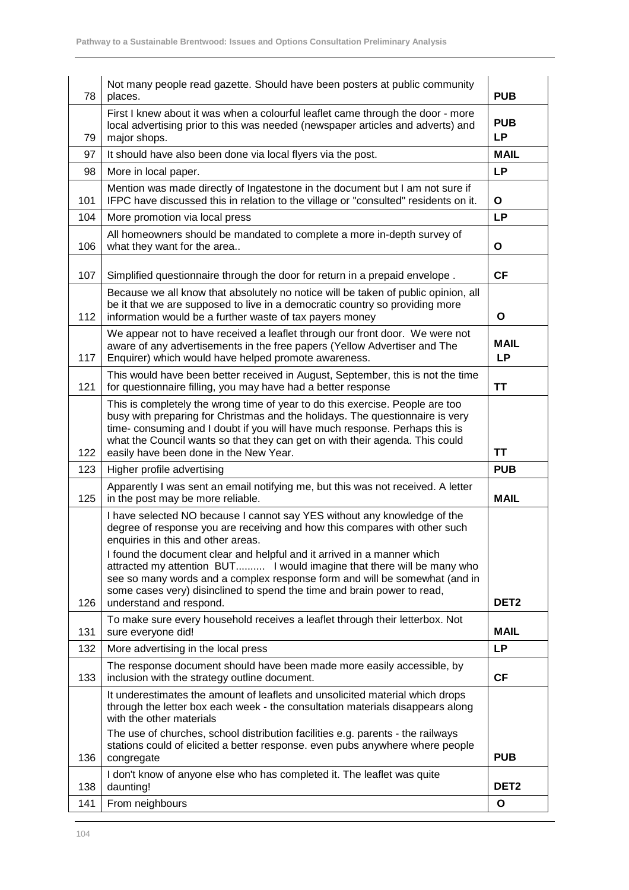| 78  | Not many people read gazette. Should have been posters at public community<br>places.                                                                                                                                                                                                                                                                                                                                                                                                                                                 | <b>PUB</b>               |
|-----|---------------------------------------------------------------------------------------------------------------------------------------------------------------------------------------------------------------------------------------------------------------------------------------------------------------------------------------------------------------------------------------------------------------------------------------------------------------------------------------------------------------------------------------|--------------------------|
| 79  | First I knew about it was when a colourful leaflet came through the door - more<br>local advertising prior to this was needed (newspaper articles and adverts) and<br>major shops.                                                                                                                                                                                                                                                                                                                                                    | <b>PUB</b><br><b>LP</b>  |
| 97  | It should have also been done via local flyers via the post.                                                                                                                                                                                                                                                                                                                                                                                                                                                                          | <b>MAIL</b>              |
| 98  | More in local paper.                                                                                                                                                                                                                                                                                                                                                                                                                                                                                                                  | <b>LP</b>                |
| 101 | Mention was made directly of Ingatestone in the document but I am not sure if<br>IFPC have discussed this in relation to the village or "consulted" residents on it.                                                                                                                                                                                                                                                                                                                                                                  | O                        |
| 104 | More promotion via local press                                                                                                                                                                                                                                                                                                                                                                                                                                                                                                        | <b>LP</b>                |
| 106 | All homeowners should be mandated to complete a more in-depth survey of<br>what they want for the area                                                                                                                                                                                                                                                                                                                                                                                                                                | O                        |
| 107 | Simplified questionnaire through the door for return in a prepaid envelope.                                                                                                                                                                                                                                                                                                                                                                                                                                                           | <b>CF</b>                |
| 112 | Because we all know that absolutely no notice will be taken of public opinion, all<br>be it that we are supposed to live in a democratic country so providing more<br>information would be a further waste of tax payers money                                                                                                                                                                                                                                                                                                        | O                        |
| 117 | We appear not to have received a leaflet through our front door. We were not<br>aware of any advertisements in the free papers (Yellow Advertiser and The<br>Enquirer) which would have helped promote awareness.                                                                                                                                                                                                                                                                                                                     | <b>MAIL</b><br><b>LP</b> |
| 121 | This would have been better received in August, September, this is not the time<br>for questionnaire filling, you may have had a better response                                                                                                                                                                                                                                                                                                                                                                                      | TΤ                       |
| 122 | This is completely the wrong time of year to do this exercise. People are too<br>busy with preparing for Christmas and the holidays. The questionnaire is very<br>time- consuming and I doubt if you will have much response. Perhaps this is<br>what the Council wants so that they can get on with their agenda. This could<br>easily have been done in the New Year.                                                                                                                                                               | ΤT                       |
| 123 | Higher profile advertising                                                                                                                                                                                                                                                                                                                                                                                                                                                                                                            | <b>PUB</b>               |
| 125 | Apparently I was sent an email notifying me, but this was not received. A letter<br>in the post may be more reliable.                                                                                                                                                                                                                                                                                                                                                                                                                 | <b>MAIL</b>              |
| 126 | I have selected NO because I cannot say YES without any knowledge of the<br>degree of response you are receiving and how this compares with other such<br>enquiries in this and other areas.<br>I found the document clear and helpful and it arrived in a manner which<br>attracted my attention BUT I would imagine that there will be many who<br>see so many words and a complex response form and will be somewhat (and in<br>some cases very) disinclined to spend the time and brain power to read,<br>understand and respond. | DET <sub>2</sub>         |
| 131 | To make sure every household receives a leaflet through their letterbox. Not<br>sure everyone did!                                                                                                                                                                                                                                                                                                                                                                                                                                    | <b>MAIL</b>              |
| 132 | More advertising in the local press                                                                                                                                                                                                                                                                                                                                                                                                                                                                                                   | <b>LP</b>                |
| 133 | The response document should have been made more easily accessible, by<br>inclusion with the strategy outline document.                                                                                                                                                                                                                                                                                                                                                                                                               | <b>CF</b>                |
|     | It underestimates the amount of leaflets and unsolicited material which drops<br>through the letter box each week - the consultation materials disappears along<br>with the other materials<br>The use of churches, school distribution facilities e.g. parents - the railways<br>stations could of elicited a better response. even pubs anywhere where people                                                                                                                                                                       |                          |
| 136 | congregate                                                                                                                                                                                                                                                                                                                                                                                                                                                                                                                            | <b>PUB</b>               |
| 138 | I don't know of anyone else who has completed it. The leaflet was quite<br>daunting!                                                                                                                                                                                                                                                                                                                                                                                                                                                  | DET <sub>2</sub>         |
| 141 | From neighbours                                                                                                                                                                                                                                                                                                                                                                                                                                                                                                                       |                          |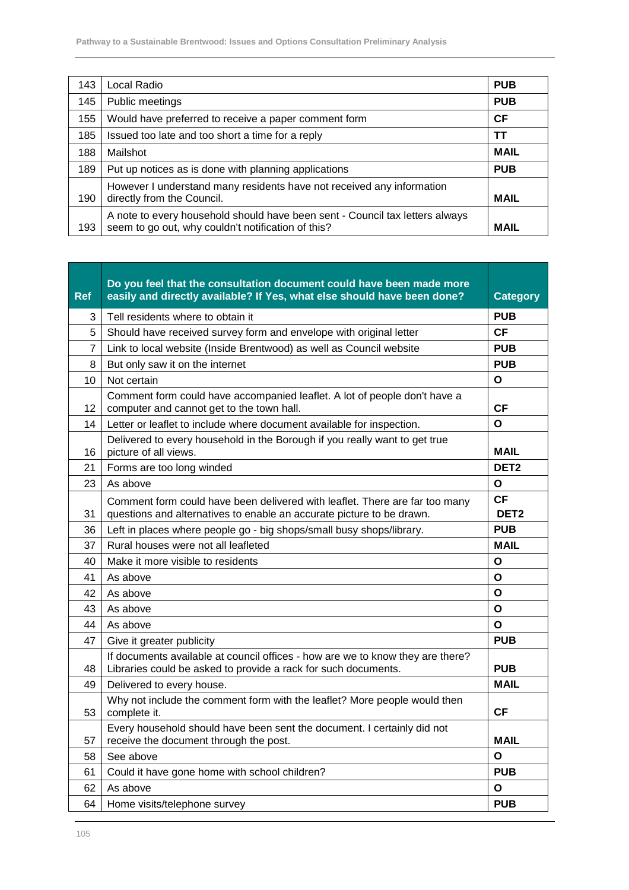| 143 | Local Radio                                                                                                                        | <b>PUB</b>  |
|-----|------------------------------------------------------------------------------------------------------------------------------------|-------------|
| 145 | Public meetings                                                                                                                    | <b>PUB</b>  |
| 155 | Would have preferred to receive a paper comment form                                                                               | <b>CF</b>   |
| 185 | Issued too late and too short a time for a reply                                                                                   | тт          |
| 188 | Mailshot                                                                                                                           | <b>MAIL</b> |
| 189 | Put up notices as is done with planning applications                                                                               | <b>PUB</b>  |
| 190 | However I understand many residents have not received any information<br>directly from the Council.                                | <b>MAIL</b> |
| 193 | A note to every household should have been sent - Council tax letters always<br>seem to go out, why couldn't notification of this? | <b>MAIL</b> |

| <b>Ref</b>     | Do you feel that the consultation document could have been made more<br>easily and directly available? If Yes, what else should have been done?      | <b>Category</b>               |
|----------------|------------------------------------------------------------------------------------------------------------------------------------------------------|-------------------------------|
| 3              | Tell residents where to obtain it                                                                                                                    | <b>PUB</b>                    |
| 5              | Should have received survey form and envelope with original letter                                                                                   | <b>CF</b>                     |
| $\overline{7}$ | Link to local website (Inside Brentwood) as well as Council website                                                                                  | <b>PUB</b>                    |
| 8              | But only saw it on the internet                                                                                                                      | <b>PUB</b>                    |
| 10             | Not certain                                                                                                                                          | O                             |
| 12             | Comment form could have accompanied leaflet. A lot of people don't have a<br>computer and cannot get to the town hall.                               | СF                            |
| 14             | Letter or leaflet to include where document available for inspection.                                                                                | $\Omega$                      |
| 16             | Delivered to every household in the Borough if you really want to get true<br>picture of all views.                                                  | <b>MAIL</b>                   |
| 21             | Forms are too long winded                                                                                                                            | DET <sub>2</sub>              |
| 23             | As above                                                                                                                                             | O                             |
| 31             | Comment form could have been delivered with leaflet. There are far too many<br>questions and alternatives to enable an accurate picture to be drawn. | <b>CF</b><br>DET <sub>2</sub> |
| 36             | Left in places where people go - big shops/small busy shops/library.                                                                                 | <b>PUB</b>                    |
| 37             | Rural houses were not all leafleted                                                                                                                  | <b>MAIL</b>                   |
| 40             | Make it more visible to residents                                                                                                                    | O                             |
| 41             | As above                                                                                                                                             | O                             |
| 42             | As above                                                                                                                                             | O                             |
| 43             | As above                                                                                                                                             | O                             |
| 44             | As above                                                                                                                                             | O                             |
| 47             | Give it greater publicity                                                                                                                            | <b>PUB</b>                    |
| 48             | If documents available at council offices - how are we to know they are there?<br>Libraries could be asked to provide a rack for such documents.     | <b>PUB</b>                    |
| 49             | Delivered to every house.                                                                                                                            | <b>MAIL</b>                   |
| 53             | Why not include the comment form with the leaflet? More people would then<br>complete it.                                                            | <b>CF</b>                     |
| 57             | Every household should have been sent the document. I certainly did not<br>receive the document through the post.                                    | <b>MAIL</b>                   |
| 58             | See above                                                                                                                                            | O                             |
| 61             | Could it have gone home with school children?                                                                                                        | <b>PUB</b>                    |
| 62             | As above                                                                                                                                             | O                             |
| 64             | Home visits/telephone survey                                                                                                                         | <b>PUB</b>                    |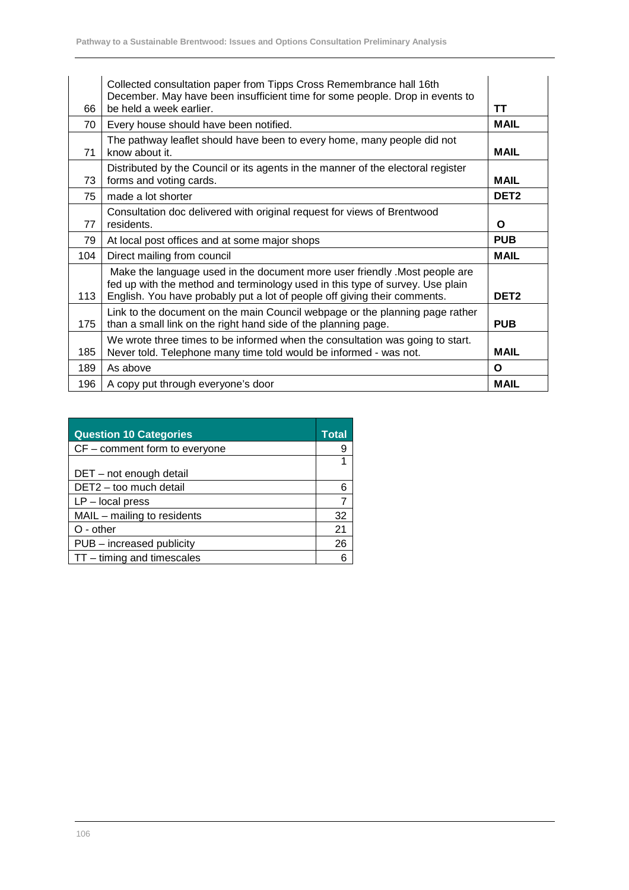| 66  | Collected consultation paper from Tipps Cross Remembrance hall 16th<br>December. May have been insufficient time for some people. Drop in events to<br>be held a week earlier.                                                            | TΤ               |
|-----|-------------------------------------------------------------------------------------------------------------------------------------------------------------------------------------------------------------------------------------------|------------------|
| 70  | Every house should have been notified.                                                                                                                                                                                                    | <b>MAIL</b>      |
| 71  | The pathway leaflet should have been to every home, many people did not<br>know about it.                                                                                                                                                 | <b>MAIL</b>      |
| 73  | Distributed by the Council or its agents in the manner of the electoral register<br>forms and voting cards.                                                                                                                               | <b>MAIL</b>      |
| 75  | made a lot shorter                                                                                                                                                                                                                        | DET <sub>2</sub> |
| 77  | Consultation doc delivered with original request for views of Brentwood<br>residents.                                                                                                                                                     | O                |
| 79  | At local post offices and at some major shops                                                                                                                                                                                             | <b>PUB</b>       |
| 104 | Direct mailing from council                                                                                                                                                                                                               | <b>MAIL</b>      |
| 113 | Make the language used in the document more user friendly . Most people are<br>fed up with the method and terminology used in this type of survey. Use plain<br>English. You have probably put a lot of people off giving their comments. | DET <sub>2</sub> |
| 175 | Link to the document on the main Council webpage or the planning page rather<br>than a small link on the right hand side of the planning page.                                                                                            | <b>PUB</b>       |
| 185 | We wrote three times to be informed when the consultation was going to start.<br>Never told. Telephone many time told would be informed - was not.                                                                                        | <b>MAIL</b>      |
|     |                                                                                                                                                                                                                                           |                  |
| 189 | As above                                                                                                                                                                                                                                  | O                |

| <b>Question 10 Categories</b> |    |
|-------------------------------|----|
| CF - comment form to everyone |    |
|                               |    |
| DET - not enough detail       |    |
| DET2 - too much detail        | 6  |
| $LP - local press$            |    |
| $MAIL - mailing to residents$ | 32 |
| $O - other$                   | 21 |
| PUB - increased publicity     | 26 |
| $TT -$ timing and timescales  |    |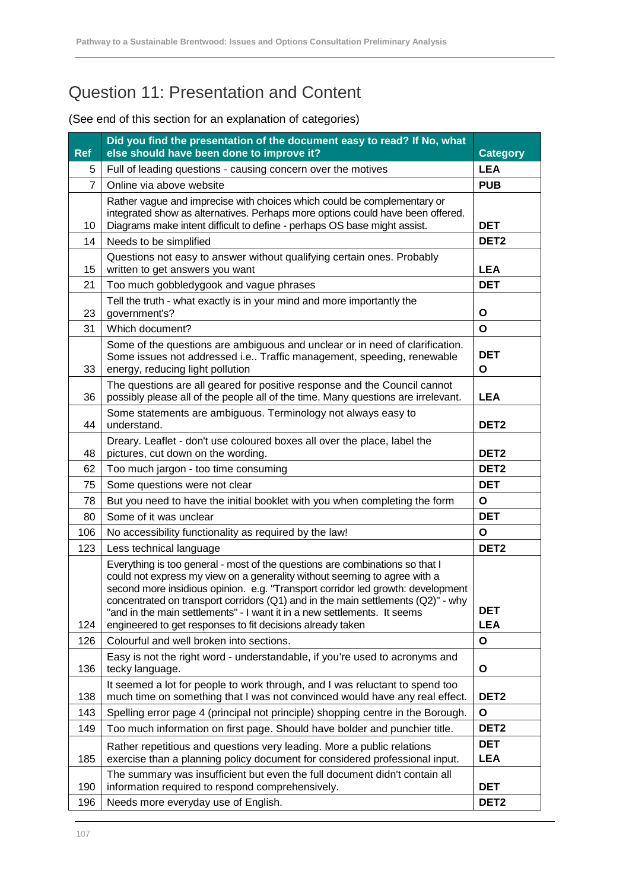## Question 11: Presentation and Content

| <b>Ref</b>     | Did you find the presentation of the document easy to read? If No, what<br>else should have been done to improve it?                                                                                                                                                                                                                                                                                                                                                       | <b>Category</b>          |
|----------------|----------------------------------------------------------------------------------------------------------------------------------------------------------------------------------------------------------------------------------------------------------------------------------------------------------------------------------------------------------------------------------------------------------------------------------------------------------------------------|--------------------------|
| 5              | Full of leading questions - causing concern over the motives                                                                                                                                                                                                                                                                                                                                                                                                               | <b>LEA</b>               |
| $\overline{7}$ | Online via above website                                                                                                                                                                                                                                                                                                                                                                                                                                                   | <b>PUB</b>               |
| 10             | Rather vague and imprecise with choices which could be complementary or<br>integrated show as alternatives. Perhaps more options could have been offered.<br>Diagrams make intent difficult to define - perhaps OS base might assist.                                                                                                                                                                                                                                      | <b>DET</b>               |
| 14             | Needs to be simplified                                                                                                                                                                                                                                                                                                                                                                                                                                                     | DET <sub>2</sub>         |
| 15             | Questions not easy to answer without qualifying certain ones. Probably<br>written to get answers you want                                                                                                                                                                                                                                                                                                                                                                  | <b>LEA</b>               |
| 21             | Too much gobbledygook and vague phrases                                                                                                                                                                                                                                                                                                                                                                                                                                    | <b>DET</b>               |
| 23             | Tell the truth - what exactly is in your mind and more importantly the<br>government's?                                                                                                                                                                                                                                                                                                                                                                                    | O                        |
| 31             | Which document?                                                                                                                                                                                                                                                                                                                                                                                                                                                            | O                        |
| 33             | Some of the questions are ambiguous and unclear or in need of clarification.<br>Some issues not addressed i.e Traffic management, speeding, renewable<br>energy, reducing light pollution                                                                                                                                                                                                                                                                                  | <b>DET</b><br>O          |
| 36             | The questions are all geared for positive response and the Council cannot<br>possibly please all of the people all of the time. Many questions are irrelevant.                                                                                                                                                                                                                                                                                                             | <b>LEA</b>               |
| 44             | Some statements are ambiguous. Terminology not always easy to<br>understand.                                                                                                                                                                                                                                                                                                                                                                                               | DET <sub>2</sub>         |
| 48             | Dreary. Leaflet - don't use coloured boxes all over the place, label the<br>pictures, cut down on the wording.                                                                                                                                                                                                                                                                                                                                                             | DET <sub>2</sub>         |
| 62             | Too much jargon - too time consuming                                                                                                                                                                                                                                                                                                                                                                                                                                       | DET <sub>2</sub>         |
| 75             | Some questions were not clear                                                                                                                                                                                                                                                                                                                                                                                                                                              | <b>DET</b>               |
| 78             | But you need to have the initial booklet with you when completing the form                                                                                                                                                                                                                                                                                                                                                                                                 | O                        |
| 80             | Some of it was unclear                                                                                                                                                                                                                                                                                                                                                                                                                                                     | <b>DET</b>               |
| 106            | No accessibility functionality as required by the law!                                                                                                                                                                                                                                                                                                                                                                                                                     | O                        |
| 123            | Less technical language                                                                                                                                                                                                                                                                                                                                                                                                                                                    | DET <sub>2</sub>         |
| 124            | Everything is too general - most of the questions are combinations so that I<br>could not express my view on a generality without seeming to agree with a<br>second more insidious opinion. e.g. "Transport corridor led growth: development<br>concentrated on transport corridors (Q1) and in the main settlements (Q2)" - why<br>"and in the main settlements" - I want it in a new settlements. It seems<br>engineered to get responses to fit decisions already taken | <b>DET</b><br><b>LEA</b> |
| 126            | Colourful and well broken into sections.                                                                                                                                                                                                                                                                                                                                                                                                                                   | O                        |
| 136            | Easy is not the right word - understandable, if you're used to acronyms and<br>tecky language.                                                                                                                                                                                                                                                                                                                                                                             | O                        |
| 138            | It seemed a lot for people to work through, and I was reluctant to spend too<br>much time on something that I was not convinced would have any real effect.                                                                                                                                                                                                                                                                                                                | DET <sub>2</sub>         |
| 143            | Spelling error page 4 (principal not principle) shopping centre in the Borough.                                                                                                                                                                                                                                                                                                                                                                                            | O                        |
| 149            | Too much information on first page. Should have bolder and punchier title.                                                                                                                                                                                                                                                                                                                                                                                                 | DET <sub>2</sub>         |
| 185            | Rather repetitious and questions very leading. More a public relations<br>exercise than a planning policy document for considered professional input.                                                                                                                                                                                                                                                                                                                      | <b>DET</b><br><b>LEA</b> |
| 190            | The summary was insufficient but even the full document didn't contain all<br>information required to respond comprehensively.                                                                                                                                                                                                                                                                                                                                             | <b>DET</b>               |
| 196            | Needs more everyday use of English.                                                                                                                                                                                                                                                                                                                                                                                                                                        | DET <sub>2</sub>         |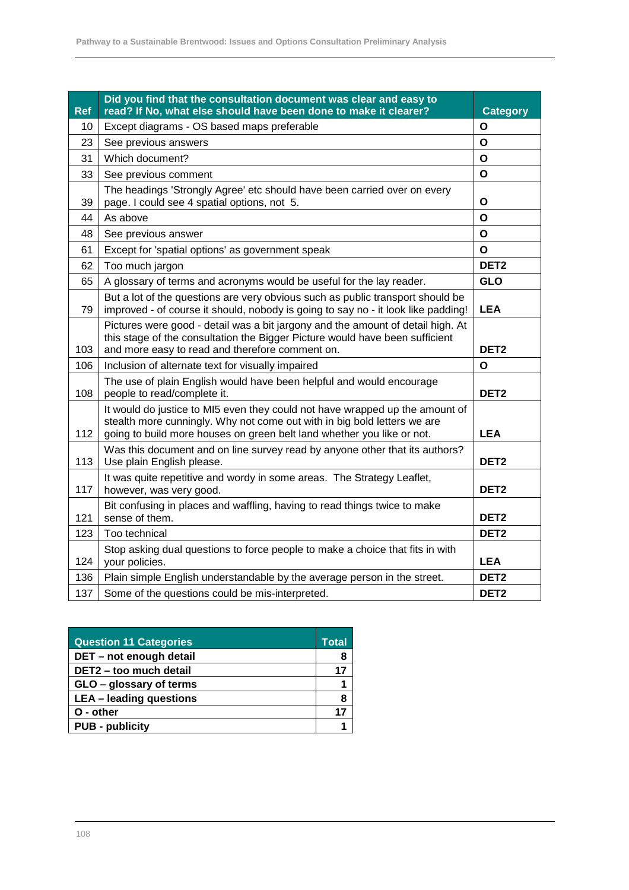| <b>Ref</b> | Did you find that the consultation document was clear and easy to<br>read? If No, what else should have been done to make it clearer?                                                                                              | <b>Category</b>  |
|------------|------------------------------------------------------------------------------------------------------------------------------------------------------------------------------------------------------------------------------------|------------------|
| 10         | Except diagrams - OS based maps preferable                                                                                                                                                                                         | O                |
| 23         | See previous answers                                                                                                                                                                                                               | O                |
| 31         | Which document?                                                                                                                                                                                                                    | O                |
| 33         | See previous comment                                                                                                                                                                                                               | Ο                |
| 39         | The headings 'Strongly Agree' etc should have been carried over on every<br>page. I could see 4 spatial options, not 5.                                                                                                            | Ο                |
| 44         | As above                                                                                                                                                                                                                           | $\mathbf{o}$     |
| 48         | See previous answer                                                                                                                                                                                                                | O                |
| 61         | Except for 'spatial options' as government speak                                                                                                                                                                                   | O                |
| 62         | Too much jargon                                                                                                                                                                                                                    | DET <sub>2</sub> |
| 65         | A glossary of terms and acronyms would be useful for the lay reader.                                                                                                                                                               | <b>GLO</b>       |
| 79         | But a lot of the questions are very obvious such as public transport should be<br>improved - of course it should, nobody is going to say no - it look like padding!                                                                | <b>LEA</b>       |
| 103        | Pictures were good - detail was a bit jargony and the amount of detail high. At<br>this stage of the consultation the Bigger Picture would have been sufficient<br>and more easy to read and therefore comment on.                 | DET <sub>2</sub> |
| 106        | Inclusion of alternate text for visually impaired                                                                                                                                                                                  | Ο                |
| 108        | The use of plain English would have been helpful and would encourage<br>people to read/complete it.                                                                                                                                | DET <sub>2</sub> |
| 112        | It would do justice to MI5 even they could not have wrapped up the amount of<br>stealth more cunningly. Why not come out with in big bold letters we are<br>going to build more houses on green belt land whether you like or not. | <b>LEA</b>       |
| 113        | Was this document and on line survey read by anyone other that its authors?<br>Use plain English please.                                                                                                                           | DET <sub>2</sub> |
| 117        | It was quite repetitive and wordy in some areas. The Strategy Leaflet,<br>however, was very good.                                                                                                                                  | DET <sub>2</sub> |
| 121        | Bit confusing in places and waffling, having to read things twice to make<br>sense of them.                                                                                                                                        | DET <sub>2</sub> |
| 123        | Too technical                                                                                                                                                                                                                      | DET <sub>2</sub> |
| 124        | Stop asking dual questions to force people to make a choice that fits in with<br>your policies.                                                                                                                                    | <b>LEA</b>       |
| 136        | Plain simple English understandable by the average person in the street.                                                                                                                                                           | DET <sub>2</sub> |
| 137        | Some of the questions could be mis-interpreted.                                                                                                                                                                                    | DET <sub>2</sub> |

| <b>Question 11 Categories</b>  |    |
|--------------------------------|----|
| DET - not enough detail        | 8  |
| DET2 - too much detail         | 17 |
| GLO - glossary of terms        |    |
| <b>LEA</b> - leading questions | 8  |
| O - other                      | 17 |
| <b>PUB - publicity</b>         |    |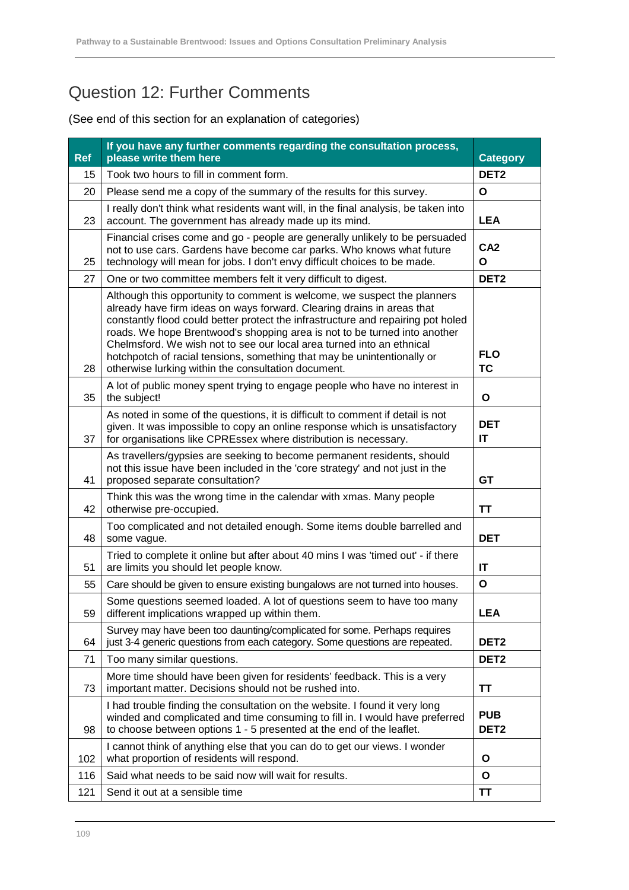## Question 12: Further Comments

## (See end of this section for an explanation of categories)

| <b>Ref</b> | If you have any further comments regarding the consultation process,<br>please write them here                                                                                                                                                                                                                                                                                                                                                                                                                                 | <b>Category</b>                |
|------------|--------------------------------------------------------------------------------------------------------------------------------------------------------------------------------------------------------------------------------------------------------------------------------------------------------------------------------------------------------------------------------------------------------------------------------------------------------------------------------------------------------------------------------|--------------------------------|
| 15         | Took two hours to fill in comment form.                                                                                                                                                                                                                                                                                                                                                                                                                                                                                        | DET <sub>2</sub>               |
| 20         | Please send me a copy of the summary of the results for this survey.                                                                                                                                                                                                                                                                                                                                                                                                                                                           | O                              |
| 23         | I really don't think what residents want will, in the final analysis, be taken into<br>account. The government has already made up its mind.                                                                                                                                                                                                                                                                                                                                                                                   | <b>LEA</b>                     |
| 25         | Financial crises come and go - people are generally unlikely to be persuaded<br>not to use cars. Gardens have become car parks. Who knows what future<br>technology will mean for jobs. I don't envy difficult choices to be made.                                                                                                                                                                                                                                                                                             | CA <sub>2</sub><br>O           |
| 27         | One or two committee members felt it very difficult to digest.                                                                                                                                                                                                                                                                                                                                                                                                                                                                 | DET <sub>2</sub>               |
| 28         | Although this opportunity to comment is welcome, we suspect the planners<br>already have firm ideas on ways forward. Clearing drains in areas that<br>constantly flood could better protect the infrastructure and repairing pot holed<br>roads. We hope Brentwood's shopping area is not to be turned into another<br>Chelmsford. We wish not to see our local area turned into an ethnical<br>hotchpotch of racial tensions, something that may be unintentionally or<br>otherwise lurking within the consultation document. | <b>FLO</b><br><b>TC</b>        |
| 35         | A lot of public money spent trying to engage people who have no interest in<br>the subject!                                                                                                                                                                                                                                                                                                                                                                                                                                    | O                              |
| 37         | As noted in some of the questions, it is difficult to comment if detail is not<br>given. It was impossible to copy an online response which is unsatisfactory<br>for organisations like CPREssex where distribution is necessary.                                                                                                                                                                                                                                                                                              | <b>DET</b><br>IT               |
| 41         | As travellers/gypsies are seeking to become permanent residents, should<br>not this issue have been included in the 'core strategy' and not just in the<br>proposed separate consultation?                                                                                                                                                                                                                                                                                                                                     | <b>GT</b>                      |
| 42         | Think this was the wrong time in the calendar with xmas. Many people<br>otherwise pre-occupied.                                                                                                                                                                                                                                                                                                                                                                                                                                | <b>TT</b>                      |
| 48         | Too complicated and not detailed enough. Some items double barrelled and<br>some vague.                                                                                                                                                                                                                                                                                                                                                                                                                                        | <b>DET</b>                     |
| 51         | Tried to complete it online but after about 40 mins I was 'timed out' - if there<br>are limits you should let people know.                                                                                                                                                                                                                                                                                                                                                                                                     | $\mathsf{I}\mathsf{T}$         |
| 55         | Care should be given to ensure existing bungalows are not turned into houses.                                                                                                                                                                                                                                                                                                                                                                                                                                                  | O                              |
| 59         | Some questions seemed loaded. A lot of questions seem to have too many<br>different implications wrapped up within them.                                                                                                                                                                                                                                                                                                                                                                                                       | LEA                            |
| 64         | Survey may have been too daunting/complicated for some. Perhaps requires<br>just 3-4 generic questions from each category. Some questions are repeated.                                                                                                                                                                                                                                                                                                                                                                        | DET <sub>2</sub>               |
| 71         | Too many similar questions.                                                                                                                                                                                                                                                                                                                                                                                                                                                                                                    | DET <sub>2</sub>               |
| 73         | More time should have been given for residents' feedback. This is a very<br>important matter. Decisions should not be rushed into.                                                                                                                                                                                                                                                                                                                                                                                             | ΤT                             |
| 98         | I had trouble finding the consultation on the website. I found it very long<br>winded and complicated and time consuming to fill in. I would have preferred<br>to choose between options 1 - 5 presented at the end of the leaflet.                                                                                                                                                                                                                                                                                            | <b>PUB</b><br>DET <sub>2</sub> |
| 102        | I cannot think of anything else that you can do to get our views. I wonder<br>what proportion of residents will respond.                                                                                                                                                                                                                                                                                                                                                                                                       | O                              |
| 116        | Said what needs to be said now will wait for results.                                                                                                                                                                                                                                                                                                                                                                                                                                                                          | O                              |
| 121        | Send it out at a sensible time                                                                                                                                                                                                                                                                                                                                                                                                                                                                                                 | ΤT                             |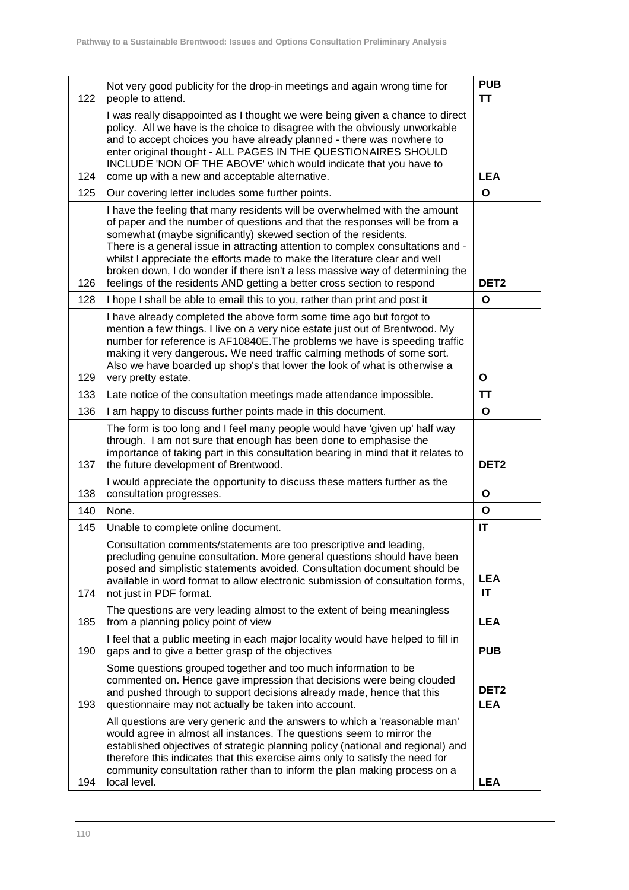| 122 | Not very good publicity for the drop-in meetings and again wrong time for<br>people to attend.                                                                                                                                                                                                                                                                                                                                                                                                                                                           | <b>PUB</b><br><b>TT</b>        |
|-----|----------------------------------------------------------------------------------------------------------------------------------------------------------------------------------------------------------------------------------------------------------------------------------------------------------------------------------------------------------------------------------------------------------------------------------------------------------------------------------------------------------------------------------------------------------|--------------------------------|
| 124 | I was really disappointed as I thought we were being given a chance to direct<br>policy. All we have is the choice to disagree with the obviously unworkable<br>and to accept choices you have already planned - there was nowhere to<br>enter original thought - ALL PAGES IN THE QUESTIONAIRES SHOULD<br>INCLUDE 'NON OF THE ABOVE' which would indicate that you have to<br>come up with a new and acceptable alternative.                                                                                                                            | <b>LEA</b>                     |
| 125 | Our covering letter includes some further points.                                                                                                                                                                                                                                                                                                                                                                                                                                                                                                        | O                              |
| 126 | I have the feeling that many residents will be overwhelmed with the amount<br>of paper and the number of questions and that the responses will be from a<br>somewhat (maybe significantly) skewed section of the residents.<br>There is a general issue in attracting attention to complex consultations and -<br>whilst I appreciate the efforts made to make the literature clear and well<br>broken down, I do wonder if there isn't a less massive way of determining the<br>feelings of the residents AND getting a better cross section to respond | DET <sub>2</sub>               |
| 128 | I hope I shall be able to email this to you, rather than print and post it                                                                                                                                                                                                                                                                                                                                                                                                                                                                               | O                              |
| 129 | I have already completed the above form some time ago but forgot to<br>mention a few things. I live on a very nice estate just out of Brentwood. My<br>number for reference is AF10840E. The problems we have is speeding traffic<br>making it very dangerous. We need traffic calming methods of some sort.<br>Also we have boarded up shop's that lower the look of what is otherwise a<br>very pretty estate.                                                                                                                                         | O                              |
| 133 | Late notice of the consultation meetings made attendance impossible.                                                                                                                                                                                                                                                                                                                                                                                                                                                                                     | <b>TT</b>                      |
| 136 | I am happy to discuss further points made in this document.                                                                                                                                                                                                                                                                                                                                                                                                                                                                                              | O                              |
| 137 | The form is too long and I feel many people would have 'given up' half way<br>through. I am not sure that enough has been done to emphasise the<br>importance of taking part in this consultation bearing in mind that it relates to<br>the future development of Brentwood.                                                                                                                                                                                                                                                                             | DET <sub>2</sub>               |
| 138 | I would appreciate the opportunity to discuss these matters further as the<br>consultation progresses.                                                                                                                                                                                                                                                                                                                                                                                                                                                   | O                              |
| 140 | None.                                                                                                                                                                                                                                                                                                                                                                                                                                                                                                                                                    | O                              |
| 145 | Unable to complete online document.                                                                                                                                                                                                                                                                                                                                                                                                                                                                                                                      | IT                             |
| 174 | Consultation comments/statements are too prescriptive and leading,<br>precluding genuine consultation. More general questions should have been<br>posed and simplistic statements avoided. Consultation document should be<br>available in word format to allow electronic submission of consultation forms,<br>not just in PDF format.                                                                                                                                                                                                                  | <b>LEA</b><br><b>IT</b>        |
| 185 | The questions are very leading almost to the extent of being meaningless<br>from a planning policy point of view                                                                                                                                                                                                                                                                                                                                                                                                                                         | <b>LEA</b>                     |
| 190 | I feel that a public meeting in each major locality would have helped to fill in<br>gaps and to give a better grasp of the objectives                                                                                                                                                                                                                                                                                                                                                                                                                    | <b>PUB</b>                     |
| 193 | Some questions grouped together and too much information to be<br>commented on. Hence gave impression that decisions were being clouded<br>and pushed through to support decisions already made, hence that this<br>questionnaire may not actually be taken into account.                                                                                                                                                                                                                                                                                | DET <sub>2</sub><br><b>LEA</b> |
| 194 | All questions are very generic and the answers to which a 'reasonable man'<br>would agree in almost all instances. The questions seem to mirror the<br>established objectives of strategic planning policy (national and regional) and<br>therefore this indicates that this exercise aims only to satisfy the need for<br>community consultation rather than to inform the plan making process on a<br>local level.                                                                                                                                     | <b>LEA</b>                     |